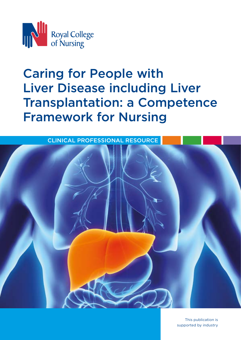

# Caring for People with Liver Disease including Liver Transplantation: a Competence Framework for Nursing



This publication is supported by industry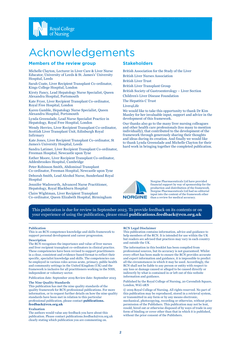

# Acknowledgements

#### **Members of the review group**

Michelle Clayton, Lecturer in Liver Care & Liver Nurse Educator, University of Leeds & St. James's' University Hospital, Leeds

Sarah Coate, Liver Recipient Transplant Co-ordinator, Kings College Hospital, London

Kirsty Fancy, Lead Hepatology Nurse Specialist, Queen Alexandra Hospital, Portsmouth

Kate Fryer, Liver Recipient Transplant Co-ordinator, Royal Free Hospital, London

Karen Gamble, Hepatology Nurse Specialist, Queen Alexandra Hospital, Portsmouth

Lynda Greenslade, Lead Nurse Specialist Practice in Hepatology, Royal Free Hospital, London

Wendy Herries, Liver Recipient Transplant Co-ordinator, Scottish Liver Transplant Unit, Edinburgh Royal Infirmary

Kate Jones, Liver Recipient Transplant Co-ordinator, St James's University Hospital, Leeds

Sandra Latimer, Liver Recipient Transplant Co-ordinator, Freeman Hospital, Newcastle upon Tyne

Esther Moore, Liver Recipient Transplant Co-ordinator, Addenbrookes Hospital, Cambridge

Peter Robinson Smith, Abdominal Transplant Co-ordinator, Freeman Hospital, Newcastle upon Tyne Deborah Smith, Lead Alcohol Nurse, Sunderland Royal Hospital

Jennifer Wadsworth, Advanced Nurse Practitioner, Hepatology, Royal Blackburn Hospital

Claire Wightman, Liver Recipient Transplant Co-ordinator, Queen Elizabeth Hospital, Birmingham

#### **Stakeholders**

British Association for the Study of the Liver British Liver Nurses Association

British Liver Trust

British Liver Transplant Group

British Society of Gastroenterology – Liver Section

Children's Liver Disease Foundation

The Hepatitis C Trust

Liver4Life

We would like to take this opportunity to thank Dr Kim Manley for her invaluable input, support and advice in the development of this framework.

Our thanks also go to the many liver nursing colleagues and other health care professionals (too many to mention individually), that contributed to the development of the framework through generously sharing their thoughts and ideas during its creation. And finally we would like to thank Lynda Greenslade and Michelle Clayton for their hard work in bringing together the completed publication.



Norgine Pharmaceuticals Ltd have provided financial support by way of sponsorship for the production and distribution of the framework. Norgine Pharmaceuticals Ltd had no editorial input into the content of the framework other than a review for medical accuracy.

This publication is due for review in September 2023. To provide feedback on its contents or on your experience of using the publication, please email **publications.feedback@rcn.org.uk**

#### **Publication**

This is an RCN competence knowledge and skills framework to support personal development and career progression.

#### **Description**

The RCN recognises the importance and value of liver nurses and liver recipient transplant co-ordinators in clinical practice. These competencies have been revised to support practitioners in a clear, consistent and evidence-based format to reflect their specific, specialist knowledge and skills. The competencies can be employed in various roles across acute, primary, public health and community settings in the United Kingdom (UK) and the framework is inclusive for all practitioners working in the NHS, independent or voluntary sector.

Publication date: September 2019 Review date: September 2023

#### **The Nine Quality Standards**

This publication has met the nine quality standards of the quality framework for RCN professional publications. For more information, or to request further details on how the nine quality standards have been met in relation to this particular professional publication, please contact **publications. feedback@rcn.org.uk**

#### **Evaluation**

The authors would value any feedback you have about this publication. Please contact publications.feedback@rcn.org.uk clearly stating which publication you are commenting on.

#### **RCN Legal Disclaimer**

This publication contains information, advice and guidance to help members of the RCN. It is intended for use within the UK but readers are advised that practices may vary in each country and outside the UK.

The information in this booklet has been compiled from professional sources, but its accuracy is not guaranteed. Whilst every effort has been made to ensure the RCN provides accurate and expert information and guidance, it is impossible to predict all the circumstances in which it may be used. Accordingly, the RCN shall not be liable to any person or entity with respect to any loss or damage caused or alleged to be caused directly or indirectly by what is contained in or left out of this website information and guidance.

Published by the Royal College of Nursing, 20 Cavendish Square, London, W1G 0RN

© 2019 Royal College of Nursing. All rights reserved. No part of this publication may be reproduced, stored in a retrieval system, or transmitted in any form or by any means electronic, mechanical, photocopying, recording or otherwise, without prior permission of the Publishers. This publication may not be lent, resold, hired out or otherwise disposed of by ways of trade in any form of binding or cover other than that in which it is published, without the prior consent of the Publishers.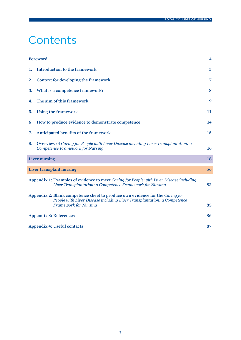# **Contents**

|    | Foreword                                                                                                                                                                                 | $\overline{\mathbf{4}}$ |
|----|------------------------------------------------------------------------------------------------------------------------------------------------------------------------------------------|-------------------------|
| 1. | <b>Introduction to the framework</b>                                                                                                                                                     | $\overline{5}$          |
| 2. | Context for developing the framework                                                                                                                                                     | 7                       |
| 3. | What is a competence framework?                                                                                                                                                          | 8                       |
| 4. | The aim of this framework                                                                                                                                                                | 9                       |
| 5. | <b>Using the framework</b>                                                                                                                                                               | 11                      |
| 6  | How to produce evidence to demonstrate competence                                                                                                                                        | 14                      |
| 7. | Anticipated benefits of the framework                                                                                                                                                    | 15                      |
| 8. | Overview of Caring for People with Liver Disease including Liver Transplantation: a<br><b>Competence Framework for Nursing</b>                                                           | <b>16</b>               |
|    | <b>Liver nursing</b>                                                                                                                                                                     | 18                      |
|    | Liver transplant nursing                                                                                                                                                                 | 56                      |
|    | Appendix 1: Examples of evidence to meet Caring for People with Liver Disease including<br>Liver Transplantation: a Competence Framework for Nursing                                     | 82                      |
|    | Appendix 2: Blank competence sheet to produce own evidence for the Caring for<br>People with Liver Disease including Liver Transplantation: a Competence<br><b>Framework for Nursing</b> | 85                      |
|    | <b>Appendix 3: References</b>                                                                                                                                                            | 86                      |
|    | <b>Appendix 4: Useful contacts</b>                                                                                                                                                       | 87                      |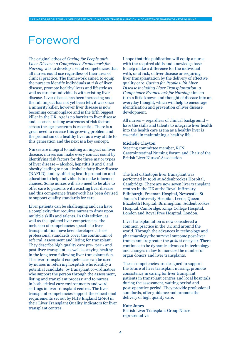# Foreword

The original ethos of *Caring for People with Liver Disease: a Competence Framework for Nursing* was to develop a set of competencies that all nurses could use regardless of their area of clinical practice. The framework aimed to equip the nurse to identify individuals at risk of liver disease, promote healthy livers and lifestyle as well as care for individuals with existing liver disease. Liver disease has been increasing and the full impact has not yet been felt; it was once a minority killer, however liver disease is now becoming commonplace and is the fifth biggest killer in the UK. Age is no barrier to liver disease and, as such, raising awareness of risk factors across the age spectrum is essential. There is a great need to reverse this growing problem and the promotion of a healthy liver as a way of life to this generation and the next is a key concept.

Nurses are integral to making an impact on liver disease; nurses can make every contact count by identifying risk factors for the three major types of liver disease – alcohol, hepatitis B and C and obesity leading to non-alcoholic fatty liver disease (NAFLD); and by offering health promotion and education to help individuals to make informed choices. Some nurses will also need to be able to offer care to patients with existing liver disease and this competence framework has been devised to support quality standards for care.

Liver patients can be challenging and can have a complexity that requires nurses to draw upon multiple skills and talents. In this edition, as well as the updated liver competencies, the inclusion of competencies specific to liver transplantation have been developed. These professional standards cover the continuum of referral, assessment and listing for transplant. They describe high quality care pre-, peri- and post-liver transplant, as well as staying healthy in the long term following liver transplantation. The liver transplant competencies can be used by nurses in referring hospitals who identify a potential candidate; by transplant co-ordinators who support the person through the assessment, listing and transplant process; and to nurses in both critical care environments and ward settings in liver transplant centres. The liver transplant competencies support the educational requirements set out by NHS England (2016) in their Liver Transplant Quality Indicators for liver transplant centres.

I hope that this publication will equip a nurse with the required skills and knowledge base to help make a difference for the individual with, or at risk, of liver disease or requiring liver transplantation by the delivery of effective quality care. *Caring for People with Liver Disease including Liver Transplantation: a Competence Framework for Nursing* aims to turn a little known and thought of disease into an everyday thought, which will help to encourage identification and prevention of liver disease development.

All nurses – regardless of clinical background – have the skills and talents to integrate liver health into the health care arena as a healthy liver is essential in maintaining a healthy life.

#### **Michelle Clayton**

<span id="page-3-0"></span>CARING FOR PEOPLE WITH LIVER DISEASE INCLUDING LIVER TRANSPLANTATION: A COMPETENCE FRAMEWORK FOR NURSING

Steering committee member, RCN Gastrointestinal Nursing Forum and Chair of the British Liver Nurses' Association

The first orthotopic liver transplant was performed in 1968 at Addenbrookes Hospital, Cambridge. There are now seven liver transplant centres in the UK at the Royal Infirmary, Edinburgh; Freeman Hospital, Newcastle; St James's University Hospital, Leeds; Queen Elizabeth Hospital, Birmingham; Addenbrookes Hospital, Cambridge; Kings College Hospital, London and Royal Free Hospital, London.

Liver transplantation is now considered a common practice in the UK and around the world. Through the advances in technology and pharmacology the survival outcome post-liver transplant are greater the 90% at one year. There continues to be dynamic advances in technology and changes in law to increase the number of organ donors and liver transplants.

These competencies are designed to support the future of liver transplant nursing, promote consistency in caring for liver transplant patients in transplant centres and local hospitals during the assessment, waiting period and post-operative period. They provide professional standards, offer guidance and promote the delivery of high quality care.

#### **Kate Jones**

British Liver Transplant Group Nurse representative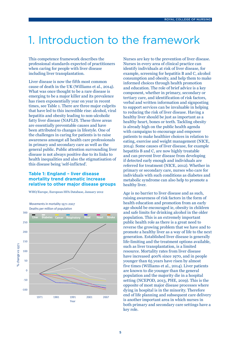# <span id="page-4-0"></span>1. Introduction to the framework

This competence framework describes the professional standards expected of practitioners when caring for people with liver disease including liver transplantation.

Liver disease is now the fifth most common cause of death in the UK (Williams et al., 2014). What was once thought to be a rare disease is emerging to be a major killer and its prevalence has risen exponentially year on year in recent times, see Table 1. There are three major culprits that have led to this incredible rise: alcohol, viral hepatitis and obesity leading to non-alcoholic fatty liver disease (NAFLD). These three areas are essentially preventable causes and have been attributed to changes in lifestyle. One of the challenges in caring for patients is to raise awareness amongst all health care professionals in primary and secondary care as well as the general public. Public attention surrounding liver disease is not always positive due to its links to health inequalities and also the stigmatisation of this disease being 'self-inflicted'.

#### **Table 1: England – liver disease mortality trend dramatic increase relative to other major disease groups**

WHO/Europe, European HFA Database, January 2012

Movements in mortality 1971-2007 Deaths per million of population



Nurses are key to the prevention of liver disease. Nurses in every area of clinical practice can identify individuals at risk of liver disease, for example, screening for hepatitis B and C, alcohol consumption and obesity, and help them to make informed choices through health promotion and education. The role of brief advice is a key component, whether in primary, secondary or tertiary care, and identification of risk factors, verbal and written information and signposting to support services can be invaluable in helping to reducing the risk of liver disease. Having a healthy liver should be just as important as a healthy heart, bones or teeth. Tackling obesity is already high on the public health agenda with campaigns to encourage and empower patients to make healthier choices in relation to eating, exercise and weight management (NICE, 2014). Some causes of liver disease, for example hepatitis B and C, are now highly treatable and can prevent liver disease from developing if detected early enough and individuals are referred for treatment (NICE, 2012). Whether in primary or secondary care, nurses who care for individuals with such conditions as diabetes and metabolic syndrome can also help to promote a healthy liver.

Age is no barrier to liver disease and as such, raising awareness of risk factors in the form of health education and promotion from an early age should be encouraged ie, obesity in children and safe limits for drinking alcohol in the older population. This is an extremely important public health role as there is a great need to reverse the growing problem that we have and to promote a healthy liver as a way of life to the next generation. Established liver disease is generally life-limiting and the treatment options available, such as liver transplantation, is a limited resource. Mortality rates from liver disease have increased 400% since 1970, and in people younger than 65 years have risen by almost five times (Williams et al., 2014). Liver patients are known to die younger than the general population and the majority die in a hospital setting (NCEPOD, 2013, PHE, 2019). This is the opposite of most major disease processes where dying in hospital is in the minority. Therefore end of life planning and subsequent care delivery is another important area in which nurses in both primary and secondary care settings have a key role.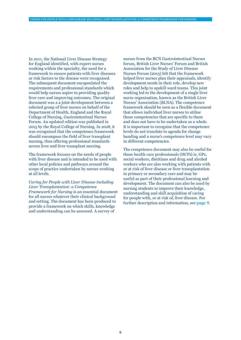In 2011, the National Liver Disease Strategy for England identified, with expert nurses working within the specialty, the need for a framework to ensure patients with liver diseases or risk factors to the disease were recognised. The subsequent document encapsulated the requirements and professional standards which would help nurses aspire to providing quality liver care and improving outcomes. The original document was a a joint development between a selected group of liver nurses on behalf of the Department of Health, England and the Royal College of Nursing, Gastrointestinal Nurses Forum. An updated edition was published in 2015 by the Royal College of Nursing. In 2018, it was recognised that the competence framework should encompass the field of liver transplant nursing, thus offering professional standards across liver and liver transplant nursing.

The framework focuses on the needs of people with liver disease and is intended to be used with other local policies and pathways around the scope of practice undertaken by nurses working at all levels.

*Caring for People with Liver Disease including Liver Transplantation: a Competence Framework for Nursing* is an essential document for all nurses whatever their clinical background and setting. The document has been produced to provide a framework on which skills, knowledge and understanding can be assessed. A survey of

nurses from the RCN Gastrointestinal Nurses forum, British Liver Nurses' Forum and British Association for the Study of Liver Disease Nurses Forum (2015) felt that the framework helped liver nurses plan their appraisals, identify development needs in their role, develop new roles and help to upskill ward teams. This joint working led to the development of a single liver nurse organisation, known as the British Liver Nurses' Association (BLNA). The competence framework should be seen as a flexible document that allows individual liver nurses to utilise those competencies that are specific to them and does not have to be undertaken as a whole. It is important to recognise that the competence levels do not translate to agenda for change banding and a nurse's competence level may vary in different competencies.

The competence document may also be useful for those health care professionals (HCPs) ie, GPs, social workers, dietitians and drug and alcohol workers who are also working with patients with or at risk of liver disease or liver transplantation in primary or secondary care and may be useful as part of their professional learning and development. The document can also be used by nursing students to improve their knowledge, understanding and skill acquisition of caring for people with, or at risk of, liver disease. For further description and information, see **[page 9](#page-8-0)**.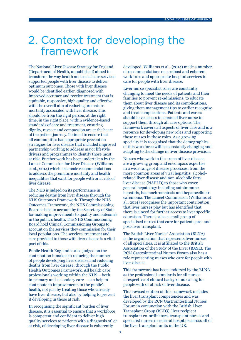## <span id="page-6-0"></span>2. Context for developing the framework

The National Liver Disease Strategy for England (Department of Health, unpublished) aimed to transform the way health and social care services supported people with liver disease to deliver optimum outcomes. Those with liver disease would be identified earlier, diagnosed with improved accuracy and receive treatment that is equitable, responsive, high quality and effective with the overall aim of reducing premature mortality associated with liver disease. This should be from the right person, at the right time, in the right place, within evidence-based standards of care and treatment, ensuring dignity, respect and compassion are at the heart of the patient journey. It aimed to ensure that all communities had appropriate prevention strategies for liver disease that included improved partnership working to address major lifestyle drivers and programmes to identify those most at risk. Further work has been undertaken by the Lancet Commission for Liver Disease (Williams et al., 2014) which has made recommendations to address the premature mortality and health inequalities that exist for people with or at risk of liver disease.

The NHS is judged on its performance in reducing deaths from liver disease through the NHS Outcomes Framework. Through the NHS Outcomes Framework, the NHS Commissioning Board is held to account by the Secretary of State for making improvements to quality and outcomes in the public's health. The NHS Commissioning Board hold Clinical Commissioning Groups to account on the services they commission for their local populations. The services, treatment and care provided to those with liver disease is a vital part of this.

Public Health England is also judged on the contribution it makes to reducing the number of people developing liver disease and reducing deaths from liver disease, through the Public Health Outcomes Framework. All health care professionals working within the NHS – both in primary and secondary care – can help to contribute to improvements in the public's health, not just by treating those who already have liver disease, but also by helping to prevent it developing in those at risk.

In recognising the significant burden of liver disease, it is essential to ensure that a workforce is competent and confident to deliver high quality services to patients with a diagnosis of, or at risk, of developing liver disease is coherently

developed. Williams et al., (2014) made a number of recommendations on a robust and coherent workforce and appropriate hospital services to care for people with liver disease.

Liver nurse specialist roles are constantly changing to meet the needs of patients and their families to prevent re-admissions, to educate them about liver disease and its complications, giving them management tips to earlier recognise and treat complications. Patients and carers should have access to a named liver nurse to support them through all care options. The framework covers all aspects of liver care and is a resource for developing new roles and supporting those nurses in these roles. As a growing specialty it is recognised that the demographics of this workforce will be constantly changing and adapting to the change in liver disease provision.

Nurses who work in the arena of liver disease are a growing group and encompass expertise in a wide range of disease processes, from the more common areas of viral hepatitis, alcoholrelated liver disease and non-alcoholic fatty liver disease (NAFLD) to those who cover general hepatology including autoimmune hepatitis, haemochromatosis and hepatocellular carcinoma. The Lancet Commission (Williams et al., 2014) recognises the important contribution that liver nurses play but has identified that there is a need for further access to liver specific education. There is also a small group of specialised nurses that care for patients pre- and post-liver transplant.

The British Liver Nurses' Association (BLNA) is the organisation that represents liver nurses of all specialties. It is affiliated to the British Association of the Study of the Liver (BASL). The RCN Gastrointestinal Nurses Forum also has a role representing nurses who care for people with liver disease.

This framework has been endorsed by the BLNA as the professional standards for all nurses irrespective of clinical background caring for people with or at risk of liver disease.

This revised edition of this framework includes the liver transplant competencies and was developed by the RCN Gastrointestinal Nurses Forum in conjunction with the British Liver Transplant Group (BLTG), liver recipient transplant co-ordinators, transplant nurses and specialist nurses in referral hospitals across all of the liver transplant units in the UK.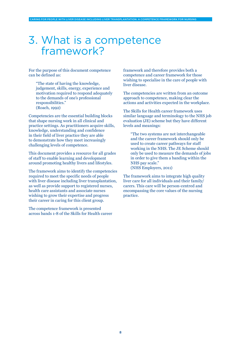## <span id="page-7-0"></span>3. What is a competence framework?

For the purpose of this document competence can be defined as:

 "The state of having the knowledge, judgement, skills, energy, experience and motivation required to respond adequately to the demands of one's professional responsibilities." (Roach, 1992)

Competencies are the essential building blocks that shape nursing work in all clinical and practice settings. As practitioners acquire skills, knowledge, understanding and confidence in their field of liver practice they are able to demonstrate how they meet increasingly challenging levels of competence.

This document provides a resource for all grades of staff to enable learning and development around promoting healthy livers and lifestyles.

The framework aims to identify the competencies required to meet the specific needs of people with liver disease including liver transplantation, as well as provide support to registered nurses, health care assistants and associate nurses wishing to grow their expertise and progress their career in caring for this client group.

The competence framework is presented across bands 1-8 of the Skills for Health career framework and therefore provides both a competence and career framework for those wishing to specialise in the care of people with liver disease.

The competencies are written from an outcome approach to competence, making clear the actions and activities expected in the workplace.

The Skills for Health career framework uses similar language and terminology to the NHS job evaluation (JE) scheme but they have different levels and meanings:

 "The two systems are not interchangeable and the career framework should only be used to create career pathways for staff working in the NHS. The JE Scheme should only be used to measure the demands of jobs in order to give them a banding within the NHS pay scale." (NHS Employers, 2011)

The framework aims to integrate high quality liver care for all individuals and their family/ carers. This care will be person-centred and encompassing the core values of the nursing practice.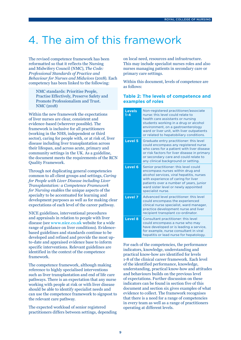# <span id="page-8-0"></span>4. The aim of this framework

The revised competence framework has been reformatted so that it reflects the Nursing and Midwifery Council (NMC), *The Code: Professional Standards of Practice and Behaviour for Nurses and Midwives* (2018). Each competency has been linked to the following:

 NMC standards: Prioritise People, Practise Effectively, Preserve Safety and Promote Professionalism and Trust. NMC (2018)

Within the new framework the expectations of liver nurses are clear, consistent and evidence-based (wherever possible). The framework is inclusive for all practitioners (working in the NHS, independent or third sector), caring for people with, or at risk of, liver disease including liver transplantation across their lifespan, and across acute, primary and community settings in the UK. As a guideline, the document meets the requirements of the RCN Quality Framework.

Through not duplicating general competencies common to all client groups and settings, *Caring for People with Liver Disease including Liver Transplantation: a Competence Framework for Nursing* enables the unique aspects of the specialty to be accentuated for learning and development purposes as well as for making clear expectations of each level of the career pathway.

NICE guidelines, interventional procedures and appraisals in relation to people with liver disease (see **[www.nice.co.uk](http://www.nice.co.uk)** website for a wide range of guidance on liver conditions). Evidencebased guidelines and standards continue to be developed and refined and provide the most upto-date and appraised evidence base to inform specific interventions. Relevant guidelines are identified in the context of the competence framework.

The competence framework, although making reference to highly specialised interventions such as liver transplantation and end of life care pathways. There is an expectation that any nurse working with people at risk or with liver disease should be able to identify specialist needs and can use the competence framework to signpost to the relevant care pathway.

The expected workload of senior registered practitioners differs between settings, depending

on local need, resources and infrastructure. This may include specialist nurses roles and also nurses managing patients in secondary care or primary care settings.

Within this document, levels of competence are as follows:

#### **Table 2: The levels of competence and examples of roles**

| <b>Levels</b><br>$1 - 4$ | Non-registered practitioner/associate<br>nurse: this level could relate to<br>health care assistants or nursing<br>students working in a drug or alcohol<br>environment, on a gastroenterology<br>ward or liver unit, with liver outpatients<br>or related to hepatobiliary conditions. |
|--------------------------|-----------------------------------------------------------------------------------------------------------------------------------------------------------------------------------------------------------------------------------------------------------------------------------------|
| <b>Level 5</b>           | Graduate entry practitioner: this level<br>could encompass any registered nurse<br>who cares for a patient with liver disease<br>or risk factors for liver disease in primary<br>or secondary care and could relate to<br>any clinical background or setting.                           |
| <b>Level 6</b>           | Senior practitioner: this level could<br>encompass nurses within drug and<br>alcohol services, viral hepatitis, nurses<br>with experience of caring for liver<br>patients over a number of years, junior<br>ward sister level or newly appointed<br>specialist nurse.                   |
| <b>Level 7</b>           | Advanced level practitioner: this level<br>could encompass the experienced<br>clinical nurse specialist, ward manager,<br>practice development nurse and liver<br>recipient transplant co-ordinator.                                                                                    |
| <b>Level 8</b>           | Consultant practitioner: this level<br>could encompass a nurse who may<br>have developed or is leading a service,<br>for example, nurse consultant in viral<br>hepatitis or lead nurse for hepatology.                                                                                  |

For each of the competencies, the performance indicators, knowledge, understanding and practical know-how are identified for levels 1-8 of the clinical career framework. Each level of the identified performance, knowledge, understanding, practical know-how and attitudes and behaviours builds on the previous level of expectations. Further discussion on these indicators can be found in section five of this document and section six gives examples of what evidence to collect. The framework recognises that there is a need for a range of competencies in every team as well as a range of practitioners operating at different levels.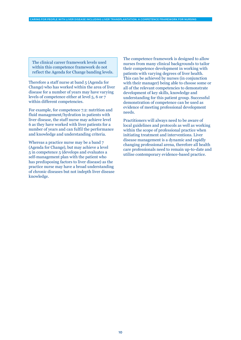The clinical career framework levels used within this competence framework do not reflect the Agenda for Change banding levels.

Therefore a staff nurse at band 5 (Agenda for Change) who has worked within the area of liver disease for a number of years may have varying levels of competence either at level 5, 6 or 7 within different competencies.

For example, for competence 7.2: nutrition and fluid management/hydration in patients with liver disease, the staff nurse may achieve level 6 as they have worked with liver patients for a number of years and can fulfil the performance and knowledge and understanding criteria.

Whereas a practice nurse may be a band 7 (Agenda for Change), but may achieve a level 5 in competence 5 (develops and evaluates a self-management plan with the patient who has predisposing factors to liver disease) as the practice nurse may have a broad understanding of chronic diseases but not indepth liver disease knowledge.

The competence framework is designed to allow nurses from many clinical backgrounds to tailor their competence development in working with patients with varying degrees of liver health. This can be achieved by nurses (in conjunction with their manager) being able to choose some or all of the relevant competencies to demonstrate development of key skills, knowledge and understanding for this patient group. Successful demonstration of competence can be used as evidence of meeting professional development needs.

Practitioners will always need to be aware of local guidelines and protocols as well as working within the scope of professional practice when initiating treatment and interventions. Liver disease management is a dynamic and rapidly changing professional arena, therefore all health care professionals need to remain up-to-date and utilise contemporary evidence-based practice.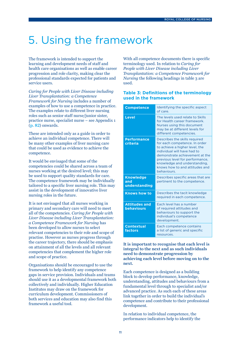# <span id="page-10-0"></span>5. Using the framework

The framework is intended to support the learning and development needs of staff and health care organisations as well as enable career progression and role clarity, making clear the professional standards expected for patients and service users.

*Caring for People with Liver Disease including Liver Transplantation: a Competence Framework for Nursing* includes a number of examples of how to use a competence in practice. The examples relate to different liver nursing roles such as senior staff nurse/junior sister, practice nurse, specialist nurse – see Appendix 1 (**[p. 82](#page-81-0)**) onwards.

These are intended only as a guide in order to achieve an individual competence. There will be many other examples of liver nursing care that could be used as evidence to achieve the competence.

It would be envisaged that some of the competencies could be shared across a team of nurses working at the desired level; this may be used to support quality standards for care. The competence framework may be individually tailored to a specific liver nursing role. This may assist in the development of innovative liver nursing roles in the future.

It is not envisaged that all nurses working in primary and secondary care will need to meet all of the competencies. *Caring for People with Liver Disease including Liver Transplantation: a Competence Framework for Nursing* has been developed to allow nurses to select relevant competencies to their role and scope of practise. However as nurses progress through the career trajectory, there should be emphasis on attainment of all the levels and all relevant competencies that complement the higher role and scope of practice.

Organisations should be encouraged to use the framework to help identify any competence gaps in service provision. Individuals and teams should use it as a developmental framework both collectively and individually. Higher Education Institutes may draw on the framework for curriculum development. Commissioners of both services and education may also find this framework a useful tool.

With all competence documents there is specific terminology used. In relation to *Caring for People with Liver Disease including Liver Transplantation: a Competence Framework for Nursing* the following headings in table 3 are used.

#### **Table 3: Definitions of the terminology used in the framework**

| <b>Competence</b>                         | Identifying the specific aspect<br>of care.                                                                                                                                                                                                                                           |
|-------------------------------------------|---------------------------------------------------------------------------------------------------------------------------------------------------------------------------------------------------------------------------------------------------------------------------------------|
| <b>Level</b>                              | The levels used relate to Skills<br>for Health career framework.<br>Nurses using this document<br>may be at different levels for<br>different competencies.                                                                                                                           |
| <b>Performance</b><br>criteria            | Describes the skills required<br>for each competence. In order<br>to achieve a higher level, the<br>individual will have had to<br>demonstrate achievement at the<br>previous level for performance,<br>knowledge and understanding,<br>knows how to and attitudes and<br>behaviours. |
| <b>Knowledge</b><br>and<br>understanding  | Describes specific areas that are<br>pertinent to the competence.                                                                                                                                                                                                                     |
| <b>Knows how to</b>                       | Describes the tacit knowledge<br>required in each competence.                                                                                                                                                                                                                         |
| <b>Attitudes and</b><br><b>behaviours</b> | Fach level has a number<br>of required attitudes and<br>behaviours to support the<br>individual's competence<br>development.                                                                                                                                                          |
| <b>Contextual</b><br>factors              | Each competence contains<br>a list of generic and specific<br>resources.                                                                                                                                                                                                              |

**It is important to recognise that each level is integral to the next and as such individuals need to demonstrate progression by achieving each level before moving on to the next.** 

Each competence is designed as a building block to develop performance, knowledge, understanding, attitudes and behaviours from a fundamental level through to specialist and/or advanced practice. As such each of these areas link together in order to build the individual's competence and contribute to their professional development.

In relation to individual competence, the performance indicators help to identify the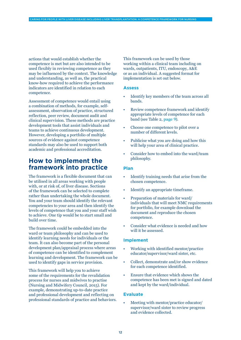actions that would establish whether the competence is met but are also intended to be used flexibly in reviewing competence as they may be influenced by the context. The knowledge and understanding, as well as, the practical know-how required to achieve the performance indicators are identified in relation to each competence.

Assessment of competence would entail using a combination of methods, for example, selfassessment, observation of practice, structured reflection, peer review, document audit and clinical supervision. These methods are practice development tools that assist individuals and teams to achieve continuous development. However, developing a portfolio of multiple sources of evidence against competence standards may also be used to support both academic and professional accreditation.

### **How to implement the framework into practice**

The framework is a flexible document that can be utilised in all areas working with people with, or at risk of, of liver disease. Sections of the framework can be selected to complete rather than undertaking the whole document. You and your team should identify the relevant competencies to your area and then identify the levels of competence that you and your staff wish to achieve. One tip would be to start small and build over time.

The framework could be embedded into the ward or team philosophy and can be used to identify learning needs for individuals or the team. It can also become part of the personal development plan/appraisal process where areas of competence can be identified to complement learning and development. The framework can be used to identify gaps in service provision.

This framework will help you to achieve some of the requirements for the revalidation process for nurses and midwives to practise (Nursing and Midwifery Council, 2015). For example, demonstrating up-to-date practice and professional development and reflecting on professional standards of practice and behaviors. This framework can be used by those working within a clinical team including on wards, outpatients, ITU, endoscopy, A&E or as an individual. A suggested format for implementation is set out below.

#### **Assess**

CARING FOR PEOPLE WITH LIVER DISEASE INCLUDING LIVER TRANSPLANTATION: A COMPETENCE FRAMEWORK FOR NURSING

- Identify key members of the team across all bands.
- Review competence framework and identify appropriate levels of competence for each band (see Table 2, **[page 9](#page-8-0)**).
- Choose one competence to pilot over a number of different levels.
- Publicise what you are doing and how this will help your area of clinical practice.
- Consider how to embed into the ward/team philosophy.

#### **Plan**

- Identify training needs that arise from the chosen competence.
- Identify an appropriate timeframe.
- Preparation of materials for ward/ individuals that will meet NMC requirements for portfolio, for example download the document and reproduce the chosen competence.
- Consider what evidence is needed and how will it be assessed.

#### **Implement**

- Working with identified mentor/practice educator/supervisor/ward sister, etc.
- Collect, demonstrate and/or show evidence for each competence identified.
- Ensure that evidence which shows the competence has been met is signed and dated and kept by the ward/individual.

#### **Evaluate**

• Meeting with mentor/practice educator/ supervisor/ward sister to review progress and evidence collected.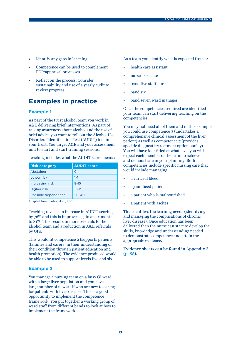- Identify any gaps in learning.
- Competence can be used to complement PDP/appraisal processes.
- Reflect on the process. Consider sustainability and use of a yearly audit to review progress.

#### **Examples in practice**

#### **Example 1**

As part of the trust alcohol team you work in A&E delivering brief interventions. As part of raising awareness about alcohol and the use of brief advice you want to roll out the Alcohol Use Disorders Identification Test (AUDIT) tool in your trust. You target A&E and your assessment unit to start and start training sessions:

Teaching includes what the AUDIT score means:

| <b>Risk category</b> | <b>AUDIT score</b> |
|----------------------|--------------------|
| Abstainer            | Ω                  |
| Lower risk           | $1 - 7$            |
| Increasing risk      | $8 - 15$           |
| <b>Higher risk</b>   | $16 - 19$          |
| Possible dependence  | $20 - 40$          |

Adapted from Barbor et al., 2001

Teaching reveals an increase in AUDIT scoring by 76% and this is improves again at six months to 81%. This results in more referrals to the alcohol team and a reduction in A&E referrals by GPs.

This would fit competence 2 (supports patients (families and carers) in their understanding of their condition through patient education and health promotion). The evidence produced would be able to be used to support levels five and six.

#### **Example 2**

You manage a nursing team on a busy GI ward with a large liver population and you have a large number of new staff who are new to caring for patients with liver disease. This is a good opportunity to implement the competence framework. You put together a working group of ward staff from different bands to look at how to implement the framework.

As a team you identify what is expected from a:

- health care assistant
- nurse associate
- band five staff nurse
- band six
- band seven ward manager.

Once the competencies required are identified your team can start delivering teaching on the competencies.

You may not need all of them and in this example you could use competence 3 (undertakes a comprehensive clinical assessment of the liver patient) as well as competence 7 (provides specific diagnostic/treatment options safely). You will have identified at what level you will expect each member of the team to achieve and demonstrate in your planning. Both competencies include specific nursing care that would include managing:

- a variceal bleed
- a jaundiced patient
- a patient who is malnourished
- a patient with ascites.

This identifies the learning needs (identifying and managing the complications of chronic liver disease). Once education has been delivered then the nurse can start to develop the skills, knowledge and understanding needed to demonstrate competence and attain the appropriate evidence.

**Evidence sheets can be found in Appendix 2 ([p. 85](#page-84-0)).**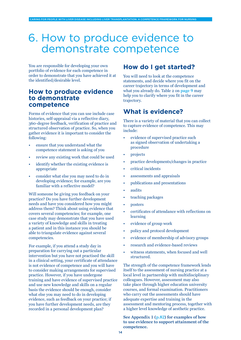## <span id="page-13-0"></span>6. How to produce evidence to demonstrate competence

You are responsible for developing your own portfolio of evidence for each competence in order to demonstrate that you have achieved it at the identified/desirable level.

#### **How to produce evidence to demonstrate competence**

Forms of evidence that you can use include case histories, self-appraisal via a reflective diary, 360-degree feedback, verification of practice and structured observation of practice. So, when you gather evidence it is important to consider the following:

- ensure that you understand what the competence statement is asking of you
- review any existing work that could be used
- identify whether the existing evidence is appropriate
- consider what else you may need to do in developing evidence; for example, are you familiar with a reflective model?

Will someone be giving you feedback on your practice? Do you have further development needs and have you considered how you might address them? Think about using evidence that covers several competencies; for example, one case study may demonstrate that you have used a variety of knowledge and skills in treating a patient and in this instance you should be able to triangulate evidence against several competencies.

For example, if you attend a study day in preparation for carrying out a particular intervention but you have not practised the skill in a clinical setting, your certificate of attendance is not evidence of competence and you will have to consider making arrangements for supervised practice. However, if you have undergone training and have evidence of supervised practice and use new knowledge and skills on a regular basis the evidence should be enough, consider what else you may need to do in developing evidence, such as feedback on your practice; if you have further development needs, are they recorded in a personal development plan?

### **How do I get started?**

You will need to look at the competence statements, and decide where you fit on the career trajectory in terms of development and what you already do. Table 2 on **[page 9](#page-8-0)** may help you to clarify where you fit in the career trajectory.

### **What is evidence?**

There is a variety of material that you can collect to capture evidence of competence. This may include:

- evidence of supervised practice such as signed observation of undertaking a procedure
- projects
- practice developments/changes in practice
- critical incidents
- assessments and appraisals
- publications and presentations
- audits
- teaching packages
- posters
- certificates of attendance with reflections on learning
- evidence of group work
- policy and protocol development
- evidence of membership of advisory groups
- research and evidence-based reviews
- witness statements, when focused and well structured.

The strength of the competence framework lends itself to the assessment of nursing practice at a local level in partnership with multidisciplinary colleagues. However, assessment may also take place through higher education university courses, and formal examination. Practitioners who carry out the assessments should have adequate expertise and training in the assessment and mentoring process, together with a higher level knowledge of aesthetic practice.

**See Appendix 1 ([p.82](#page-81-0)) for examples of how to use evidence to support attainment of the competence.**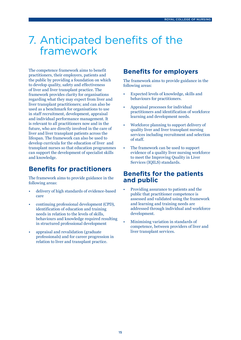## <span id="page-14-0"></span>7. Anticipated benefits of the framework

The competence framework aims to benefit practitioners, their employers, patients and the public by providing a foundation on which to develop quality, safety and effectiveness of liver and liver transplant practice. The framework provides clarity for organisations regarding what they may expect from liver and liver transplant practitioners; and can also be used as a benchmark for organisations to use in staff recruitment, development, appraisal and individual performance management. It is relevant to all practitioners now and in the future, who are directly involved in the care of liver and liver transplant patients across the lifespan. The framework can also be used to develop curricula for the education of liver and transplant nurses so that education programmes can support the development of specialist skills and knowledge.

### **Benefits for practitioners**

The framework aims to provide guidance in the following areas:

- delivery of high standards of evidence-based care
- continuing professional development (CPD), identification of education and training needs in relation to the levels of skills, behaviours and knowledge required resulting in structured professional development
- appraisal and revalidation (graduate professionals) and for career progression in relation to liver and transplant practice.

### **Benefits for employers**

The framework aims to provide guidance in the following areas:

- Expected levels of knowledge, skills and behaviours for practitioners.
- Appraisal processes for individual practitioners and identification of workforce learning and development needs.
- Workforce planning to support delivery of quality liver and liver transplant nursing services including recruitment and selection of staff.
- The framework can be used to support evidence of a quality liver nursing workforce to meet the Improving Quality in Liver Services (IQILS) standards.

#### **Benefits for the patients and public**

- Providing assurance to patients and the public that practitioner competence is assessed and validated using the framework and learning and training needs are addressed through individual and workforce development.
- Minimising variation in standards of competence, between providers of liver and liver transplant services.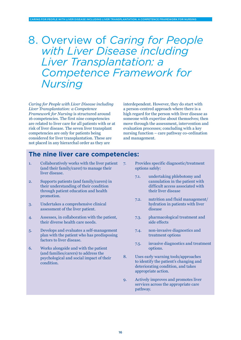VER DISEASE INCLUDING LIVER TRANSPLANTATION: A COMP

<span id="page-15-0"></span>*with Liver Disease including Liver Transplantation: a Competence Framework for Nursing*

*Caring for People with Liver Disease including Liver Transplantation: a Competence Framework for Nursing* is structured around 16 competencies. The first nine competencies are related to liver care for all patients with or at risk of liver disease. The seven liver transplant competencies are only for patients being considered for liver transplantation. These are not placed in any hierarchal order as they are

interdependent. However, they do start with a person-centred approach where there is a high regard for the person with liver disease as someone with expertise about themselves; then move through the assessment, intervention and evaluation processes; concluding with a key nursing function – care pathway co-ordination and management.

### **The nine liver care competencies:**

- [1. Collaboratively works with the liver patient](#page-17-0)  [\(and their family/carer\) to manage their](#page-17-0)  [liver disease.](#page-17-0)
- [2. Supports patients \(and family/carers\) in](#page-19-0)  [their understanding of their condition](#page-19-0)  [through patient education and health](#page-19-0)  [promotion.](#page-19-0)
- [3. Undertakes a comprehensive clinical](#page-23-0)  [assessment of the liver patient.](#page-23-0)
- [4. Assesses, in collaboration with the patient,](#page-28-0)  [their diverse health care needs.](#page-28-0)
- [5. Develops and evaluates a self-management](#page-30-0)  [plan with the patient who has predisposing](#page-30-0)  [factors to liver disease.](#page-30-0)
- [6. Works alongside and with the patient](#page-33-0)  [\(and families/carers\) to address the](#page-33-0)  [psychological and social impact of their](#page-33-0)  [condition.](#page-33-0)
- [7. Provides specific diagnostic/treatment](#page-36-0)  [options safely:](#page-36-0)
	- [7.1. undertaking phlebotomy and](#page-36-0)  [cannulation in the patient with](#page-36-0)  [difficult access associated with](#page-36-0)  [their liver disease](#page-36-0)
	- [7.2. nutrition and fluid management/](#page-38-0) [hydration in patients with liver](#page-38-0)  [disease](#page-38-0)
	- [7.3. pharmacological treatment and](#page-41-0)  [side effects](#page-41-0)
	- [7.4. non-invasive diagnostics and](#page-44-0)  [treatment options](#page-44-0)
	- [7.5. invasive diagnostics and treatment](#page-46-0)  [options.](#page-46-0)
- [8. Uses early warning tools/approaches](#page-49-0)  [to identify the patient's changing and](#page-49-0)  [deteriorating condition, and takes](#page-49-0)  [appropriate action.](#page-49-0)
- [9. Actively improves and promotes liver](#page-53-0)  [services across the appropriate care](#page-53-0)  [pathway.](#page-53-0)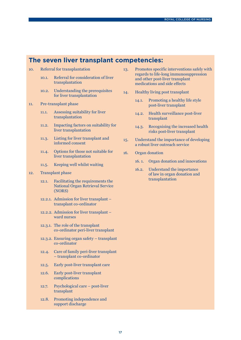### **The seven liver transplant competencies:**

- 10. [Referral for transplantation](#page-55-0) 
	- [10.1. Referral for consideration of liver](#page-55-0)  [transplantation](#page-55-0)
	- [10.2. Understanding the prerequisites](#page-57-0)  [for liver transplantation](#page-57-0)
- [11. Pre-transplant phase](#page-58-0) 
	- [11.1. Assessing suitability for liver](#page-58-0)  [transplantation](#page-58-0)
	- [11.2. Impacting factors on suitability for](#page-59-0)  [liver transplantation](#page-59-0)
	- [11.3. Listing for liver transplant and](#page-60-0)  [informed consent](#page-60-0)
	- [11.4. Options for those not suitable for](#page-61-0)  [liver transplantation](#page-61-0)
	- 11.5. [Keeping well whilst waiting](#page-62-0)
- [12. Transplant phase](#page-63-0) 
	- [12.1. Facilitating the requirements the](#page-63-0)  [National Organ Retrieval Service](#page-63-0)  [\(NORS\)](#page-63-0)
	- [12.2.1. Admission for liver transplant](#page-64-0)  [transplant co-ordinator](#page-64-0)
	- [12.2.2. Admission for liver transplant](#page-65-0)  [ward nurses](#page-65-0)
	- [12.3.1. The role of the transplant](#page-66-0)  [co-ordinator peri-liver transplant](#page-66-0)
	- [12.3.2. Ensuring organ safety transplant](#page-67-0)  [co-ordinator](#page-67-0)
	- [12.4. Care of family peri-liver transplant](#page-68-0)  [– transplant co-ordinator](#page-68-0)
	- [12.5. Early post-liver transplant care](#page-69-0)
	- [12.6. Early post-liver transplant](#page-70-0)  [complications](#page-70-0)
	- [12.7. Psychological care post-liver](#page-71-0)  [transplant](#page-71-0)
	- [12.8. Promoting independence and](#page-72-0)  [support discharge](#page-72-0)
- [13. Promotes specific interventions safely with](#page-73-0) [regards to life-long immunosuppression](#page-73-0)  [and other post-liver transplant](#page-73-0)  [medications and side effects](#page-73-0)
- [14. Healthy living post transplant](#page-74-0) 
	- [14.1. Promoting a healthy life style](#page-74-0)  [post-liver transplant](#page-74-0)
	- [14.2. Health surveillance post-liver](#page-75-0)  [transplant](#page-75-0)
	- [14.3. Recognising the increased health](#page-76-0)  [risks post-liver transplant](#page-76-0)
- [15. Understand the importance of developing](#page-78-0)  [a robust liver outreach service](#page-78-0)
- [16. Organ donation](#page-79-0)
	- [16. 1. Organ donation and innovations](#page-79-0)
	- [16.2. Understand the importance](#page-80-0)  [of law in organ donation and](#page-80-0)  [transplantation](#page-80-0)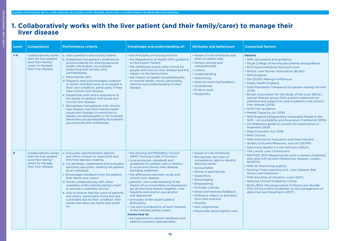LIVER CARE COMPETENCIES

<span id="page-17-0"></span>LIVER CARE COMPETENCIES

### **1. Collaboratively works with the liver patient (and their family/carer) to manage their liver disease**

| Level          | <b>Competence</b>                                                                                                        | <b>Performance criteria</b>                                                                                                                                                                                                                                                                                                                                                                                                                                                                                                                                                                                                                                                                                                                                         | Knowledge and understanding of:                                                                                                                                                                                                                                                                                                                                                                                                                                                                                                                                                                                                                                                                      | <b>Attitudes and behaviours</b>                                                                                                                                                                                                                                                                                                                                                                           | <b>Contextual factors</b>                                                                                                                                                                                                                                                                                                                                                                                                                                                                                                                                                                                                                                                                                                                                                                                                                                                                                                                                                                                     |
|----------------|--------------------------------------------------------------------------------------------------------------------------|---------------------------------------------------------------------------------------------------------------------------------------------------------------------------------------------------------------------------------------------------------------------------------------------------------------------------------------------------------------------------------------------------------------------------------------------------------------------------------------------------------------------------------------------------------------------------------------------------------------------------------------------------------------------------------------------------------------------------------------------------------------------|------------------------------------------------------------------------------------------------------------------------------------------------------------------------------------------------------------------------------------------------------------------------------------------------------------------------------------------------------------------------------------------------------------------------------------------------------------------------------------------------------------------------------------------------------------------------------------------------------------------------------------------------------------------------------------------------------|-----------------------------------------------------------------------------------------------------------------------------------------------------------------------------------------------------------------------------------------------------------------------------------------------------------------------------------------------------------------------------------------------------------|---------------------------------------------------------------------------------------------------------------------------------------------------------------------------------------------------------------------------------------------------------------------------------------------------------------------------------------------------------------------------------------------------------------------------------------------------------------------------------------------------------------------------------------------------------------------------------------------------------------------------------------------------------------------------------------------------------------------------------------------------------------------------------------------------------------------------------------------------------------------------------------------------------------------------------------------------------------------------------------------------------------|
| $1 - 4$        | <b>Collaboratively works</b><br>with the liver patient<br>(and their family/<br>carer) to manage<br>their liver disease. | a. Asks questions and actively listens.<br>b. Establishes the patient's preferences<br>and boundaries for sharing personal<br>health information, for example<br>protecting their privacy and<br>confidentiality.<br>c. Personalises care.<br>d. Respects and acknowledges a patient<br>or family member/carer as an expert in<br>their own condition, particularly if they<br>have chronic liver disease.<br>e. Empathises with and is responsive to<br>the needs of patients with acute and<br>chronic liver disease.<br>f. Recognises that patients with chronic<br>liver disease may have mental health<br>issues and changes in mood due to<br>hepatic encephalopathy or for example<br>Wernicke's encephalopathy/Korsakoff's<br>psychosis/alcohol withdrawal. | • the Principles of nursing practice<br>• the Department of Health (DH) guidance<br>on the Expert Patient<br>• the challenges posed when caring for<br>people with chronic liver disease and the<br>impact on the family/carer<br>• the impact of hepatic encephalopathy<br>on mental health, mood, personality,<br>memory and understanding of their<br>disease.                                                                                                                                                                                                                                                                                                                                    | • Aware of role limitations and<br>when to obtain help.<br>• Person centred and<br>compassionate.<br>• Listens.<br>· Understanding.<br>• Welcoming.<br>• Open to receiving feedback.<br>• Confidential.<br>· Pride in work.<br>• Respectful.                                                                                                                                                              | <b>Generic</b><br>• NMC documents and guidance.<br>• Royal College of Nursing documents and guidance.<br>• RCN Gastrointestinal Nursing Forum.<br>• British Liver Nurses Association (BLNA).<br>• NHS England.<br>• DH (2009) Making a Difference.<br>• Public Health England.<br>· Gold Standards Framework for people nearing the end<br>of life.<br>• British Association for the Study of the Liver (BASL)<br>special interest group (SIG) position statement on<br>palliative and supportive care in patients with chronic<br>liver disease (2019).<br>• NICE liver guidance.<br>• Mental Capacity Act 2005.<br>• NHS England Safeguarding Vulnerable People in the<br>NHS - Accountability and Assurance Framework (2015)<br>• DH Reference guide to consent for examination or<br>treatment 2009.<br>• Data Protection Act 2018.<br>• NHS Choices.<br>• NHS Institute for Innovation and Improvement.<br>. Quality Outcome Measures, such as CQUINS.<br>• Improving Quality in Liver Services (IQILS). |
| 5 <sup>1</sup> | Collaboratively works<br>with the liver patient<br>(and their family/<br>carer) to manage<br>their liver disease.        | a. Discusses care/treatment options<br>and offers choices to reach joint and<br>informed decision making.<br>b. Co-develops, implements and evaluates<br>personal care plans, treating the patient<br>as an individual.<br>c. Encourages feedback from the patient,<br>their family and carers.<br>d. Works collaboratively with other<br>members of the interdisciplinary team<br>to provide a seamless service.<br>e. Acts to ensure that the voice of patients<br>and carers, particularly those who are<br>vulnerable due to their condition, their<br>needs and views are heard and acted<br>on.                                                                                                                                                               | • the Nursing and Midwifery Council<br>(NMC) Nursing Code of Conduct<br>· local protocols, standards and<br>guidelines for patient care in relation<br>to acute and chronic liver disease.<br>including treatment<br>• the differences between acute and<br>chronic liver disease<br>• patients' own understanding of the<br>impact of co-morbidities on themselves<br>eg, alcohol and obesity together, viral<br>hepatitis and alcohol use; alcohol<br>and depression<br>principles of the expert patient<br>philosophy<br>• role and contributions of each member<br>of the interdisciplinary team.<br>Knows how to:<br>• be responsive to patient feedback and<br>address concerns appropriately. | • Aware of role limitations.<br>• Recognises own level of<br>competence, able to identify<br>learning needs.<br>• Accountable.<br>• Works in partnership.<br>• Supportive.<br>• Encouraging.<br>• Empowering.<br>• Provides choices.<br>• Gives and receives feedback.<br>. Willing to reflect on and learn<br>from own practice.<br>• Flexible.<br>• Non-judgmental.<br>• Passionate about patient care. | • The Lancet Liver Commission.<br>• NECPOD 2013 Measuring the units: a review of patients<br>who died with alcohol-related liver disease, London,<br>NCEPOD.<br>• NHS IQ (Improving quality).<br>. Nursing Times Learning Unit. Liver Disease: Risk<br>factors and treatment.<br>• NHS 2nd Atlas of Variation: Liver (2017).<br>• National Clinical Guidelines Centre.<br>· BASL/BSG: Decompensated Cirrhosis care Bundle:<br>First 24 hours BSG Guidelines on the management of<br>abnormal liver blood tests (2017).                                                                                                                                                                                                                                                                                                                                                                                                                                                                                        |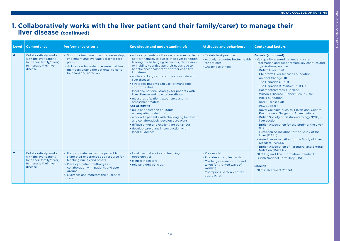### **1. Collaboratively works with the liver patient (and their family/carer) to manage their liver disease (continued)**

| <b>Level</b>   | <b>Competence</b>                                                                                                       | <b>Performance criteria</b>                                                                                                                                                                                                                                    | Knowledge and understanding of:                                                                                                                                                                                                                                                                                                                                                                                                                                                                                                                                                                                                                                                                                                                                                                                                                             | <b>Attitudes and behaviours</b>                                                                                                                                      | <b>Contextual factors</b>                                                                                                                                                                                                                                                                                                                                                                                                                                                                                                                                                                                                                                                                                                                                                                                                                                                                      |
|----------------|-------------------------------------------------------------------------------------------------------------------------|----------------------------------------------------------------------------------------------------------------------------------------------------------------------------------------------------------------------------------------------------------------|-------------------------------------------------------------------------------------------------------------------------------------------------------------------------------------------------------------------------------------------------------------------------------------------------------------------------------------------------------------------------------------------------------------------------------------------------------------------------------------------------------------------------------------------------------------------------------------------------------------------------------------------------------------------------------------------------------------------------------------------------------------------------------------------------------------------------------------------------------------|----------------------------------------------------------------------------------------------------------------------------------------------------------------------|------------------------------------------------------------------------------------------------------------------------------------------------------------------------------------------------------------------------------------------------------------------------------------------------------------------------------------------------------------------------------------------------------------------------------------------------------------------------------------------------------------------------------------------------------------------------------------------------------------------------------------------------------------------------------------------------------------------------------------------------------------------------------------------------------------------------------------------------------------------------------------------------|
| 6              | <b>Collaboratively works</b><br>with the liver patient<br>(and their family/carer)<br>to manage their liver<br>disease. | a. Supports team members to co-develop,<br>implement and evaluate personal care<br>plans.<br>b. Acts as a role model to ensure that team<br>members enable the patients' voice to<br>be heard and acted on.                                                    | · advocacy needs for those who are less able to<br>act for themselves due to their liver condition<br>leading to challenging behaviour, depression<br>or inability to articulate their needs due to<br>hepatic encephalopathy or other cognitive<br>impairment<br>. acute and long-term complications related to<br>liver disease<br>• strategies patients can use for managing<br>co-morbidities<br>. local and national strategy for patients with<br>liver disease and how to contribute<br>• measures of patient experience and risk<br>assessment matrix.<br>Knows how to:<br>• build and foster an equitable<br>nurse-patient relationship<br>• work with patients with challenging behaviour<br>and collaboratively develop care plans<br>· diffuse anger and challenging behaviour<br>• develop care plans in conjunction with<br>local guidelines. | • Models best practice.<br>• Actively promotes better health<br>for patients.<br>• Challenges others.                                                                | <b>Generic (continued)</b><br>• Key quality assured patient and carer<br>information and support from key charities and<br>organisations, such as:<br>- British Liver Trust<br>- Children's Liver Disease Foundation<br>- Alcohol Change UK<br>- The Hepatitis C Trust<br>- The Hepatitis B Positive Trust UK<br>- Haemochromatosis Society<br>- Wilson's Disease Support Group (UK)<br>- PBC Foundation<br>- Rare Diseases UK<br>- PSC Support<br>- Royal Colleges, such as, Physicians, General<br>Practitioners, Surgeons, Anaesthetists<br>- British Society of Gastroenterology (BSG) -<br>liver section<br>- British Association for the Study of the Liver<br>(BASL)<br>- European Association for the Study of the<br>Liver (EASL)<br>- American Association for the Study of Liver<br>Diseases (AASLD)<br>- British Association of Parenteral and Enteral<br><b>Nutrition (BAPEN)</b> |
| $\overline{7}$ | <b>Collaboratively works</b><br>with the liver patient<br>(and their family/carer)<br>to manage their liver<br>disease. | a. If appropriate, invites the patient to<br>share their experience as a resource for<br>teaching nurses and others.<br>b. Develops patient pathways in<br>collaboration with patients and user<br>groups.<br>c. Oversees and monitors the quality of<br>care. | . local user networks and teaching<br>opportunities<br>• clinical indicators<br>• relevant NHS policies.                                                                                                                                                                                                                                                                                                                                                                                                                                                                                                                                                                                                                                                                                                                                                    | · Role model.<br>• Provides strong leadership.<br>• Challenges assumptions and<br>taken for granted ways of<br>working.<br>• Champions person-centred<br>approaches. | • NHS England The Information Standard<br>• British National Formulary (BNF).<br><b>Specific</b><br>• NHS 2017 Expert Patient.                                                                                                                                                                                                                                                                                                                                                                                                                                                                                                                                                                                                                                                                                                                                                                 |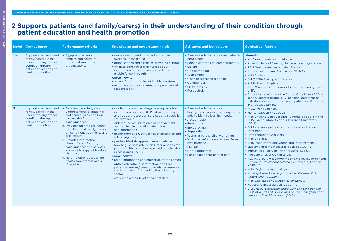### <span id="page-19-0"></span>**2 Supports patients (and family/carers) in their understanding of their condition through patient education and health promotion**

| Level                   | <b>Competence</b>                                                                                                                              | <b>Performance criteria</b>                                                                                                                                                                                                                                                                                                                                                                                                                                           | Knowledge and understanding of:                                                                                                                                                                                                                                                                                                                                                                                                                                                                                                                                                                                                                                                                                                                                                                                | <b>Attitudes and behaviours</b>                                                                                                                                                                                                                                                                                                                           | <b>Contextual factors</b>                                                                                                                                                                                                                                                                                                                                                                                                                                                                                                                                                                                                                                                                                                                                                                                                                                                                                                                                                                               |
|-------------------------|------------------------------------------------------------------------------------------------------------------------------------------------|-----------------------------------------------------------------------------------------------------------------------------------------------------------------------------------------------------------------------------------------------------------------------------------------------------------------------------------------------------------------------------------------------------------------------------------------------------------------------|----------------------------------------------------------------------------------------------------------------------------------------------------------------------------------------------------------------------------------------------------------------------------------------------------------------------------------------------------------------------------------------------------------------------------------------------------------------------------------------------------------------------------------------------------------------------------------------------------------------------------------------------------------------------------------------------------------------------------------------------------------------------------------------------------------------|-----------------------------------------------------------------------------------------------------------------------------------------------------------------------------------------------------------------------------------------------------------------------------------------------------------------------------------------------------------|---------------------------------------------------------------------------------------------------------------------------------------------------------------------------------------------------------------------------------------------------------------------------------------------------------------------------------------------------------------------------------------------------------------------------------------------------------------------------------------------------------------------------------------------------------------------------------------------------------------------------------------------------------------------------------------------------------------------------------------------------------------------------------------------------------------------------------------------------------------------------------------------------------------------------------------------------------------------------------------------------------|
| $1 - 4$                 | Supports patients (and<br>family/carers) in their<br>understanding of their<br>condition through<br>patient education and<br>health promotion. | a. Signposts patients,<br>families and carers to<br>further information and<br>organisations.                                                                                                                                                                                                                                                                                                                                                                         | • range of approved information sources<br>available in local area<br>• organisations and agencies providing support<br>• when to alert registered nurses about<br>information requested and provided to<br>enable follow through.<br>Knows how to:<br>• access further supplies of health literature<br>• recognise own boundaries, competence and<br>responsibility.                                                                                                                                                                                                                                                                                                                                                                                                                                         | • Aware of role limitations and when to<br>obtain help.<br>• Person centred and compassionate.<br>• Listens.<br>· Understanding.<br>• Welcoming.<br>• Open to receiving feedback.<br>• Confidential.<br>• Pride in work.<br>• Respectful.                                                                                                                 | <b>Generic</b><br>• NMC documents and guidance.<br>• Royal College of Nursing documents and guidance.<br>• RCN Gastrointestinal Nursing Forum.<br>• British Liver Nurses Association (BLNA).<br>• NHS England.<br>• DH (2009) Making a Difference.<br>• Public Health England.<br>• Gold Standards Framework for people nearing the end<br>of life.<br>• British Association for the Study of the Liver (BASL)<br>special interest group (SIG) position statement on<br>palliative and supportive care in patients with chronic                                                                                                                                                                                                                                                                                                                                                                                                                                                                         |
| $\overline{\mathbf{5}}$ | Supports patients (and<br>family/carers) in their<br>understanding of their<br>condition through<br>patient education and<br>health promotion. | a. Assesses knowledge and<br>understanding of patient's<br>and carer's own condition,<br>causes, risk factors and<br>consequences.<br>b. Provides tailored education<br>to patient and family/carers<br>on condition, treatments and<br>side effects.<br>c. Provides information<br>about lifestyle factors,<br>consequences and services<br>available to support lifestyle<br>changes.<br>d. Refer to other appropriate<br>health care professionals<br>if required. | · risk factors, such as, drugs, obesity, alcohol<br>• information, such as, DH Drinkwise, education<br>and support resources, services and specialist<br>staff available<br>· different communication and engagement<br>approaches to providing education<br>and information<br>• health promotion, sexual health strategies and<br>e-learning resources<br>• positive lifestyle approaches and advice<br>• how to give brief advice and interventions for<br>patients with alcohol misuse, and people who<br>inject drugs (PWID).<br>Knows how to:<br>• tailor information and education to the person<br>· obtain educational information or direct<br>patients/families/carers to available resources,<br>services and staff, including the voluntary<br>sector<br>• work within their level of competence. | • Aware of role limitations.<br>• Recognises own level of competence,<br>able to identify learning needs.<br>• Accountable.<br>• Empathetic.<br>• Encouraging.<br>· Supportive.<br>. Works in partnership with others.<br>• Willing to reflect on and learn from<br>own practice.<br>• Flexible.<br>• Non-judgmental.<br>• Passionate about patient care. | liver disease (2019).<br>• NICE liver guidance.<br>• Mental Capacity Act 2005.<br>• NHS England Safeguarding Vulnerable People in the<br>NHS - Accountability and Assurance Framework<br>(2015)<br>• DH Reference guide to consent for examination or<br>treatment 2009.<br>• Data Protection Act 2018.<br>• NHS Choices.<br>• NHS Institute for Innovation and Improvement.<br>• Quality Outcome Measures, such as CQUINS.<br>• Improving Quality in Liver Services (IQILS).<br>• The Lancet Liver Commission.<br>• NECPOD 2013 Measuring the units: a review of patients<br>who died with alcohol-related liver disease, London,<br>NCEPOD.<br>• NHS IQ (Improving quality).<br>. Nursing Times Learning Unit. Liver Disease: Risk<br>factors and treatment.<br>• NHS 2nd Atlas of Variation: Liver (2017).<br>• National Clinical Guidelines Centre.<br>• BASL/BSG: Decompensated Cirrhosis care Bundle:<br>First 24 hours BSG Guidelines on the management of<br>abnormal liver blood tests (2017). |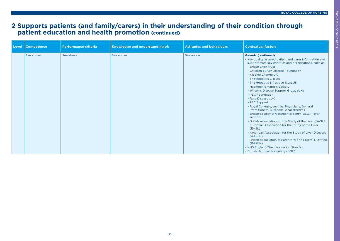### **2 Supports patients (and family/carers) in their understanding of their condition through patient education and health promotion (continued)**

| Level | <b>Competence</b> | <b>Performance criteria</b> | Knowledge and understanding of: | <b>Attitudes and behaviours</b> | <b>Contextual factors</b>                                                                                                                                                                                                                                                                                                                                                                                                                                                                                                                                                                                                                                                                                                                                                                                                                                                                                                                                          |
|-------|-------------------|-----------------------------|---------------------------------|---------------------------------|--------------------------------------------------------------------------------------------------------------------------------------------------------------------------------------------------------------------------------------------------------------------------------------------------------------------------------------------------------------------------------------------------------------------------------------------------------------------------------------------------------------------------------------------------------------------------------------------------------------------------------------------------------------------------------------------------------------------------------------------------------------------------------------------------------------------------------------------------------------------------------------------------------------------------------------------------------------------|
|       | See above.        | See above.                  | See above.                      | See above.                      | <b>Generic (continued)</b><br>• Key quality assured patient and carer information and<br>support from key charities and organisations, such as:<br>- British Liver Trust<br>- Children's Liver Disease Foundation<br>- Alcohol Change UK<br>- The Hepatitis C Trust<br>- The Hepatitis B Positive Trust UK<br>- Haemochromatosis Society<br>- Wilson's Disease Support Group (UK)<br>- PBC Foundation<br>- Rare Diseases UK<br>- PSC Support<br>- Royal Colleges, such as, Physicians, General<br>Practitioners, Surgeons, Anaesthetists<br>- British Society of Gastroenterology (BSG) - liver<br>section<br>- British Association for the Study of the Liver (BASL)<br>- European Association for the Study of the Liver<br>(EASL)<br>- American Association for the Study of Liver Diseases<br>(AASLD)<br>- British Association of Parenteral and Enteral Nutrition<br>(BAPEN)<br>• NHS England The Information Standard<br>• British National Formulary (BNF). |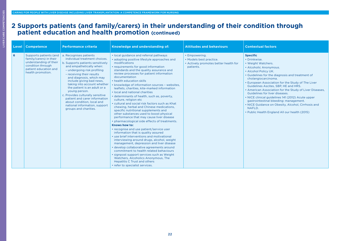#### **2 Supports patients (and family/carers) in their understanding of their condition through patient education and health promotion (continued)**

| <b>Competence</b><br>Level                                                                                                                          | <b>Performance criteria</b>                                                                                                                                                                                                                                                                                                                                                                                                                                                              | Knowledge and understanding of:                                                                                                                                                                                                                                                                                                                                                                                                                                                                                                                                                                                                                                                                                                                                                                                                                                                                                                                                                                                                                                                                                                                                                                                                                                                   | <b>Attitudes and behaviours</b>                                                                | <b>Contextual factors</b>                                                                                                                                                                                                                                                                                                                                                                                                                                                                                                                                                                   |
|-----------------------------------------------------------------------------------------------------------------------------------------------------|------------------------------------------------------------------------------------------------------------------------------------------------------------------------------------------------------------------------------------------------------------------------------------------------------------------------------------------------------------------------------------------------------------------------------------------------------------------------------------------|-----------------------------------------------------------------------------------------------------------------------------------------------------------------------------------------------------------------------------------------------------------------------------------------------------------------------------------------------------------------------------------------------------------------------------------------------------------------------------------------------------------------------------------------------------------------------------------------------------------------------------------------------------------------------------------------------------------------------------------------------------------------------------------------------------------------------------------------------------------------------------------------------------------------------------------------------------------------------------------------------------------------------------------------------------------------------------------------------------------------------------------------------------------------------------------------------------------------------------------------------------------------------------------|------------------------------------------------------------------------------------------------|---------------------------------------------------------------------------------------------------------------------------------------------------------------------------------------------------------------------------------------------------------------------------------------------------------------------------------------------------------------------------------------------------------------------------------------------------------------------------------------------------------------------------------------------------------------------------------------------|
| 6<br>Supports patients (and<br>family/carers) in their<br>understanding of their<br>condition through<br>patient education and<br>health promotion. | a. Recognises patients<br>individual treatment choices.<br>b. Supports patients sensitively<br>and empathetically when:<br>- undergoing risk profiling<br>- receiving their results<br>and diagnosis, which may<br>include giving bad news,<br>taking into account whether<br>the patient is an adult or a<br>young person.<br>c. Provides culturally sensitive<br>patient and carer information<br>about condition, local and<br>national information, support<br>groups and charities. | • local guidance and referral pathways<br>• adopting positive lifestyle approaches and<br>modifications<br>• requirements for good information<br>standards and the quality assurance and<br>review processes for patient information<br>documentation<br>• health education skills<br>• knowledge of information sources - websites,<br>leaflets, charities, kite-marked information<br>. local and national charities<br>• determinants of health, such as, poverty,<br>culture, religion etc<br>• cultural and social risk factors such as Khat<br>chewing, herbal and Chinese medications,<br>specific nutritional supplements and<br>other substances used to boost physical<br>performance that may cause liver disease<br>• pharmacological side effects of treatments.<br>Knows how to:<br>• recognise and use patient/service user<br>information that is quality assured<br>• use brief interventions and motivational<br>interviewing around drugs, alcohol, weight<br>management, depression and liver disease<br>• develop collaborative agreements around<br>commitment to health related behaviours<br>• signpost support services such as Weight<br>Watchers, Alcoholics Anonymous, The<br><b>Hepatitis C Trust and others</b><br>• refer to specialist services. | • Empowering.<br>• Models best practice.<br>• Actively promotes better health for<br>patients. | <b>Specific</b><br>• Drinkwise.<br>• Weight Watchers.<br>• Alcoholic Anonymous.<br>• Alcohol Policy UK.<br>• Guidelines for the diagnosis and treatment of<br>cholangiocarcinoma.<br>• European Association for the Study of The Liver<br>Guidelines Ascites, SBP, HE and HRS.<br>• American Association for the Study of Liver Diseases,<br>Guidelines for liver diseases.<br>• NICE clinical guidelines 141 (2012) Acute upper<br>gastrointestinal bleeding: management.<br>• NICE Guidance on Obesity, Alcohol, Cirrhosis and<br>NAFLD.<br>• Public Health England All our health (2015) |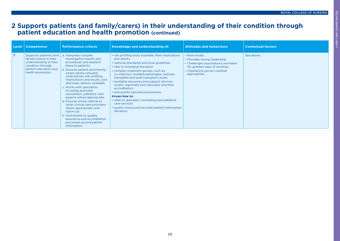### **2 Supports patients (and family/carers) in their understanding of their condition through patient education and health promotion (continued)**

| Level          | <b>Competence</b>                                                                                                                              | <b>Performance criteria</b>                                                                                                                                                                                                                                                                                                                                                                                                                                                                                                                                                                          | Knowledge and understanding of:                                                                                                                                                                                                                                                                                                                                                                                                                                                                                                                                                                 | <b>Attitudes and behaviours</b>                                                                                                                                   | <b>Contextual factors</b> |
|----------------|------------------------------------------------------------------------------------------------------------------------------------------------|------------------------------------------------------------------------------------------------------------------------------------------------------------------------------------------------------------------------------------------------------------------------------------------------------------------------------------------------------------------------------------------------------------------------------------------------------------------------------------------------------------------------------------------------------------------------------------------------------|-------------------------------------------------------------------------------------------------------------------------------------------------------------------------------------------------------------------------------------------------------------------------------------------------------------------------------------------------------------------------------------------------------------------------------------------------------------------------------------------------------------------------------------------------------------------------------------------------|-------------------------------------------------------------------------------------------------------------------------------------------------------------------|---------------------------|
| $\overline{7}$ | Supports patients (and<br>family/carers) in their<br>understanding of their<br>condition through<br>patient education and<br>health promotion. | a. Interprets complex<br>investigation results and<br>procedures and explains<br>these to patients.<br>b. Ensures patient (and family/<br>carers where relevant)<br>understands risk profiling<br>implications and results, and<br>discusses options available.<br>c. Works with specialists<br>including specialist<br>counsellors, palliative care<br>experts where appropriate.<br>d. Ensures timely referral to<br>other clinical care providers<br>where appropriate, and<br>follow up.<br>e. Contributes to quality<br>assurance and accreditation<br>processes around patient<br>information. | . risk profiling tests available, their implications<br>and results<br>. national standards and local guidelines<br>• new or emerging therapies<br>• complex treatment groups, such as,<br>co-infection, multiple aetiologies, and pre-<br>transplant and post-transplant issues<br>• available resources and support services<br>locally, regionally and nationally and their<br>accreditation<br>• and quality assurance processes.<br>Knows how to:<br>• refer to specialist counselling and palliative<br>care services<br>• quality assure and accredit patient information<br>literature. | · Role model.<br>• Provides strong leadership.<br>• Challenges assumptions and taken<br>for granted ways of working.<br>• Champions person-centred<br>approaches. | See above.                |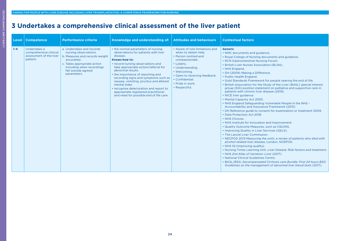<span id="page-23-0"></span>

|         | Level   Competence                                                            | <b>Performance criteria</b>                                                                                                                                                                           | Knowledge and understanding of:                                                                                                                                                                                                                                                                                                                                                                                                                                              | <b>Attitudes and behaviours</b>                                                                                                                                                                                                              | <b>Contextual factors</b>                                                                                                                                                                                                                                                                                                                                                                                                                                                                                                                                                                                                                                                                                                                                                                                                                                                                                                                                                                                                                                                                                                                                                                                                                                                                                                                                                                                                                                                                                             |
|---------|-------------------------------------------------------------------------------|-------------------------------------------------------------------------------------------------------------------------------------------------------------------------------------------------------|------------------------------------------------------------------------------------------------------------------------------------------------------------------------------------------------------------------------------------------------------------------------------------------------------------------------------------------------------------------------------------------------------------------------------------------------------------------------------|----------------------------------------------------------------------------------------------------------------------------------------------------------------------------------------------------------------------------------------------|-----------------------------------------------------------------------------------------------------------------------------------------------------------------------------------------------------------------------------------------------------------------------------------------------------------------------------------------------------------------------------------------------------------------------------------------------------------------------------------------------------------------------------------------------------------------------------------------------------------------------------------------------------------------------------------------------------------------------------------------------------------------------------------------------------------------------------------------------------------------------------------------------------------------------------------------------------------------------------------------------------------------------------------------------------------------------------------------------------------------------------------------------------------------------------------------------------------------------------------------------------------------------------------------------------------------------------------------------------------------------------------------------------------------------------------------------------------------------------------------------------------------------|
| $1 - 4$ | Undertakes a<br>comprehensive clinical<br>assessment of the liver<br>patient. | a. Undertakes and records<br>nursing observations.<br>b. Measures and records weight<br>accurately.<br>c. Takes appropriate action<br>including when recordings<br>fall outside agreed<br>parameters. | • the normal parameters of nursing<br>observations for patients with liver<br>disease.<br>Knows how to:<br>• record nursing observations and<br>take appropriate action/referral for<br>abnormal results<br>• the importance of reporting and<br>recording signs and symptoms such as<br>nausea, vomiting, pruritus and altered<br>mental state<br>• recognise deterioration and report to<br>appropriate registered practitioner<br>and need for possible end of life care. | • Aware of role limitations and<br>when to obtain help.<br>• Person centred and<br>compassionate.<br>• Listens.<br>· Understanding.<br>• Welcoming.<br>• Open to receiving feedback.<br>• Confidential.<br>· Pride in work.<br>· Respectful. | <b>Generic</b><br>• NMC documents and quidance.<br>• Royal College of Nursing documents and guidance.<br>• RCN Gastrointestinal Nursing Forum.<br>• British Liver Nurses Association (BLNA).<br>• NHS England.<br>• DH (2009) Making a Difference.<br>• Public Health England.<br>. Gold Standards Framework for people nearing the end of life.<br>. British Association for the Study of the Liver (BASL) special interest<br>group (SIG) position statement on palliative and supportive care in<br>patients with chronic liver disease (2019).<br>• NICE liver guidance.<br>• Mental Capacity Act 2005.<br>• NHS England Safeguarding Vulnerable People in the NHS -<br>Accountability and Assurance Framework (2015)<br>• DH Reference guide to consent for examination or treatment 2009.<br>• Data Protection Act 2018.<br>• NHS Choices.<br>• NHS Institute for Innovation and Improvement.<br>. Quality Outcome Measures, such as CQUINS.<br>• Improving Quality in Liver Services (IQILS).<br>• The Lancet Liver Commission.<br>• NECPOD 2013 Measuring the units: a review of patients who died with<br>alcohol-related liver disease. London, NCEPOD,<br>• NHS IQ (Improving quality).<br>. Nursing Times Learning Unit. Liver Disease: Risk factors and treatment.<br>• NHS 2nd Atlas of Variation: Liver (2017).<br>• National Clinical Guidelines Centre.<br>• BASL/BSG: Decompensated Cirrhosis care Bundle: First 24 hours BSG<br>Guidelines on the management of abnormal liver blood tests (2017). |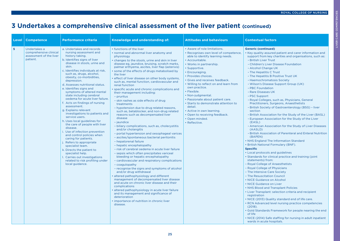LIVER CARE COMPETENCIES

LIVER CARE COMPETENCIES

| Level          | <b>Competence</b>                                                             | <b>Performance criteria</b>                                                                                                                                                                                                                                                                                                                                                                                                                                                                                                                                                                                                                                                                                                                                                                                                                                                                                      | Knowledge and understanding of:                                                                                                                                                                                                                                                                                                                                                                                                                                                                                                                                                                                                                                                                                                                                                                                                                                                                                                                                                                                                                                                                                                                                                                                                                                                                                                                                                                                                                                                                                                                                                                          | <b>Attitudes and behaviours</b>                                                                                                                                                                                                                                                                                                                                                                                                                                                                                                           | <b>Contextual factors</b>                                                                                                                                                                                                                                                                                                                                                                                                                                                                                                                                                                                                                                                                                                                                                                                                                                                                                                                                                                                                                                                                                                                                                                                                                                                                                                                                                                                                                                                                                                                                                                                                                                                                                 |
|----------------|-------------------------------------------------------------------------------|------------------------------------------------------------------------------------------------------------------------------------------------------------------------------------------------------------------------------------------------------------------------------------------------------------------------------------------------------------------------------------------------------------------------------------------------------------------------------------------------------------------------------------------------------------------------------------------------------------------------------------------------------------------------------------------------------------------------------------------------------------------------------------------------------------------------------------------------------------------------------------------------------------------|----------------------------------------------------------------------------------------------------------------------------------------------------------------------------------------------------------------------------------------------------------------------------------------------------------------------------------------------------------------------------------------------------------------------------------------------------------------------------------------------------------------------------------------------------------------------------------------------------------------------------------------------------------------------------------------------------------------------------------------------------------------------------------------------------------------------------------------------------------------------------------------------------------------------------------------------------------------------------------------------------------------------------------------------------------------------------------------------------------------------------------------------------------------------------------------------------------------------------------------------------------------------------------------------------------------------------------------------------------------------------------------------------------------------------------------------------------------------------------------------------------------------------------------------------------------------------------------------------------|-------------------------------------------------------------------------------------------------------------------------------------------------------------------------------------------------------------------------------------------------------------------------------------------------------------------------------------------------------------------------------------------------------------------------------------------------------------------------------------------------------------------------------------------|-----------------------------------------------------------------------------------------------------------------------------------------------------------------------------------------------------------------------------------------------------------------------------------------------------------------------------------------------------------------------------------------------------------------------------------------------------------------------------------------------------------------------------------------------------------------------------------------------------------------------------------------------------------------------------------------------------------------------------------------------------------------------------------------------------------------------------------------------------------------------------------------------------------------------------------------------------------------------------------------------------------------------------------------------------------------------------------------------------------------------------------------------------------------------------------------------------------------------------------------------------------------------------------------------------------------------------------------------------------------------------------------------------------------------------------------------------------------------------------------------------------------------------------------------------------------------------------------------------------------------------------------------------------------------------------------------------------|
| 5 <sup>1</sup> | Undertakes a<br>comprehensive clinical<br>assessment of the liver<br>patient. | a. Undertakes and records<br>nursing assessment and<br>history taking.<br>b. Identifies signs of liver<br>disease in stools, urine and<br>skin.<br>c. Identifies individuals at risk.<br>such as, drugs, alcohol,<br>obesity, co-morbidities,<br>depression.<br>d. Assesses nutritional status.<br>e. Identifies signs and<br>symptoms of altered mental<br>state including cerebral<br>oedema for acute liver failure.<br>f. Acts on findings of nursing<br>assessment.<br>g. Explains relevant<br>investigations to patients and<br>service users.<br>h. Uses local guidelines for<br>the care of people with liver<br>disease.<br>i. Use of infection prevention<br>and control policies when<br>caring for patients.<br>j. Refers to appropriate<br>specialist team.<br>k. Directs the patient to<br>specialist help.<br>I. Carries out investigations<br>related to risk profiling under<br>local guidance. | • functions of the liver<br>• normal and abnormal liver anatomy and<br>physiology<br>• changes to the stools, urine and skin in liver<br>disease eg, jaundice, bruising, scratch marks,<br>palmar erthyema, ascites, liver flap (asterixis)<br>. some of the effects of drugs metabolised by<br>the liver<br>· effect of liver disease on other body systems,<br>such as, mental function, cardiovascular and<br>renal function<br>· specific acute and chronic complications and<br>their management including:<br>- pruritus<br>- skin rashes as side effects of drug<br>treatments<br>- hypotension due to drug related reasons,<br>such as, betablocker, and non-drug related<br>reasons such as decompensated liver<br>disease<br>- jaundice<br>- biliary complications, such as, cholecystitis<br>and/or cholangitis<br>- portal hypertension and oesophageal varices<br>- ascites/spontaneous bacterial peritonitis<br>- hepatorenal failure<br>- hepatic encephalopathy<br>- risk of cerebral oedema in acute liver failure<br>- sepsis which often precipitates variceal<br>bleeding or hepatic encephalopathy<br>- cardiovascular and respiratory complications<br>- coagulopathy<br>- recognise the signs and symptoms of alcohol<br>and/or drug withdrawal<br>· altered pathophysiology and different<br>management of decompensated liver disease<br>and acute on chronic liver disease and their<br>complications<br>· altered pathophysiology in acute liver failure<br>and its management and significance of<br>deterioration<br>· importance of nutrition in chronic liver<br>disease. | • Aware of role limitations.<br>• Recognises own level of competence,<br>able to identify learning needs.<br>• Accountable.<br>• Works in partnership.<br>• Supportive.<br>• Encouraging.<br>• Provides choices.<br>• Gives and receives feedback.<br>. Willing to reflect on and learn from<br>own practice.<br>• Flexible.<br>• Non-judgmental.<br>• Passionate about patient care.<br>• Starts to demonstrate attention to<br>detail.<br>• Active in own learning.<br>• Open to receiving feedback.<br>• Open minded.<br>· Reflective. | <b>Generic (continued)</b><br>• Key quality assured patient and carer information and<br>support from key charities and organisations, such as:<br>- British Liver Trust<br>- Children's Liver Disease Foundation<br>- Alcohol Change UK<br>- The Hepatitis C Trust<br>- The Hepatitis B Positive Trust UK<br>- Haemochromatosis Society<br>- Wilson's Disease Support Group (UK)<br>- PBC Foundation<br>- Rare Diseases UK<br>- PSC Support<br>- Royal Colleges, such as, Physicians, General<br>Practitioners, Surgeons, Anaesthetists<br>- British Society of Gastroenterology (BSG) - liver<br>section<br>- British Association for the Study of the Liver (BASL)<br>- European Association for the Study of the Liver<br>(EASL)<br>- American Association for the Study of Liver Diseases<br>(AASLD)<br>- British Association of Parenteral and Enteral Nutrition<br>(BAPEN)<br>• NHS England The Information Standard<br>• British National Formulary (BNF).<br><b>Specific</b><br>• Local protocols and guidelines<br>• Standards for clinical practice and training (joint)<br>statements) from:<br>- Royal College of Anaesthetists<br>- Royal College of Physicians<br>- The Intensive Care Society<br>- The Resuscitation Council<br>• NICE Guidance on Alcohol<br>• NICE Guidance on Liver<br>• NHS Blood and Transplant Policies<br>• Liver Transplant: selection criteria and recipient<br>registration<br>• NICE (2013) Quality standard end of life care.<br>• RCN Advanced level nursing practice competencies<br>(2018).<br>• Gold Standards Framework for people nearing the end<br>of life<br>• NICE (2014) Safe staffing for nursing in adult inpatient<br>wards in acute hospitals. |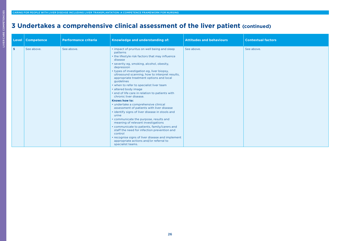| Level | <b>Competence</b> | <b>Performance criteria</b> | Knowledge and understanding of:                                                                                                                                                                                                                                                                                                                                                                                                                                                                                                                                                                                                                                                                                                                                                                                                                                                                                                                                                   | <b>Attitudes and behaviours</b> | <b>Contextual factors</b> |
|-------|-------------------|-----------------------------|-----------------------------------------------------------------------------------------------------------------------------------------------------------------------------------------------------------------------------------------------------------------------------------------------------------------------------------------------------------------------------------------------------------------------------------------------------------------------------------------------------------------------------------------------------------------------------------------------------------------------------------------------------------------------------------------------------------------------------------------------------------------------------------------------------------------------------------------------------------------------------------------------------------------------------------------------------------------------------------|---------------------------------|---------------------------|
| 5     | See above.        | See above.                  | • impact of pruritus on well being and sleep<br>patterns<br>• the lifestyle risk factors that may influence<br>disease<br>• severity eg, smoking, alcohol, obesity,<br>depression<br>• types of investigation eg, liver biopsy,<br>ultrasound scanning, how to interpret results,<br>appropriate treatment options and local<br>guidelines<br>• when to refer to specialist liver team<br>· altered body image<br>• end of life care in relation to patients with<br>chronic liver disease.<br><b>Knows how to:</b><br>• undertake a comprehensive clinical<br>assessment of patients with liver disease<br>• identify signs of liver disease in stools and<br>urine<br>• communicate the purpose, results and<br>meaning of relevant investigations<br>• communicate to patients, family/carers and<br>staff the need for infection prevention and<br>control<br>• recognise signs of liver disease and implement<br>appropriate actions and/or referral to<br>specialist teams. | See above.                      | See above.                |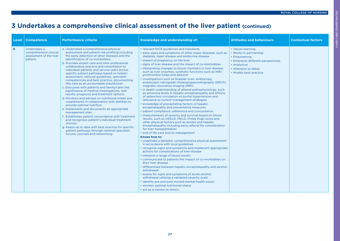| Level | <b>Competence</b>                                                             | <b>Performance criteria</b>                                                                                                                                                                                                                                                                                                                                                                                                                                                                                                                                                                                                                                                                                                                                                                                                                                                                                                                                                                                                                                                                                                                   | Knowledge and understanding of:                                                                                                                                                                                                                                                                                                                                                                                                                                                                                                                                                                                                                                                                                                                                                                                                                                                                                                                                                                                                                                                                                                                                                                                                                                                                                                                                                                                                                                                                                                                                                                                                                                                                                                                                                                                                                                                                                                              | <b>Attitudes and behaviours</b>                                                                                                                                            | <b>Contextual factors</b> |
|-------|-------------------------------------------------------------------------------|-----------------------------------------------------------------------------------------------------------------------------------------------------------------------------------------------------------------------------------------------------------------------------------------------------------------------------------------------------------------------------------------------------------------------------------------------------------------------------------------------------------------------------------------------------------------------------------------------------------------------------------------------------------------------------------------------------------------------------------------------------------------------------------------------------------------------------------------------------------------------------------------------------------------------------------------------------------------------------------------------------------------------------------------------------------------------------------------------------------------------------------------------|----------------------------------------------------------------------------------------------------------------------------------------------------------------------------------------------------------------------------------------------------------------------------------------------------------------------------------------------------------------------------------------------------------------------------------------------------------------------------------------------------------------------------------------------------------------------------------------------------------------------------------------------------------------------------------------------------------------------------------------------------------------------------------------------------------------------------------------------------------------------------------------------------------------------------------------------------------------------------------------------------------------------------------------------------------------------------------------------------------------------------------------------------------------------------------------------------------------------------------------------------------------------------------------------------------------------------------------------------------------------------------------------------------------------------------------------------------------------------------------------------------------------------------------------------------------------------------------------------------------------------------------------------------------------------------------------------------------------------------------------------------------------------------------------------------------------------------------------------------------------------------------------------------------------------------------------|----------------------------------------------------------------------------------------------------------------------------------------------------------------------------|---------------------------|
| 6     | Undertakes a<br>comprehensive clinical<br>assessment of the liver<br>patient. | a. Undertakes a comprehensive physical<br>assessment and patient risk profiling including<br>the early detection of other diseases and the<br>identification of co-morbidities.<br>b. Provides expert care and inter-professional<br>collaborative practice and consultation to<br>individual patients and service users across<br>specific patient pathways based on holistic<br>assessment, national guidelines, specialist<br>competencies and best practice, documenting<br>this care as an accountable practitioner.<br>c. Discusses with patients and family/carer the<br>significance of medical investigations, test<br>results, prognosis and treatment options.<br>d. Monitors and advises on nutritional intake and<br>supplements in collaboration with dietitian to<br>provide optimal nutrition.<br>e. Implements and documents an appropriate<br>management plan.<br>f. Establishes patient concordance with treatment<br>and recognises patient's individual treatment<br>choices.<br>g. Keeps up to date with best practice for specific<br>patient pathways through national specialist<br>forums, journals and networking. | • relevant NICE guidelines and standards<br>· early signs and symptoms of other major diseases, such as<br>diabetes, heart disease and endocrine disease<br>• impact of pregnancy on the liver<br>• signs of liver disease and the impact of co-morbidities<br>• interpreting changes to blood chemistry in liver disease,<br>such as liver enzymes, synthetic functions such as INR/<br>prothrombin times and albumin<br>· investigations such as Doppler scan, endoscopy,<br>endoscopic retrograde cholangiopancretography (ERCP),<br>magnetic resonance imaging (MRI)<br>in depth understanding of altered pathophysiology, such<br>as ammonia levels in hepatic encephalopathy and effects<br>of splanchnic circulation on portal hypertension and<br>relevance to current management strategies<br>• knowledge of precipitating factors of hepatic<br>encephalopathy and preventative measures<br>· patient compliance, adherence and concordance<br>measurements of severity and survival based on blood<br>results, such as UKELD, MELD, Childs Pugh score and<br>other physical factors such as ascites and hepatic<br>encephalopathy including early referral for consideration<br>for liver transplantation<br>• end of life care and its management.<br>Knows how to:<br>• undertake a detailed, comprehensive physical assessment<br>in accordance with local guidelines<br>• recognise signs and symptoms and implement appropriate<br>actions for complications of liver disease<br>• interpret a range of blood results<br>· communicate to patients the impact of co-morbidities on<br>their liver disease<br>· differentiate between hepatic encephalopathy and alcohol<br>withdrawal<br>· assess for signs and symptoms of acute alcohol<br>withdrawal utilising a validated severity scale<br>• identify pre and post morbid mental health issues<br>· monitor optimal nutritional status<br>• act as a mentor to others. | • Values learning.<br>• Works in partnership.<br>• Empowering.<br>• Embraces different perspectives.<br>• Analytical.<br>• Attention to detail.<br>• Models best practice. |                           |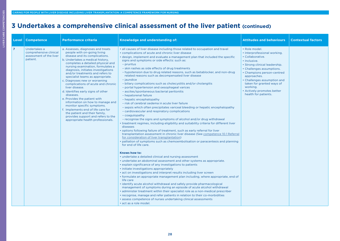| Level          | <b>Competence</b>                                                             | <b>Performance criteria</b>                                                                                                                                                                                                                                                                                                                                                                                                                                                                                                                                                                                                                                                                                                    | Knowledge and understanding of:                                                                                                                                                                                                                                                                                                                                                                                                                                                                                                                                                                                                                                                                                                                                                                                                                                                                                                                                                                                                                                                                                                                                                                                                                                                                                                                                                                                                                                                                                                                                                                                                                                                                                                                                                                                                                                                                                                                                                                                                                                                                                                                                                                                                                                                               | <b>Attitudes and behaviours</b>                                                                                                                                                                                                                                                                                            | <b>Contextual factors</b> |
|----------------|-------------------------------------------------------------------------------|--------------------------------------------------------------------------------------------------------------------------------------------------------------------------------------------------------------------------------------------------------------------------------------------------------------------------------------------------------------------------------------------------------------------------------------------------------------------------------------------------------------------------------------------------------------------------------------------------------------------------------------------------------------------------------------------------------------------------------|-----------------------------------------------------------------------------------------------------------------------------------------------------------------------------------------------------------------------------------------------------------------------------------------------------------------------------------------------------------------------------------------------------------------------------------------------------------------------------------------------------------------------------------------------------------------------------------------------------------------------------------------------------------------------------------------------------------------------------------------------------------------------------------------------------------------------------------------------------------------------------------------------------------------------------------------------------------------------------------------------------------------------------------------------------------------------------------------------------------------------------------------------------------------------------------------------------------------------------------------------------------------------------------------------------------------------------------------------------------------------------------------------------------------------------------------------------------------------------------------------------------------------------------------------------------------------------------------------------------------------------------------------------------------------------------------------------------------------------------------------------------------------------------------------------------------------------------------------------------------------------------------------------------------------------------------------------------------------------------------------------------------------------------------------------------------------------------------------------------------------------------------------------------------------------------------------------------------------------------------------------------------------------------------------|----------------------------------------------------------------------------------------------------------------------------------------------------------------------------------------------------------------------------------------------------------------------------------------------------------------------------|---------------------------|
| $\overline{7}$ | Undertakes a<br>comprehensive clinical<br>assessment of the liver<br>patient. | a. Assesses, diagnoses and treats<br>people with on-going living<br>disease and its complications.<br>b. Undertakes a medical history,<br>completes a detailed physical and<br>nursing examination, formulates a<br>diagnosis, initiates investigations<br>and/or treatments and refers to<br>specialist teams as appropriate.<br>c. Diagnoses new or worsening<br>complications of acute and chronic<br>liver disease.<br>d. Identifies early signs of other<br>diseases.<br>e. Provides the patient with<br>information on how to manage and<br>monitor specific symptoms.<br>f. Implements end of life care for<br>the patient and their family.<br>provides support and refers to the<br>appropriate health professionals. | • all causes of liver disease including those related to occupation and travel<br>• complications of acute and chronic liver disease<br>• design, implement and evaluate a management plan that included the specific<br>signs and symptoms or side effects: such as:<br>- pruritus<br>- skin rashes as side effects of drug treatments<br>- hypotension due to drug related reasons, such as betablocker, and non-drug<br>related reasons such as decompensated liver disease<br>- jaundice<br>- biliary complications such as cholecystitis and/or cholangitis<br>- portal hypertension and oesophageal varices<br>- ascites/spontaneous bacterial peritonitis<br>- hepatorenal failure<br>- hepatic encephalopathy<br>- risk of cerebral oedema in acute liver failure<br>- sepsis which often precipitates variceal bleeding or hepatic encephalopathy<br>- cardiovascular and respiratory complications<br>- coagulopathy<br>- recognise the signs and symptoms of alcohol and/or drug withdrawal<br>• treatment regimes, including eligibility and suitability criteria for different liver<br>diseases<br>• options following failure of treatment, such as early referral for liver<br>transplantation assessment in chronic liver disease (See competence 10.1 Referral<br>for consideration of liver transplantation)<br>• palliation of symptoms such as chemoembolisation or paracentesis and planning<br>for end of life care.<br>Knows how to:<br>• undertake a detailed clinical and nursing assessment<br>• undertake an abdominal assessment and other systems as appropriate.<br>• explain significance of any investigations to patients<br>• initiate investigations appropriately<br>• act on investigations and interpret results including liver screen<br>• formulate an appropriate management plan including, where appropriate, end of<br>life care<br>• identify acute alcohol withdrawal and safely provide pharmacological<br>management of symptoms during an episode of acute alcohol withdrawal<br>• administer treatment within their specialist role as a non-medical prescriber<br>• recognise, manage and refer patients in relation to their co-morbidities<br>• assess competence of nurses undertaking clinical assessments<br>· act as a role model. | · Role model.<br>• Interprofessional working.<br>• Collaborative.<br>• Inclusive.<br>• Strong clinical leadership.<br>• Challenges assumptions.<br>• Champions person-centred<br>approaches.<br>• Challenges assumption and<br>taken for granted ways of<br>working.<br>• Actively promotes better<br>health for patients. |                           |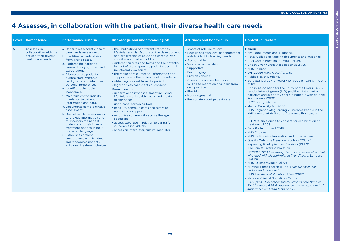LIVER CARE COMPETENCIES

LIVER CARE COMPETENCIES

## <span id="page-28-0"></span>**4 Assesses, in collaboration with the patient, their diverse health care needs**

| Level | <b>Competence</b>                                                                      | <b>Performance criteria</b>                                                                                                                                                                                                                                                                                                                                                                                                                                                                                                                                                                                                                                                                                                                                                                         | Knowledge and understanding of:                                                                                                                                                                                                                                                                                                                                                                                                                                                                                                                                                                                                                                                                                                                                                                                                                                                                             | <b>Attitudes and behaviours</b>                                                                                                                                                                                                                                                                                                                                                       | <b>Contextual factors</b>                                                                                                                                                                                                                                                                                                                                                                                                                                                                                                                                                                                                                                                                                                                                                                                                                                                                                                                                                                                                                                                                                                                                                                                                                                                                                                                                                                                                                                                                                                                  |
|-------|----------------------------------------------------------------------------------------|-----------------------------------------------------------------------------------------------------------------------------------------------------------------------------------------------------------------------------------------------------------------------------------------------------------------------------------------------------------------------------------------------------------------------------------------------------------------------------------------------------------------------------------------------------------------------------------------------------------------------------------------------------------------------------------------------------------------------------------------------------------------------------------------------------|-------------------------------------------------------------------------------------------------------------------------------------------------------------------------------------------------------------------------------------------------------------------------------------------------------------------------------------------------------------------------------------------------------------------------------------------------------------------------------------------------------------------------------------------------------------------------------------------------------------------------------------------------------------------------------------------------------------------------------------------------------------------------------------------------------------------------------------------------------------------------------------------------------------|---------------------------------------------------------------------------------------------------------------------------------------------------------------------------------------------------------------------------------------------------------------------------------------------------------------------------------------------------------------------------------------|--------------------------------------------------------------------------------------------------------------------------------------------------------------------------------------------------------------------------------------------------------------------------------------------------------------------------------------------------------------------------------------------------------------------------------------------------------------------------------------------------------------------------------------------------------------------------------------------------------------------------------------------------------------------------------------------------------------------------------------------------------------------------------------------------------------------------------------------------------------------------------------------------------------------------------------------------------------------------------------------------------------------------------------------------------------------------------------------------------------------------------------------------------------------------------------------------------------------------------------------------------------------------------------------------------------------------------------------------------------------------------------------------------------------------------------------------------------------------------------------------------------------------------------------|
| 5     | Assesses, in<br>collaboration with the<br>patient, their diverse<br>health care needs. | a. Undertakes a holistic health<br>care needs assessment.<br>b. Identifies patients at risk<br>from liver disease.<br>c. Explores the patient's<br>current lifestyle, hopes and<br>expectations.<br>d. Discusses the patient's<br>cultural/family/ethnic<br>background and identifies<br>personal preferences.<br>e. Identifies vulnerable<br>individuals.<br>f. Maintains confidentiality<br>in relation to patient<br>information and data.<br>g. Documents comprehensive<br>assessment.<br>h. Uses all available resources<br>to provide information and<br>to ascertain the patient<br>understands their illness/<br>treatment options in their<br>preferred language.<br><b>Establishes patient</b><br>concordance with treatment<br>and recognises patient's<br>individual treatment choices. | • the implications of different life stages,<br>lifestyles and risk factors on the development<br>and progression of acute and chronic liver<br>conditions and at end of life<br>· different cultures and faiths and the potential<br>impact of these upon the patient's personal<br>beliefs and viewpoints<br>• the range of resources for information and<br>support where the patient could be referred<br>• obtaining consent from the patient<br>. legal and ethical aspects of consent.<br>Knows how to:<br>• undertake holistic assessment including<br>lifestyle, sexual health, social and mental<br>health needs<br>• use alcohol screening tool<br>• consults, communicates and refers to<br>appropriate support<br>• recognise vulnerability across the age<br>spectrum<br>• access expertise in relation to caring for<br>vulnerable individuals<br>· access an interpreter/cultural mediator. | • Aware of role limitations.<br>• Recognises own level of competence,<br>able to identify learning needs.<br>• Accountable.<br>• Works in partnership.<br>• Supportive.<br>• Encouraging.<br>• Provides choices.<br>• Gives and receives feedback.<br>. Willing to reflect on and learn from<br>own practice.<br>• Flexible.<br>• Non-judgmental.<br>• Passionate about patient care. | <b>Generic</b><br>• NMC documents and guidance.<br>• Royal College of Nursing documents and guidance.<br>• RCN Gastrointestinal Nursing Forum.<br>• British Liver Nurses Association (BLNA).<br>• NHS England.<br>• DH (2009) Making a Difference.<br>• Public Health England.<br>• Gold Standards Framework for people nearing the end<br>of life.<br>. British Association for the Study of the Liver (BASL)<br>special interest group (SIG) position statement on<br>palliative and supportive care in patients with chronic<br>liver disease (2019).<br>• NICE liver guidance.<br>• Mental Capacity Act 2005.<br>. NHS England Safeguarding Vulnerable People in the<br>NHS - Accountability and Assurance Framework<br>(2015)<br>• DH Reference guide to consent for examination or<br>treatment 2009.<br>• Data Protection Act 2018.<br>• NHS Choices.<br>• NHS Institute for Innovation and Improvement.<br>. Quality Outcome Measures, such as CQUINS.<br>• Improving Quality in Liver Services (IQILS).<br>• The Lancet Liver Commission.<br>• NECPOD 2013 Measuring the units: a review of patients<br>who died with alcohol-related liver disease, London,<br>NCEPOD.<br>• NHS IQ (Improving quality).<br>. Nursing Times Learning Unit. Liver Disease: Risk<br>factors and treatment.<br>• NHS 2nd Atlas of Variation: Liver (2017).<br>• National Clinical Guidelines Centre.<br>• BASL/BSG: Decompensated Cirrhosis care Bundle:<br>First 24 hours BSG Guidelines on the management of<br>abnormal liver blood tests (2017). |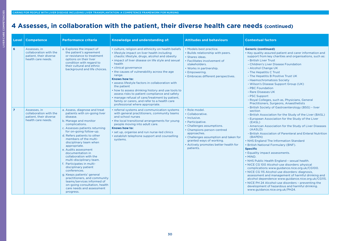## **4 Assesses, in collaboration with the patient, their diverse health care needs (continued)**

| Level          | <b>Competence</b>                                                                      | <b>Performance criteria</b>                                                                                                                                                                                                                                                                                                                                                                                                                                                                                                                                                                                                       | Knowledge and understanding of:                                                                                                                                                                                                                                                                                                                                                                                                                                                                                                                                                                                                        | <b>Attitudes and behaviours</b>                                                                                                                                                                                                                                            | <b>Contextual factors</b>                                                                                                                                                                                                                                                                                                                                                                                                                                                                                                                                                                                                                                                                                                                                                                                                                                                                                                                               |
|----------------|----------------------------------------------------------------------------------------|-----------------------------------------------------------------------------------------------------------------------------------------------------------------------------------------------------------------------------------------------------------------------------------------------------------------------------------------------------------------------------------------------------------------------------------------------------------------------------------------------------------------------------------------------------------------------------------------------------------------------------------|----------------------------------------------------------------------------------------------------------------------------------------------------------------------------------------------------------------------------------------------------------------------------------------------------------------------------------------------------------------------------------------------------------------------------------------------------------------------------------------------------------------------------------------------------------------------------------------------------------------------------------------|----------------------------------------------------------------------------------------------------------------------------------------------------------------------------------------------------------------------------------------------------------------------------|---------------------------------------------------------------------------------------------------------------------------------------------------------------------------------------------------------------------------------------------------------------------------------------------------------------------------------------------------------------------------------------------------------------------------------------------------------------------------------------------------------------------------------------------------------------------------------------------------------------------------------------------------------------------------------------------------------------------------------------------------------------------------------------------------------------------------------------------------------------------------------------------------------------------------------------------------------|
| 6              | Assesses, in<br>collaboration with the<br>patient, their diverse<br>health care needs. | a. Explores the impact of<br>the patient's agreement<br>or resistance to treatment<br>options on their liver<br>condition with regard to<br>their cultural and ethnic<br>background and life choices.                                                                                                                                                                                                                                                                                                                                                                                                                             | • culture, religion and ethnicity on health beliefs<br>· lifestyle impact on liver health including<br>chaotic lifestyle, drugs, alcohol and obesity<br>· impact of liver disease on life style and sexual<br>health<br>· clinical governance<br>• the causes of vulnerability across the age<br>range.<br>Knows how to:<br>· assess lifestyle factors in collaboration with<br>the patient<br>• how to assess drinking history and use tools to<br>assess risks to patient compliance and safety<br>· manage refusal of care/treatment by patient,<br>family or carers, and refer to a health care<br>professional where appropriate. | • Models best practice.<br>• Builds relationship with peers.<br>· Shares ideas.<br>• Facilitates involvement of<br>stakeholders.<br>• Works in partnership.<br>• Empowering.<br>• Embraces different perspectives.                                                         | <b>Generic (continued)</b><br>• Key quality assured patient and carer information and<br>support from key charities and organisations, such as:<br>- British Liver Trust<br>- Children's Liver Disease Foundation<br>- Alcohol Change UK<br>- The Hepatitis C Trust<br>- The Hepatitis B Positive Trust UK<br>- Haemochromatosis Society<br>- Wilson's Disease Support Group (UK)<br>- PBC Foundation<br>- Rare Diseases UK<br>- PSC Support<br>- Royal Colleges, such as, Physicians, General<br>Practitioners, Surgeons, Anaesthetists                                                                                                                                                                                                                                                                                                                                                                                                                |
| $\overline{7}$ | Assesses, in<br>collaboration with the<br>patient, their diverse<br>health care needs. | a. Assess, diagnose and treat<br>patients with on-going liver<br>disease.<br>b. Manage and monitor<br>complications.<br>c. Assesses patients returning<br>for on-going follow-up.<br>d. Refers patients to other<br>members of the multi-<br>disciplinary team when<br>appropriate.<br>e. Audits assessment<br>documentation in<br>collaboration with the<br>multi-disciplinary team.<br>f. Participates in multi-<br>disciplinary patient<br>conferences.<br>g. Keeps patients' general<br>practitioners, and community<br>teams/services informed of<br>on-going consultation, health<br>care needs and assessment<br>progress. | • referral systems and communication systems<br>with general practitioners, community teams<br>and school nurses<br>• the local transitional arrangements for young<br>people moving into adult care.<br><b>Knows how to:</b><br>• set up, organise and run nurse-led clinics<br>· establish telephone support and counselling<br>systems.                                                                                                                                                                                                                                                                                             | • Role model.<br>• Collaborative.<br>• Inclusive.<br>• Participative.<br>• Challenges assumptions.<br>• Champions person-centred<br>approaches.<br>• Challenges assumption and taken for<br>granted ways of working.<br>• Actively promotes better health for<br>patients. | - British Society of Gastroenterology (BSG) - liver<br>section<br>- British Association for the Study of the Liver (BASL)<br>- European Association for the Study of the Liver<br>(EASL)<br>- American Association for the Study of Liver Diseases<br>(AASLD)<br>- British Association of Parenteral and Enteral Nutrition<br>(BAPEN)<br>• NHS England The Information Standard<br>• British National Formulary (BNF).<br><b>Specific</b><br>• Equality impact assessments.<br>$\cdot$ MIND.<br>• NHS Public Health England - sexual health.<br>• NICE CG 100 Alcohol-use disorders: physical<br>complications www.guidance.nice.org.uk/CG100.<br>· NICE CG 115 Alcohol use disorders: diagnosis,<br>assessment and management of harmful drinking and<br>alcohol dependence www.guidance.nice.org.uk/CG115.<br>• NICE PH 24 Alcohol-use disorders - preventing the<br>development of hazardous and harmful drinking.<br>www.guidance.nice.org.uk/PH24. |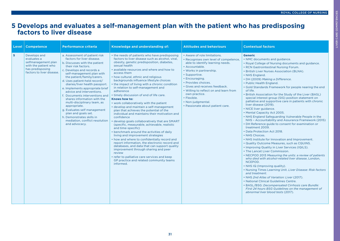### <span id="page-30-0"></span>**5 Develops and evaluates a self-management plan with the patient who has predisposing factors to liver disease**

| Level          | <b>Competence</b>                                                                                                           | <b>Performance criteria</b>                                                                                                                                                                                                                                                                                                                                                                                                                                                                                                                                                                          | <b>Knowledge and understanding of:</b>                                                                                                                                                                                                                                                                                                                                                                                                                                                                                                                                                                                                                                                                                                                                                                                                                                                                                                                                                                                                                                                                                                                                                                     | <b>Attitudes and behaviours</b>                                                                                                                                                                                                                                                                                                                                                       | <b>Contextual factors</b>                                                                                                                                                                                                                                                                                                                                                                                                                                                                                                                                                                                                                                                                                                                                                                                                                                                                                                                                                                                                                                                                                                                                                                                                                                                                                                                                                                                                                                                                                                               |
|----------------|-----------------------------------------------------------------------------------------------------------------------------|------------------------------------------------------------------------------------------------------------------------------------------------------------------------------------------------------------------------------------------------------------------------------------------------------------------------------------------------------------------------------------------------------------------------------------------------------------------------------------------------------------------------------------------------------------------------------------------------------|------------------------------------------------------------------------------------------------------------------------------------------------------------------------------------------------------------------------------------------------------------------------------------------------------------------------------------------------------------------------------------------------------------------------------------------------------------------------------------------------------------------------------------------------------------------------------------------------------------------------------------------------------------------------------------------------------------------------------------------------------------------------------------------------------------------------------------------------------------------------------------------------------------------------------------------------------------------------------------------------------------------------------------------------------------------------------------------------------------------------------------------------------------------------------------------------------------|---------------------------------------------------------------------------------------------------------------------------------------------------------------------------------------------------------------------------------------------------------------------------------------------------------------------------------------------------------------------------------------|-----------------------------------------------------------------------------------------------------------------------------------------------------------------------------------------------------------------------------------------------------------------------------------------------------------------------------------------------------------------------------------------------------------------------------------------------------------------------------------------------------------------------------------------------------------------------------------------------------------------------------------------------------------------------------------------------------------------------------------------------------------------------------------------------------------------------------------------------------------------------------------------------------------------------------------------------------------------------------------------------------------------------------------------------------------------------------------------------------------------------------------------------------------------------------------------------------------------------------------------------------------------------------------------------------------------------------------------------------------------------------------------------------------------------------------------------------------------------------------------------------------------------------------------|
| 5 <sup>1</sup> | Develops and<br>evaluates a<br>selfmanagement plan<br>with the patient who<br>has predisposing<br>factors to liver disease. | a. Assessment of patient risk<br>factors for liver disease.<br>b. Discusses with the patient<br>their risk factors.<br>c. Develops and records a<br>self-management plan with<br>the patient/family/carers.<br>d. Uses patient-held record/<br>diaries/liver health passport.<br>e. Implements appropriate brief<br>advice and interventions.<br>f. Documents interventions and<br>shares information with the<br>multi-disciplinary team, as<br>appropriate.<br>g. Evaluates self management<br>plan and goals set.<br>h. Demonstrates skills in<br>mediation, conflict resolution<br>and advocacy. | • the needs of patients who have predisposing<br>factors to liver disease such as alcohol, viral,<br>obesity, genetic predisposition, diabetes,<br>sexual health<br>· available resources and where and how to<br>access them<br>• how cultural, ethnic and religious<br>backgrounds influence lifestyle choices<br>• the impact of living with a chronic condition<br>in relation to self-management and<br>adherence<br>• timely discussion of end of life care.<br>Knows how to:<br>• work collaboratively with the patient<br>• develop and maintain a self-management<br>plan that achieves the potential of the<br>individual and maintains their motivation and<br>confidence<br>• develop goals collaboratively that are SMART<br>(specific, measurable, achievable, realistic<br>and time-specific)<br>• benchmark around the activities of daily<br>living and improvement strategies<br>• how and where to confidentially record and<br>report information, the electronic record and<br>databases, and data that can support quality<br>improvement through sharing and peer<br>review<br>• refer to palliative care services and keep<br>GP practice and related community teams<br>informed. | • Aware of role limitations.<br>• Recognises own level of competence,<br>able to identify learning needs.<br>• Accountable.<br>• Works in partnership.<br>· Supportive.<br>• Encouraging.<br>• Provides choices.<br>• Gives and receives feedback.<br>• Willing to reflect on and learn from<br>own practice.<br>• Flexible.<br>• Non-judgmental.<br>• Passionate about patient care. | <b>Generic</b><br>• NMC documents and guidance.<br>• Royal College of Nursing documents and guidance.<br>• RCN Gastrointestinal Nursing Forum.<br>• British Liver Nurses Association (BLNA).<br>• NHS England.<br>• DH (2009) Making a Difference.<br>• Public Health England.<br>• Gold Standards Framework for people nearing the end<br>of life.<br>• British Association for the Study of the Liver (BASL)<br>special interest group (SIG) position statement on<br>palliative and supportive care in patients with chronic<br>liver disease (2019).<br>• NICE liver guidance.<br>• Mental Capacity Act 2005.<br>. NHS England Safeguarding Vulnerable People in the<br>NHS - Accountability and Assurance Framework (2015)<br>• DH Reference guide to consent for examination or<br>treatment 2009.<br>• Data Protection Act 2018.<br>• NHS Choices.<br>• NHS Institute for Innovation and Improvement.<br>• Quality Outcome Measures, such as CQUINS.<br>• Improving Quality in Liver Services (IQILS).<br>• The Lancet Liver Commission.<br>• NECPOD 2013 Measuring the units: a review of patients<br>who died with alcohol-related liver disease, London,<br>NCEPOD.<br>• NHS IQ (Improving quality).<br>. Nursing Times Learning Unit. Liver Disease: Risk factors<br>and treatment.<br>• NHS 2nd Atlas of Variation: Liver (2017).<br>• National Clinical Guidelines Centre.<br>• BASL/BSG: Decompensated Cirrhosis care Bundle:<br>First 24 hours BSG Guidelines on the management of<br>abnormal liver blood tests (2017). |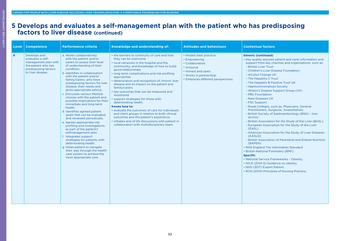LIVER CARE COMPETENCIES

LIVER CARE COMPETENCIES

### **5 Develops and evaluates a self-management plan with the patient who has predisposing factors to liver disease (continued)**

| Level | <b>Competence</b>                                                                                                             | <b>Performance criteria</b>                                                                                                                                                                                                                                                                                                                                                                                                                                                                                                                                                                                                                                                                                                                                                                                                                                                           | Knowledge and understanding of:                                                                                                                                                                                                                                                                                                                                                                                                                                                                                                                                                                                                                                                                                                                                | <b>Attitudes and behaviours</b>                                                                                                                                     | <b>Contextual factors</b>                                                                                                                                                                                                                                                                                                                                                                                                                                                                                                                                                                                                                                                                                                                                                                                                                                                                                                                                                                                                                                                                                                                                 |
|-------|-------------------------------------------------------------------------------------------------------------------------------|---------------------------------------------------------------------------------------------------------------------------------------------------------------------------------------------------------------------------------------------------------------------------------------------------------------------------------------------------------------------------------------------------------------------------------------------------------------------------------------------------------------------------------------------------------------------------------------------------------------------------------------------------------------------------------------------------------------------------------------------------------------------------------------------------------------------------------------------------------------------------------------|----------------------------------------------------------------------------------------------------------------------------------------------------------------------------------------------------------------------------------------------------------------------------------------------------------------------------------------------------------------------------------------------------------------------------------------------------------------------------------------------------------------------------------------------------------------------------------------------------------------------------------------------------------------------------------------------------------------------------------------------------------------|---------------------------------------------------------------------------------------------------------------------------------------------------------------------|-----------------------------------------------------------------------------------------------------------------------------------------------------------------------------------------------------------------------------------------------------------------------------------------------------------------------------------------------------------------------------------------------------------------------------------------------------------------------------------------------------------------------------------------------------------------------------------------------------------------------------------------------------------------------------------------------------------------------------------------------------------------------------------------------------------------------------------------------------------------------------------------------------------------------------------------------------------------------------------------------------------------------------------------------------------------------------------------------------------------------------------------------------------|
| 6     | Develops and<br>evaluates a self-<br>management plan with<br>the patient who has<br>predisposing factors<br>to liver disease. | a. Works collaboratively<br>with the patient and/or<br>carers to assess their level<br>of understanding of their<br>condition.<br>b. Identifies in collaboration<br>with the patient and/or<br>family/carers, who have<br>predisposing factors for liver<br>disease, their needs and<br>gives appropriate advice.<br>c. Discusses various lifestyle<br>choices with the patient and<br>possible implications for their<br>immediate and long-term<br>health.<br>d. Identifies agreed patient<br>goals that can be evaluated<br>and reviewed periodically.<br>e. Agrees appropriate risk<br>profiling and investigations<br>as part of the patient's<br>selfmanagement plan.<br>f. Integrates support<br>strategies for patients with<br>deteriorating health.<br>g. Helps patient to navigate<br>their way through the health<br>care system to achieve the<br>most appropriate care. | • the barriers to continuity of care and how<br>they can be overcome<br>. local networks in the hospital and the<br>community, and knowledge of how to build<br>good relationships<br>• long-term complications and risk profiling<br>approaches<br>· deterioration and recognition of chronic liver<br>disease and its impact on the patient and<br>family/carers<br>• key outcomes that can be measured and<br>monitored<br>• support strategies for those with<br>deteriorating health.<br>Knows how to:<br>· evaluate the outcomes of care for individuals<br>and client groups in relation to both clinical<br>outcomes and the patient's experience<br>· initiates end of life discussions with patient in<br>collaboration with multidisciplinary team. | • Models best practice.<br>• Empowering.<br>• Collaborative.<br>· Inclusive.<br>• Honest and open.<br>• Works in partnership.<br>• Embraces different perspectives. | <b>Generic (continued)</b><br>• Key quality assured patient and carer information and<br>support from key charities and organisations, such as:<br>- British Liver Trust<br>- Children's Liver Disease Foundation<br>- Alcohol Change UK<br>- The Hepatitis C Trust<br>- The Hepatitis B Positive Trust UK<br>- Haemochromatosis Society<br>- Wilson's Disease Support Group (UK)<br>- PBC Foundation<br>- Rare Diseases UK<br>- PSC Support<br>- Royal Colleges, such as, Physicians, General<br>Practitioners, Surgeons, Anaesthetists<br>- British Society of Gastroenterology (BSG) - liver<br>section<br>- British Association for the Study of the Liver (BASL)<br>- European Association for the Study of the Liver<br>(EASL)<br>- American Association for the Study of Liver Diseases<br>(AASLD)<br>- British Association of Parenteral and Enteral Nutrition<br>(BAPEN)<br>• NHS England The Information Standard<br>• British National Formulary (BNF).<br><b>Specific</b><br>• National Service Frameworks - Obesity.<br>• NICE (2014-5) Guidance on obesity.<br>• NHS (2017) Expert Patient.<br>• RCN (2010) Principles of Nursing Practice. |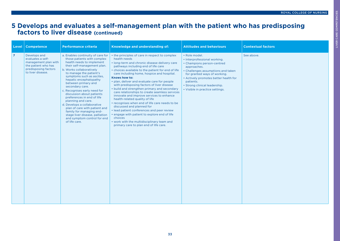LIVER CARE COMPETENCIES

LIVER CARE COMPETENCIES

### **5 Develops and evaluates a self-management plan with the patient who has predisposing factors to liver disease (continued)**

| <b>Level</b>   | <b>Competence</b>                                                                                                             | <b>Performance criteria</b>                                                                                                                                                                                                                                                                                                                                                                                                                                                                                                                                                          | Knowledge and understanding of:                                                                                                                                                                                                                                                                                                                                                                                                                                                                                                                                                                                                                                                                                                                                                                                                           | <b>Attitudes and behaviours</b>                                                                                                                                                                                                                                                            | <b>Contextual factors</b> |
|----------------|-------------------------------------------------------------------------------------------------------------------------------|--------------------------------------------------------------------------------------------------------------------------------------------------------------------------------------------------------------------------------------------------------------------------------------------------------------------------------------------------------------------------------------------------------------------------------------------------------------------------------------------------------------------------------------------------------------------------------------|-------------------------------------------------------------------------------------------------------------------------------------------------------------------------------------------------------------------------------------------------------------------------------------------------------------------------------------------------------------------------------------------------------------------------------------------------------------------------------------------------------------------------------------------------------------------------------------------------------------------------------------------------------------------------------------------------------------------------------------------------------------------------------------------------------------------------------------------|--------------------------------------------------------------------------------------------------------------------------------------------------------------------------------------------------------------------------------------------------------------------------------------------|---------------------------|
| $\overline{7}$ | Develops and<br>evaluates a self-<br>management plan with<br>the patient who has<br>predisposing factors<br>to liver disease. | a. Enables continuity of care for<br>those patients with complex<br>health needs to implement<br>their self-management plan.<br>b. Works collaboratively<br>to manage the patient's<br>symptoms such as ascites,<br>hepatic encephalopathy<br>between primary and<br>secondary care.<br>c. Recognises early need for<br>discussion about patients<br>preferences in end of life<br>planning and care.<br>d. Develops a collaborative<br>plan of care with patient and<br>family for managing end-<br>stage liver disease, palliation<br>and symptom control for end<br>of life care. | • the principles of care in respect to complex<br>health needs<br>· long-term and chronic disease delivery care<br>pathways including end of life care<br>• choices available to the patient for end of life<br>care including home, hospice and hospital.<br>Knows how to:<br>• plan, deliver and evaluate care for people<br>with predisposing factors of liver disease<br>• build and strengthen primary and secondary<br>care relationships to create seamless services<br>innovate and improve services to enhance<br>health-related quality of life<br>• recognises when end of life care needs to be<br>discussed and planned for<br>• lead patient conferences and peer review<br>• engage with patient to explore end of life<br>choices<br>• work with the multidisciplinary team and<br>primary care to plan end of life care. | · Role model.<br>• Interprofessional working.<br>• Champions person-centred<br>approaches.<br>• Challenges assumptions and taken<br>for granted ways of working.<br>• Actively promotes better health for<br>patients.<br>• Strong clinical leadership.<br>• Visible in practice settings. | See above.                |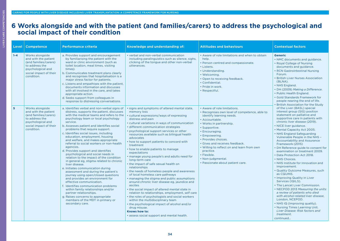### <span id="page-33-0"></span>**6 Works alongside and with the patient (and families/carers) to address the psychological and social impact of their condition**

| Level   | <b>Competence</b>                                                                                                                               | <b>Performance criteria</b>                                                                                                                                                                                                                                                                                                                                                                                                                                                                                                                                                                                                                                                                                                                                                                                                                                                                                                                                                                                                  | Knowledge and understanding of:                                                                                                                                                                                                                                                                                                                                                                                                                                                                                                                                                                                                                                                                                                                                                                                                                                                                                                                                                                                                                                                                           | <b>Attitudes and behaviours</b>                                                                                                                                                                                                                                                                                                                                                                        | <b>Contextual factors</b>                                                                                                                                                                                                                                                                                                                                                                                                                                                                                                                                                                                                                                                                                                                                                                                                                                                                                                                                                      |
|---------|-------------------------------------------------------------------------------------------------------------------------------------------------|------------------------------------------------------------------------------------------------------------------------------------------------------------------------------------------------------------------------------------------------------------------------------------------------------------------------------------------------------------------------------------------------------------------------------------------------------------------------------------------------------------------------------------------------------------------------------------------------------------------------------------------------------------------------------------------------------------------------------------------------------------------------------------------------------------------------------------------------------------------------------------------------------------------------------------------------------------------------------------------------------------------------------|-----------------------------------------------------------------------------------------------------------------------------------------------------------------------------------------------------------------------------------------------------------------------------------------------------------------------------------------------------------------------------------------------------------------------------------------------------------------------------------------------------------------------------------------------------------------------------------------------------------------------------------------------------------------------------------------------------------------------------------------------------------------------------------------------------------------------------------------------------------------------------------------------------------------------------------------------------------------------------------------------------------------------------------------------------------------------------------------------------------|--------------------------------------------------------------------------------------------------------------------------------------------------------------------------------------------------------------------------------------------------------------------------------------------------------------------------------------------------------------------------------------------------------|--------------------------------------------------------------------------------------------------------------------------------------------------------------------------------------------------------------------------------------------------------------------------------------------------------------------------------------------------------------------------------------------------------------------------------------------------------------------------------------------------------------------------------------------------------------------------------------------------------------------------------------------------------------------------------------------------------------------------------------------------------------------------------------------------------------------------------------------------------------------------------------------------------------------------------------------------------------------------------|
| $1 - 4$ | Works alongside<br>and with the patient<br>(and families/carers)<br>to address the<br>psychological and<br>social impact of their<br>condition. | a. Provides support and encouragement<br>by familiarising the patient with the<br>ward or clinic environment (such as<br>toilet location, meal times, visiting<br>times).<br>b. Communicates treatment plans clearly<br>and recognises that hospitalisation is a<br>major stress factor for patients.<br>c. Listens and empathises with the patient,<br>documents information and discusses<br>with all involved in the care, and takes<br>appropriate action.<br>d. Seeks support from colleagues in<br>response to distressing conversations.                                                                                                                                                                                                                                                                                                                                                                                                                                                                              | • verbal and non-verbal communication<br>including paralinguistics such as silence, sighs,<br>clicking of the tongue and other non-verbal<br>utterances.                                                                                                                                                                                                                                                                                                                                                                                                                                                                                                                                                                                                                                                                                                                                                                                                                                                                                                                                                  | • Aware of role limitations and when to obtain<br>help.<br>• Person centred and compassionate.<br>• Listens.<br>· Understanding.<br>• Welcoming.<br>• Open to receiving feedback.<br>• Confidential.<br>· Pride in work.<br>• Respectful.                                                                                                                                                              | <b>Generic</b><br>• NMC documents and guidance.<br>• Royal College of Nursing<br>documents and guidance.<br>• RCN Gastrointestinal Nursing<br>Forum.<br>• British Liver Nurses Association<br>(BLNA).<br>• NHS England.<br>• DH (2009) Making a Difference.<br>• Public Health England.<br>• Gold Standards Framework for<br>people nearing the end of life.                                                                                                                                                                                                                                                                                                                                                                                                                                                                                                                                                                                                                   |
| 5       | Works alongside<br>and with the patient<br>(and families/carers)<br>to address the<br>psychological and<br>social impact of their<br>condition. | a. Identifies verbal and non-verbal signs of<br>distress, supports the patient, discusses<br>with the medical teams and refers to the<br>psychology team or local psychology<br>service.<br>b. Assesses patient and identifies social<br>problems that require support.<br>c. Identifies social issues, including<br>education, employment, housing<br>and welfare, and makes appropriate<br>referral to social workers or non-health<br>agencies.<br>d. Provides support and identifies<br>psychological and social needs in<br>relation to the impact of the condition<br>in general eg, stigma related to chronic<br>liver disease.<br>e. Initiates communication during<br>assessment and during the patient's<br>journey using open/closed questions<br>and provides an environment for<br>effective communication.<br>f. Identifies communication problems<br>within family relationships and/or<br>partner relationships.<br>g. Raises concerns to appropriate<br>members of the MDT in primary or<br>secondary care. | · signs and symptoms of altered mental state,<br>memory loss<br>• cultural expressions/ways of expressing<br>distress and pain<br>· cultural variations in ways of communication<br>· different communication strategies<br>• psychological support services or other<br>resources available such as bilingual health<br>advocates<br>• how to support patients to concord with<br>treatment<br>• how to enable patients to manage<br>expectations<br>• manage young people's and adults need for<br>long-term care<br>• the impact of safe sexual health on<br>relationships<br>• the needs of homeless people and awareness<br>of local homeless care pathways<br>• managing the stigma and public assumptions<br>around chronic liver disease eg, jaundice and<br>ascites<br>• the social impact of altered mental state in<br>relation to relationships, employment, self care<br>• the roles of psychologists and social workers<br>within the multidisciplinary team<br>• the psychological impact of alcohol and/or<br>drug misuse.<br>Knows how to:<br>• assess social support and mental health. | • Aware of role limitations.<br>• Recognises own level of competence, able to<br>identify learning needs.<br>• Accountable.<br>• Works in partnership.<br>• Supportive.<br>• Encouraging.<br>• Empowering.<br>• Provides choices.<br>· Gives and receives feedback.<br>. Willing to reflect on and learn from own<br>practice.<br>• Flexible.<br>• Non-judgmental.<br>• Passionate about patient care. | <b>British Association for the Study</b><br>of the Liver (BASL) special<br>interest group (SIG) position<br>statement on palliative and<br>supportive care in patients with<br>chronic liver disease (2019).<br>• NICE liver guidance.<br>• Mental Capacity Act 2005.<br>• NHS England Safeguarding<br>Vulnerable People in the NHS -<br><b>Accountability and Assurance</b><br>Framework (2015)<br>• DH Reference guide to consent for<br>examination or treatment 2009.<br>• Data Protection Act 2018.<br>• NHS Choices.<br>• NHS Institute for Innovation and<br>Improvement.<br>• Quality Outcome Measures, such<br>as CQUINS.<br>• Improving Quality in Liver<br>Services (IQILS).<br>• The Lancet Liver Commission.<br>• NECPOD 2013 Measuring the units:<br>a review of patients who died<br>with alcohol-related liver disease,<br>London, NCEPOD.<br>• NHS IQ (Improving quality).<br>• Nursing Times Learning Unit.<br>Liver Disease: Risk factors and<br>treatment. |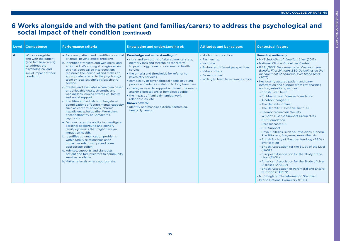LIVER CARE COMPETENCIES

LIVER CARE COMPETENCIES

### **6 Works alongside and with the patient (and families/carers) to address the psychological and social impact of their condition (continued)**

| Level | <b>Competence</b>                                                                                                                               | <b>Performance criteria</b>                                                                                                                                                                                                                                                                                                                                                                                                                                                                                                                                                                                                                                                                                                                                                                                                                                                                                                                                                                                                                                                                                                                                      | Knowledge and understanding of:                                                                                                                                                                                                                                                                                                                                                                                                                                                                                                                                                                                 | <b>Attitudes and behaviours</b>                                                                                                                                                   | <b>Contextual factors</b>                                                                                                                                                                                                                                                                                                                                                                                                                                                                                                                                                                                                                                                                                                                                                                                                                                                                                                                                                                                                                                                                                                                                                                                                   |
|-------|-------------------------------------------------------------------------------------------------------------------------------------------------|------------------------------------------------------------------------------------------------------------------------------------------------------------------------------------------------------------------------------------------------------------------------------------------------------------------------------------------------------------------------------------------------------------------------------------------------------------------------------------------------------------------------------------------------------------------------------------------------------------------------------------------------------------------------------------------------------------------------------------------------------------------------------------------------------------------------------------------------------------------------------------------------------------------------------------------------------------------------------------------------------------------------------------------------------------------------------------------------------------------------------------------------------------------|-----------------------------------------------------------------------------------------------------------------------------------------------------------------------------------------------------------------------------------------------------------------------------------------------------------------------------------------------------------------------------------------------------------------------------------------------------------------------------------------------------------------------------------------------------------------------------------------------------------------|-----------------------------------------------------------------------------------------------------------------------------------------------------------------------------------|-----------------------------------------------------------------------------------------------------------------------------------------------------------------------------------------------------------------------------------------------------------------------------------------------------------------------------------------------------------------------------------------------------------------------------------------------------------------------------------------------------------------------------------------------------------------------------------------------------------------------------------------------------------------------------------------------------------------------------------------------------------------------------------------------------------------------------------------------------------------------------------------------------------------------------------------------------------------------------------------------------------------------------------------------------------------------------------------------------------------------------------------------------------------------------------------------------------------------------|
| 6     | Works alongside<br>and with the patient<br>(and families/carers)<br>to address the<br>psychological and<br>social impact of their<br>condition. | a. Assesses patient and identifies potential<br>or actual psychological problems.<br>b. Identifies strengths and weakness, and<br>an individual's coping strategies when<br>this has been called into question;<br>reassures the individual and makes an<br>appropriate referral to the psychology<br>team or local psychology/psychiatry<br>service.<br>c. Creates and evaluates a care plan based<br>on achievable goals, strengths and<br>weaknesses, coping strategies, family<br>and social support.<br>d. Identifies individuals with long-term<br>complications affecting mental capacity<br>such as cerebral atrophy, chronic<br>hepatic encephalopathy, Wernicke's<br>encephalopathy or Korsakoff's<br>psychosis.<br>e. Demonstrates the ability to investigate<br>personal background and identify<br>family dynamics that might have an<br>impact on health.<br>f. Identifies communication problems<br>within family relationships and/<br>or partner relationships and takes<br>appropriate action.<br>g. Advises, supports and signposts<br>patient and family/carers to community<br>services available.<br>h. Makes referrals where appropriate. | Knowledge and understanding of:<br>· signs and symptoms of altered mental state,<br>memory loss and thresholds for referral<br>to psychology team or local mental health<br>service<br>• the criteria and thresholds for referral to<br>psychiatry services<br>• complexity of psychological needs of young<br>people and adults in relation to long term care<br>• strategies used to support and meet the needs<br>and/or expectations of homeless people<br>• the impact of family dynamics, work,<br>relationships, etc.<br>Knows how to:<br>· identify and manage external factors eg.<br>family dynamics. | • Models best practice.<br>• Partnership.<br>· Inclusive.<br>• Embraces different perspectives.<br>• Values others.<br>• Develops trust.<br>• Willing to learn from own practice. | <b>Generic (continued)</b><br>• NHS 2nd Atlas of Variation: Liver (2017).<br>• National Clinical Guidelines Centre.<br>• BASL/BSG: Decompensated Cirrhosis care<br>Bundle: First 24 hours BSG Guidelines on the<br>management of abnormal liver blood tests<br>(2017).<br>• Key quality assured patient and carer<br>information and support from key charities<br>and organisations, such as:<br>- British Liver Trust<br>- Children's Liver Disease Foundation<br>- Alcohol Change UK<br>- The Hepatitis C Trust<br>- The Hepatitis B Positive Trust UK<br>- Haemochromatosis Society<br>- Wilson's Disease Support Group (UK)<br>- PBC Foundation<br>- Rare Diseases UK<br>- PSC Support<br>- Royal Colleges, such as, Physicians, General<br>Practitioners, Surgeons, Anaesthetists<br>- British Society of Gastroenterology (BSG) -<br>liver section<br>- British Association for the Study of the Liver<br>(BASL)<br>- European Association for the Study of the<br>Liver (EASL)<br>- American Association for the Study of Liver<br>Diseases (AASLD)<br>- British Association of Parenteral and Enteral<br><b>Nutrition (BAPEN)</b><br>• NHS England The Information Standard<br>• British National Formulary (BNF). |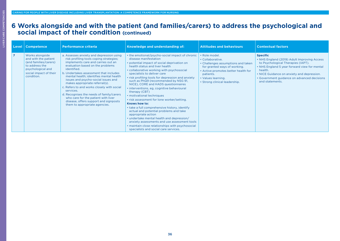### **6 Works alongside and with the patient (and families/carers) to address the psychological and social impact of their condition (continued)**

| Level          | <b>Competence</b>                                                                                                                               | <b>Performance criteria</b>                                                                                                                                                                                                                                                                                                                                                                                                                                                                                                                                        | Knowledge and understanding of:                                                                                                                                                                                                                                                                                                                                                                                                                                                                                                                                                                                                                                                                                                                                                                                                                 | <b>Attitudes and behaviours</b>                                                                                                                                                                                    | <b>Contextual factors</b>                                                                                                                                                                                                                                                       |
|----------------|-------------------------------------------------------------------------------------------------------------------------------------------------|--------------------------------------------------------------------------------------------------------------------------------------------------------------------------------------------------------------------------------------------------------------------------------------------------------------------------------------------------------------------------------------------------------------------------------------------------------------------------------------------------------------------------------------------------------------------|-------------------------------------------------------------------------------------------------------------------------------------------------------------------------------------------------------------------------------------------------------------------------------------------------------------------------------------------------------------------------------------------------------------------------------------------------------------------------------------------------------------------------------------------------------------------------------------------------------------------------------------------------------------------------------------------------------------------------------------------------------------------------------------------------------------------------------------------------|--------------------------------------------------------------------------------------------------------------------------------------------------------------------------------------------------------------------|---------------------------------------------------------------------------------------------------------------------------------------------------------------------------------------------------------------------------------------------------------------------------------|
| $\overline{7}$ | Works alongside<br>and with the patient<br>(and families/carers)<br>to address the<br>psychological and<br>social impact of their<br>condition. | a. Assesses anxiety and depression using<br>risk profiling tools coping strategies;<br>implements care and carries out an<br>evaluation based on the problems<br>identified.<br>b. Undertakes assessment that includes<br>mental health; identifies mental health<br>issues and psycho-social issues and<br>makes appropriate referral(s).<br>c. Refers to and works closely with social<br>services.<br>d. Recognises the needs of family/carers<br>who care for the patient with liver<br>disease, offers support and signposts<br>them to appropriate agencies. | • the emotional/psycho-social impact of chronic<br>disease manifestation<br>• potential impact of social deprivation on<br>health status and liver health<br>• collaborative working with psychosocial<br>specialists to deliver care<br>• risk profiling tools for depression and anxiety<br>such as PhQ9 (recommended by NSG 91,<br>NICE), CORE and HADS questionnaires<br>• interventions, eg, cognitive behavioural<br>therapy (CBT)<br>• motivational techniques<br>. risk assessment for lone worker/setting.<br>Knows how to:<br>• take a full comprehensive history, identify<br>actual and potential problems and take<br>appropriate action<br>• undertake mental health and depression/<br>anxiety assessments and use assessment tools<br>• maintain close relationships with psychosocial<br>specialists and social care services. | • Role model.<br>• Collaborative.<br>• Challenges assumptions and taken<br>for granted ways of working.<br>• Active promotes better health for<br>patients.<br>• Values learning.<br>• Strong clinical leadership. | <b>Specific</b><br>• NHS England (2019) Adult Improving Access<br>to Psychological Therapies (IAPT).<br>• NHS England 5 year forward view for mental<br>health.<br>• NICE Guidance on anxiety and depression.<br>• Government guidance on advanced decisions<br>and statements. |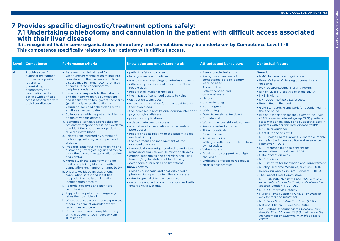#### **7 Provides specific diagnostic/treatment options safely: 7.1 Undertaking phlebotomy and cannulation in the patient with difficult access associated with their liver disease**

**It is recognised that in some organisations phlebotomy and cannulations may be undertaken by Competence Level 1 -5. This competence specifically relates to liver patients with difficult access.**

| Level | <b>Competence</b>                                                                                                                                                                                                  | <b>Performance criteria</b>                                                                                                                                                                                                                                                                                                                                                                                                                                                                                                                                                                                                                                                                                                                                                                                                                                                                                                                                                                                                                                                                                                                                                                                                                                                                                                                                                                                                                                                                                                                                     | Knowledge and understanding of:                                                                                                                                                                                                                                                                                                                                                                                                                                                                                                                                                                                                                                                                                                                                                                                                                                                                                                                                                                                                                                                                                                                                                                       | <b>Attitudes and behaviours</b>                                                                                                                                                                                                                                                                                                                                                                                                                                                                                                                                                                                                                      | <b>Contextual factors</b>                                                                                                                                                                                                                                                                                                                                                                                                                                                                                                                                                                                                                                                                                                                                                                                                                                                                                                                                                                                                                                                                                                                                                                                                                                                                                                                                                                                                                                                                                                                        |
|-------|--------------------------------------------------------------------------------------------------------------------------------------------------------------------------------------------------------------------|-----------------------------------------------------------------------------------------------------------------------------------------------------------------------------------------------------------------------------------------------------------------------------------------------------------------------------------------------------------------------------------------------------------------------------------------------------------------------------------------------------------------------------------------------------------------------------------------------------------------------------------------------------------------------------------------------------------------------------------------------------------------------------------------------------------------------------------------------------------------------------------------------------------------------------------------------------------------------------------------------------------------------------------------------------------------------------------------------------------------------------------------------------------------------------------------------------------------------------------------------------------------------------------------------------------------------------------------------------------------------------------------------------------------------------------------------------------------------------------------------------------------------------------------------------------------|-------------------------------------------------------------------------------------------------------------------------------------------------------------------------------------------------------------------------------------------------------------------------------------------------------------------------------------------------------------------------------------------------------------------------------------------------------------------------------------------------------------------------------------------------------------------------------------------------------------------------------------------------------------------------------------------------------------------------------------------------------------------------------------------------------------------------------------------------------------------------------------------------------------------------------------------------------------------------------------------------------------------------------------------------------------------------------------------------------------------------------------------------------------------------------------------------------|------------------------------------------------------------------------------------------------------------------------------------------------------------------------------------------------------------------------------------------------------------------------------------------------------------------------------------------------------------------------------------------------------------------------------------------------------------------------------------------------------------------------------------------------------------------------------------------------------------------------------------------------------|--------------------------------------------------------------------------------------------------------------------------------------------------------------------------------------------------------------------------------------------------------------------------------------------------------------------------------------------------------------------------------------------------------------------------------------------------------------------------------------------------------------------------------------------------------------------------------------------------------------------------------------------------------------------------------------------------------------------------------------------------------------------------------------------------------------------------------------------------------------------------------------------------------------------------------------------------------------------------------------------------------------------------------------------------------------------------------------------------------------------------------------------------------------------------------------------------------------------------------------------------------------------------------------------------------------------------------------------------------------------------------------------------------------------------------------------------------------------------------------------------------------------------------------------------|
| 6     | Provides specific<br>diagnostic/treatment<br>options safely with<br>regards to:<br>undertaking<br>phlebotomy and<br>cannulation in the<br>patient with difficult<br>access associated with<br>their liver disease. | a. Assesses the clinical need for<br>venepuncture/cannulation taking into<br>consideration that patients with liver<br>disease may be immunocompromised<br>or have altered coagulopathy/<br>peripheral oedema.<br>b. Listens and responds to the patient's<br>and their carer/family's suggestions<br>and is sensitive to family/carer concerns<br>(particularly when the patient is a<br>young person) and acknowledges the<br>adult as an expert patient.<br>c. Collaborates with the patient to identify<br>points of venous access.<br>d. Identifies alternative approaches for<br>patients with 'poor access' and oedema,<br>and identifies strategies for patients to<br>take their own blood.<br>e. Selects vein informed by a range of<br>factors, eg, with regards to pain and<br>asepsis.<br>f. Prepares patient using comforting and<br>distracting strategies, eg, use of topical<br>anaesthetic cream or spray, distraction<br>and comfort.<br>g. Agrees with the patient what to do<br>if difficulty taking bloods or with<br>cannulation, eg, number of times to try.<br>h. Undertakes blood investigations/<br>cannulation safely and identifies<br>the patient verbally or via patient<br>identification bracelet.<br>Records, observes and monitors<br>cannula site.<br>j. Supports the patient who regularly<br>takes their own blood.<br>k. Where applicable trains and supervises<br>others in cannulation/phlebotomy<br>techniques and care.<br>Undertakes cannulation/phlebotomy<br>using ultrasound techniques or vein<br>illumination. | • patient safety and consent<br>• local guidance and policies<br>• anatomy and physiology of arteries and veins<br>· different types of cannulation/butterflies or<br>needle sizes<br>• needle stick guidance/policies<br>• the impact of continued access to veins<br>· distraction techniques<br>• when it is appropriate for the patient to take<br>their own blood<br>• the increased risk of keloid/scarring/infection/<br>psychological distress<br>• possible complications<br>· aids to dilate venous access<br>· alternatives to cannulations for patients with<br>poor access<br>• needle phobias relating to the patient's past<br>medical history<br>• the treatment and management of iron<br>overload diseases<br>• theoretical knowledge required to undertake<br>ultrasound and use vein illumination devices<br>· criteria, techniques and hazards when using<br>femoral/jugular stabs for blood taking<br>• own scope of practice and limitations.<br>Knows how to:<br>• recognise, manage and deal with needle<br>phobias, its impact on families and carers<br>• refer to specialist help when relevant<br>• recognise and act on complications and with<br>emergency situations. | • Aware of role limitations.<br>· Recognises own level of<br>competence, able to identify<br>learning needs.<br>· Accountable.<br>• Patient centred and<br>compassionate.<br>• Listens.<br>• Understanding.<br>• Non-judgmental.<br>· Welcoming.<br>• Open to receiving feedback.<br>• Confidential.<br>• Works in partnership with others.<br>• Person-centred approach.<br>• Thinks creatively.<br>• Develops trust.<br>• Provides choices.<br>• Willing to reflect on and learn from<br>own practice.<br>• Values others.<br>• Provides high support and high<br>challenge.<br><b>Embraces different perspectives.</b><br>• Models best practice. | <b>Generic</b><br>• NMC documents and guidance.<br>• Royal College of Nursing documents and<br>guidance.<br>• RCN Gastrointestinal Nursing Forum.<br>• British Liver Nurses Association (BLNA).<br>• NHS England.<br>• DH (2009) Making a Difference.<br>• Public Health England.<br>• Gold Standards Framework for people nearing<br>the end of life.<br>. British Association for the Study of the Liver<br>(BASL) special interest group (SIG) position<br>statement on palliative and supportive care in<br>patients with chronic liver disease (2019).<br>• NICE liver guidance.<br>• Mental Capacity Act 2005.<br>• NHS England Safeguarding Vulnerable People<br>in the NHS - Accountability and Assurance<br>Framework (2015)<br>• DH Reference guide to consent for<br>examination or treatment 2009.<br>• Data Protection Act 2018.<br>• NHS Choices.<br>• NHS Institute for Innovation and Improvement.<br>. Quality Outcome Measures, such as CQUINS.<br>• Improving Quality in Liver Services (IQILS).<br>• The Lancet Liver Commission.<br>• NECPOD 2013 Measuring the units: a review<br>of patients who died with alcohol-related liver<br>disease, London, NCEPOD.<br>• NHS IQ (Improving quality).<br>. Nursing Times Learning Unit. Liver Disease:<br>Risk factors and treatment.<br>• NHS 2nd Atlas of Variation: Liver (2017).<br>• National Clinical Guidelines Centre.<br>• BASL/BSG: Decompensated Cirrhosis care<br>Bundle: First 24 hours BSG Guidelines on the<br>management of abnormal liver blood tests<br>(2017). |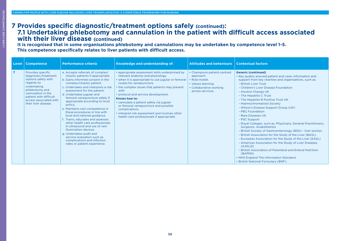# **7 Provides specific diagnostic/treatment options safely (continued): 7.1 Undertaking phlebotomy and cannulation in the patient with difficult access associated with their liver disease (continued)**

**It is recognised that in some organisations phlebotomy and cannulations may be undertaken by competence level 1-5. This competence specifically relates to liver patients with difficult access.**

| Level          | <b>Competence</b>                                                                                                                                                                                                  | <b>Performance criteria</b>                                                                                                                                                                                                                                                                                                                                                                                                                                                                                                                                                                                                                                                        | Knowledge and understanding of:                                                                                                                                                                                                                                                                                                                                                                                                                                                          | <b>Attitudes and behaviours</b>                                                                                                | <b>Contextual factors</b>                                                                                                                                                                                                                                                                                                                                                                                                                                                                                                                                                                                                                                                                                                                                                                                                                                                                                                                                    |
|----------------|--------------------------------------------------------------------------------------------------------------------------------------------------------------------------------------------------------------------|------------------------------------------------------------------------------------------------------------------------------------------------------------------------------------------------------------------------------------------------------------------------------------------------------------------------------------------------------------------------------------------------------------------------------------------------------------------------------------------------------------------------------------------------------------------------------------------------------------------------------------------------------------------------------------|------------------------------------------------------------------------------------------------------------------------------------------------------------------------------------------------------------------------------------------------------------------------------------------------------------------------------------------------------------------------------------------------------------------------------------------------------------------------------------------|--------------------------------------------------------------------------------------------------------------------------------|--------------------------------------------------------------------------------------------------------------------------------------------------------------------------------------------------------------------------------------------------------------------------------------------------------------------------------------------------------------------------------------------------------------------------------------------------------------------------------------------------------------------------------------------------------------------------------------------------------------------------------------------------------------------------------------------------------------------------------------------------------------------------------------------------------------------------------------------------------------------------------------------------------------------------------------------------------------|
| $\overline{7}$ | Provides specific<br>diagnostic/treatment<br>options safely with<br>regards to:<br>undertaking<br>phlebotomy and<br>cannulation in the<br>patient with difficult<br>access associated with<br>their liver disease. | a. Accepts referrals of complex/<br>chaotic patients if appropriate.<br>b. Gains informed consent in the<br>complex/chaotic patient.<br>c. Undertakes and interprets a risk<br>assessment for the patient.<br>d. Undertakes jugular and<br>femoral venepuncture safely if<br>appropriate according to local<br>policy.<br>e. Maintains own competence in<br>these procedures in line with<br>local and national guidance.<br>f. Trains, educates and assesses<br>other health care professionals<br>in ultrasound and use of vein<br>illumination devices.<br>g. Undertakes audit and<br>service evaluation such as<br>complications and infection<br>rates or patient experience. | • appropriate assessment skills underpinned by<br>relevant anatomy and physiology<br>• when it is appropriate to use jugular or femoral<br>routes for venepuncture<br>• the complex issues that patients may present<br>with<br>• protocol and service development.<br>Knows how to:<br>· cannulate a patient safely via jugular<br>or femoral venepuncture and possible<br>complications<br>• interpret risk assessment and involves other<br>health care professionals if appropriate. | • Champions patient-centred<br>approach.<br>· Role model.<br>• Values learning.<br>• Collaborative working<br>across services. | <b>Generic (continued)</b><br>• Key quality assured patient and carer information and<br>support from key charities and organisations, such as:<br>- British Liver Trust<br>- Children's Liver Disease Foundation<br>- Alcohol Change UK<br>- The Hepatitis C Trust<br>- The Hepatitis B Positive Trust UK<br>- Haemochromatosis Society<br>- Wilson's Disease Support Group (UK)<br>- PBC Foundation<br>- Rare Diseases UK<br>- PSC Support<br>- Royal Colleges, such as, Physicians, General Practitioners,<br>Surgeons, Anaesthetists<br>- British Society of Gastroenterology (BSG) - liver section<br>- British Association for the Study of the Liver (BASL)<br>- European Association for the Study of the Liver (EASL)<br>- American Association for the Study of Liver Diseases<br>(AASLD)<br>- British Association of Parenteral and Enteral Nutrition<br>(BAPEN)<br>• NHS England The Information Standard<br>• British National Formulary (BNF). |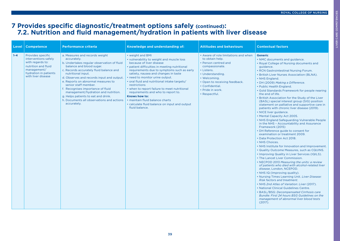# **7 Provides specific diagnostic/treatment options safely (continued): 7.2. Nutrition and fluid management/hydration in patients with liver disease**

| Level   | <b>Competence</b>                                                                                                                                  | <b>Performance criteria</b>                                                                                                                                                                                                                                                                                                                                                                                                                                                        | Knowledge and understanding of:                                                                                                                                                                                                                                                                                                                                                                                                                                                                                                                  | <b>Attitudes and behaviours</b>                                                                                                                                                                                                              | <b>Contextual factors</b>                                                                                                                                                                                                                                                                                                                                                                                                                                                                                                                                                                                                                                                                                                                                                                                                                                                                                                                                                                                                                                                                                                                                                                                                                                                                                                                                                                                                                                                                                                                        |
|---------|----------------------------------------------------------------------------------------------------------------------------------------------------|------------------------------------------------------------------------------------------------------------------------------------------------------------------------------------------------------------------------------------------------------------------------------------------------------------------------------------------------------------------------------------------------------------------------------------------------------------------------------------|--------------------------------------------------------------------------------------------------------------------------------------------------------------------------------------------------------------------------------------------------------------------------------------------------------------------------------------------------------------------------------------------------------------------------------------------------------------------------------------------------------------------------------------------------|----------------------------------------------------------------------------------------------------------------------------------------------------------------------------------------------------------------------------------------------|--------------------------------------------------------------------------------------------------------------------------------------------------------------------------------------------------------------------------------------------------------------------------------------------------------------------------------------------------------------------------------------------------------------------------------------------------------------------------------------------------------------------------------------------------------------------------------------------------------------------------------------------------------------------------------------------------------------------------------------------------------------------------------------------------------------------------------------------------------------------------------------------------------------------------------------------------------------------------------------------------------------------------------------------------------------------------------------------------------------------------------------------------------------------------------------------------------------------------------------------------------------------------------------------------------------------------------------------------------------------------------------------------------------------------------------------------------------------------------------------------------------------------------------------------|
| $1 - 4$ | Provides specific<br>interventions safely<br>with regards to:<br>nutrition and fluid<br>management/<br>hydration in patients<br>with liver disease | a. Measures and records weight<br>accurately.<br>b. Undertakes regular observation of fluid<br>balance and blood sugar.<br>c. Records accurately fluid balance and<br>nutritional input.<br>d. Observes and records input and output.<br>e. Reports on abnormal measures to<br>senior staff member.<br>f. Recognises importance of fluid<br>management/hydration and nutrition.<br>g. Helps patients to eat and drink.<br>h. Documents all observations and actions<br>accurately. | • weight and BMI<br>• vulnerability to weight and muscle loss<br>because of liver disease<br>• patient difficulties in meeting nutritional<br>requirements due to symptoms such as early<br>satiety, nausea and changes in taste<br>• need to monitor urine output.<br>• oral fluid and nutritional intake targets/<br>restrictions<br>• when to report failure to meet nutritional<br>requirements and who to report to.<br>Knows how to:<br>· maintain fluid balance charts<br>• calculate fluid balance on input and output<br>fluid balance. | • Aware of role limitations and when<br>to obtain help.<br>• Person centred and<br>compassionate.<br>• Listens.<br>• Understanding.<br>• Welcoming.<br>• Open to receiving feedback.<br>• Confidential.<br>· Pride in work.<br>• Respectful. | <b>Generic</b><br>• NMC documents and guidance.<br>• Royal College of Nursing documents and<br>guidance.<br>• RCN Gastrointestinal Nursing Forum.<br>• British Liver Nurses Association (BLNA).<br>• NHS England.<br>• DH (2009) Making a Difference.<br>• Public Health England.<br>• Gold Standards Framework for people nearing<br>the end of life.<br>• British Association for the Study of the Liver<br>(BASL) special interest group (SIG) position<br>statement on palliative and supportive care in<br>patients with chronic liver disease (2019).<br>• NICE liver guidance.<br>• Mental Capacity Act 2005.<br>. NHS England Safeguarding Vulnerable People<br>in the NHS - Accountability and Assurance<br>Framework (2015)<br>• DH Reference guide to consent for<br>examination or treatment 2009.<br>• Data Protection Act 2018.<br>• NHS Choices.<br>• NHS Institute for Innovation and Improvement.<br>• Quality Outcome Measures, such as CQUINS.<br>• Improving Quality in Liver Services (IQILS).<br>• The Lancet Liver Commission.<br>• NECPOD 2013 Measuring the units: a review<br>of patients who died with alcohol-related liver<br>disease, London, NCEPOD.<br>• NHS IQ (Improving quality).<br>• Nursing Times Learning Unit. Liver Disease:<br>Risk factors and treatment.<br>• NHS 2nd Atlas of Variation: Liver (2017).<br>• National Clinical Guidelines Centre.<br>• BASL/BSG: Decompensated Cirrhosis care<br>Bundle: First 24 hours BSG Guidelines on the<br>management of abnormal liver blood tests<br>(2017). |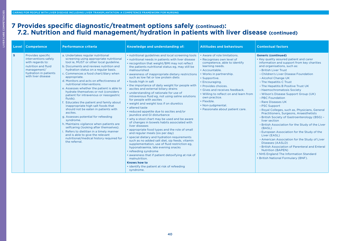# **7 Provides specific diagnostic/treatment options safely (continued): 7.2. Nutrition and fluid management/hydration in patients with liver disease (continued)**

| Level          | <b>Competence</b>                                                                                                                                  | <b>Performance criteria</b>                                                                                                                                                                                                                                                                                                                                                                                                                                                                                                                                                                                                                                                                                                                                                                                                                                                                                     | Knowledge and understanding of:                                                                                                                                                                                                                                                                                                                                                                                                                                                                                                                                                                                                                                                                                                                                                                                                                                                                                                                                                                                                                                                                                                                                                                                                                                                                    | <b>Attitudes and behaviours</b>                                                                                                                                                                                                                                                                                                                                                          | <b>Contextual factors</b>                                                                                                                                                                                                                                                                                                                                                                                                                                                                                                                                                                                                                                                                                                                                                                                                                                                                                                                                                       |
|----------------|----------------------------------------------------------------------------------------------------------------------------------------------------|-----------------------------------------------------------------------------------------------------------------------------------------------------------------------------------------------------------------------------------------------------------------------------------------------------------------------------------------------------------------------------------------------------------------------------------------------------------------------------------------------------------------------------------------------------------------------------------------------------------------------------------------------------------------------------------------------------------------------------------------------------------------------------------------------------------------------------------------------------------------------------------------------------------------|----------------------------------------------------------------------------------------------------------------------------------------------------------------------------------------------------------------------------------------------------------------------------------------------------------------------------------------------------------------------------------------------------------------------------------------------------------------------------------------------------------------------------------------------------------------------------------------------------------------------------------------------------------------------------------------------------------------------------------------------------------------------------------------------------------------------------------------------------------------------------------------------------------------------------------------------------------------------------------------------------------------------------------------------------------------------------------------------------------------------------------------------------------------------------------------------------------------------------------------------------------------------------------------------------|------------------------------------------------------------------------------------------------------------------------------------------------------------------------------------------------------------------------------------------------------------------------------------------------------------------------------------------------------------------------------------------|---------------------------------------------------------------------------------------------------------------------------------------------------------------------------------------------------------------------------------------------------------------------------------------------------------------------------------------------------------------------------------------------------------------------------------------------------------------------------------------------------------------------------------------------------------------------------------------------------------------------------------------------------------------------------------------------------------------------------------------------------------------------------------------------------------------------------------------------------------------------------------------------------------------------------------------------------------------------------------|
| $5\phantom{1}$ | Provides specific<br>interventions safely<br>with regards to:<br>nutrition and fluid<br>management/<br>hydration in patients<br>with liver disease | a. Undertakes regular nutritional<br>screening using appropriate nutritional<br>tool ie, MUST or other local guideline.<br>b. Documents and reviews nutrition and<br>hydration status on a regular basis.<br>c. Commences a food chart/diary when<br>appropriate.<br>d. Monitors and acts on effectiveness of<br>nutritional interventions.<br>e. Assesses whether the patient is able to<br>hydrate themselves or not (considers<br>patient for intravenous or nasogastric<br>fluids).<br>Educates the patient and family about<br>inappropriate high salt foods that<br>should not be eaten in patients with<br>ascites.<br>g. Assesses potential for refeeding<br>syndrome.<br>h. Maintains vigilance when patients are<br>selfcaring (looking after themselves).<br>Refers to dietitian in a timely manner<br>and is able to give the relevant<br>nutritional/medical history required for<br>the referral. | . nutritional guidelines and local screening tools<br>• nutritional needs in patients with liver disease<br>• recognition that weight/BMI may not reflect<br>the patients nutritional status eg, may still be<br>malnourished<br>• awareness of inappropriate dietary restrictions<br>such as low fat or low protein diets<br>• foods high in salt<br>• the importance of daily weight for people with<br>ascites and external biliary drains<br>• understanding of rationale for use of<br>intravenous fluid eg, not using saline solutions<br>for people with ascites<br>• weight and weight loss if on diuretics<br>· altered taste<br>• reduced appetite due to ascites and/or<br>jaundice and GI disturbance<br>• why a stool chart may be used and be aware<br>of changes in bowels habits associated with<br>liver diseases<br>• appropriate food types and the role of small<br>and regular meals (six per day)<br>• special dietary and hydration requirements<br>such as no added salt diet, sip feeds, vitamin<br>supplementation, use of fluid restriction eg.<br>hyponatraemia, late evening snacks<br>• refeeding syndrome<br>• awareness that if patient detoxifying at risk of<br>malnutrition.<br><b>Knows how to</b><br>• identify the patient at risk of refeeding<br>syndrome. | • Aware of role limitations.<br>• Recognises own level of<br>competence, able to identify<br>learning needs.<br>• Accountable.<br>• Works in partnership.<br>• Supportive.<br>• Encouraging.<br>· Provides choices.<br>• Gives and receives feedback.<br>• Willing to reflect on and learn from<br>own practice.<br>· Flexible.<br>• Non-judgmental.<br>• Passionate about patient care. | <b>Generic (continued)</b><br>• Key quality assured patient and carer<br>information and support from key charities<br>and organisations, such as:<br>- British Liver Trust<br>- Children's Liver Disease Foundation<br>- Alcohol Change UK<br>- The Hepatitis C Trust<br>- The Hepatitis B Positive Trust UK<br>- Haemochromatosis Society<br>- Wilson's Disease Support Group (UK)<br>- PBC Foundation<br>- Rare Diseases UK<br>- PSC Support<br>- Royal Colleges, such as, Physicians, General<br>Practitioners, Surgeons, Anaesthetists<br>- British Society of Gastroenterology (BSG) -<br>liver section<br>- British Association for the Study of the Liver<br>(BASL)<br>- European Association for the Study of the<br>Liver (EASL)<br>- American Association for the Study of Liver<br>Diseases (AASLD)<br>- British Association of Parenteral and Enteral<br><b>Nutrition (BAPEN)</b><br>• NHS England The Information Standard<br>• British National Formulary (BNF). |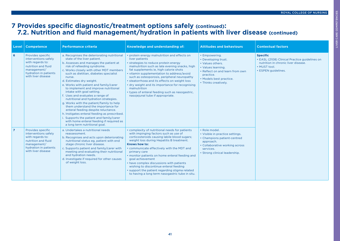LIVER CARE COMPETENCIES

LIVER CARE COMPETENCIES

# **7 Provides specific diagnostic/treatment options safely (continued): 7.2. Nutrition and fluid management/hydration in patients with liver disease (continued)**

|                | Level   Competence                                                                                                                                 | <b>Performance criteria</b>                                                                                                                                                                                                                                                                                                                                                                                                                                                                                                                                                                                                                                                                                                                                                  | <b>Knowledge and understanding of:</b>                                                                                                                                                                                                                                                                                                                                                                                                                                                                                               | <b>Attitudes and behaviours</b>                                                                                                                                                   | <b>Contextual factors</b>                                                                                                                      |
|----------------|----------------------------------------------------------------------------------------------------------------------------------------------------|------------------------------------------------------------------------------------------------------------------------------------------------------------------------------------------------------------------------------------------------------------------------------------------------------------------------------------------------------------------------------------------------------------------------------------------------------------------------------------------------------------------------------------------------------------------------------------------------------------------------------------------------------------------------------------------------------------------------------------------------------------------------------|--------------------------------------------------------------------------------------------------------------------------------------------------------------------------------------------------------------------------------------------------------------------------------------------------------------------------------------------------------------------------------------------------------------------------------------------------------------------------------------------------------------------------------------|-----------------------------------------------------------------------------------------------------------------------------------------------------------------------------------|------------------------------------------------------------------------------------------------------------------------------------------------|
| 6              | Provides specific<br>interventions safely<br>with regards to:<br>nutrition and fluid<br>management/<br>hydration in patients<br>with liver disease | a. Recognises the deteriorating nutritional<br>state of the liver patient.<br>b. Assesses and manages the patient at<br>risk of refeeding syndrome.<br>c. Works closely with other MDT members<br>such as dietitian, diabetes specialist<br>nurse.<br>d. Estimates dry weight.<br>e. Works with patient and family/carer<br>to implement and improve nutritional<br>intake with goal setting.<br>f. Uses and evaluates a range of<br>nutritional and hydration strategies.<br>g. Works with the patient/family to help<br>them understand the importance for<br>enteral feeding despite reluctance.<br>h. Instigates enteral feeding as prescribed.<br>i. Supports the patient and family/carer<br>with home enteral feeding if required as<br>a long term nutritional goal. | • protein energy malnutrition and effects on<br>liver patients<br>• strategies to reduce protein energy<br>malnutrition such as late evening snacks, high<br>fat supplements ie, high calorie shots<br>• vitamin supplementation to address/avoid<br>such as osteoporosis, peripheral neuropathy<br>• steatorrhoea and its effects on weight loss<br>• dry weight and its importance for recognising<br>malnutrition<br>• types of enteral feeding such as nasogastric.<br>nasojejunal tube if appropriate.                          | • Empowering.<br>• Developing trust.<br>• Values others.<br>• Values learning.<br>• Reflect on and learn from own<br>practice.<br>• Models best practice.<br>• Thinks creatively. | <b>Specific</b><br>• EASL (2108) Clinical Practice guidelines on<br>nutrition in chronic liver disease.<br>• MUST tool.<br>• ESPEN guidelines. |
| $\overline{7}$ | Provides specific<br>interventions safely<br>with regards to:<br>nutrition and fluid<br>management/<br>hydration in patients<br>with liver disease | a. Undertakes a nutritional needs<br>reassessment.<br>b. Recognises and acts upon deteriorating<br>nutritional status eg, patient with end<br>stage chronic liver disease.<br>c. Supports patient and family/carer with<br>meeting and evaluating their nutritional<br>and hydration needs.<br>d. Investigate if required for other causes<br>of weight loss.                                                                                                                                                                                                                                                                                                                                                                                                                | • complexity of nutritional needs for patients<br>with impinging factors such as use of<br>corticosteroids causing labile blood sugars;<br>weight loss during Hepatitis B treatment.<br>Knows how to:<br>• communicate effectively with the MDT and<br>primary care<br>• monitor patients on home enteral feeding and<br>goal achievement<br>• have complex discussions with patients<br>wishing to discontinue enteral feeding<br>• support the patient regarding stigma related<br>to having a long term nasogastric tube in situ. | · Role model.<br>• Visible in practice settings.<br>• Champions patient-centred<br>approach.<br>• Collaborative working across<br>services.<br>• Strong clinical leadership.      |                                                                                                                                                |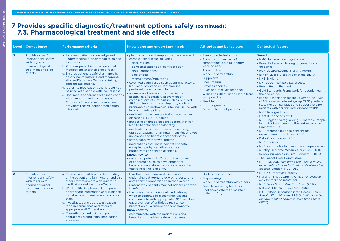LIVER CARE COMPETENCIES

LIVER CARE COMPETENCIES

#### **7 Provides specific diagnostic/treatment options safely (continued): 7.3. Pharmacological treatment and side effects**

| Level          | <b>Competence</b>                                                                                                  | <b>Performance criteria</b>                                                                                                                                                                                                                                                                                                                                                                                                                                                                                                                                                                                  | Knowledge and understanding of:                                                                                                                                                                                                                                                                                                                                                                                                                                                                                                                                                                                                                                                                                                                                                                                                                                                                                                                                                                                                                                                                                                                                                                                                                                          | <b>Attitudes and behaviours</b>                                                                                                                                                                                                                                                                                                                                                          | <b>Contextual factors</b>                                                                                                                                                                                                                                                                                                                                                                                                                                                                                                                                                                                                                                                                                                                                                                                                                                                                                                                                                                                                                                                                                                                                                           |
|----------------|--------------------------------------------------------------------------------------------------------------------|--------------------------------------------------------------------------------------------------------------------------------------------------------------------------------------------------------------------------------------------------------------------------------------------------------------------------------------------------------------------------------------------------------------------------------------------------------------------------------------------------------------------------------------------------------------------------------------------------------------|--------------------------------------------------------------------------------------------------------------------------------------------------------------------------------------------------------------------------------------------------------------------------------------------------------------------------------------------------------------------------------------------------------------------------------------------------------------------------------------------------------------------------------------------------------------------------------------------------------------------------------------------------------------------------------------------------------------------------------------------------------------------------------------------------------------------------------------------------------------------------------------------------------------------------------------------------------------------------------------------------------------------------------------------------------------------------------------------------------------------------------------------------------------------------------------------------------------------------------------------------------------------------|------------------------------------------------------------------------------------------------------------------------------------------------------------------------------------------------------------------------------------------------------------------------------------------------------------------------------------------------------------------------------------------|-------------------------------------------------------------------------------------------------------------------------------------------------------------------------------------------------------------------------------------------------------------------------------------------------------------------------------------------------------------------------------------------------------------------------------------------------------------------------------------------------------------------------------------------------------------------------------------------------------------------------------------------------------------------------------------------------------------------------------------------------------------------------------------------------------------------------------------------------------------------------------------------------------------------------------------------------------------------------------------------------------------------------------------------------------------------------------------------------------------------------------------------------------------------------------------|
| 5 <sup>5</sup> | Provides specific<br>interventions safely<br>with regards to:<br>pharmacological<br>treatment and side<br>effects. | a. Assesses patient's knowledge and<br>understanding of their medication and<br>its effects.<br>b. Provides patient information about<br>medications and their side effects.<br>c. Ensures patient is safe at all times by<br>observing, monitoring and recording<br>all identified side effects and taking<br>appropriate actions.<br>d. Is alert to medications that should not<br>be used with people with liver disease.<br>e. Documents adherence with medications<br>within medical and nursing notes.<br>f. Ensures primary or secondary care<br>providers receive patient medication<br>information. | • pharmacological therapies used in acute and<br>chronic liver disease including:<br>- dose regime<br>- contraindications eg, contraception<br>- drug interactions<br>- side effects<br>- management/monitoring<br>• core medication used such as spironolactone,<br>lactulose, propranolol, azathioprine,<br>prednisolone and rifaximin<br>· awareness of medications used in the<br>prophylaxis/secondary prevention of<br>complications of cirrhosis (such as GI bleed,<br>SBP and hepatic encephalopathy) such as<br>propranolol, ciprofloxacin, rifaximin in line with<br>local antibiotic policy<br>• medications that are contraindicated in liver<br>disease eg, NSAIDs, aspirin<br>• impact of analgesia on constipation that can<br>lead to hepatic encephalopathy<br>• medications that lead to over-diuresis eg.<br>diuretics causing renal impairment /electrolyte<br>imbalance and hepatic encephalopathy<br>· safe alcohol withdrawal regime<br>• medications that can precipitate hepatic<br>encephalopathy; sedatives such as<br>barbiturates or benzodiazepines.<br>Knows how to:<br>• recognise potential effects on the patient<br>of adherence such as development of<br>hepatic encephalopathy, increase in ascites,<br>gastrointestinal bleeding. | • Aware of role limitations.<br>· Recognises own level of<br>competence, able to identify<br>learning needs.<br>· Accountable.<br>• Works in partnership.<br>· Supportive.<br>• Encouraging.<br>• Provides choices.<br>• Gives and receives feedback.<br>. Willing to reflect on and learn from<br>own practice.<br>• Flexible.<br>• Non-judgmental.<br>· Passionate about patient care. | <b>Generic</b><br>• NMC documents and guidance.<br>• Royal College of Nursing documents and<br>guidance.<br>• RCN Gastrointestinal Nursing Forum.<br>• British Liver Nurses Association (BLNA).<br>• NHS England.<br>• DH (2009) Making a Difference.<br>• Public Health England.<br>• Gold Standards Framework for people nearing<br>the end of life.<br>. British Association for the Study of the Liver<br>(BASL) special interest group (SIG) position<br>statement on palliative and supportive care in<br>patients with chronic liver disease (2019).<br>• NICE liver guidance.<br>• Mental Capacity Act 2005.<br>• NHS England Safeguarding Vulnerable People<br>in the NHS - Accountability and Assurance<br>Framework (2015)<br>• DH Reference guide to consent for<br>examination or treatment 2009.<br>• Data Protection Act 2018.<br>• NHS Choices.<br>• NHS Institute for Innovation and Improvement.<br>. Quality Outcome Measures, such as CQUINS.<br>• Improving Quality in Liver Services (IQILS).<br>• The Lancet Liver Commission.<br>• NECPOD 2013 Measuring the units: a review<br>of patients who died with alcohol-related liver<br>disease, London, NCEPOD. |
| 6              | Provides specific<br>interventions safely<br>with regards to:<br>pharmacological<br>treatment and side<br>effects. | a. Reviews and builds on understanding<br>of the patient and family/carer and also<br>other staff members with regard to<br>medication and the side effects.<br>b. Works with the pharmacist to provide<br>appropriate information and guidance<br>to patients and family/carer and also<br>staff.<br>c. Investigates and addresses reasons<br>for non compliance and refers to<br>appropriate MDT members.<br>d. Co-ordinates and acts as a point of<br>contact regarding initial medication<br>enquiries.                                                                                                  | • how the medication works in relation to<br>underlying pathophysiology eg, aldosterone<br>antagonistic properties of spironolactone<br>• reasons why patients may not adhere and who<br>to refer to<br>• the indication of individual medications.<br>when to continue or discontinue use and<br>communicate with appropriate MDT member<br>eg, prevention of antibiotic resistance,<br>prevention of Wernicke's encephalopathy.<br>Knows how to:<br>• communicate with the patient risks and<br>benefits of possible treatment regimes.                                                                                                                                                                                                                                                                                                                                                                                                                                                                                                                                                                                                                                                                                                                                | • Models best practice.<br>• Empowering.<br>• Works in partnership with others.<br>• Open to receiving feedback.<br>• Challenges others to maintain<br>patient safety.                                                                                                                                                                                                                   | • NHS IQ (Improving quality).<br>. Nursing Times Learning Unit. Liver Disease:<br><b>Risk factors and treatment.</b><br>• NHS 2nd Atlas of Variation: Liver (2017).<br>• National Clinical Guidelines Centre.<br>• BASL/BSG: Decompensated Cirrhosis care<br>Bundle: First 24 hours BSG Guidelines on the<br>management of abnormal liver blood tests<br>(2017).                                                                                                                                                                                                                                                                                                                                                                                                                                                                                                                                                                                                                                                                                                                                                                                                                    |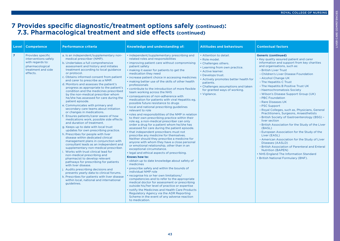# **7 Provides specific diagnostic/treatment options safely (continued): 7.3. Pharmacological treatment and side effects (continued)**

| <b>Level</b>   | <b>Competence</b>                                                                                                  | <b>Performance criteria</b>                                                                                                                                                                                                                                                                                                                                                                                                                                                                                                                                                                                                                                                                                                                                                                                                                                                                                                                                                                                                                                                                                                                                                                                                                                                                                                                                                                                                     | Knowledge and understanding of:                                                                                                                                                                                                                                                                                                                                                                                                                                                                                                                                                                                                                                                                                                                                                                                                                                                                                                                                                                                                                                                                                                                                                                                                                                                                                                                                                                                                                                                                                                                                                                                                                                                                                                      | <b>Attitudes and behaviours</b>                                                                                                                                                                                                                                                        | <b>Contextual factors</b>                                                                                                                                                                                                                                                                                                                                                                                                                                                                                                                                                                                                                                                                                                                                                                                                                                                                                                                                                       |
|----------------|--------------------------------------------------------------------------------------------------------------------|---------------------------------------------------------------------------------------------------------------------------------------------------------------------------------------------------------------------------------------------------------------------------------------------------------------------------------------------------------------------------------------------------------------------------------------------------------------------------------------------------------------------------------------------------------------------------------------------------------------------------------------------------------------------------------------------------------------------------------------------------------------------------------------------------------------------------------------------------------------------------------------------------------------------------------------------------------------------------------------------------------------------------------------------------------------------------------------------------------------------------------------------------------------------------------------------------------------------------------------------------------------------------------------------------------------------------------------------------------------------------------------------------------------------------------|--------------------------------------------------------------------------------------------------------------------------------------------------------------------------------------------------------------------------------------------------------------------------------------------------------------------------------------------------------------------------------------------------------------------------------------------------------------------------------------------------------------------------------------------------------------------------------------------------------------------------------------------------------------------------------------------------------------------------------------------------------------------------------------------------------------------------------------------------------------------------------------------------------------------------------------------------------------------------------------------------------------------------------------------------------------------------------------------------------------------------------------------------------------------------------------------------------------------------------------------------------------------------------------------------------------------------------------------------------------------------------------------------------------------------------------------------------------------------------------------------------------------------------------------------------------------------------------------------------------------------------------------------------------------------------------------------------------------------------------|----------------------------------------------------------------------------------------------------------------------------------------------------------------------------------------------------------------------------------------------------------------------------------------|---------------------------------------------------------------------------------------------------------------------------------------------------------------------------------------------------------------------------------------------------------------------------------------------------------------------------------------------------------------------------------------------------------------------------------------------------------------------------------------------------------------------------------------------------------------------------------------------------------------------------------------------------------------------------------------------------------------------------------------------------------------------------------------------------------------------------------------------------------------------------------------------------------------------------------------------------------------------------------|
| $\overline{z}$ | Provides specific<br>interventions safely<br>with regards to:<br>pharmacological<br>treatment and side<br>effects. | a. Is an independent/supplementary non-<br>medical prescriber (NMP).<br>b. Undertakes a full comprehensive<br>assessment and history and initiates<br>treatment according to local guidance<br>or protocol.<br>c. Obtains informed consent from patient<br>and carer to prescribe as a NMP.<br>d. Monitors and assesses the patient's<br>progress as appropriate to the patient's<br>condition and the medicines prescribed<br>by the non-medical prescriber whom<br>he/she has assessed for care during the<br>patient episode.<br>e. Communicates with primary and<br>secondary care teams about initiation<br>or changes in medications.<br>f. Ensures patients/carer aware of how<br>medications work, possible side effects<br>and duration of treatment.<br>g. Keeps up to date with local trust<br>updates for own prescribing practice.<br>h. Prescribes for people with liver<br>disease within dedicated clinical<br>management plans in conjunction with<br>consultant leads as an independent and<br>supplementary non-medical prescriber.<br>i. Works with trust clinical lead for<br>non-medical prescribing and<br>pharmacist to develop relevant<br>pathways for prescribing for patients<br>with liver disease.<br>j. Audits prescribing decisions and<br>presents yearly data to clinical forums.<br>k. Prescribes for patients with liver disease<br>within local, national and international<br>guidelines. | • independent/supplementary prescribing and<br>related roles and responsibilities<br>• improving patient care without compromising<br>patient safety<br>. making it easier for patients to get the<br>medication they need<br>• increase patient choice in accessing medicines<br>. making better use of the skills of other health<br>professionals<br>• contribute to the introduction of more flexible<br>team working across the NHS<br>• consequences of non-adherence with<br>medication for patients with viral Hepatitis eg.<br>possible future resistance to drugs<br>• local and national prescribing guidelines<br>relevant to role<br>• roles and responsibilities of the NMP in relation<br>to their own prescribing practice within their<br>role eg, a non-medical prescriber can only<br>order a drug for a patient whom he/she has<br>assessed for care during the patient episode.<br>• that independent prescribers must not<br>prescribe any medicine for themselves.<br>Neither should they prescribe a medicine for<br>anyone with whom they have a close personal<br>or emotional relationship, other than in an<br>exceptional circumstance.<br>• legal and ethical aspects of prescribing.<br>Knows how to:<br>• obtain up to date knowledge about safety of<br>medicines<br>• prescribe safely and within the bounds of<br>individual NMP role<br>• recognise his or her own limitations/<br>competencies and to refer to the appropriate<br>medical doctor for assessment or prescribing<br>outside his/her level of practice or expertise<br>• notify the Medicines and Health Care Products<br>Regulatory Agency via the ADR Reporting<br>Scheme in the event of any adverse reaction<br>to medication. | • Attention to detail.<br>· Role model.<br>• Challenges others.<br>• Learning from own practice.<br>• Active learner.<br>• Develops trust.<br>• Actively promotes better health for<br>patients.<br>• Challenges assumptions and taken<br>for granted ways of working.<br>• Vigilance. | <b>Generic (continued)</b><br>• Key quality assured patient and carer<br>information and support from key charities<br>and organisations, such as:<br>- British Liver Trust<br>- Children's Liver Disease Foundation<br>- Alcohol Change UK<br>- The Hepatitis C Trust<br>- The Hepatitis B Positive Trust UK<br>- Haemochromatosis Society<br>- Wilson's Disease Support Group (UK)<br>- PBC Foundation<br>- Rare Diseases UK<br>- PSC Support<br>- Royal Colleges, such as, Physicians, General<br>Practitioners, Surgeons, Anaesthetists<br>- British Society of Gastroenterology (BSG) -<br>liver section<br>- British Association for the Study of the Liver<br>(BASL)<br>- European Association for the Study of the<br>Liver (EASL)<br>- American Association for the Study of Liver<br>Diseases (AASLD)<br>- British Association of Parenteral and Enteral<br><b>Nutrition (BAPEN)</b><br>• NHS England The Information Standard<br>• British National Formulary (BNF). |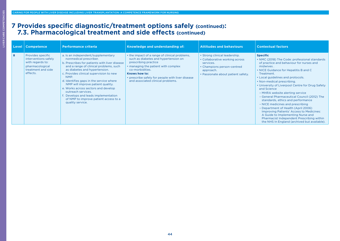# **7 Provides specific diagnostic/treatment options safely (continued): 7.3. Pharmacological treatment and side effects (continued)**

|   | Level   Competence                                                                                                 | <b>Performance criteria</b>                                                                                                                                                                                                                                                                                                                                                                                                                                                                   | <b>Knowledge and understanding of:</b>                                                                                                                                                                                                                                            | <b>Attitudes and behaviours</b>                                                                                                                               | <b>Contextual factors</b>                                                                                                                                                                                                                                                                                                                                                                                                                                                                                                                                                                                                                                                                              |
|---|--------------------------------------------------------------------------------------------------------------------|-----------------------------------------------------------------------------------------------------------------------------------------------------------------------------------------------------------------------------------------------------------------------------------------------------------------------------------------------------------------------------------------------------------------------------------------------------------------------------------------------|-----------------------------------------------------------------------------------------------------------------------------------------------------------------------------------------------------------------------------------------------------------------------------------|---------------------------------------------------------------------------------------------------------------------------------------------------------------|--------------------------------------------------------------------------------------------------------------------------------------------------------------------------------------------------------------------------------------------------------------------------------------------------------------------------------------------------------------------------------------------------------------------------------------------------------------------------------------------------------------------------------------------------------------------------------------------------------------------------------------------------------------------------------------------------------|
| 8 | Provides specific<br>interventions safely<br>with regards to:<br>pharmacological<br>treatment and side<br>effects. | a. Is an independent/supplementary<br>nonmedical prescriber.<br>b. Prescribes for patients with liver disease<br>and a range of clinical problems, such<br>as diabetes and hypertension.<br>c. Provides clinical supervision to new<br>NMP.<br>d. Identifies gaps in the service where<br>NMP will improve patient quality.<br>e. Works across sectors and develop<br>outreach services.<br>f. Develops and leads implementation<br>of NMP to improve patient access to a<br>quality service. | • the impact of a range of clinical problems,<br>such as diabetes and hypertension on<br>prescribing practice<br>• managing the patient with complex<br>co-morbidities.<br>Knows how to:<br>• prescribe safely for people with liver disease<br>and associated clinical problems. | • Strong clinical leadership.<br>• Collaborative working across<br>services.<br>• Champions person-centred<br>approach.<br>• Passionate about patient safety. | <b>Specific</b><br>• NMC (2018) The Code: professional standards<br>of practice and behaviour for nurses and<br>midwives.<br>• NICE Guidance for Hepatitis B and C<br>Treatment.<br>• Local guidelines and protocols.<br>• Non-medical prescribing.<br>• University of Liverpool Centre for Drug Safety<br>and Science<br>- MHRA website alerting service<br>- General Pharmaceutical Council (2012) The<br>standards, ethics and performance<br>- NICE medicines and prescribing<br>- Department of Health (April 2006)<br>Improving Patients' Access to Medicines:<br>A Guide to Implementing Nurse and<br>Pharmacist Independent Prescribing within<br>the NHS In England (archived but available). |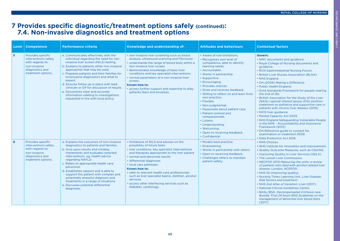# LIVER CARE COMPETENCIES LIVER CARE COMPETENCIES

# **7 Provides specific diagnostic/treatment options safely (continued): 7.4. Non-invasive diagnostics and treatment options**

| Level | <b>Competence</b>                                                                                                      | <b>Performance criteria</b>                                                                                                                                                                                                                                                                                                                                                                                                                                                                                         | Knowledge and understanding of:                                                                                                                                                                                                                                                                                                                                                                                                                                                  | <b>Attitudes and behaviours</b>                                                                                                                                                                                                                                                                                                                                                                                                                                                                                                           | <b>Contextual factors</b>                                                                                                                                                                                                                                                                                                                                                                                                                                                                                                                                                                                                                                                                                                                                                                                      |
|-------|------------------------------------------------------------------------------------------------------------------------|---------------------------------------------------------------------------------------------------------------------------------------------------------------------------------------------------------------------------------------------------------------------------------------------------------------------------------------------------------------------------------------------------------------------------------------------------------------------------------------------------------------------|----------------------------------------------------------------------------------------------------------------------------------------------------------------------------------------------------------------------------------------------------------------------------------------------------------------------------------------------------------------------------------------------------------------------------------------------------------------------------------|-------------------------------------------------------------------------------------------------------------------------------------------------------------------------------------------------------------------------------------------------------------------------------------------------------------------------------------------------------------------------------------------------------------------------------------------------------------------------------------------------------------------------------------------|----------------------------------------------------------------------------------------------------------------------------------------------------------------------------------------------------------------------------------------------------------------------------------------------------------------------------------------------------------------------------------------------------------------------------------------------------------------------------------------------------------------------------------------------------------------------------------------------------------------------------------------------------------------------------------------------------------------------------------------------------------------------------------------------------------------|
| 5     | Provides specific<br>interventions safely<br>with regards to:<br>non-invasive<br>diagnostics and<br>treatment options. | a. Communicates effectively with the<br>individual regarding the need for non<br>invasive liver screen (NILS) testing.<br>b. Explains to patients other non-invasive<br>approaches that may be used.<br>c. Prepares patients and their families for<br>noninvasive diagnostics and what to<br>expect.<br>d. Ensures follow up in place with lead<br>clinician or GP for discussion of results.<br>e. Documents clear and accurate<br>information relating to investigations<br>requested in line with local policy. | • non-invasive liver screening such as blood<br>analysis, ultrasound scanning and Fibroscan<br>• understands the range of blood tests within a<br>non-invasive liver screen<br>· demonstrates knowledge of basic liver<br>conditions and key specialist interventions<br>• normal parameters of a non-invasive liver<br>screen.<br>Knows how to:<br>• access further support and expertise to allay<br>patients fears and anxieties.                                             | • Aware of role limitations.<br>• Recognises own level of<br>competence, able to identify<br>learning needs.<br>• Accountable.<br>• Works in partnership.<br>• Supportive.<br>• Encouraging.<br>• Provides choices.<br>• Gives and receives feedback.<br>• Willing to reflect on and learn from<br>own practice.<br>• Flexible.<br>• Non-judgmental.<br>• Passionate about patient care.<br>• Patient centred and<br>compassionate.<br>• Listens.<br>• Understanding.<br>• Welcoming.<br>• Open to receiving feedback.<br>• Confidential. | <b>Generic</b><br>• NMC documents and guidance.<br>• Royal College of Nursing documents and<br>guidance.<br>• RCN Gastrointestinal Nursing Forum.<br>• British Liver Nurses Association (BLNA).<br>• NHS England.<br>• DH (2009) Making a Difference.<br>• Public Health England.<br>• Gold Standards Framework for people nearing<br>the end of life.<br>. British Association for the Study of the Liver<br>(BASL) special interest group (SIG) position<br>statement on palliative and supportive care in<br>patients with chronic liver disease (2019).<br>• NICE liver guidance.<br>• Mental Capacity Act 2005.<br>• NHS England Safeguarding Vulnerable People<br>in the NHS - Accountability and Assurance<br>Framework (2015)<br>• DH Reference guide to consent for<br>examination or treatment 2009. |
| 6     | Provides specific<br>interventions safely<br>with regards to:<br>non-invasive<br>diagnostics and<br>treatment options. | a. Explains the outcomes of non-invasive<br>diagnostics to patients and families.<br>b. Acts upon results and initiates,<br>implements and evaluates selected<br>interventions, eg, health advice<br>regarding NAFLD.<br>c. Refers to appropriate health care<br>personnel.<br>d. Establishes rapport and is able to<br>support the patient with complex and<br>potentially stressful diagnosis and<br>treatments in a range of situations.<br>e. Discusses potential differential<br>diagnoses.                    | . limitations of NILS and advises on the<br>possibility of future tests<br>• liver conditions, key specialist interventions<br>and therapies appropriate to the liver patient<br>. normal and abnormal results<br>· differential diagnoses<br>· local care pathways.<br>Knows how to:<br>• refer to relevant health care professionals<br>such as liver specialist teams, dietitian, alcohol<br>services<br>• access other interfacing services such as<br>diabetes, cardiology. | • Models best practice.<br>• Empowering.<br>. Works in partnership with others.<br>• Open to receiving feedback.<br>• Challenges others to maintain<br>patient safety.                                                                                                                                                                                                                                                                                                                                                                    | • Data Protection Act 2018.<br>• NHS Choices.<br>• NHS Institute for Innovation and Improvement.<br>• Quality Outcome Measures, such as CQUINS.<br>• Improving Quality in Liver Services (IQILS).<br>• The Lancet Liver Commission.<br>• NECPOD 2013 Measuring the units: a review<br>of patients who died with alcohol-related liver<br>disease, London, NCEPOD.<br>• NHS IQ (Improving quality).<br>. Nursing Times Learning Unit. Liver Disease:<br>Risk factors and treatment.<br>• NHS 2nd Atlas of Variation: Liver (2017).<br>• National Clinical Guidelines Centre.<br>• BASL/BSG: Decompensated Cirrhosis care<br>Bundle: First 24 hours BSG Guidelines on the<br>management of abnormal liver blood tests                                                                                            |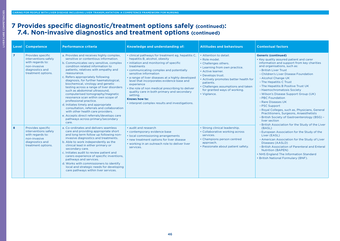# **7 Provides specific diagnostic/treatment options safely (continued): 7.4. Non-invasive diagnostics and treatment options (continued)**

| Level          | <b>Competence</b>                                                                                                      | <b>Performance criteria</b>                                                                                                                                                                                                                                                                                                                                                                                                                                                                                                                                                                                                                                                                                                                        | Knowledge and understanding of:                                                                                                                                                                                                                                                                                                                                                                                                                                                                                    | <b>Attitudes and behaviours</b>                                                                                                                                                                                                                                                        | <b>Contextual factors</b>                                                                                                                                                                                                                                                                                                                                                                                                                                                                                                                                                                                                                                                                                                                                                                                                                                                                                                                                                       |
|----------------|------------------------------------------------------------------------------------------------------------------------|----------------------------------------------------------------------------------------------------------------------------------------------------------------------------------------------------------------------------------------------------------------------------------------------------------------------------------------------------------------------------------------------------------------------------------------------------------------------------------------------------------------------------------------------------------------------------------------------------------------------------------------------------------------------------------------------------------------------------------------------------|--------------------------------------------------------------------------------------------------------------------------------------------------------------------------------------------------------------------------------------------------------------------------------------------------------------------------------------------------------------------------------------------------------------------------------------------------------------------------------------------------------------------|----------------------------------------------------------------------------------------------------------------------------------------------------------------------------------------------------------------------------------------------------------------------------------------|---------------------------------------------------------------------------------------------------------------------------------------------------------------------------------------------------------------------------------------------------------------------------------------------------------------------------------------------------------------------------------------------------------------------------------------------------------------------------------------------------------------------------------------------------------------------------------------------------------------------------------------------------------------------------------------------------------------------------------------------------------------------------------------------------------------------------------------------------------------------------------------------------------------------------------------------------------------------------------|
| $\overline{7}$ | Provides specific<br>interventions safely<br>with regards to:<br>non-invasive<br>diagnostics and<br>treatment options. | a. Provides and receives highly complex,<br>sensitive or contentious information.<br>b. Communicates very sensitive, complex<br>condition related information to<br>patients, relatives with empathy and<br>reassurance.<br>c. Refers appropriately following<br>diagnosis, for further haematological,<br>biochemical, virology and genetic<br>testing across a range of liver disorders<br>such as abdominal ultrasound.<br>computerised tomography/magnetic<br>resonance scan within own scope of<br>professional practice.<br>d. Initiates timely and appropriate<br>consultation, referrals and collaboration<br>with other health care providers.<br>e. Accepts direct referrals/develops care<br>pathways across primary/secondary<br>care. | • clinical pathways for treatment eg, hepatitis C,<br>hepatitis B, alcohol, obesity<br>· initiation and monitoring of specific<br>treatments<br>• communicating complex and potentially<br>sensitive information<br>• a range of liver diseases at a highly developed<br>level that incorporates evidence base and<br>experience<br>• the role of non medical prescribing to deliver<br>quality care in both primary and secondary<br>setting.<br>Knows how to:<br>• interpret complex results and investigations. | • Attention to detail.<br>· Role model.<br>• Challenges others.<br>• Learning from own practice.<br>• Active learner.<br>• Develops trust.<br>• Actively promotes better health for<br>patients.<br>• Challenges assumptions and taken<br>for granted ways of working.<br>• Vigilance. | <b>Generic (continued)</b><br>• Key quality assured patient and carer<br>information and support from key charities<br>and organisations, such as:<br>- British Liver Trust<br>- Children's Liver Disease Foundation<br>- Alcohol Change UK<br>- The Hepatitis C Trust<br>- The Hepatitis B Positive Trust UK<br>- Haemochromatosis Society<br>- Wilson's Disease Support Group (UK)<br>- PBC Foundation<br>- Rare Diseases UK<br>- PSC Support<br>- Royal Colleges, such as, Physicians, General<br>Practitioners, Surgeons, Anaesthetists<br>- British Society of Gastroenterology (BSG) -<br>liver section<br>- British Association for the Study of the Liver<br>(BASL)<br>- European Association for the Study of the<br>Liver (EASL)<br>- American Association for the Study of Liver<br>Diseases (AASLD)<br>- British Association of Parenteral and Enteral<br><b>Nutrition (BAPEN)</b><br>• NHS England The Information Standard<br>• British National Formulary (BNF). |
| 8              | Provides specific<br>interventions safely<br>with regards to:<br>non-invasive<br>diagnostics and<br>treatment options. | a. Co-ordinates and delivers seamless<br>care and providing appropriate short<br>and long term follow up following non-<br>invasive diagnostics and treatments.<br>b. Able to work independently as the<br>clinical lead in either primary or<br>secondary care.<br>c. Initiates audit to review patient and<br>carers experience of specific inventions,<br>pathways and services.<br>d. Works with commissioners to identify<br>local and strategic needs for developing<br>care pathways within liver services.                                                                                                                                                                                                                                 | • audit and research<br>• contemporary evidence base<br>• local commissioning arrangements<br>• new treatment options for liver disease<br>• working in an outreach role to deliver liver<br>services.                                                                                                                                                                                                                                                                                                             | • Strong clinical leadership.<br>• Collaborative working across<br>services.<br>• Champions person centred<br>approach.<br>• Passionate about patient safety.                                                                                                                          |                                                                                                                                                                                                                                                                                                                                                                                                                                                                                                                                                                                                                                                                                                                                                                                                                                                                                                                                                                                 |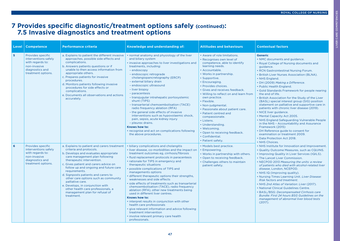# **7 Provides specific diagnostic/treatment options safely (continued): 7.5 Invasive diagnostics and treatment options**

| Level          | <b>Competence</b>                                                                                                      | <b>Performance criteria</b>                                                                                                                                                                                                                                                                                                                                                                                                                                                                                    | Knowledge and understanding of:                                                                                                                                                                                                                                                                                                                                                                                                                                                                                                                                                                                                                                                                                                                                                                                                               | <b>Attitudes and behaviours</b>                                                                                                                                                                                                                                                                                                                                                                                                                                                                                                                                | <b>Contextual factors</b>                                                                                                                                                                                                                                                                                                                                                                                                                                                                                                                                                                                                                                                                                                                                                                                                                                       |
|----------------|------------------------------------------------------------------------------------------------------------------------|----------------------------------------------------------------------------------------------------------------------------------------------------------------------------------------------------------------------------------------------------------------------------------------------------------------------------------------------------------------------------------------------------------------------------------------------------------------------------------------------------------------|-----------------------------------------------------------------------------------------------------------------------------------------------------------------------------------------------------------------------------------------------------------------------------------------------------------------------------------------------------------------------------------------------------------------------------------------------------------------------------------------------------------------------------------------------------------------------------------------------------------------------------------------------------------------------------------------------------------------------------------------------------------------------------------------------------------------------------------------------|----------------------------------------------------------------------------------------------------------------------------------------------------------------------------------------------------------------------------------------------------------------------------------------------------------------------------------------------------------------------------------------------------------------------------------------------------------------------------------------------------------------------------------------------------------------|-----------------------------------------------------------------------------------------------------------------------------------------------------------------------------------------------------------------------------------------------------------------------------------------------------------------------------------------------------------------------------------------------------------------------------------------------------------------------------------------------------------------------------------------------------------------------------------------------------------------------------------------------------------------------------------------------------------------------------------------------------------------------------------------------------------------------------------------------------------------|
| 5 <sup>5</sup> | Provides specific<br>interventions safely<br>with regards to:<br>non-invasive<br>diagnostics and<br>treatment options. | a. Explains to patient the different invasive<br>approaches, possible side effects and<br>complications.<br>b. Answers patients questions or if<br>unable to then access information from<br>appropriate others.<br>c. Prepares patients for invasive<br>procedures.<br>d. Monitors patients following invasive<br>procedures for side effects or<br>complications.<br>e. Documents all observations and actions<br>accurately.                                                                                | • normal anatomy and physiology of the liver<br>and biliary system<br>• invasive approaches to liver investigations and<br>treatments, including:<br>- endoscopy<br>- endoscopic retrograde<br>cholangiopancretography (ERCP)<br>- external biliary drain<br>- endoscopic ultrasound<br>- liver biopsy<br>- paracentesis<br>- transjugular intrahepatic portosystemic<br>shunt (TIPS)<br>- transarterial chemoembolisation (TACE)<br>radio frequency ablation (RFA)<br>- the general side effects of invasive<br>interventions such as hypovolaemic shock,<br>pain, sepsis, acute kidney injury<br>- pleurex drains.<br>Knows how to:<br>• recognise and act on complications following<br>the above procedures.                                                                                                                              | • Aware of role limitations.<br>· Recognises own level of<br>competence, able to identify<br>learning needs.<br>• Accountable.<br>• Works in partnership.<br>• Supportive.<br>• Encouraging.<br>• Provides choices.<br>• Gives and receives feedback.<br>• Willing to reflect on and learn from<br>own practice.<br>• Flexible.<br>• Non-judgmental.<br>· Passionate about patient care.<br>• Patient centred and<br>compassionate.<br>• Listens.<br>• Understanding.<br>• Welcoming.<br>• Open to receiving feedback.<br>• Confidential.<br>• Patient safety. | <b>Generic</b><br>• NMC documents and guidance.<br>• Royal College of Nursing documents and<br>guidance.<br>• RCN Gastrointestinal Nursing Forum.<br>• British Liver Nurses Association (BLNA).<br>• NHS England.<br>• DH (2009) Making a Difference.<br>• Public Health England.<br>• Gold Standards Framework for people nearing<br>the end of life.<br>. British Association for the Study of the Liver<br>(BASL) special interest group (SIG) position<br>statement on palliative and supportive care in<br>patients with chronic liver disease (2019).<br>• NICE liver guidance.<br>• Mental Capacity Act 2005.<br>• NHS England Safeguarding Vulnerable People<br>in the NHS - Accountability and Assurance<br>Framework (2015)<br>• DH Reference guide to consent for<br>examination or treatment 2009.<br>• Data Protection Act 2018.<br>• NHS Choices. |
| 6              | Provides specific<br>interventions safely<br>with regards to:<br>non-invasive<br>diagnostics and<br>treatment options. | a. Explains to patient and carers treatment<br>criteria and protocols.<br>b. Develops and evaluates appropriate<br>care management plan following<br>therapeutic intervention.<br>c. Gives patient and carers advice on<br>follow up and ongoing and future care<br>requirements.<br>d. Signposts patients and carers to<br>other care options such as community<br>palliative care.<br>e. Develops, in conjunction with<br>other health care professionals, a<br>management plan for refusal of<br>treatment. | • biliary complications and cholangitis<br>• liver disease, co-morbidities and the impact on<br>treatment outcomes eg, cirrhosis/fibrosis<br>• fluid replacement protocols in paracentesis<br>• rationale for TIPS in emergency and<br>therapeutic situations<br>• possible complications of TIPS and<br>managements options<br>• different therapeutic options their strengths,<br>weaknesses and side effects<br>· side effects of treatments such as transarterial<br>chemoembolisation (TACE), radio frequency<br>ablation (RFA), other new treatments being<br>used in different liver centres.<br>Knows how to:<br>• interpret results in conjunction with other<br>health care professionals<br>• give relevant information and advice following<br>treatment intervention<br>• involve relevant primary care health<br>professionals. | • Models best practice.<br>• Empowering.<br>. Works in partnership with others.<br>• Open to receiving feedback.<br>• Challenges others to maintain<br>patient safety.                                                                                                                                                                                                                                                                                                                                                                                         | • NHS Institute for Innovation and Improvement.<br>. Quality Outcome Measures, such as CQUINS.<br>• Improving Quality in Liver Services (IQILS).<br>• The Lancet Liver Commission.<br>• NECPOD 2013 Measuring the units: a review<br>of patients who died with alcohol-related liver<br>disease, London, NCEPOD.<br>• NHS IQ (Improving quality).<br>. Nursing Times Learning Unit. Liver Disease:<br><b>Risk factors and treatment.</b><br>• NHS 2nd Atlas of Variation: Liver (2017).<br>• National Clinical Guidelines Centre.<br>• BASL/BSG: Decompensated Cirrhosis care<br>Bundle: First 24 hours BSG Guidelines on the<br>management of abnormal liver blood tests<br>(2017).                                                                                                                                                                            |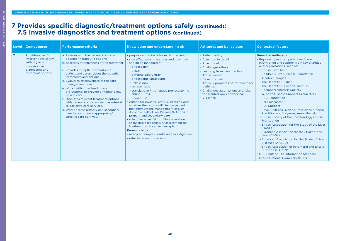#### **7 Provides specific diagnostic/treatment options safely (continued): 7.5 Invasive diagnostics and treatment options (continued)**

| Level          | <b>Competence</b>                                                                                                      | <b>Performance criteria</b>                                                                                                                                                                                                                                                                                                                                                                                                                                                                                                                                                                                                        | Knowledge and understanding of:                                                                                                                                                                                                                                                                                                                                                                                                                                                                                                                                                                                                                                                                                                                                             | <b>Attitudes and behaviours</b>                                                                                                                                                                                                                                                                             | <b>Contextual factors</b>                                                                                                                                                                                                                                                                                                                                                                                                                                                                                                                                                                                                                                                                                                                                                                                                                                                                                                                                                       |
|----------------|------------------------------------------------------------------------------------------------------------------------|------------------------------------------------------------------------------------------------------------------------------------------------------------------------------------------------------------------------------------------------------------------------------------------------------------------------------------------------------------------------------------------------------------------------------------------------------------------------------------------------------------------------------------------------------------------------------------------------------------------------------------|-----------------------------------------------------------------------------------------------------------------------------------------------------------------------------------------------------------------------------------------------------------------------------------------------------------------------------------------------------------------------------------------------------------------------------------------------------------------------------------------------------------------------------------------------------------------------------------------------------------------------------------------------------------------------------------------------------------------------------------------------------------------------------|-------------------------------------------------------------------------------------------------------------------------------------------------------------------------------------------------------------------------------------------------------------------------------------------------------------|---------------------------------------------------------------------------------------------------------------------------------------------------------------------------------------------------------------------------------------------------------------------------------------------------------------------------------------------------------------------------------------------------------------------------------------------------------------------------------------------------------------------------------------------------------------------------------------------------------------------------------------------------------------------------------------------------------------------------------------------------------------------------------------------------------------------------------------------------------------------------------------------------------------------------------------------------------------------------------|
| $\overline{7}$ | Provides specific<br>interventions safely<br>with regards to:<br>non-invasive<br>diagnostics and<br>treatment options. | a. Reviews with the patient and carer<br>possible therapeutic options.<br>b. Assesses effectiveness of the treatment<br>options.<br>c. Provides indepth information to<br>patient and carers about therapeutic<br>treatments and options.<br>d. Evaluates effectiveness of the care<br>management plan.<br>e. Works with other health care<br>professional to provide ongoing follow<br>up and care.<br>f. Discusses relevant treatment options<br>with patient and carers such as referral<br>to palliative care services.<br>g. Works across primary and secondary<br>care to co-ordinate appropriate/<br>specific care pathway. | • purpose and criteria for each intervention<br>• side effects/complications and how they<br>should be managed of:<br>- endoscopy<br>$-$ ERCP<br>- external biliary drain<br>- endoscopic ultrasound<br>- liver biopsy<br>- paracentesis<br>- transjugular intrahepatic portosystemic<br>shunt (TIPS)<br>$-$ TACE/RFA<br>• criteria for invasive liver risk profiling and<br>whether the results will change patient<br>management eg, management of Non<br>Alcoholic Fatty Liver Disease (NAFLD) in<br>primary and secondary care<br>• role of invasive risk profiling in relation<br>to making a diagnosis or assessment for<br>treatment such as liver transplant.<br>Knows how to:<br>• interpret complex results and investigations<br>• refer to relevant specialist. | • Patient safety.<br>• Attention to detail.<br>• Role model.<br>• Challenges others.<br>• Learning from own practice.<br>• Active learner.<br>• Develops trust.<br>• Actively promotes better health for<br>patients.<br>• Challenges assumptions and taken<br>for granted ways of working.<br>• Vigilance. | <b>Generic (continued)</b><br>• Key quality assured patient and carer<br>information and support from key charities<br>and organisations, such as:<br>- British Liver Trust<br>- Children's Liver Disease Foundation<br>- Alcohol Change UK<br>- The Hepatitis C Trust<br>- The Hepatitis B Positive Trust UK<br>- Haemochromatosis Society<br>- Wilson's Disease Support Group (UK)<br>- PBC Foundation<br>- Rare Diseases UK<br>- PSC Support<br>- Royal Colleges, such as, Physicians, General<br>Practitioners, Surgeons, Anaesthetists<br>- British Society of Gastroenterology (BSG) -<br>liver section<br>- British Association for the Study of the Liver<br>(BASL)<br>- European Association for the Study of the<br>Liver (EASL)<br>- American Association for the Study of Liver<br>Diseases (AASLD)<br>- British Association of Parenteral and Enteral<br><b>Nutrition (BAPEN)</b><br>• NHS England The Information Standard<br>• British National Formulary (BNF). |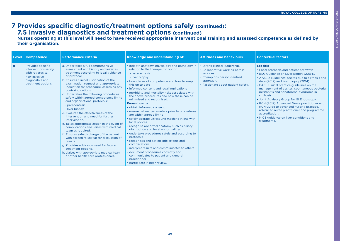# **7 Provides specific diagnostic/treatment options safely (continued): 7.5 Invasive diagnostics and treatment options (continued)**

**Nurses operating at this level will need to have received appropriate interventional training and assessed competence as defined by their organisation.**

| <b>Level</b> | <b>Competence</b>                                                                                                      | <b>Performance criteria</b>                                                                                                                                                                                                                                                                                                                                                                                                                                                                                                                                                                                                                                                                                                                                                                                                                                                                                        | Knowledge and understanding of:                                                                                                                                                                                                                                                                                                                                                                                                                                                                                                                                                                                                                                                                                                                                                                                                                                                                                                                                              | <b>Attitudes and behaviours</b>                                                                                                                               | <b>Contextual factors</b>                                                                                                                                                                                                                                                                                                                                                                                                                                                                                                                                                                                               |
|--------------|------------------------------------------------------------------------------------------------------------------------|--------------------------------------------------------------------------------------------------------------------------------------------------------------------------------------------------------------------------------------------------------------------------------------------------------------------------------------------------------------------------------------------------------------------------------------------------------------------------------------------------------------------------------------------------------------------------------------------------------------------------------------------------------------------------------------------------------------------------------------------------------------------------------------------------------------------------------------------------------------------------------------------------------------------|------------------------------------------------------------------------------------------------------------------------------------------------------------------------------------------------------------------------------------------------------------------------------------------------------------------------------------------------------------------------------------------------------------------------------------------------------------------------------------------------------------------------------------------------------------------------------------------------------------------------------------------------------------------------------------------------------------------------------------------------------------------------------------------------------------------------------------------------------------------------------------------------------------------------------------------------------------------------------|---------------------------------------------------------------------------------------------------------------------------------------------------------------|-------------------------------------------------------------------------------------------------------------------------------------------------------------------------------------------------------------------------------------------------------------------------------------------------------------------------------------------------------------------------------------------------------------------------------------------------------------------------------------------------------------------------------------------------------------------------------------------------------------------------|
| 8            | Provides specific<br>interventions safely<br>with regards to:<br>non-invasive<br>diagnostics and<br>treatment options. | a. Undertakes a full comprehensive<br>assessment and history and initiates<br>treatment according to local guidance<br>or protocol.<br>b. Ensures clinical justification of the<br>examination request and appropriate<br>indication for procedure, assessing any<br>contraindications.<br>c. Undertakes the following procedures<br>safely within agreed competence limits<br>and organisational protocols:<br>- paracentesis<br>- liver biopsy.<br>d. Evaluate the effectiveness of the<br>intervention and need for further<br>intervention.<br>e. Takes appropriate action in the event of<br>complications and liaises with medical<br>team as required.<br>f. Ensures safe discharge of the patient<br>with agreed follow up for discussion of<br>results.<br>g. Provides advice on need for future<br>treatment options.<br>h. Liaises with appropriate medical team<br>or other health care professionals. | • indepth anatomy, physiology and pathology in<br>relation to the therapeutic option:<br>- paracentesis<br>- liver biopsy.<br>• boundaries of competence and how to keep<br>this up to date<br>• informed consent and legal implications<br>• morbidity and mortality risks associated with<br>the above procedures and how these can be<br>minimised and recognised.<br>Knows how to:<br>• obtain informed consent<br>• ensure patient parameters prior to procedures<br>are within agreed limits<br>• safely operate ultrasound machine in line with<br>local polices<br>• recognise abnormal anatomy such as biliary<br>obstruction and focal abnormalities.<br>• undertake procedures safely and according to<br>protocols<br>• recognises and act on side effects and<br>complications<br>• interpret results and communicates to others<br>• document procedures correctly and<br>communicates to patient and general<br>practitioner<br>• participate in peer review. | • Strong clinical leadership.<br>• Collaborative working across<br>services.<br>• Champions person-centred<br>approach.<br>• Passionate about patient safety. | <b>Specific</b><br>• Local protocols and patient pathways.<br>• BSG Guidance on Liver Biopsy (2004).<br>• AASLD guidelines: ascites due to cirrhosis and<br>date (2012) and liver biopsy (2014).<br>• EASL clinical practice guidelines on the<br>management of ascites, spontaneous bacterial<br>peritonitis and hepatorenal syndrome in<br>cirrhosis.<br>• Joint Advisory Group for GI Endoscopy.<br>• RCN (2012) Advanced Nurse practitioner and<br>RCN Guide to advanced nursing practice,<br>advanced nurse practitioner and programme<br>accreditation.<br>• NICE guidance on liver conditions and<br>treatments. |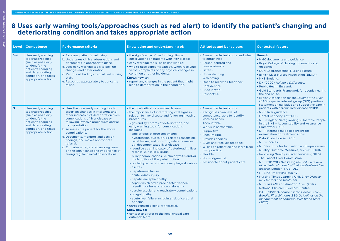# **8 Uses early warning tools/approaches (such as red alert) to identify the patient's changing and deteriorating condition and takes appropriate action**

| Level   | <b>Competence</b>                                                                                                                                                          | <b>Performance criteria</b>                                                                                                                                                                                                                                                                                                                                                                                                                                                                            | Knowledge and understanding of:                                                                                                                                                                                                                                                                                                                                                                                                                                                                                                                                                                                                                                                                                                                                                                                                                                                                                                                                                                                                                                                                                       | <b>Attitudes and behaviours</b>                                                                                                                                                                                                                                                                                                                                                          | <b>Contextual factors</b>                                                                                                                                                                                                                                                                                                                                                                                                                                                                                                                                                                                                                                                                                                                                                                                                                                                                                                                                                                                                               |
|---------|----------------------------------------------------------------------------------------------------------------------------------------------------------------------------|--------------------------------------------------------------------------------------------------------------------------------------------------------------------------------------------------------------------------------------------------------------------------------------------------------------------------------------------------------------------------------------------------------------------------------------------------------------------------------------------------------|-----------------------------------------------------------------------------------------------------------------------------------------------------------------------------------------------------------------------------------------------------------------------------------------------------------------------------------------------------------------------------------------------------------------------------------------------------------------------------------------------------------------------------------------------------------------------------------------------------------------------------------------------------------------------------------------------------------------------------------------------------------------------------------------------------------------------------------------------------------------------------------------------------------------------------------------------------------------------------------------------------------------------------------------------------------------------------------------------------------------------|------------------------------------------------------------------------------------------------------------------------------------------------------------------------------------------------------------------------------------------------------------------------------------------------------------------------------------------------------------------------------------------|-----------------------------------------------------------------------------------------------------------------------------------------------------------------------------------------------------------------------------------------------------------------------------------------------------------------------------------------------------------------------------------------------------------------------------------------------------------------------------------------------------------------------------------------------------------------------------------------------------------------------------------------------------------------------------------------------------------------------------------------------------------------------------------------------------------------------------------------------------------------------------------------------------------------------------------------------------------------------------------------------------------------------------------------|
| $1 - 4$ | Uses early warning<br>tools/approaches<br>(such as red alert)<br>to identify the<br>patient's changing<br>and deteriorating<br>condition, and takes<br>appropriate action. | a. Assesses patient's wellbeing.<br>b. Undertakes clinical observations and<br>documents in appropriate place.<br>c. Uses early warning tools to pick up<br>changes and deterioration.<br>d. Reports all findings to qualified nursing<br>staff.<br>e. Responds appropriately to concerns<br>raised.                                                                                                                                                                                                   | • the significance of performing clinical<br>observations on patients with liver disease<br>• early warning tools (basic knowledge)<br>• who to raise concerns with eg, when receiving<br>verbal complaints or any physical changes in<br>condition or other incidents.<br>Knows how to:<br>• report any changes in the patient that might<br>lead to deterioration in their condition.                                                                                                                                                                                                                                                                                                                                                                                                                                                                                                                                                                                                                                                                                                                               | • Aware of role limitations and when<br>to obtain help.<br>• Person-centred and<br>compassionate.<br>• Listens.<br>• Understanding.<br>• Welcoming.<br>• Open to receiving feedback.<br>• Confidential.<br>· Pride in work.<br>• Respectful.                                                                                                                                             | <b>Generic</b><br>• NMC documents and guidance.<br>• Royal College of Nursing documents and<br>guidance.<br>• RCN Gastrointestinal Nursing Forum.<br>• British Liver Nurses Association (BLNA).<br>• NHS England.<br>• DH (2009) Making a Difference.<br>• Public Health England.<br>• Gold Standards Framework for people nearing<br>the end of life.<br>. British Association for the Study of the Liver<br>(BASL) special interest group (SIG) position<br>statement on palliative and supportive care in                                                                                                                                                                                                                                                                                                                                                                                                                                                                                                                            |
| 5       | Uses early warning<br>tools/approaches<br>(such as red alert)<br>to identify the<br>patient's changing<br>and deteriorating<br>condition, and takes<br>appropriate action. | a. Uses the local early warning tool to<br>ascertain changes in vital signs and<br>other indicators of deterioration from<br>complications of liver disease or<br>following invasive procedures and/or<br>transplantation.<br>b. Assesses the patient for the above<br>complications.<br>c. Documents, monitors and acts on<br>findings, and makes appropriate<br>referral.<br>d. Educates unregistered nursing team<br>on the significance and importance of<br>taking regular clinical observations. | • the local critical care outreach team<br>• the importance of interpreting vital signs in<br>relation to liver disease and following invasive<br>procedures<br>· signs and symptoms of deterioration, and<br>early warning tools for complications,<br>including:<br>- side effects of drug treatments<br>- hypotension due to drug related reasons eg.<br>betablocker, and non-drug related reasons<br>eg, decompensated liver disease<br>- jaundice as an indicator of deteriorating liver<br>disease ie, rise in bilirubin<br>- biliary complications, ie, cholecystitis and/or<br>cholangitis or biliary obstruction<br>- portal hypertension and oesophageal varices<br>- ascites<br>- hepatorenal failure<br>- acute kidney injury<br>- hepatic encephalopathy<br>- sepsis which often precipitates variceal<br>bleeding or hepatic encephalopathy<br>- cardiovascular and respiratory complications<br>- coagulopathy<br>- acute liver failure including risk of cerebral<br>oedema<br>• unrecognised alcohol withdrawal.<br>Know how to:<br>• contact and refer to the local critical care<br>outreach team. | • Aware of role limitations.<br>· Recognises own level of<br>competence, able to identify<br>learning needs.<br>• Accountable.<br>• Works in partnership.<br>• Supportive.<br>• Encouraging.<br>· Provides choices.<br>• Gives and receives feedback.<br>. Willing to reflect on and learn from<br>own practice.<br>• Flexible.<br>• Non-judgmental.<br>· Passionate about patient care. | patients with chronic liver disease (2019).<br>· NICE liver guidance.<br>• Mental Capacity Act 2005.<br>• NHS England Safeguarding Vulnerable People<br>in the NHS - Accountability and Assurance<br>Framework (2015)<br>• DH Reference guide to consent for<br>examination or treatment 2009.<br>• Data Protection Act 2018.<br>• NHS Choices.<br>• NHS Institute for Innovation and Improvement.<br>. Quality Outcome Measures, such as CQUINS.<br>• Improving Quality in Liver Services (IQILS).<br>• The Lancet Liver Commission.<br>• NECPOD 2013 Measuring the units: a review<br>of patients who died with alcohol-related liver<br>disease, London, NCEPOD.<br>• NHS IQ (Improving quality).<br>• Nursing Times Learning Unit. Liver Disease:<br><b>Risk factors and treatment.</b><br>• NHS 2nd Atlas of Variation: Liver (2017).<br>· National Clinical Guidelines Centre.<br>• BASL/BSG: Decompensated Cirrhosis care<br>Bundle: First 24 hours BSG Guidelines on the<br>management of abnormal liver blood tests<br>(2017). |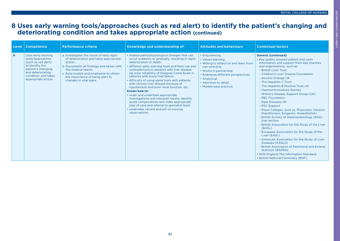# **8 Uses early warning tools/approaches (such as red alert) to identify the patient's changing and deteriorating condition and takes appropriate action (continued)**

|   | Level   Competence                                                                                                                                                         | <b>Performance criteria</b>                                                                                                                                                                                                                                                | Knowledge and understanding of:                                                                                                                                                                                                                                                                                                                                                                                                                                                                                                                                                                                                                                                                                               | <b>Attitudes and behaviours</b>                                                                                                                                                                                                       | <b>Contextual factors</b>                                                                                                                                                                                                                                                                                                                                                                                                                                                                                                                                                                                                                                                                                                                                                                                                                                                                                                                                                       |
|---|----------------------------------------------------------------------------------------------------------------------------------------------------------------------------|----------------------------------------------------------------------------------------------------------------------------------------------------------------------------------------------------------------------------------------------------------------------------|-------------------------------------------------------------------------------------------------------------------------------------------------------------------------------------------------------------------------------------------------------------------------------------------------------------------------------------------------------------------------------------------------------------------------------------------------------------------------------------------------------------------------------------------------------------------------------------------------------------------------------------------------------------------------------------------------------------------------------|---------------------------------------------------------------------------------------------------------------------------------------------------------------------------------------------------------------------------------------|---------------------------------------------------------------------------------------------------------------------------------------------------------------------------------------------------------------------------------------------------------------------------------------------------------------------------------------------------------------------------------------------------------------------------------------------------------------------------------------------------------------------------------------------------------------------------------------------------------------------------------------------------------------------------------------------------------------------------------------------------------------------------------------------------------------------------------------------------------------------------------------------------------------------------------------------------------------------------------|
| 6 | Uses early warning<br>tools/approaches<br>(such as red alert)<br>to identify the<br>patient's changing<br>and deteriorating<br>condition, and takes<br>appropriate action. | a. Investigates the cause of early signs<br>of deterioration and takes appropriate<br>action.<br>b. Documents all findings and liaises with<br>the medical teams.<br>c. Role models and emphasise to others<br>the importance of being alert to<br>changes in vital signs. | • related pathophysiological changes that can<br>occur suddenly or gradually, resulting in rapid<br>deterioration or death<br>• different early warning tools and their use and<br>contradictions in patients with liver disease<br>eg, poor reliability of Glasgow Coma Scale in<br>patients with acute liver failure<br>· difficulty of using some tools with patients<br>with chronic liver disease because of<br>hypotension and poor renal function, etc.<br>Knows how to:<br>• order and undertake appropriate<br>investigations and interpret results; identify<br>acute complications and make appropriate<br>plan of care and referral to specialist team<br>• undertake, record and act on nursing<br>observations. | • Empowering.<br>• Values learning.<br>• Willing to reflect on and learn from<br>own practice.<br>• Works in partnership.<br>• Embraces different perspectives.<br>• Analytical.<br>• Attention to detail.<br>• Models best practice. | <b>Generic (continued)</b><br>• Key quality assured patient and carer<br>information and support from key charities<br>and organisations, such as:<br>- British Liver Trust<br>- Children's Liver Disease Foundation<br>- Alcohol Change UK<br>- The Hepatitis C Trust<br>- The Hepatitis B Positive Trust UK<br>- Haemochromatosis Society<br>- Wilson's Disease Support Group (UK)<br>- PBC Foundation<br>- Rare Diseases UK<br>- PSC Support<br>- Royal Colleges, such as, Physicians, General<br>Practitioners, Surgeons, Anaesthetists<br>- British Society of Gastroenterology (BSG) -<br>liver section<br>- British Association for the Study of the Liver<br>(BASL)<br>- European Association for the Study of the<br>Liver (EASL)<br>- American Association for the Study of Liver<br>Diseases (AASLD)<br>- British Association of Parenteral and Enteral<br><b>Nutrition (BAPEN)</b><br>• NHS England The Information Standard<br>• British National Formulary (BNF). |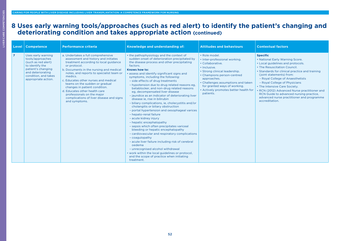#### **8 Uses early warning tools/approaches (such as red alert) to identify the patient's changing and deteriorating condition and takes appropriate action (continued)**

| Level          | <b>Competence</b>                                                                                                                                                          | <b>Performance criteria</b>                                                                                                                                                                                                                                                                                                                                                                                                                                                  | <b>Knowledge and understanding of:</b>                                                                                                                                                                                                                                                                                                                                                                                                                                                                                                                                                                                                                                                                                                                                                                                                                                                                                                                                                                                                                                                                                     | <b>Attitudes and behaviours</b>                                                                                                                                                                                                                                                              | <b>Contextual factors</b>                                                                                                                                                                                                                                                                                                                                                                                                                                             |
|----------------|----------------------------------------------------------------------------------------------------------------------------------------------------------------------------|------------------------------------------------------------------------------------------------------------------------------------------------------------------------------------------------------------------------------------------------------------------------------------------------------------------------------------------------------------------------------------------------------------------------------------------------------------------------------|----------------------------------------------------------------------------------------------------------------------------------------------------------------------------------------------------------------------------------------------------------------------------------------------------------------------------------------------------------------------------------------------------------------------------------------------------------------------------------------------------------------------------------------------------------------------------------------------------------------------------------------------------------------------------------------------------------------------------------------------------------------------------------------------------------------------------------------------------------------------------------------------------------------------------------------------------------------------------------------------------------------------------------------------------------------------------------------------------------------------------|----------------------------------------------------------------------------------------------------------------------------------------------------------------------------------------------------------------------------------------------------------------------------------------------|-----------------------------------------------------------------------------------------------------------------------------------------------------------------------------------------------------------------------------------------------------------------------------------------------------------------------------------------------------------------------------------------------------------------------------------------------------------------------|
| $\overline{7}$ | Uses early warning<br>tools/approaches<br>(such as red alert)<br>to identify the<br>patient's changing<br>and deteriorating<br>condition, and takes<br>appropriate action. | a. Undertakes a full comprehensive<br>assessment and history and initiates<br>treatment according to local guidance<br>or protocol.<br>b. Documents in the nursing and medical<br>notes, and reports to specialist team or<br>medics.<br>c. Educates other nurses and medical<br>teams on the sudden or gradual<br>changes in patient condition.<br>d. Educates other health care<br>professionals on the major<br>complications of liver disease and signs<br>and symptoms. | • the pathophysiology and the context of<br>sudden onset of deterioration precipitated by<br>the disease process and other precipitating<br>factors.<br>Knows how to:<br>• assess and identify significant signs and<br>symptoms, including the following:<br>- side effects of drug treatments<br>- hypotension due to drug related reasons eg,<br>betablocker, and non-drug related reasons<br>eg, decompensated liver disease<br>- jaundice as an indicator of deteriorating liver<br>disease ie, rise in bilirubin<br>- biliary complications, ie, cholecystitis and/or<br>cholangitis or biliary obstruction<br>- portal hypertension and oesophageal varices<br>- hepato-renal failure<br>- acute kidney injury<br>- hepatic encephalopathy<br>- sepsis which often precipitates variceal<br>bleeding or hepatic encephalopathy<br>- cardiovascular and respiratory complications<br>- coagulopathy<br>- acute liver failure including risk of cerebral<br>oedema<br>- unrecognised alcohol withdrawal<br>• work within the local guidelines or protocol,<br>and the scope of practice when initiating<br>treatment. | • Role model.<br>· Inter-professional working.<br>• Collaborative.<br>· Inclusive.<br>• Strong clinical leadership.<br>• Champions person-centred<br>approaches.<br>• Challenges assumptions and taken<br>for granted ways of working.<br>• Actively promotes better health for<br>patients. | <b>Specific</b><br>• National Early Warning Score.<br>• Local guidelines and protocols.<br>• The Resuscitation Council.<br>• Standards for clinical practice and training<br>(joint statements) from:<br>- Royal College of Anaesthetists<br>- Royal College of Physicians<br>• The Intensive Care Society.<br>• RCN (2012) Advanced Nurse practitioner and<br>RCN Guide to advanced nursing practice,<br>advanced nurse practitioner and programme<br>accreditation. |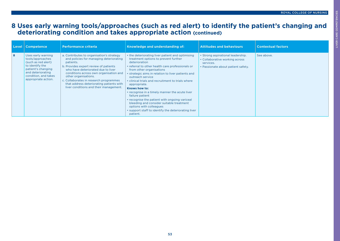# **8 Uses early warning tools/approaches (such as red alert) to identify the patient's changing and deteriorating condition and takes appropriate action (continued)**

| Level | <b>Competence</b>                                                                                                                                                          | <b>Performance criteria</b>                                                                                                                                                                                                                                                                                                                                                        | Knowledge and understanding of:                                                                                                                                                                                                                                                                                                                                                                                                                                                                                                                                                                                           | <b>Attitudes and behaviours</b>                                                                                        | <b>Contextual factors</b> |
|-------|----------------------------------------------------------------------------------------------------------------------------------------------------------------------------|------------------------------------------------------------------------------------------------------------------------------------------------------------------------------------------------------------------------------------------------------------------------------------------------------------------------------------------------------------------------------------|---------------------------------------------------------------------------------------------------------------------------------------------------------------------------------------------------------------------------------------------------------------------------------------------------------------------------------------------------------------------------------------------------------------------------------------------------------------------------------------------------------------------------------------------------------------------------------------------------------------------------|------------------------------------------------------------------------------------------------------------------------|---------------------------|
| 8     | Uses early warning<br>tools/approaches<br>(such as red alert)<br>to identify the<br>patient's changing<br>and deteriorating<br>condition, and takes<br>appropriate action. | a. Contributes to organisation's strategy<br>and policies for managing deteriorating<br>patients.<br>b. Provides expert review of patients<br>who have deteriorated due to liver<br>conditions across own organisation and<br>other organisations.<br>c. Collaborates in research programmes<br>that address deteriorating patients with<br>liver conditions and their management. | • the deteriorating liver patient and optimising<br>treatment options to prevent further<br>deterioration<br>• referral to other health care professionals or<br>from other organisations<br>• strategic aims in relation to liver patients and<br>outreach service<br>• clinical trials and recruitment to trials where<br>appropriate.<br>Knows how to:<br>• recognise in a timely manner the acute liver<br>failure patient<br>• recognise the patient with ongoing variceal<br>bleeding and consider suitable treatment<br>options with colleagues<br>• support staff to identify the deteriorating liver<br>patient. | • Strong aspirational leadership.<br>• Collaborative working across<br>services.<br>• Passionate about patient safety. | See above.                |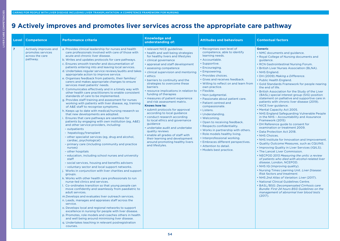# **9 Actively improves and promotes liver services across the appropriate care pathway**

| Level          | <b>Competence</b>                                                         | <b>Performance criteria</b>                                                                                                                                                                                                                                                                                                                                                                                                                                                                                                                                                                                                                                                                                                                                                                                                                                                                                                                                                                                                                                                                                                                                                                                                                                                                                                                                                                                                                                                                                                                                                                                                                                                                                                                                                                                                                                                                                                                                                                                                                                                                                                                                                                                                                    | <b>Knowledge and</b><br>understanding of:                                                                                                                                                                                                                                                                                                                                                                                                                                                                                                                                                                                                                                                                                                                                                                                  | <b>Attitudes and behaviours</b>                                                                                                                                                                                                                                                                                                                                                                                                                                                                                                                                                                                                                                                                                | <b>Contextual factors</b>                                                                                                                                                                                                                                                                                                                                                                                                                                                                                                                                                                                                                                                                                                                                                                                                                                                                                                                                                                                                                                                                                                                                                                                                                                                                                                                                                                                                                                                                                                                               |
|----------------|---------------------------------------------------------------------------|------------------------------------------------------------------------------------------------------------------------------------------------------------------------------------------------------------------------------------------------------------------------------------------------------------------------------------------------------------------------------------------------------------------------------------------------------------------------------------------------------------------------------------------------------------------------------------------------------------------------------------------------------------------------------------------------------------------------------------------------------------------------------------------------------------------------------------------------------------------------------------------------------------------------------------------------------------------------------------------------------------------------------------------------------------------------------------------------------------------------------------------------------------------------------------------------------------------------------------------------------------------------------------------------------------------------------------------------------------------------------------------------------------------------------------------------------------------------------------------------------------------------------------------------------------------------------------------------------------------------------------------------------------------------------------------------------------------------------------------------------------------------------------------------------------------------------------------------------------------------------------------------------------------------------------------------------------------------------------------------------------------------------------------------------------------------------------------------------------------------------------------------------------------------------------------------------------------------------------------------|----------------------------------------------------------------------------------------------------------------------------------------------------------------------------------------------------------------------------------------------------------------------------------------------------------------------------------------------------------------------------------------------------------------------------------------------------------------------------------------------------------------------------------------------------------------------------------------------------------------------------------------------------------------------------------------------------------------------------------------------------------------------------------------------------------------------------|----------------------------------------------------------------------------------------------------------------------------------------------------------------------------------------------------------------------------------------------------------------------------------------------------------------------------------------------------------------------------------------------------------------------------------------------------------------------------------------------------------------------------------------------------------------------------------------------------------------------------------------------------------------------------------------------------------------|---------------------------------------------------------------------------------------------------------------------------------------------------------------------------------------------------------------------------------------------------------------------------------------------------------------------------------------------------------------------------------------------------------------------------------------------------------------------------------------------------------------------------------------------------------------------------------------------------------------------------------------------------------------------------------------------------------------------------------------------------------------------------------------------------------------------------------------------------------------------------------------------------------------------------------------------------------------------------------------------------------------------------------------------------------------------------------------------------------------------------------------------------------------------------------------------------------------------------------------------------------------------------------------------------------------------------------------------------------------------------------------------------------------------------------------------------------------------------------------------------------------------------------------------------------|
| $\overline{7}$ | Actively improves and<br>promotes services<br>across the care<br>pathway. | a. Provides clinical leadership for nurses and health<br>care professionals involved with care of those with<br>acute and chronic liver disease.<br>b. Writes and updates protocols for care pathways.<br>c. Ensures smooth transfer and documentation of<br>patients entering into and leaving local services.<br>d. Undertakes regular service reviews/audits and takes<br>appropriate action to improve service.<br>e. Organises feedback from patients, their families/<br>carers and makes appropriate changes to ensure<br>services meet patients' needs.<br>f. Communicates effectively and in a timely way with<br>other health care practitioners to enable consistent<br>standards of care to be implemented.<br>g. Provides staff training and assessment for nurses<br>working with patients with liver disease, eg, training<br>of A&E staff to recognise symptoms.<br>h. Keeps up to date with medical/nursing research so<br>that new developments are adopted.<br>i. Ensures that care pathways are seamless for<br>patients by engaging with own institution (eg, A&E)<br>and other service providers, including:<br>- outpatients<br>- hepatology/transplant<br>- other specialist services (eg, drug and alcohol,<br>cardiac, psychological)<br>- primary care (including community and practice<br>nurses)<br>- other hospitals<br>- education, including school nurses and university<br>staff<br>- social services, housing and benefits advisers<br>- voluntary sector and local support networks.<br>j. Works in conjunction with liver charities and support<br>groups.<br>k. Works with other health care professionals to run<br>nurse-led clinics and services.<br>I. Co-ordinates transition so that young people can<br>move confidently and seamlessly from paediatric to<br>adult services.<br>m. Develops and evaluates liver outreach services.<br>n. Leads, manages and appraises staff across the<br>service.<br>o. Develops local and regional networks to support<br>excellence in nursing for people with liver disease.<br>p. Promotes, role models and coaches others in health<br>and well being around minimising liver disease.<br>g. Undertakes teaching in relevant postregistration<br>courses. | • relevant NICE guidelines<br>• health and well being strategies<br>for healthy livers and lifestyles<br>· clinical governance<br>• appraisal and staff development<br>• assessing competence<br>• clinical supervision and mentoring<br>• ethics<br>• barriers to continuity and the<br>strategies to overcome these<br>barriers<br>· resource implications in relation to<br>funding of therapies<br>• measures of patient experience<br>and risk assessment matrix.<br>Knows how to:<br>· submit protocols for approval<br>according to local guidance<br>· conduct research according<br>to local ethics and governance<br>guidance<br>· undertake audit and undertake<br>quality reviews<br>· enable all grades of staff with<br>their learning and development<br>around promoting healthy livers<br>and lifestyles. | • Recognises own level of<br>competence, able to identify<br>learning needs.<br>· Accountable.<br>· Supportive.<br>• Encouraging.<br>• Empowering.<br>• Provides choices.<br>• Gives and receives feedback.<br>. Willing to reflect on and learn from<br>own practice.<br>• Flexible.<br>• Non-judgmental.<br>• Passionate about patient care.<br>• Patient centred and<br>compassionate.<br>• Listens.<br>• Understanding.<br>• Welcoming.<br>• Open to receiving feedback.<br>• Respects confidentiality.<br>• Works in partnership with others.<br>• Role models healthy living.<br>• Interprofessional working.<br>· Embraces different perspectives.<br>• Attention to detail.<br>• Models best practice. | <b>Generic</b><br>• NMC documents and guidance.<br>• Royal College of Nursing documents and<br>guidance.<br>• RCN Gastrointestinal Nursing Forum.<br>• British Liver Nurses Association (BLNA).<br>• NHS England.<br>• DH (2009) Making a Difference.<br>• Public Health England.<br>• Gold Standards Framework for people nearing<br>the end of life.<br>. British Association for the Study of the Liver<br>(BASL) special interest group (SIG) position<br>statement on palliative and supportive care in<br>patients with chronic liver disease (2019).<br>• NICE liver guidance.<br>• Mental Capacity Act 2005.<br>• NHS England Safeguarding Vulnerable People<br>in the NHS - Accountability and Assurance<br>Framework (2015)<br>• DH Reference guide to consent for<br>examination or treatment 2009.<br>• Data Protection Act 2018.<br>• NHS Choices.<br>• NHS Institute for Innovation and Improvement.<br>• Quality Outcome Measures, such as CQUINS.<br>• Improving Quality in Liver Services (IQILS).<br>• The Lancet Liver Commission.<br>• NECPOD 2013 Measuring the units: a review<br>of patients who died with alcohol-related liver<br>disease, London, NCEPOD.<br>• NHS IQ (Improving quality).<br>. Nursing Times Learning Unit. Liver Disease:<br><b>Risk factors and treatment.</b><br>• NHS 2nd Atlas of Variation: Liver (2017).<br>• National Clinical Guidelines Centre.<br>• BASL/BSG: Decompensated Cirrhosis care<br>Bundle: First 24 hours BSG Guidelines on the<br>management of abnormal liver blood tests<br>(2017). |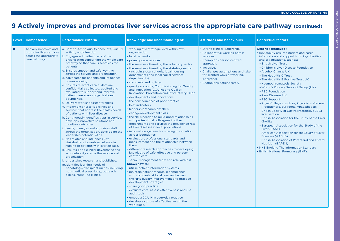LIVER CARE COMPETENCIES

LIVER CARE COMPETENCIES

# **9 Actively improves and promotes liver services across the appropriate care pathway (continued)**

| Level | <b>Competence</b>                                                                           | <b>Performance criteria</b>                                                                                                                                                                                                                                                                                                                                                                                                                                                                                                                                                                                                                                                                                                                                                                                                                                                                                                                                                                                                                                                                                                                                                                                                                                                                                                                 | <b>Knowledge and understanding of:</b>                                                                                                                                                                                                                                                                                                                                                                                                                                                                                                                                                                                                                                                                                                                                                                                                                                                                                                                                                                                                                                                                                                                                                                                                                                                                                                                                                                                                                                                                                                                                                              | <b>Attitudes and behaviours</b>                                                                                                                                                                                                                               | <b>Contextual factors</b>                                                                                                                                                                                                                                                                                                                                                                                                                                                                                                                                                                                                                                                                                                                                                                                                                                                                                                                                                       |
|-------|---------------------------------------------------------------------------------------------|---------------------------------------------------------------------------------------------------------------------------------------------------------------------------------------------------------------------------------------------------------------------------------------------------------------------------------------------------------------------------------------------------------------------------------------------------------------------------------------------------------------------------------------------------------------------------------------------------------------------------------------------------------------------------------------------------------------------------------------------------------------------------------------------------------------------------------------------------------------------------------------------------------------------------------------------------------------------------------------------------------------------------------------------------------------------------------------------------------------------------------------------------------------------------------------------------------------------------------------------------------------------------------------------------------------------------------------------|-----------------------------------------------------------------------------------------------------------------------------------------------------------------------------------------------------------------------------------------------------------------------------------------------------------------------------------------------------------------------------------------------------------------------------------------------------------------------------------------------------------------------------------------------------------------------------------------------------------------------------------------------------------------------------------------------------------------------------------------------------------------------------------------------------------------------------------------------------------------------------------------------------------------------------------------------------------------------------------------------------------------------------------------------------------------------------------------------------------------------------------------------------------------------------------------------------------------------------------------------------------------------------------------------------------------------------------------------------------------------------------------------------------------------------------------------------------------------------------------------------------------------------------------------------------------------------------------------------|---------------------------------------------------------------------------------------------------------------------------------------------------------------------------------------------------------------------------------------------------------------|---------------------------------------------------------------------------------------------------------------------------------------------------------------------------------------------------------------------------------------------------------------------------------------------------------------------------------------------------------------------------------------------------------------------------------------------------------------------------------------------------------------------------------------------------------------------------------------------------------------------------------------------------------------------------------------------------------------------------------------------------------------------------------------------------------------------------------------------------------------------------------------------------------------------------------------------------------------------------------|
| 8     | Actively improves and<br>promotes liver services<br>across the appropriate<br>care pathway. | a. Contributes to quality accounts, CQUIN<br>activity and direction.<br>b. Engages with other parts of the<br>organisation concerning the whole care<br>pathway so that care is seamless for<br>patients.<br>c. Ensures smooth and safe working<br>across the service and organisation.<br>d. Advocates for patients and influences<br>commissioning.<br>e. Ensures relevant clinical data are<br>confidentially collected, audited and<br>evaluated to support and improve<br>patient care across organisational<br>boundaries.<br>f. Delivers workshops/conferences.<br>g. Implements nurse-led clinics and<br>services that address the health needs<br>of patients with liver disease.<br>h. Continuously identifies gaps in service,<br>develops innovative solutions and<br>monitors outcomes.<br>i. Leads, manages and appraises staff<br>across the organisation, developing the<br>leadership potential of all.<br>j. Negotiates and influences key<br>stakeholders towards excellence in<br>nursing of patients with liver disease.<br>k. Ensures good clinical governance and<br>accountability across the service and<br>organisation.<br>I. Undertakes research and publishes.<br>m.Identifies learning needs of<br>hepatology/transplant nurses including<br>non-medical prescribing, outreach<br>clinics, nurse-led clinics. | • working at a strategic level within own<br>organisation<br>· local networks<br>• primary care services<br>• the services offered by the voluntary sector<br>• the services offered by the statutory sector<br>(including local schools, local housing<br>departments and local social services<br>departments)<br>• standards and policies<br>• quality accounts, Commissioning for Quality<br>and Innovation (CQUIN) and Quality,<br>Innovation, Prevention and Productivity QIPP<br>• developments and innovations<br>• the consequences of poor practice<br>• best indicators<br>• leadership 'champion' skills<br>• change/development skills<br>• the skills needed to build good relationships<br>with professional colleagues in other<br>departments and services the prevalence rate<br>of liver diseases in local populations.<br>• information systems for sharing information<br>across boundaries<br>• evaluation, professional standards and<br>measurement and the relationship between<br>them<br>· different research approaches to developing<br>knowledge of safe, effective and person-<br>centred care<br>• senior management team and role within it.<br>Knows how to:<br>• utilise patient information systems<br>· maintain patient records in compliance<br>with standards at local level and across<br>the NHS quality improvement and practice<br>development strategies<br>• share good practice<br>• evaluate care, assess effectiveness and use<br>audit tools<br>• embed a CQUIN in everyday practice<br>• develop a culture of effectiveness in the<br>workplace. | • Strong clinical leadership.<br>• Collaborative working across<br>services.<br>• Champions person centred<br>approach.<br>• Inclusive.<br>• Challenges assumptions and taken<br>for granted ways of working.<br>• Analytical.<br>• Champions patient safety. | <b>Generic (continued)</b><br>• Key quality assured patient and carer<br>information and support from key charities<br>and organisations, such as:<br>- British Liver Trust<br>- Children's Liver Disease Foundation<br>- Alcohol Change UK<br>- The Hepatitis C Trust<br>- The Hepatitis B Positive Trust UK<br>- Haemochromatosis Society<br>- Wilson's Disease Support Group (UK)<br>- PBC Foundation<br>- Rare Diseases UK<br>- PSC Support<br>- Royal Colleges, such as, Physicians, General<br>Practitioners, Surgeons, Anaesthetists<br>- British Society of Gastroenterology (BSG) -<br>liver section<br>- British Association for the Study of the Liver<br>(BASL)<br>- European Association for the Study of the<br>Liver (EASL)<br>- American Association for the Study of Liver<br>Diseases (AASLD)<br>- British Association of Parenteral and Enteral<br><b>Nutrition (BAPEN)</b><br>• NHS England The Information Standard<br>• British National Formulary (BNF). |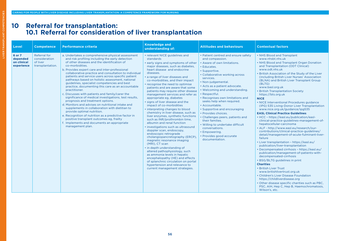# **10 Referral for transplantation: 10.1 Referral for consideration of liver transplantation**

| Level                                           | <b>Competence</b>                                                    | <b>Performance criteria</b>                                                                                                                                                                                                                                                                                                                                                                                                                                                                                                                                                                                                                                                                                                                                                                                                                                                                                                                                                   | <b>Knowledge and</b><br>understanding of:                                                                                                                                                                                                                                                                                                                                                                                                                                                                                                                                                                                                                                                                                                                                                                                                                                                                                                                                                                                                                                                           | <b>Attitudes and behaviours</b>                                                                                                                                                                                                                                                                                                                                                                                                                                                                                                                                                                      | <b>Contextual factors</b>                                                                                                                                                                                                                                                                                                                                                                                                                                                                                                                                                                                                                                                                                                                                                                                                                                                                                                                                                                                                                                                                                                                                                                                                                                                                                                                                                                |
|-------------------------------------------------|----------------------------------------------------------------------|-------------------------------------------------------------------------------------------------------------------------------------------------------------------------------------------------------------------------------------------------------------------------------------------------------------------------------------------------------------------------------------------------------------------------------------------------------------------------------------------------------------------------------------------------------------------------------------------------------------------------------------------------------------------------------------------------------------------------------------------------------------------------------------------------------------------------------------------------------------------------------------------------------------------------------------------------------------------------------|-----------------------------------------------------------------------------------------------------------------------------------------------------------------------------------------------------------------------------------------------------------------------------------------------------------------------------------------------------------------------------------------------------------------------------------------------------------------------------------------------------------------------------------------------------------------------------------------------------------------------------------------------------------------------------------------------------------------------------------------------------------------------------------------------------------------------------------------------------------------------------------------------------------------------------------------------------------------------------------------------------------------------------------------------------------------------------------------------------|------------------------------------------------------------------------------------------------------------------------------------------------------------------------------------------------------------------------------------------------------------------------------------------------------------------------------------------------------------------------------------------------------------------------------------------------------------------------------------------------------------------------------------------------------------------------------------------------------|------------------------------------------------------------------------------------------------------------------------------------------------------------------------------------------------------------------------------------------------------------------------------------------------------------------------------------------------------------------------------------------------------------------------------------------------------------------------------------------------------------------------------------------------------------------------------------------------------------------------------------------------------------------------------------------------------------------------------------------------------------------------------------------------------------------------------------------------------------------------------------------------------------------------------------------------------------------------------------------------------------------------------------------------------------------------------------------------------------------------------------------------------------------------------------------------------------------------------------------------------------------------------------------------------------------------------------------------------------------------------------------|
| 6 or 7<br>depended<br>on clinical<br>experience | <b>Referral for</b><br>consideration<br>of liver<br>transplantation. | a. Undertakes a comprehensive physical assessment<br>and risk profiling including the early detection<br>of other diseases and the identification of<br>co-morbidities.<br>b. Provides expert care and inter-professional<br>collaborative practice and consultation to individual<br>patients and service users across specific patient<br>pathways based on holistic assessment, national<br>guidelines, specialist competencies and best<br>practice, documenting this care as an accountable<br>practitioner.<br>c. Discusses with patients and family/carer the<br>significance of medical investigations, test results,<br>prognosis and treatment options.<br>d. Monitors and advises on nutritional intake and<br>supplements in collaboration with dietitian to<br>provide optimal nutrition.<br>e. Recognition of nutrition as a predictive factor in<br>positive transplant outcomes eg, frailty<br>f. Implements and documents an appropriate<br>management plan. | • relevant NICE guidelines and<br>standards<br>• early signs and symptoms of other<br>major diseases, such as diabetes,<br>heart disease and endocrine<br>diseases.<br>• a range of liver diseases and<br>co-morbidities, and their impact<br>• recognise the need to optimise<br>patients and are aware that some<br>patients may require other disease<br>management services and refer as<br>appropriate eg, diabetes<br>• signs of liver disease and the<br>impact of co-morbidities<br>• interpreting changes to blood<br>chemistry in liver disease, such as<br>liver enzymes, synthetic functions<br>such as INR/prothrombin time,<br>albumin and renal function<br>• investigations such as ultrasound<br>doppler scan, endoscopy,<br>endoscopic retrograde<br>cholangiopancretography (ERCP).<br>magnetic resonance imaging<br>(MRI), CT scan<br>• in depth understanding of<br>altered pathophysiology, such<br>as ammonia levels in hepatic<br>encephalopathy (HE) and effects<br>of splanchnic circulation on portal<br>hypertension and relevance to<br>current management strategies. | • Patient centred and ensure safety<br>and compassion.<br>• Aware of own limitations.<br>• Educates.<br>· Supportive.<br>• Collaborative working across<br>services.<br>· Non-judgemental.<br>• Acts as a patient advocate.<br>• Welcoming and understanding.<br>• Respectful.<br>• Recognises own limitations and<br>seeks help when required.<br>· Accountable.<br>• Supportive and encouraging<br>· Provides choices.<br>• Challenges peers, patients and<br>their families.<br>. Willing to undertake difficult<br>conversations.<br>• Empowering.<br>• Provides good accurate<br>documentation. | • NHS Blood and Transplant<br>www.nhsbt.nhs.uk<br>• NHS Blood and Transplant Organ Donation<br>and Transplantation (ODT Clinical)<br>www.odt.nhs.uk<br>. British Association of the Study of the Liver<br>(including British Liver Nurses' Association<br>(BLNA) and British Liver Transplant Group<br>(BLTG)<br>www.basl.org.uk<br>• British Transplantation Society<br>https://bts.org.uk<br><b>NICE</b><br>• NICE Interventional Procedures guidance<br>(IPG) 535 Living-Donor Liver Transplantation<br>www.nice.org.uk/guidance/ipg535<br><b>EASL Clinical Practice Guidelines</b><br>• HCC - https://easl.eu/publication/easl-<br>clinical-practice-guidelines-management-of-<br>hepatocellular-carcinoma<br>• ALF - http://www.easl.eu/research/our-<br>contributions/clinical-practice-guidelines/<br>detail/management-of-acute-fulminant-liver-<br>failure<br>• Liver transplantation - https://easl.eu/<br>publication/liver-transplantation<br>• Decompensated cirrhosis - https://easl.eu/<br>publication/management-of-patients-with-<br>decompensated-cirrhosis<br>• BSG/BLTG guidelines in print<br><b>Charities</b><br>• British Liver Trust<br>www.britishlivertrust.org.uk<br>• Children's Liver Disease Foundation<br>https://childliverdisease.org<br>• Other disease specific charities such as PBC,<br>PSC, AIH, Hep C, Hep B, Haemochromatosis,<br>Wilson's, etc. |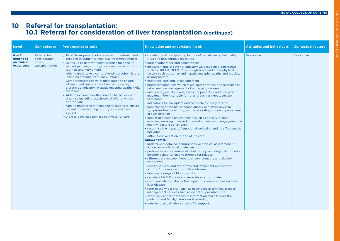LIVER TRANSPLANT COMPETENCIES

VER TRANSPLANT COMPETENCIES

# **10 Referral for transplantation: 10.1 Referral for consideration of liver transplantation (continued)**

| Level                                           | <b>Competence</b>                                             | <b>Performance criteria</b>                                                                                                                                                                                                                                                                                                                                                                                                                                                                                                                                                                                                                                                                                                                                                                                                    | Knowledge and understanding of:                                                                                                                                                                                                                                                                                                                                                                                                                                                                                                                                                                                                                                                                                                                                                                                                                                                                                                                                                                                                                                                                                                                                                                                                                                                                                                                                                                                                                                                                                                                                                                                                                                                                                                                                                                                                                                                                                                                                                                                                                                                                                                       | <b>Attitudes and behaviours</b> | <b>Contextual factors</b> |
|-------------------------------------------------|---------------------------------------------------------------|--------------------------------------------------------------------------------------------------------------------------------------------------------------------------------------------------------------------------------------------------------------------------------------------------------------------------------------------------------------------------------------------------------------------------------------------------------------------------------------------------------------------------------------------------------------------------------------------------------------------------------------------------------------------------------------------------------------------------------------------------------------------------------------------------------------------------------|---------------------------------------------------------------------------------------------------------------------------------------------------------------------------------------------------------------------------------------------------------------------------------------------------------------------------------------------------------------------------------------------------------------------------------------------------------------------------------------------------------------------------------------------------------------------------------------------------------------------------------------------------------------------------------------------------------------------------------------------------------------------------------------------------------------------------------------------------------------------------------------------------------------------------------------------------------------------------------------------------------------------------------------------------------------------------------------------------------------------------------------------------------------------------------------------------------------------------------------------------------------------------------------------------------------------------------------------------------------------------------------------------------------------------------------------------------------------------------------------------------------------------------------------------------------------------------------------------------------------------------------------------------------------------------------------------------------------------------------------------------------------------------------------------------------------------------------------------------------------------------------------------------------------------------------------------------------------------------------------------------------------------------------------------------------------------------------------------------------------------------------|---------------------------------|---------------------------|
| 6 or 7<br>depended<br>on clinical<br>experience | Referral for<br>consideration<br>of liver<br>transplantation. | g. Establishes patient adherence with treatment and<br>recognises patient's individual treatment choices.<br>h. Keeps up to date with best practice for specific<br>patient pathways through national specialist forums,<br>journals and networking.<br>i. Able to undertake a comprehensive alcohol history,<br>including amount, frequency, impact.<br>j. Comprehensive review of medication to ensure<br>all treatment options have been explored eg,<br>diuretic optimisation, Hepatic encephalopathy (HE)<br>therapies<br>k. Able to explore over the counter, herbal or illicit<br>drug use including psychosocial referral where<br>appropriate.<br>I. Able to undertake difficult conversations to ensure<br>patient understanding of prognosis and care<br>options.<br>m. Able to develop seamless pathways for care. | • knowledge of precipitating factors of hepatic encephalopathy<br>(HE) and preventative measures<br>• patient adherence and concordance<br>. measurements of severity and survival based on blood results,<br>such as UKELD, MELD, Childs Pugh score and other physical<br>factors such as ascites and hepatic encephalopathy and escalate<br>as appropriate<br>• end of life care and its management<br>• blood investigations which reveal deterioration, non response or<br>failed medical management of underlying disease<br>• interpreting results in relation to the patient's condition which<br>may deem them suitable for referral such as hepatocellular<br>carcinoma<br>• indications for transplant and advocate for early referral<br>• importance of ascites, encephalopathy and other physical<br>symptoms that would suggest deteriorating or non improvement<br>of liver function<br>• impact of lifestyle on liver health such as obesity, alcohol,<br>exercise, smoking, their reduction/abstinence and engagement in<br>healthy lifestyle behaviours<br>• recognise the impact of emotional wellbeing and its effect on the<br>individual<br>· difficult conversation ie, end of life care.<br>Knows how to:<br>· undertake a detailed, comprehensive physical assessment in<br>accordance with local guidelines<br>• perform a comprehensive alcohol history including detoxification<br>episode, rehabitation and triggers for relapse<br>• differentiate between hepatic encephalopathy and alcohol<br>withdrawal<br>• recognise signs and symptoms and implement appropriate<br>actions for complications of liver disease<br>• interpret a range of blood results<br>• calculate UKELD score and escalate as appropriate<br>• communicate to patients the impact of co-morbidities on their<br>liver disease<br>• refer to the wider MDT such as psychosocial services, disease<br>management services such as diabetes, palliative care<br>• sensitively impart prognostic information and assesses the<br>patient's and family/carer's understanding<br>• refer to local palliative services for support. | See above.                      | See above.                |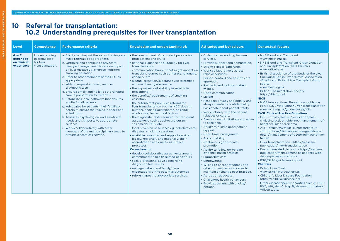# **10 Referral for transplantation: 10.2 Understanding prerequisites for liver transplantation**

| Level                                           | <b>Competence</b>                                               | <b>Performance criteria</b>                                                                                                                                                                                                                                                                                                                                                                                                                                                                                                                                                                                                                                                                                                                                                                                                                           | Knowledge and understanding of:                                                                                                                                                                                                                                                                                                                                                                                                                                                                                                                                                                                                                                                                                                                                                                                                                                                                                                                                                                                                                                                                                                                                                                                                                                                                           | <b>Attitudes and behaviours</b>                                                                                                                                                                                                                                                                                                                                                                                                                                                                                                                                                                                                                                                                                                                                                                                                                                                                                                                                                                                                | <b>Contextual factors</b>                                                                                                                                                                                                                                                                                                                                                                                                                                                                                                                                                                                                                                                                                                                                                                                                                                                                                                                                                                                                                                                                                                                                                                                                                                                                                                                                                                |
|-------------------------------------------------|-----------------------------------------------------------------|-------------------------------------------------------------------------------------------------------------------------------------------------------------------------------------------------------------------------------------------------------------------------------------------------------------------------------------------------------------------------------------------------------------------------------------------------------------------------------------------------------------------------------------------------------------------------------------------------------------------------------------------------------------------------------------------------------------------------------------------------------------------------------------------------------------------------------------------------------|-----------------------------------------------------------------------------------------------------------------------------------------------------------------------------------------------------------------------------------------------------------------------------------------------------------------------------------------------------------------------------------------------------------------------------------------------------------------------------------------------------------------------------------------------------------------------------------------------------------------------------------------------------------------------------------------------------------------------------------------------------------------------------------------------------------------------------------------------------------------------------------------------------------------------------------------------------------------------------------------------------------------------------------------------------------------------------------------------------------------------------------------------------------------------------------------------------------------------------------------------------------------------------------------------------------|--------------------------------------------------------------------------------------------------------------------------------------------------------------------------------------------------------------------------------------------------------------------------------------------------------------------------------------------------------------------------------------------------------------------------------------------------------------------------------------------------------------------------------------------------------------------------------------------------------------------------------------------------------------------------------------------------------------------------------------------------------------------------------------------------------------------------------------------------------------------------------------------------------------------------------------------------------------------------------------------------------------------------------|------------------------------------------------------------------------------------------------------------------------------------------------------------------------------------------------------------------------------------------------------------------------------------------------------------------------------------------------------------------------------------------------------------------------------------------------------------------------------------------------------------------------------------------------------------------------------------------------------------------------------------------------------------------------------------------------------------------------------------------------------------------------------------------------------------------------------------------------------------------------------------------------------------------------------------------------------------------------------------------------------------------------------------------------------------------------------------------------------------------------------------------------------------------------------------------------------------------------------------------------------------------------------------------------------------------------------------------------------------------------------------------|
| 6 or 7<br>depended<br>on clinical<br>experience | Understanding<br>prerequisites<br>for liver<br>transplantation. | a. Ability to interpret the alcohol history and<br>make referrals as appropriate.<br>b. Optimise and continue to advocate<br>lifestyle management despite no impact<br>on liver disease eg, exercise, nutrition,<br>smoking cessation.<br>c. Refer to other members of the MDT as<br>appropriate.<br>d. Able to request in timely manner<br>diagnostic tests.<br>e. Ensures timely and holistic co-ordinated<br>care in preparation for referral.<br>f. Establishes local pathways that ensures<br>equity for all patients.<br>g. Advocates for patients, their families/<br>carers to ensure their voice is heard and<br>acted upon.<br>h. Assesses psychological and emotional<br>needs and signposts to appropriate<br>services.<br>i. Works collaboratively with other<br>members of the multidisciplinary team to<br>provide a seamless service. | • the commitment of transplant process for<br>both patient and HCPs<br>· national guidance on suitability for liver<br>transplantation<br>• communication barriers that might impact on<br>transplant journey such as literacy, language,<br>capacity, etc<br>· alcohol cessation/substance use strategies<br>and maintaining abstinence<br>• the importance of stability in substitute<br>prescribing<br>• the benefits/requirements of smoking<br>cessation<br>• the criteria that precludes referral for<br>liver transplantation such as HCC size and<br>number, cholangiocarcinoma, ongoing<br>alcohol use, behavioural factors<br>• the diagnostic tests required for transplant<br>assessment, such as echocardiogram,<br>spirometry, ECG, etc<br>· local provision of services eg, palliative care,<br>diabetes, smoking cessation<br>· available resources and support services<br>locally, regionally and nationally; their<br>accreditation and quality assurance<br>processes.<br><b>Knows how to:</b><br>· develop collaborative agreements around<br>commitment to health related behaviours<br>• seek professional advise regarding<br>diagnostic test results<br>· manage patient and family/carer<br>expectations of the potential outcomes<br>• refer/signpost to appropriate services. | • Collaborative working between<br>services.<br>• Provide support and compassion.<br>• Strong clinical leadership.<br>• Work collaboratively across<br>relative services.<br>• Person-centred and holistic care<br>approach.<br>• Respects and includes patient<br>wishes.<br>• Good communication.<br>• Listens.<br>• Respects privacy and dignity and<br>always maintains confidentiality.<br>• Passionate about patient safety.<br>. Works closely with the patient,<br>relatives or carers.<br>• Aware of own limitations and when<br>to seek help.<br>• Ability to build a good patient<br>rapport.<br>· Good time management.<br>• Accountability.<br>• Continuous good-health<br>promotion.<br>• Ability to follow up-to-date<br>evidence based practice.<br>• Supportive care.<br>• Empowering.<br>. Willing to accept feedback and<br>reflect on own work in order to<br>maintain or change best practice.<br>• Acts as an advocate.<br>• Challenges health behaviours<br>• Provides patient with choice/<br>options. | • NHS Blood and Transplant<br>www.nhsbt.nhs.uk<br>• NHS Blood and Transplant Organ Donation<br>and Transplantation (ODT Clinical)<br>www.odt.nhs.uk<br>. British Association of the Study of the Liver<br>(including British Liver Nurses' Association<br>(BLNA) and British Liver Transplant Group<br>(BLTG)<br>www.basl.org.uk<br>• British Transplantation Society<br>https://bts.org.uk<br><b>NICE</b><br>• NICE Interventional Procedures guidance<br>(IPG) 535 Living-Donor Liver Transplantation<br>www.nice.org.uk/guidance/ipg535<br><b>EASL Clinical Practice Guidelines</b><br>• HCC - https://easl.eu/publication/easl-<br>clinical-practice-guidelines-management-of-<br>hepatocellular-carcinoma<br>• ALF - http://www.easl.eu/research/our-<br>contributions/clinical-practice-guidelines/<br>detail/management-of-acute-fulminant-liver-<br>failure<br>• Liver transplantation - https://easl.eu/<br>publication/liver-transplantation<br>• Decompensated cirrhosis - https://easl.eu/<br>publication/management-of-patients-with-<br>decompensated-cirrhosis<br>• BSG/BLTG guidelines in print<br><b>Charities</b><br>• British Liver Trust<br>www.britishlivertrust.org.uk<br>• Children's Liver Disease Foundation<br>https://childliverdisease.org<br>· Other disease specific charities such as PBC,<br>PSC, AIH, Hep C, Hep B, Haemochromatosis,<br>Wilson's, etc. |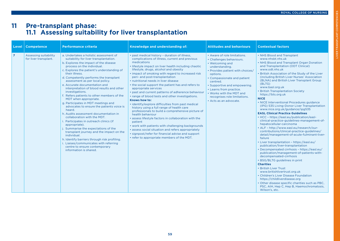# IVER TRANSPLANT COMPETENCIES LIVER TRANSPLANT COMPETENCIES

# **11 Pre-transplant phase: 11.1 Assessing suitability for liver transplantation**

| Level          | <b>Competence</b>                              | <b>Performance criteria</b>                                                                                                                                                                                                                                                                                                                                                                                                                                                                                                                                                                                                                                                                                                                                                                                                                                                                                                                                      | Knowledge and understanding of:                                                                                                                                                                                                                                                                                                                                                                                                                                                                                                                                                                                                                                                                                                                                                                                                                                                                                                                                                                                     | <b>Attitudes and behaviours</b>                                                                                                                                                                                                                                                                                                           | <b>Contextual factors</b>                                                                                                                                                                                                                                                                                                                                                                                                                                                                                                                                                                                                                                                                                                                                                                                                                                                                                                                                                                                                                                                                                                                                                                                                                                                                                                                                                                |
|----------------|------------------------------------------------|------------------------------------------------------------------------------------------------------------------------------------------------------------------------------------------------------------------------------------------------------------------------------------------------------------------------------------------------------------------------------------------------------------------------------------------------------------------------------------------------------------------------------------------------------------------------------------------------------------------------------------------------------------------------------------------------------------------------------------------------------------------------------------------------------------------------------------------------------------------------------------------------------------------------------------------------------------------|---------------------------------------------------------------------------------------------------------------------------------------------------------------------------------------------------------------------------------------------------------------------------------------------------------------------------------------------------------------------------------------------------------------------------------------------------------------------------------------------------------------------------------------------------------------------------------------------------------------------------------------------------------------------------------------------------------------------------------------------------------------------------------------------------------------------------------------------------------------------------------------------------------------------------------------------------------------------------------------------------------------------|-------------------------------------------------------------------------------------------------------------------------------------------------------------------------------------------------------------------------------------------------------------------------------------------------------------------------------------------|------------------------------------------------------------------------------------------------------------------------------------------------------------------------------------------------------------------------------------------------------------------------------------------------------------------------------------------------------------------------------------------------------------------------------------------------------------------------------------------------------------------------------------------------------------------------------------------------------------------------------------------------------------------------------------------------------------------------------------------------------------------------------------------------------------------------------------------------------------------------------------------------------------------------------------------------------------------------------------------------------------------------------------------------------------------------------------------------------------------------------------------------------------------------------------------------------------------------------------------------------------------------------------------------------------------------------------------------------------------------------------------|
| $\overline{7}$ | Assessing suitability<br>for liver transplant. | a. Undertakes a holistic assessment of<br>suitability for liver transplantation.<br>b. Explores the impact of the disease<br>process on the individual.<br>c. Explores the patient's understanding of<br>their illness.<br>d. Competently performs the transplant<br>assessment as per local policy.<br>e. Accurate documentation and<br>interpretation of blood results and other<br>investigations.<br>f. Refers patients to other members of the<br>MDT when appropriate.<br>g. Participates in MDT meetings and<br>advocates to ensure the patients voice is<br>heard.<br>h. Audits assessment documentation in<br>collaboration with the MDT.<br>Participates in outreach clinics (if<br>appropriate).<br>Summarise the expectations of the<br>transplant journey and the impact on the<br>individual.<br>h. Identify barriers through risk profiling.<br>i. Liaises/communicates with referring<br>centre to ensure contemporary<br>information is shared. | · past medical history - duration of illness,<br>complications of illness, current and previous<br>medications<br>· lifestyle impact on liver health including chaotic<br>lifestyle, drugs, alcohol and obesity<br>· impact of smoking with regard to increased risk<br>peri- and post-transplantation<br>• nutritional needs in liver disease<br>• the social support the patient has and refers to<br>appropriate services<br>· past and current patterns of adherence behaviour<br>• range of blood tests and other investigations.<br>Knows how to:<br>· identify/explore difficulties from past medical<br>history using a full range of health care<br>professionals to build a comprehensive picture of<br>health behaviour<br>· assess lifestyle factors in collaboration with the<br>patient<br>. work with patients with challenging backgrounds<br>· assess social situation and refers appropriately<br>· signpost/refer for financial advise and support<br>• refer to appropriate members of the MDT. | • Aware of role limitations.<br>• Challenges behaviours.<br>• Welcoming and<br>understanding.<br>• Provides patient with choices/<br>options.<br>• Compassionate and patient<br>centred.<br>• Supportive and empowering.<br>• Learns from practice.<br>. Works with the MDT and<br>recognises role limitations.<br>· Acts as an advocate. | • NHS Blood and Transplant<br>www.nhsbt.nhs.uk<br>• NHS Blood and Transplant Organ Donation<br>and Transplantation (ODT Clinical)<br>www.odt.nhs.uk<br>• British Association of the Study of the Liver<br>(including British Liver Nurses' Association<br>(BLNA) and British Liver Transplant Group<br>(BLTG)<br>www.basl.org.uk<br>• British Transplantation Society<br>https://bts.org.uk<br><b>NICE</b><br>• NICE Interventional Procedures guidance<br>(IPG) 535 Living-Donor Liver Transplantation<br>www.nice.org.uk/guidance/ipg535<br><b>EASL Clinical Practice Guidelines</b><br>• HCC - https://easl.eu/publication/easl-<br>clinical-practice-guidelines-management-of-<br>hepatocellular-carcinoma<br>• ALF - http://www.easl.eu/research/our-<br>contributions/clinical-practice-guidelines/<br>detail/management-of-acute-fulminant-liver-<br>failure<br>• Liver transplantation - https://easl.eu/<br>publication/liver-transplantation<br>• Decompensated cirrhosis - https://easl.eu/<br>publication/management-of-patients-with-<br>decompensated-cirrhosis<br>• BSG/BLTG guidelines in print<br><b>Charities</b><br>• British Liver Trust<br>www.britishlivertrust.org.uk<br>• Children's Liver Disease Foundation<br>https://childliverdisease.org<br>• Other disease specific charities such as PBC,<br>PSC, AIH, Hep C, Hep B, Haemochromatosis,<br>Wilson's, etc. |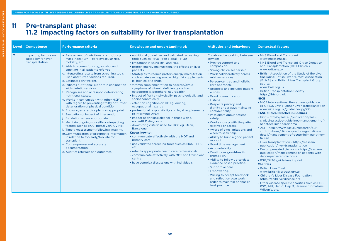# **11 Pre-transplant phase: 11.2 Impacting factors on suitability for liver transplantation**

| Level          | <b>Competence</b>                                                 | <b>Performance criteria</b>                                                                                                                                                                                                                                                                                                                                                                                                                                                                                                                                                                                                                                                                                                                                                                                                                                                                                                                                                                                                                                         | Knowledge and understanding of:                                                                                                                                                                                                                                                                                                                                                                                                                                                                                                                                                                                                                                                                                                                                                                                                                                                                                                                                                                                                                                                                                                                             | <b>Attitudes and behaviours</b>                                                                                                                                                                                                                                                                                                                                                                                                                                                                                                                                                                                                                                                                                                                                                                                                                                                                                              | <b>Contextual factors</b>                                                                                                                                                                                                                                                                                                                                                                                                                                                                                                                                                                                                                                                                                                                                                                                                                                                                                                                                                                                                                                                                                                                                                                                                                                                                                                                                                                |
|----------------|-------------------------------------------------------------------|---------------------------------------------------------------------------------------------------------------------------------------------------------------------------------------------------------------------------------------------------------------------------------------------------------------------------------------------------------------------------------------------------------------------------------------------------------------------------------------------------------------------------------------------------------------------------------------------------------------------------------------------------------------------------------------------------------------------------------------------------------------------------------------------------------------------------------------------------------------------------------------------------------------------------------------------------------------------------------------------------------------------------------------------------------------------|-------------------------------------------------------------------------------------------------------------------------------------------------------------------------------------------------------------------------------------------------------------------------------------------------------------------------------------------------------------------------------------------------------------------------------------------------------------------------------------------------------------------------------------------------------------------------------------------------------------------------------------------------------------------------------------------------------------------------------------------------------------------------------------------------------------------------------------------------------------------------------------------------------------------------------------------------------------------------------------------------------------------------------------------------------------------------------------------------------------------------------------------------------------|------------------------------------------------------------------------------------------------------------------------------------------------------------------------------------------------------------------------------------------------------------------------------------------------------------------------------------------------------------------------------------------------------------------------------------------------------------------------------------------------------------------------------------------------------------------------------------------------------------------------------------------------------------------------------------------------------------------------------------------------------------------------------------------------------------------------------------------------------------------------------------------------------------------------------|------------------------------------------------------------------------------------------------------------------------------------------------------------------------------------------------------------------------------------------------------------------------------------------------------------------------------------------------------------------------------------------------------------------------------------------------------------------------------------------------------------------------------------------------------------------------------------------------------------------------------------------------------------------------------------------------------------------------------------------------------------------------------------------------------------------------------------------------------------------------------------------------------------------------------------------------------------------------------------------------------------------------------------------------------------------------------------------------------------------------------------------------------------------------------------------------------------------------------------------------------------------------------------------------------------------------------------------------------------------------------------------|
| $\overline{7}$ | Impacting factors on<br>suitability for liver<br>transplantation. | a. Assessment of nutritional status, body<br>mass index (BMI), cardiovascular risk,<br>mobility, etc.<br>b. Able to screen for drug, alcohol and<br>smoking in all patients referred.<br>c. Interpreting results from screening tools<br>used and further actions required.<br>d. Estimates dry weight.<br>e. Initiates nutritional support in conjunction<br>with dietetic services.<br>f. Recognises and acts upon deteriorating<br>nutritional status.<br>g. Works in conjunction with other HCP's<br>with regard to preventing frailty or further<br>deterioration of physical condition.<br>h. Encourages exercise plans as appropriat.<br>i. Evaluation of impact of intervention.<br>j. Escalation where appropriate.<br>k. Maintain ongoing surveillance impacting<br>factors such as HCC, portal vein, CV risk.<br>I. Timely reassessment following imaging.<br>m.Communication of prognostic information<br>in relation to too early/too late for<br>transplant.<br>n. Contemporary and accurate<br>documentation.<br>o. Audit of referrals and outcomes. | • nutritional guidelines and validated screening<br>tools such as Royal Free global, PHQ9<br>• limitations in using BMI and MUST<br>• protein energy malnutrition, the effects on liver<br>patients<br>· Strategies to reduce protein energy malnutrition<br>such as late evening snacks, high fat supplements<br>ie, high calorie shots<br>· vitamin supplementation to address/avoid<br>symptoms of vitamin deficiency such as<br>osteoporosis, peripheral neuropathy<br>• impact of frailty - physically, psychologically and<br>socioeconomically<br>· effect on cognition on HE eg, driving,<br>occupational hazards<br>· professional responsibility and legal requirements<br>re informing DVLA<br>• impact of drinking alcohol in those with a<br>non-ARLD diagnosis<br>· downsizing criteria used for HCC eg, Milan,<br>Barcelona.<br>Knows how to:<br>• communicate effectively with the MDT and<br>primary care<br>• use validated screening tools such as MUST, PH9,<br>etc.<br>• refer to appropriate health care professionals<br>• communicate effectively with MDT and transplant<br>centre<br>• have complex discussions with individuals. | Collaborative working between<br>services:<br>• Provide support and<br>compassion.<br>• Strong clinical leadership.<br>• Work collaboratively across<br>relative services.<br>• Person-centred and holistic<br>care approach.<br>• Respects and includes patient<br>wishes.<br>· Good communication.<br>• Listens.<br>• Respects privacy and<br>dignity and always maintains<br>confidentiality.<br>• Passionate about patient<br>safety.<br>. Works closely with the patient<br>relatives or carers.<br>• Aware of own limitations and<br>when to seek help.<br>• Ability to build a good patient<br>rapport.<br>· Good time management.<br>• Accountability.<br>• Continuous good-health<br>promotion.<br>• Ability to follow up-to-date<br>evidence based practice.<br>· Supportive care.<br>• Empowering.<br>• Willing to accept feedback<br>and reflect on own work in<br>order to maintain or change<br>best practice. | • NHS Blood and Transplant<br>www.nhsbt.nhs.uk<br>• NHS Blood and Transplant Organ Donation<br>and Transplantation (ODT Clinical)<br>www.odt.nhs.uk<br>. British Association of the Study of the Liver<br>(including British Liver Nurses' Association<br>(BLNA) and British Liver Transplant Group<br>(BLTG)<br>www.basl.org.uk<br>• British Transplantation Society<br>https://bts.org.uk<br><b>NICE</b><br>• NICE Interventional Procedures guidance<br>(IPG) 535 Living-Donor Liver Transplantation<br>www.nice.org.uk/guidance/ipg535<br><b>EASL Clinical Practice Guidelines</b><br>• HCC - https://easl.eu/publication/easl-<br>clinical-practice-guidelines-management-of-<br>hepatocellular-carcinoma<br>• ALF - http://www.easl.eu/research/our-<br>contributions/clinical-practice-guidelines/<br>detail/management-of-acute-fulminant-liver-<br>failure<br>• Liver transplantation - https://easl.eu/<br>publication/liver-transplantation<br>• Decompensated cirrhosis - https://easl.eu/<br>publication/management-of-patients-with-<br>decompensated-cirrhosis<br>• BSG/BLTG guidelines in print<br><b>Charities</b><br>• British Liver Trust<br>www.britishlivertrust.org.uk<br>• Children's Liver Disease Foundation<br>https://childliverdisease.org<br>• Other disease specific charities such as PBC,<br>PSC, AIH, Hep C, Hep B, Haemochromatosis,<br>Wilson's, etc. |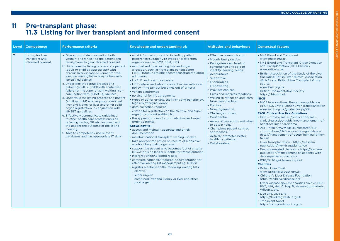LIVER TRANSPLANT COMPETENCIES

**IVER TRANSPLANT** 

COMPETENCIES

# **11 Pre-transplant phase: 11.3 Listing for liver transplant and informed consent**

| Level          | <b>Competence</b>                                        | <b>Performance criteria</b>                                                                                                                                                                                                                                                                                                                                                                                                                                                                                                                                                                                                                                                                                                                                                                                                                                                                                                                                                                 | Knowledge and understanding of:                                                                                                                                                                                                                                                                                                                                                                                                                                                                                                                                                                                                                                                                                                                                                                                                                                                                                                                                                                                                                                                                                                                                                                                                                                                                                                                                                                                                      | <b>Attitudes and behaviours</b>                                                                                                                                                                                                                                                                                                                                                                                                                                                                                                                                                               | <b>Contextual factors</b>                                                                                                                                                                                                                                                                                                                                                                                                                                                                                                                                                                                                                                                                                                                                                                                                                                                                                                                                                                                                                                                                                                                                                                                                                                                                                                                                                                                                                                                                                    |
|----------------|----------------------------------------------------------|---------------------------------------------------------------------------------------------------------------------------------------------------------------------------------------------------------------------------------------------------------------------------------------------------------------------------------------------------------------------------------------------------------------------------------------------------------------------------------------------------------------------------------------------------------------------------------------------------------------------------------------------------------------------------------------------------------------------------------------------------------------------------------------------------------------------------------------------------------------------------------------------------------------------------------------------------------------------------------------------|--------------------------------------------------------------------------------------------------------------------------------------------------------------------------------------------------------------------------------------------------------------------------------------------------------------------------------------------------------------------------------------------------------------------------------------------------------------------------------------------------------------------------------------------------------------------------------------------------------------------------------------------------------------------------------------------------------------------------------------------------------------------------------------------------------------------------------------------------------------------------------------------------------------------------------------------------------------------------------------------------------------------------------------------------------------------------------------------------------------------------------------------------------------------------------------------------------------------------------------------------------------------------------------------------------------------------------------------------------------------------------------------------------------------------------------|-----------------------------------------------------------------------------------------------------------------------------------------------------------------------------------------------------------------------------------------------------------------------------------------------------------------------------------------------------------------------------------------------------------------------------------------------------------------------------------------------------------------------------------------------------------------------------------------------|--------------------------------------------------------------------------------------------------------------------------------------------------------------------------------------------------------------------------------------------------------------------------------------------------------------------------------------------------------------------------------------------------------------------------------------------------------------------------------------------------------------------------------------------------------------------------------------------------------------------------------------------------------------------------------------------------------------------------------------------------------------------------------------------------------------------------------------------------------------------------------------------------------------------------------------------------------------------------------------------------------------------------------------------------------------------------------------------------------------------------------------------------------------------------------------------------------------------------------------------------------------------------------------------------------------------------------------------------------------------------------------------------------------------------------------------------------------------------------------------------------------|
| $\overline{7}$ | Listing for liver<br>transplant and<br>informed consent. | a. Give appropriate information both<br>verbally and written to the patient and<br>family/carer to gain informed consent.<br>b. Undertake the listing process of a patient<br>(adult or child as appropriate) with<br>chronic liver disease or variant for the<br>elective waiting list in conjunction with<br>NHSBT guidelines.<br>c. Undertake the listing process of a<br>patient (adult or child) with acute liver<br>failure for the super urgent waiting list in<br>conjunction with NHSBT guidelines.<br>d. Undertake the listing process of a patient<br>(adult or child) who requires combined<br>liver and kidney or liver and other solid<br>organ registration in conjunction with<br>NHSBT guidelines.<br>e. Effectively communicate guidelines<br>to other health care professionals eg.<br>referring centre, GP, etc. involved with<br>the patient the outcome of the listing<br>meeting.<br>f. Able to competently use relevant<br>databases and has appropriate IT skills. | • what informed consent is, including patient<br>preference/suitability re types of grafts from<br>organ donors ie, DCD, Split, LRD<br>national and local waiting lists and organ<br>allocation, such as transplant benefit score<br>(TBS); tumour growth; decompensation requiring<br>admission<br>• UKELD and how to calculate<br>• HCC criteria and who to contact in line with local<br>policy if the tumour becomes out of criteria<br>• variant syndromes<br>. no alcohol for life agreements<br>• types of donor organs, their risks and benefits eg.<br>high risk/marginal donor<br>· data collection required<br>• criteria for registration on the elective and super<br>urgent transplant waiting list<br>• the appeals process for both elective and super<br>urgent patients.<br>Knows how to:<br>• access and maintain accurate and timely<br>documentation<br>• maintain national transplant waiting list data<br>• take appropriate action on receipt of a positive<br>alcohol/drug toxicology result<br>• support the patient who becomes 'out of criteria<br>(HCC)' or is no longer suitable for transplantation<br>• interpret ongoing blood results<br>· complete nationally required documentation for<br>effective waiting list management eg, NHSBT<br>• register a patient on the following waiting lists:<br>- elective<br>- super urgent<br>- combined liver and kidney or liver and other<br>solid organ. | • Effective communicator.<br>• Models best practice.<br>• Recognises own level of<br>competence and able to<br>identify learning needs.<br>• Accountable.<br>• Supportive.<br>• Encouraging.<br>• Empowering.<br>• Provides choices.<br>• Gives and receives feedback.<br>. Willing to reflect on and learn<br>from own practice.<br>• Flexible.<br>• Nonjudgemental.<br>• Challenges others.<br>• Confidential.<br>• Aware of limitations and when<br>to obtain help.<br>• Champions patient centred<br>approaches.<br>• Actively promotes better<br>health to patients.<br>• Collaborative. | • NHS Blood and Transplant<br>www.nhsbt.nhs.uk<br>• NHS Blood and Transplant Organ Donation<br>and Transplantation (ODT Clinical)<br>www.odt.nhs.uk<br>. British Association of the Study of the Liver<br>(including British Liver Nurses' Association<br>(BLNA) and British Liver Transplant Group<br>(BLTG)<br>www.basl.org.uk<br>• British Transplantation Society<br>https://bts.org.uk<br><b>NICE</b><br>• NICE Interventional Procedures guidance<br>(IPG) 535 Living-Donor Liver Transplantation<br>www.nice.org.uk/guidance/ipg535<br><b>EASL Clinical Practice Guidelines</b><br>• HCC - https://easl.eu/publication/easl-<br>clinical-practice-guidelines-management-of-<br>hepatocellular-carcinoma<br>• ALF - http://www.easl.eu/research/our-<br>contributions/clinical-practice-guidelines/<br>detail/management-of-acute-fulminant-liver-<br>failure<br>• Liver transplantation - https://easl.eu/<br>publication/liver-transplantation<br>• Decompensated cirrhosis - https://easl.eu/<br>publication/management-of-patients-with-<br>decompensated-cirrhosis<br>• BSG/BLTG guidelines in print<br><b>Charities</b><br>• British Liver Trust<br>www.britishlivertrust.org.uk<br>• Children's Liver Disease Foundation<br>https://childliverdisease.org<br>• Other disease specific charities such as PBC,<br>PSC, AIH, Hep C, Hep B, Haemochromatosis,<br>Wilson's, etc.<br>• Live Life, Give Life<br>https://livelifegivelife.org.uk<br>• Transplant Sport<br>http://transplantsport.org.uk |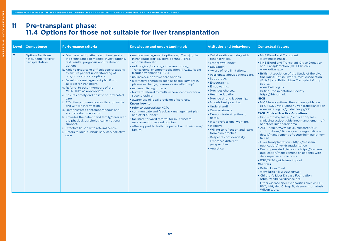# **11 Pre-transplant phase: 11.4 Options for those not suitable for liver transplantation**

| <b>Level</b>   | <b>Competence</b>                                               | <b>Performance criteria</b>                                                                                                                                                                                                                                                                                                                                                                                                                                                                                                                                                                                                                                                                                                                                                                                                  | Knowledge and understanding of:                                                                                                                                                                                                                                                                                                                                                                                                                                                                                                                                                                                                                                                                                                                                                                                                  | <b>Attitudes and behaviours</b>                                                                                                                                                                                                                                                                                                                                                                                                                                                                                                                                                                              | <b>Contextual factors</b>                                                                                                                                                                                                                                                                                                                                                                                                                                                                                                                                                                                                                                                                                                                                                                                                                                                                                                                                                                                                                                                                                                                                                                                                                                                                                                                                                                |
|----------------|-----------------------------------------------------------------|------------------------------------------------------------------------------------------------------------------------------------------------------------------------------------------------------------------------------------------------------------------------------------------------------------------------------------------------------------------------------------------------------------------------------------------------------------------------------------------------------------------------------------------------------------------------------------------------------------------------------------------------------------------------------------------------------------------------------------------------------------------------------------------------------------------------------|----------------------------------------------------------------------------------------------------------------------------------------------------------------------------------------------------------------------------------------------------------------------------------------------------------------------------------------------------------------------------------------------------------------------------------------------------------------------------------------------------------------------------------------------------------------------------------------------------------------------------------------------------------------------------------------------------------------------------------------------------------------------------------------------------------------------------------|--------------------------------------------------------------------------------------------------------------------------------------------------------------------------------------------------------------------------------------------------------------------------------------------------------------------------------------------------------------------------------------------------------------------------------------------------------------------------------------------------------------------------------------------------------------------------------------------------------------|------------------------------------------------------------------------------------------------------------------------------------------------------------------------------------------------------------------------------------------------------------------------------------------------------------------------------------------------------------------------------------------------------------------------------------------------------------------------------------------------------------------------------------------------------------------------------------------------------------------------------------------------------------------------------------------------------------------------------------------------------------------------------------------------------------------------------------------------------------------------------------------------------------------------------------------------------------------------------------------------------------------------------------------------------------------------------------------------------------------------------------------------------------------------------------------------------------------------------------------------------------------------------------------------------------------------------------------------------------------------------------------|
| $\overline{7}$ | Options for those<br>not suitable for liver<br>transplantation. | a. Discusses with patients and family/carer<br>the significance of medical investigations,<br>test results, prognosis and treatment<br>options.<br>b. Able to undertake difficult conversations<br>to ensure patient understanding of<br>prognosis and care options.<br>c. Develops a management plan if not<br>suitable for transplant.<br>d. Referral to other members of the<br>MDT/HCPs as appropriate.<br>e. Ensures timely and holistic co-ordinated<br>care.<br>f. Effectively communicates through verbal<br>and written information.<br>g. Demonstrates contemporaneous and<br>accurate documentation.<br>h. Provides the patient and family/carer with<br>the physical, psychological, emotional<br>support.<br>i. Effective liaison with referral centre.<br>Refers to local support services/palliative<br>care. | · medical management options eg. Transjugular<br>intrahepatic portosystemic shunt (TIPS),<br>embolisation etc.<br>• radiological/oncology interventions eg,<br>Transarterial chemoembolization (TACE), Radio<br>frequency ablation (RFA)<br>• palliative/supportive care options<br>• alternative therapies such as nasobiliary drain,<br>plasma exchange, pleurex drain, alfapump <sup>®</sup><br>· minimum listing criteria<br>• forward referral to multi visceral centre or for a<br>second opinion<br>• awareness of local provision of services.<br>Knows how to:<br>• refer to appropriate HCPs<br>• communicate and feedback management plan<br>and offer support<br>• facilitate forward referral for multivisceral<br>assessment or second opinion.<br>• offer support to both the patient and their carer/<br>family. | • Collaborative working with<br>other services.<br>• Empathy/support.<br>• Education.<br>• Aware of role limitations.<br>• Passionate about patient care.<br>• Supportive.<br>• Encouraging.<br>• Empowering.<br>• Provides choices.<br>• Health education.<br>• Provide strong leadership.<br>• Models best practice.<br>• Understanding.<br>• Compassionate.<br>• Demonstrate attention to<br>detail.<br>• Inter-professional working.<br>• Inclusive.<br>• Willing to reflect on and learn<br>from own practice.<br>• Respects confidentiality.<br>• Embraces different<br>perspectives.<br>• Analytical. | • NHS Blood and Transplant<br>www.nhsbt.nhs.uk<br>• NHS Blood and Transplant Organ Donation<br>and Transplantation (ODT Clinical)<br>www.odt.nhs.uk<br>. British Association of the Study of the Liver<br>(including British Liver Nurses' Association<br>(BLNA) and British Liver Transplant Group<br>(BLTG)<br>www.basl.org.uk<br>• British Transplantation Society<br>https://bts.org.uk<br><b>NICE</b><br>• NICE Interventional Procedures guidance<br>(IPG) 535 Living-Donor Liver Transplantation<br>www.nice.org.uk/guidance/ipg535<br><b>EASL Clinical Practice Guidelines</b><br>• HCC - https://easl.eu/publication/easl-<br>clinical-practice-guidelines-management-of-<br>hepatocellular-carcinoma<br>• ALF - http://www.easl.eu/research/our-<br>contributions/clinical-practice-guidelines/<br>detail/management-of-acute-fulminant-liver-<br>failure<br>• Liver transplantation - https://easl.eu/<br>publication/liver-transplantation<br>• Decompensated cirrhosis - https://easl.eu/<br>publication/management-of-patients-with-<br>decompensated-cirrhosis<br>• BSG/BLTG guidelines in print<br><b>Charities</b><br>• British Liver Trust<br>www.britishlivertrust.org.uk<br>• Children's Liver Disease Foundation<br>https://childliverdisease.org<br>• Other disease specific charities such as PBC,<br>PSC, AIH, Hep C, Hep B, Haemochromatosis,<br>Wilson's, etc. |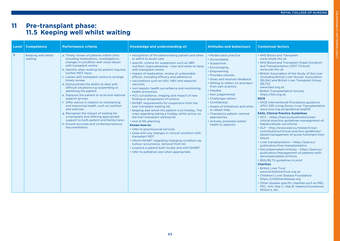# **11 Pre-transplant phase: 11.5 Keeping well whilst waiting**

| Level          | <b>Competence</b>               | <b>Performance criteria</b>                                                                                                                                                                                                                                                                                                                                                                                                                                                                                                                                                                                                                                                                                                                                                                   | Knowledge and understanding of:                                                                                                                                                                                                                                                                                                                                                                                                                                                                                                                                                                                                                                                                                                                                                                                                                                                                                                                                                                                                                                                                                                    | <b>Attitudes and behaviours</b>                                                                                                                                                                                                                                                                                                                                                                                                                            | <b>Contextual factors</b>                                                                                                                                                                                                                                                                                                                                                                                                                                                                                                                                                                                                                                                                                                                                                                                                                                                                                                                                                                                                                                                                                                                                                                                                                                                                                                                                                                |
|----------------|---------------------------------|-----------------------------------------------------------------------------------------------------------------------------------------------------------------------------------------------------------------------------------------------------------------------------------------------------------------------------------------------------------------------------------------------------------------------------------------------------------------------------------------------------------------------------------------------------------------------------------------------------------------------------------------------------------------------------------------------------------------------------------------------------------------------------------------------|------------------------------------------------------------------------------------------------------------------------------------------------------------------------------------------------------------------------------------------------------------------------------------------------------------------------------------------------------------------------------------------------------------------------------------------------------------------------------------------------------------------------------------------------------------------------------------------------------------------------------------------------------------------------------------------------------------------------------------------------------------------------------------------------------------------------------------------------------------------------------------------------------------------------------------------------------------------------------------------------------------------------------------------------------------------------------------------------------------------------------------|------------------------------------------------------------------------------------------------------------------------------------------------------------------------------------------------------------------------------------------------------------------------------------------------------------------------------------------------------------------------------------------------------------------------------------------------------------|------------------------------------------------------------------------------------------------------------------------------------------------------------------------------------------------------------------------------------------------------------------------------------------------------------------------------------------------------------------------------------------------------------------------------------------------------------------------------------------------------------------------------------------------------------------------------------------------------------------------------------------------------------------------------------------------------------------------------------------------------------------------------------------------------------------------------------------------------------------------------------------------------------------------------------------------------------------------------------------------------------------------------------------------------------------------------------------------------------------------------------------------------------------------------------------------------------------------------------------------------------------------------------------------------------------------------------------------------------------------------------------|
| $\overline{z}$ | Keeping well whilst<br>waiting. | a. Timely review of patients within clinic<br>including medications, investigations,<br>changes in condition with close liaison<br>with transplant centre.<br>b. Identify when waiting list patient requires<br>further MDT input.<br>c. Liaises with transplant centre to arrange<br>timely review.<br>d. Demonstrate the ability to deal with<br>difficult situations e.g suspending or<br>admitting the patient.<br>e. Signpost the patient to local and national<br>support groups.<br>f. Offer advice in relation to maintaining<br>and improving health, such as nutrition<br>and exercise.<br>g. Recognise the impact of waiting for<br>a transplant and offering appropriate<br>support to both patient and family/carer.<br>h. Ensure accurate and contemporaneous<br>documentation. | • recognition of the deteriorating patient and when<br>to admit to acute care<br>· specific criteria for suspension such as SBP,<br>nutrition, hyponatraemia - how and when to liaise<br>with transplant centre<br>· impact of medication, review of undesirable<br>effects, including efficacy and adherence<br>• vaccinations such as HAV, HBV and seasonal<br>vaccines<br>· non-hepatic health surveillance and monitoring;<br>health promotion<br>• HCC surveillance, imaging and impact of new<br>finding or progression of tumour<br>. NHSBT requirements for suspension from the<br>liver transplant waiting list<br>• keeping well whilst the patient is on holiday. The<br>rules regarding taking a holiday whilst active on<br>the liver transplant waiting list<br>· end of life planning.<br>Knows how to:<br>• refer to psychosocial services<br>· liaise with any changes in clinical condition with<br>transplant MDT<br>• inform NHSBT regarding changing condition eg,<br>tumour occurrence, removal from list<br>• suspend a patient both locally and with NHSBT<br>• refer to palliative care when appropriate. | • Models best practice.<br>• Accountable.<br>• Supportive.<br>• Encouraging.<br>• Empowering.<br>· Provides choices.<br>· Gives and receives feedback.<br>• Willing to reflect on and learn<br>from own practice.<br>• Flexible.<br>• Non judgemental.<br>• Challenges others.<br>• Confidential.<br>• Aware of limitations and when<br>to obtain help.<br>• Champions patient centred<br>approaches.<br>• Actively promotes better<br>health to patients. | • NHS Blood and Transplant<br>www.nhsbt.nhs.uk<br>• NHS Blood and Transplant Organ Donation<br>and Transplantation (ODT Clinical)<br>www.odt.nhs.uk<br>. British Association of the Study of the Liver<br>(including British Liver Nurses' Association<br>(BLNA) and British Liver Transplant Group<br>(BLTG)<br>www.basl.org.uk<br>• British Transplantation Society<br>https://bts.org.uk<br><b>NICE</b><br>• NICE Interventional Procedures guidance<br>(IPG) 535 Living-Donor Liver Transplantation<br>www.nice.org.uk/guidance/ipg535<br><b>EASL Clinical Practice Guidelines</b><br>• HCC - https://easl.eu/publication/easl-<br>clinical-practice-guidelines-management-of-<br>hepatocellular-carcinoma<br>• ALF - http://www.easl.eu/research/our-<br>contributions/clinical-practice-guidelines/<br>detail/management-of-acute-fulminant-liver-<br>failure<br>• Liver transplantation - https://easl.eu/<br>publication/liver-transplantation<br>• Decompensated cirrhosis - https://easl.eu/<br>publication/management-of-patients-with-<br>decompensated-cirrhosis<br>• BSG/BLTG guidelines in print<br><b>Charities</b><br>• British Liver Trust<br>www.britishlivertrust.org.uk<br>• Children's Liver Disease Foundation<br>https://childliverdisease.org<br>• Other disease specific charities such as PBC,<br>PSC, AIH, Hep C, Hep B, Haemochromatosis,<br>Wilson's, etc. |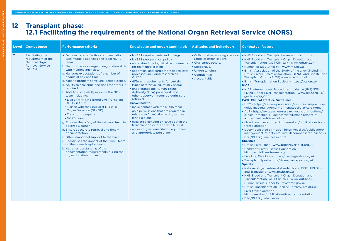# **12 Transplant phase: 12.1 Facilitating the requirements of the National Organ Retrieval Service (NORS)**

| Level          | <b>Competence</b>                                                                                             | <b>Performance criteria</b>                                                                                                                                                                                                                                                                                                                                                                                                                                                                                                                                                                                                                                                                                                                                                                                                                                                                                                                                              | Knowledge and understanding of:                                                                                                                                                                                                                                                                                                                                                                                                                                                                                                                                                                                                                                                                                                                               | <b>Attitudes and behaviours</b>                                                                                                                               | <b>Contextual factors</b>                                                                                                                                                                                                                                                                                                                                                                                                                                                                                                                                                                                                                                                                                                                                                                                                                                                                                                                                                                                                                                                                                                                                                                                                                                                                                                                                                                                                                                                                                                                                                                                                                                                                                                                                                                                                                                           |
|----------------|---------------------------------------------------------------------------------------------------------------|--------------------------------------------------------------------------------------------------------------------------------------------------------------------------------------------------------------------------------------------------------------------------------------------------------------------------------------------------------------------------------------------------------------------------------------------------------------------------------------------------------------------------------------------------------------------------------------------------------------------------------------------------------------------------------------------------------------------------------------------------------------------------------------------------------------------------------------------------------------------------------------------------------------------------------------------------------------------------|---------------------------------------------------------------------------------------------------------------------------------------------------------------------------------------------------------------------------------------------------------------------------------------------------------------------------------------------------------------------------------------------------------------------------------------------------------------------------------------------------------------------------------------------------------------------------------------------------------------------------------------------------------------------------------------------------------------------------------------------------------------|---------------------------------------------------------------------------------------------------------------------------------------------------------------|---------------------------------------------------------------------------------------------------------------------------------------------------------------------------------------------------------------------------------------------------------------------------------------------------------------------------------------------------------------------------------------------------------------------------------------------------------------------------------------------------------------------------------------------------------------------------------------------------------------------------------------------------------------------------------------------------------------------------------------------------------------------------------------------------------------------------------------------------------------------------------------------------------------------------------------------------------------------------------------------------------------------------------------------------------------------------------------------------------------------------------------------------------------------------------------------------------------------------------------------------------------------------------------------------------------------------------------------------------------------------------------------------------------------------------------------------------------------------------------------------------------------------------------------------------------------------------------------------------------------------------------------------------------------------------------------------------------------------------------------------------------------------------------------------------------------------------------------------------------------|
| $\overline{7}$ | <b>Facilitating the</b><br>requirement of the<br><b>National Organ</b><br><b>Retrieval Service</b><br>(NORS). | a. Demonstrates effective communication<br>with multiple agencies and local NORS<br>team.<br>b. Demonstrates a range of negotiation skills<br>with multiple agencies.<br>c. Manages expectations of a number of<br>people at any one time.<br>d. Able to problem solve unexpected issues.<br>e. Ability to challenge decisions for others if<br>required.<br>f. Able to successfully mobilise the NORS<br>team including:<br>• Liaison with NHS Blood and Transplant<br>(NHSBT) hub<br>• Liaison with the Specialist Nurse in<br><b>Organ Donation (SN-OD)</b><br>• Transport company<br>• NORS team.<br>g. Ensures the safety of the retrieval team ie,<br>adverse weather.<br>h. Ensures accurate retrieval and timely<br>documentation.<br>i. Offers emotional support to the team.<br>j. Recognises the impact of the NORS team<br>on the donor hospital team.<br>k. Has an understanding of the<br>documentation requirements during the<br>organ donation process. | • NHSBT requirements and timings<br>• NHSBT geographical policy<br>• understand the logistical requirements<br>for team mobilisation<br>• abdominal and cardiothoracic retrieval<br>processes including research eg.<br>QUOD<br>· different requirements for certain<br>types of retrieval eg, multi visceral<br>• understands the Human Tissue<br>Authority (HTA) paperwork and<br>other paperwork required during the<br>retrieval.<br>Knows how to:<br>. make contact with the NORS team<br>• gain permissions that are required in<br>relation to financial aspects, such as<br>hiring a plane<br>• escalate a concern or issue both in the<br>transplant hospital and with NHSBT<br>• access organ resuscitation equipment<br>and appropriate personnel. | • Collaborative working across a<br>range of organisations.<br>• Challenges others.<br>• Supportive.<br>• Understanding.<br>• Confidential.<br>• Accountable. | . NHS Blood and Transplant - www.nhsbt.nhs.uk<br>• NHS Blood and Transplant Organ Donation and<br>Transplantation (ODT Clinical) - www.odt.nhs.uk<br>• Human Tissue Authority - www.hta.gov.uk<br>. British Association of the Study of the Liver (including<br>British Liver Nurses' Association (BLNA) and British Liver<br>Transplant Group (BLTG) - www.basl.org.uk<br>• British Transplantation Society - https://bts.org.uk<br><b>NICE</b><br>• NICE Interventional Procedures guidance (IPG) 535<br>Living-Donor Liver Transplantation - www.nice.org.uk/<br>guidance/ipg535<br><b>EASL Clinical Practice Guidelines</b><br>• HCC - https://easl.eu/publication/easl-clinical-practice-<br>guidelines-management-of-hepatocellular-carcinoma<br>• ALF - http://www.easl.eu/research/our-contributions/<br>clinical-practice-guidelines/detail/management-of-<br>acute-fulminant-liver-failure<br>• Liver transplantation - https://easl.eu/publication/liver-<br>transplantation<br>• Decompensated cirrhosis - https://easl.eu/publication/<br>management-of-patients-with-decompensated-cirrhosis<br>• BSG/BLTG guidelines in print<br><b>Charities</b><br>• British Liver Trust - www.britishlivertrust.org.uk<br>• Children's Liver Disease Foundation<br>https://childliverdisease.org<br>• Live Life, Give Life - https://livelifegivelife.org.uk<br>• Transplant Sport - http://transplantsport.org.uk<br><b>Specific</b><br>• National Organ retrieval standards - NHSBT NHS Blood<br>and Transplant - www.nhsbt.nhs.uk<br>• NHS Blood and Transplant Organ Donation and<br>Transplantation (ODT Clinical) - www.odt.nhs.uk<br>• Human Tissue Authority - www.hta.gov.uk<br>• British Transplantation Society - https://bts.org.uk<br>• Liver transplantation<br>https://easl.eu/publication/liver-transplantation<br>• BSG/BLTG guidelines in print |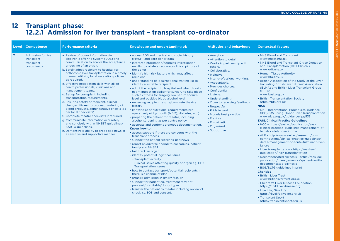LIVER TRANSPLANT COMPETENCIES

**VER TRANSPLANT** 

COMPETENCIES

# **12 Transplant phase: 12.2.1 Admission for liver transplant – transplant co-ordinator**

| Level          | <b>Competence</b>                                                        | <b>Performance criteria</b>                                                                                                                                                                                                                                                                                                                                                                                                                                                                                                                                                                                                                                                                                                                                                                                                                                                                                | Knowledge and understanding of:                                                                                                                                                                                                                                                                                                                                                                                                                                                                                                                                                                                                                                                                                                                                                                                                                                                                                                                                                                                                                                                                                                                                                                                                                                                                                                                                                                                                                                                                                                                                                   | <b>Attitudes and behaviours</b>                                                                                                                                                                                                                                                                                                                                                                                        | <b>Contextual factors</b>                                                                                                                                                                                                                                                                                                                                                                                                                                                                                                                                                                                                                                                                                                                                                                                                                                                                                                                                                                                                                                                                                                                                                                                                                                                                                                                                                                                                                |
|----------------|--------------------------------------------------------------------------|------------------------------------------------------------------------------------------------------------------------------------------------------------------------------------------------------------------------------------------------------------------------------------------------------------------------------------------------------------------------------------------------------------------------------------------------------------------------------------------------------------------------------------------------------------------------------------------------------------------------------------------------------------------------------------------------------------------------------------------------------------------------------------------------------------------------------------------------------------------------------------------------------------|-----------------------------------------------------------------------------------------------------------------------------------------------------------------------------------------------------------------------------------------------------------------------------------------------------------------------------------------------------------------------------------------------------------------------------------------------------------------------------------------------------------------------------------------------------------------------------------------------------------------------------------------------------------------------------------------------------------------------------------------------------------------------------------------------------------------------------------------------------------------------------------------------------------------------------------------------------------------------------------------------------------------------------------------------------------------------------------------------------------------------------------------------------------------------------------------------------------------------------------------------------------------------------------------------------------------------------------------------------------------------------------------------------------------------------------------------------------------------------------------------------------------------------------------------------------------------------------|------------------------------------------------------------------------------------------------------------------------------------------------------------------------------------------------------------------------------------------------------------------------------------------------------------------------------------------------------------------------------------------------------------------------|------------------------------------------------------------------------------------------------------------------------------------------------------------------------------------------------------------------------------------------------------------------------------------------------------------------------------------------------------------------------------------------------------------------------------------------------------------------------------------------------------------------------------------------------------------------------------------------------------------------------------------------------------------------------------------------------------------------------------------------------------------------------------------------------------------------------------------------------------------------------------------------------------------------------------------------------------------------------------------------------------------------------------------------------------------------------------------------------------------------------------------------------------------------------------------------------------------------------------------------------------------------------------------------------------------------------------------------------------------------------------------------------------------------------------------------|
| $\overline{7}$ | <b>Admission for liver</b><br>transplant -<br>transplant<br>co-ordinator | a. Review of donor information via<br>electronic offering system (EOS) and<br>communication to enable the acceptance<br>or decline of an organ.<br>b. Safely admit recipient to hospital for<br>orthotopic liver transplantation in a timely<br>manner, utilising local escalation policies<br>as required.<br>c. Effective negotiation skills with allied<br>health professionals, clinicians and<br>management teams.<br>d. Set up for transplant, including<br>transportation requirements.<br>e. Ensuring safety of recipient, clinical<br>changes, fitness to proceed, ordering of<br>blood products, administrative checks (as<br>per local checklists).<br>f. Complete theatre checklists if required.<br>g. Communicate information accurately<br>and concisely within NHSBT guidelines/<br>SABTO guidelines.<br>h. Demonstrate ability to break bad news in<br>a sensitive and supportive manner. | • access EOS and medical and social history<br>(MASH) and core donor data<br>• interpret information/complex investigation<br>results to collate an accurate clinical picture of<br>the donor<br>· identify high risk factors which may affect<br>recipient<br>• understanding of local/national waiting list to<br>identify a suitable recipient.<br>• admit the recipient to hospital and what threats<br>might impact on ability for surgery to take place<br>such as fitness for surgery, low serum sodium<br>level and positive blood alcohol level<br>• reviewing recipient results/complete theatre<br>history<br>· knowledge of nutritional requirements pre-<br>operatively nil by mouth (NBM), diabetes, etc.)<br>• preparing the patient for theatre, including<br>alcohol screening as per centre policy<br>• accurate and contemporaneous documentation.<br>Knows how to:<br>• access support if there are concerns with the<br>transplant process<br>• support the patient receiving bad news<br>• report an adverse finding to colleagues, patient,<br>family and NHSBT<br>• fast track an organ.<br>· identify potential logistical issues<br>- Transplant activity<br>- Clinical issues affecting quality of organ eg, CIT/<br><b>Transportation issues</b><br>• how to contact transport/potential recipients if<br>there is a change of plan<br>• arrange admission in timely fashion<br>· support for patient eg, treatment may not<br>proceed/unsuitable/donor types<br>• transfer the patient to theatre including review of<br>checklist, EOS and consent. | • Analytical.<br>• Attention to detail.<br>• Works in partnership with<br>others.<br>• Collaborative.<br>• Inclusive.<br>• Inter-professional working.<br>• Accountable.<br>• Provides choices.<br>• Confidential.<br>• Listens.<br>• Understanding.<br>• Open to receiving feedback.<br>• Respectful.<br>• Pride in work.<br>• Models best practice.<br>• Flexible.<br>• Empathetic.<br>• Organised.<br>· Supportive. | • NHS Blood and Transplant<br>www.nhsbt.nhs.uk<br>• NHS Blood and Transplant Organ Donation<br>and Transplantation (ODT Clinical)<br>www.odt.nhs.uk<br>• Human Tissue Authority<br>www.hta.gov.uk<br>• British Association of the Study of the Liver<br>(including British Liver Nurses' Association<br>(BLNA) and British Liver Transplant Group<br>(BLTG)<br>www.basl.org.uk<br>• British Transplantation Society<br>https://bts.org.uk<br><b>NICE</b><br>• NICE Interventional Procedures guidance<br>(IPG) 535 Living-Donor Liver Transplantation<br>www.nice.org.uk/guidance/ipg535<br><b>EASL Clinical Practice Guidelines</b><br>• HCC - https://easl.eu/publication/easl-<br>clinical-practice-guidelines-management-of-<br>hepatocellular-carcinoma<br>• ALF - http://www.easl.eu/research/our-<br>contributions/clinical-practice-guidelines/<br>detail/management-of-acute-fulminant-liver-<br>failure<br>• Liver transplantation - https://easl.eu/<br>publication/liver-transplantation<br>• Decompensated cirrhosis - https://easl.eu/<br>publication/management-of-patients-with-<br>decompensated-cirrhosis<br>• BSG/BLTG guidelines in print<br><b>Charities</b><br>• British Liver Trust<br>www.britishlivertrust.org.uk<br>• Children's Liver Disease Foundation<br>https://childliverdisease.org<br>• Live Life, Give Life<br>https://livelifegivelife.org.uk<br>• Transplant Sport<br>http://transplantsport.org.uk |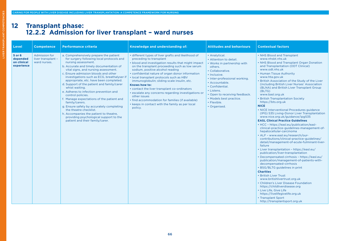LIVER TRANSPLANT COMPETENCIES

LIVER TRANSPLANT COMPETENCIES

# **12 Transplant phase: 12.2.2 Admission for liver transplant – ward nurses**

| Level                                           | <b>Competence</b>                                   | <b>Performance criteria</b>                                                                                                                                                                                                                                                                                                                                                                                                                                                                                                                                                                                                                                                                                                | Knowledge and understanding of:                                                                                                                                                                                                                                                                                                                                                                                                                                                                                                                                                                                                      | <b>Attitudes and behaviours</b>                                                                                                                                                                                                                                                                      | <b>Contextual factors</b>                                                                                                                                                                                                                                                                                                                                                                                                                                                                                                                                                                                                                                                                                                                                                                                                                                                                                                                                                                                                                                                                                                                                                                                                                                                                                                                                                                                                         |
|-------------------------------------------------|-----------------------------------------------------|----------------------------------------------------------------------------------------------------------------------------------------------------------------------------------------------------------------------------------------------------------------------------------------------------------------------------------------------------------------------------------------------------------------------------------------------------------------------------------------------------------------------------------------------------------------------------------------------------------------------------------------------------------------------------------------------------------------------------|--------------------------------------------------------------------------------------------------------------------------------------------------------------------------------------------------------------------------------------------------------------------------------------------------------------------------------------------------------------------------------------------------------------------------------------------------------------------------------------------------------------------------------------------------------------------------------------------------------------------------------------|------------------------------------------------------------------------------------------------------------------------------------------------------------------------------------------------------------------------------------------------------------------------------------------------------|-----------------------------------------------------------------------------------------------------------------------------------------------------------------------------------------------------------------------------------------------------------------------------------------------------------------------------------------------------------------------------------------------------------------------------------------------------------------------------------------------------------------------------------------------------------------------------------------------------------------------------------------------------------------------------------------------------------------------------------------------------------------------------------------------------------------------------------------------------------------------------------------------------------------------------------------------------------------------------------------------------------------------------------------------------------------------------------------------------------------------------------------------------------------------------------------------------------------------------------------------------------------------------------------------------------------------------------------------------------------------------------------------------------------------------------|
| 5 or 6<br>depended<br>on clinical<br>experience | Admission for<br>liver transplant -<br>ward nurses. | a. Comprehensively prepare the patient<br>for surgery following local protocols and<br>nursing assessment.<br>b. Accurate and timely documentation of<br>vital signs, and nursing assessment.<br>c. Ensure admission bloods and other<br>investigations such as ECG, breathalyser if<br>appropriate, etc. have been completed.<br>d. Support of the patient and family/carer<br>whist waiting.<br>e. Adheres to infection prevention and<br>control policies.<br>f. Manage expectations of the patient and<br>family/carers.<br>g. Ensure safety by accurately completing<br>the theatre checklist.<br>h. Accompanies the patient to theatre,<br>providing psychological support to the<br>patient and their family/carer. | • different types of liver grafts and likelihood of<br>preceding to transplant<br>• blood and investigation results that might impact<br>on the transplant proceeding such as low serum<br>sodium, positive alcohol reading<br>• confidential nature of organ donor information<br>• local transplant protocols such as HBV<br>immunoglobulin; sliding scale insulin, etc.<br>Knows how to:<br>• contact the liver transplant co-ordinators<br>• escalate any concerns regarding investigations or<br>other issues<br>· find accommodation for families (if available)<br>• keeps in contact with the family as per local<br>policy. | • Analytical.<br>• Attention to detail.<br>• Works in partnership with<br>others.<br>• Collaborative.<br>· Inclusive.<br>• Inter-professional working.<br>• Accountable.<br>• Confidential.<br>• Listens.<br>• Open to receiving feedback.<br>• Models best practice.<br>• Flexible.<br>• Organised. | • NHS Blood and Transplant<br>www.nhsbt.nhs.uk<br>• NHS Blood and Transplant Organ Donation<br>and Transplantation (ODT Clinical)<br>www.odt.nhs.uk<br>• Human Tissue Authority<br>www.hta.gov.uk<br>• British Association of the Study of the Liver<br>(including British Liver Nurses' Association<br>(BLNA) and British Liver Transplant Group<br>(BLTG)<br>www.basl.org.uk<br>• British Transplantation Society<br>https://bts.org.uk<br><b>NICE</b><br>• NICE Interventional Procedures guidance<br>(IPG) 535 Living-Donor Liver Transplantation<br>www.nice.org.uk/guidance/ipg535<br><b>EASL Clinical Practice Guidelines</b><br>• HCC - https://easl.eu/publication/easl-<br>clinical-practice-guidelines-management-of-<br>hepatocellular-carcinoma<br>• ALF - www.easl.eu/research/our-<br>contributions/clinical-practice-guidelines/<br>detail/management-of-acute-fulminant-liver-<br>failure<br>• Liver transplantation - https://easl.eu/<br>publication/liver-transplantation<br>• Decompensated cirrhosis - https://easl.eu/<br>publication/management-of-patients-with-<br>decompensated-cirrhosis<br>• BSG/BLTG guidelines in print<br><b>Charities</b><br>• British Liver Trust<br>www.britishlivertrust.org.uk<br>• Children's Liver Disease Foundation<br>https://childliverdisease.org<br>• Live Life, Give Life<br>https://livelifegivelife.org.uk<br>• Transplant Sport<br>http://transplantsport.org.uk |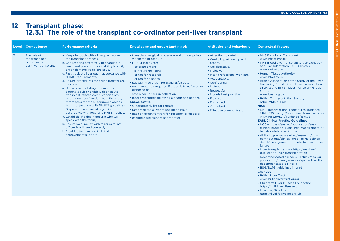# **VER TRANSPLANT COMPETENCIES** LIVER TRANSPLANT COMPETENCIES

# **12 Transplant phase: 12.3.1 The role of the transplant co-ordinator peri-liver transplant**

| Level          | <b>Competence</b>                                                       | <b>Performance criteria</b>                                                                                                                                                                                                                                                                                                                                                                                                                                                                                                                                                                                                                                                                                                                                                                                                                                                                                  | Knowledge and understanding of:                                                                                                                                                                                                                                                                                                                                                                                                                                                                                                                                                                                     | <b>Attitudes and behaviours</b>                                                                                                                                                                                                                                                                                   | <b>Contextual factors</b>                                                                                                                                                                                                                                                                                                                                                                                                                                                                                                                                                                                                                                                                                                                                                                                                                                                                                                                                                                                                                                                                                                                                                                                                                                                                                                                                                         |
|----------------|-------------------------------------------------------------------------|--------------------------------------------------------------------------------------------------------------------------------------------------------------------------------------------------------------------------------------------------------------------------------------------------------------------------------------------------------------------------------------------------------------------------------------------------------------------------------------------------------------------------------------------------------------------------------------------------------------------------------------------------------------------------------------------------------------------------------------------------------------------------------------------------------------------------------------------------------------------------------------------------------------|---------------------------------------------------------------------------------------------------------------------------------------------------------------------------------------------------------------------------------------------------------------------------------------------------------------------------------------------------------------------------------------------------------------------------------------------------------------------------------------------------------------------------------------------------------------------------------------------------------------------|-------------------------------------------------------------------------------------------------------------------------------------------------------------------------------------------------------------------------------------------------------------------------------------------------------------------|-----------------------------------------------------------------------------------------------------------------------------------------------------------------------------------------------------------------------------------------------------------------------------------------------------------------------------------------------------------------------------------------------------------------------------------------------------------------------------------------------------------------------------------------------------------------------------------------------------------------------------------------------------------------------------------------------------------------------------------------------------------------------------------------------------------------------------------------------------------------------------------------------------------------------------------------------------------------------------------------------------------------------------------------------------------------------------------------------------------------------------------------------------------------------------------------------------------------------------------------------------------------------------------------------------------------------------------------------------------------------------------|
| $\overline{7}$ | The role of<br>the transplant<br>co-ordinator<br>peri-liver transplant. | a. Keeps in touch with all people involved in<br>the transplant process.<br>b. Can respond effectively to changes in<br>treatment plans such as inability to split.<br>organ damage, recipient issue.<br>c. Fast track the liver out in accordance with<br>NHSBT requirements.<br>d. Ensure procedures for organ transfer are<br>followed.<br>e. Undertake the listing process of a<br>patient (adult or child) with an acute<br>transplant-related complication such<br>as primary non-function, hepatic artery<br>thrombosis for the superurgent waiting<br>list in conjunction with NHSBT guidelines.<br>f. Disposes of an unused organ in<br>accordance with local and NHSBT policy.<br>g. Establish (if a death occurs) who will<br>speak with the family.<br>h. Ensure local policy with regards to last<br>offices is followed correctly.<br>Provides the family with initial<br>bereavement support. | • transplant surgical procedure and critical points<br>within the procedure<br>• NHSBT policy for:<br>- offering organs<br>- superurgent listing<br>- organ for research<br>- organ for disposal.<br>• packaging of organ for transfer/disposal<br>• documentation required if organ is transferred or<br>disposed of<br>· safe place for organ collection<br>. local procedures following a death of a patient.<br>Knows how to:<br>• superurgently list for regraft<br>• fast track out a liver following an issue<br>• pack an organ for transfer, research or disposal<br>• change a recipient at short notice. | • Attention to detail.<br>• Works in partnership with<br>others.<br>· Collaborative.<br>· Inclusive.<br>• Inter-professional working.<br>• Accountable.<br>• Confidential.<br>• Listens.<br>• Respectful.<br>• Models best practice.<br>• Flexible.<br>• Empathetic.<br>• Organised.<br>• Effective communicator. | • NHS Blood and Transplant<br>www.nhsbt.nhs.uk<br>• NHS Blood and Transplant Organ Donation<br>and Transplantation (ODT Clinical)<br>www.odt.nhs.uk<br>• Human Tissue Authority<br>www.hta.gov.uk<br>. British Association of the Study of the Liver<br>(including British Liver Nurses' Association<br>(BLNA) and British Liver Transplant Group<br>(BLTG)<br>www.basl.org.uk<br>· British Transplantation Society<br>https://bts.org.uk<br><b>NICE</b><br>• NICE Interventional Procedures guidance<br>(IPG) 535 Living-Donor Liver Transplantation<br>www.nice.org.uk/guidance/ipg535<br><b>EASL Clinical Practice Guidelines</b><br>• HCC - https://easl.eu/publication/easl-<br>clinical-practice-guidelines-management-of-<br>hepatocellular-carcinoma<br>• ALF - http://www.easl.eu/research/our-<br>contributions/clinical-practice-guidelines/<br>detail/management-of-acute-fulminant-liver-<br>failure<br>• Liver transplantation - https://easl.eu/<br>publication/liver-transplantation<br>• Decompensated cirrhosis - https://easl.eu/<br>publication/management-of-patients-with-<br>decompensated-cirrhosis<br>• BSG/BLTG guidelines in print<br><b>Charities</b><br>• British Liver Trust<br>www.britishlivertrust.org.uk<br>• Children's Liver Disease Foundation<br>https://childliverdisease.org<br>• Live Life, Give Life<br>https://livelifegivelife.org.uk |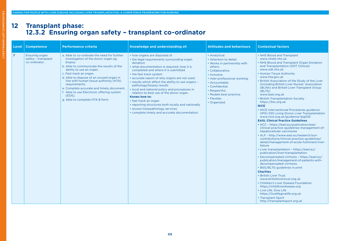# **12 Transplant phase: 12.3.2 Ensuring organ safety – transplant co-ordinator**

| Level          | <b>Competence</b>                                             | <b>Performance criteria</b>                                                                                                                                                                                                                                                                                                                                                                                                                      | Knowledge and understanding of:                                                                                                                                                                                                                                                                                                                                                                                                                                                                                                                                                                                              | <b>Attitudes and behaviours</b>                                                                                                                                                                                                                                        | <b>Contextual factors</b>                                                                                                                                                                                                                                                                                                                                                                                                                                                                                                                                                                                                                                                                                                                                                                                                                                                                                                                                                                                                                                                                                                                                                                                                                                                                                                                                                                                                                |
|----------------|---------------------------------------------------------------|--------------------------------------------------------------------------------------------------------------------------------------------------------------------------------------------------------------------------------------------------------------------------------------------------------------------------------------------------------------------------------------------------------------------------------------------------|------------------------------------------------------------------------------------------------------------------------------------------------------------------------------------------------------------------------------------------------------------------------------------------------------------------------------------------------------------------------------------------------------------------------------------------------------------------------------------------------------------------------------------------------------------------------------------------------------------------------------|------------------------------------------------------------------------------------------------------------------------------------------------------------------------------------------------------------------------------------------------------------------------|------------------------------------------------------------------------------------------------------------------------------------------------------------------------------------------------------------------------------------------------------------------------------------------------------------------------------------------------------------------------------------------------------------------------------------------------------------------------------------------------------------------------------------------------------------------------------------------------------------------------------------------------------------------------------------------------------------------------------------------------------------------------------------------------------------------------------------------------------------------------------------------------------------------------------------------------------------------------------------------------------------------------------------------------------------------------------------------------------------------------------------------------------------------------------------------------------------------------------------------------------------------------------------------------------------------------------------------------------------------------------------------------------------------------------------------|
| $\overline{7}$ | <b>Ensuring organ</b><br>safety - transplant<br>co-ordinator. | a. Able to co-ordinate the need for further<br>investigation of the donor organ eg,<br>biopsy.<br>b. Able to communicate the results of the<br>ability to use an organ.<br>c. Fast track an organ.<br>d. Able to dispose of an unused organ in<br>line with human tissue authority (HTA)<br>requirements.<br>e. Complete accurate and timely document.<br>f. Able to use Electronic offering system<br>(EOS).<br>g. Able to complete HTA B form. | • how organs are disposed of<br>• the legal requirements surrounding organ<br>donation<br>• what documentation is required, how it is<br>completed and where it is submitted<br>• the fast track system<br>• accurate report of why organs are not used.<br>• results which affect the ability to use organs -<br>pathology/biopsy results<br>• local and national policy and procedures in<br>relation to best use of the donor organ.<br>Knows how to:<br>• fast track an organ<br>• reporting structures both locally and nationally<br>• access histopathology services<br>• complete timely and accurate documentation. | • Analytical.<br>• Attention to detail.<br>• Works in partnership with<br>others.<br>• Collaborative.<br>• Inclusive.<br>• Inter-professional working.<br>• Accountable.<br>• Confidential.<br>• Respectful.<br>• Models best practice.<br>• Flexible.<br>• Organised. | • NHS Blood and Transplant<br>www.nhsbt.nhs.uk<br>• NHS Blood and Transplant Organ Donation<br>and Transplantation (ODT Clinical)<br>www.odt.nhs.uk<br>• Human Tissue Authority<br>www.hta.gov.uk<br>• British Association of the Study of the Liver<br>(including British Liver Nurses' Association<br>(BLNA) and British Liver Transplant Group<br>(BLTG)<br>www.basl.org.uk<br>• British Transplantation Society<br>https://bts.org.uk<br><b>NICE</b><br>• NICE Interventional Procedures guidance<br>(IPG) 535 Living-Donor Liver Transplantation<br>www.nice.org.uk/guidance/ipg535<br><b>EASL Clinical Practice Guidelines</b><br>• HCC - https://easl.eu/publication/easl-<br>clinical-practice-guidelines-management-of-<br>hepatocellular-carcinoma<br>• ALF - http://www.easl.eu/research/our-<br>contributions/clinical-practice-guidelines/<br>detail/management-of-acute-fulminant-liver-<br>failure<br>• Liver transplantation - https://easl.eu/<br>publication/liver-transplantation<br>• Decompensated cirrhosis - https://easl.eu/<br>publication/management-of-patients-with-<br>decompensated-cirrhosis<br>• BSG/BLTG guidelines in print<br><b>Charities</b><br>• British Liver Trust<br>www.britishlivertrust.org.uk<br>• Children's Liver Disease Foundation<br>https://childliverdisease.org<br>• Live Life, Give Life<br>https://livelifegivelife.org.uk<br>• Transplant Sport<br>http://transplantsport.org.uk |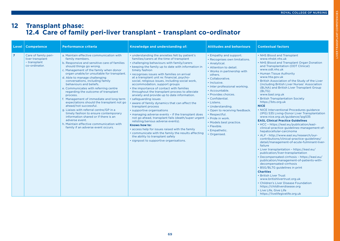LIVER TRANSPLANT COMPETENCIES

**VER TRANSPLANT COMPETENCIES** 

# **12 Transplant phase: 12.4 Care of family peri-liver transplant – transplant co-ordinator**

| <b>Level</b>   | <b>Competence</b>                                                         | <b>Performance criteria</b>                                                                                                                                                                                                                                                                                                                                                                                                                                                                                                                                                                                                                                                                                                                                                 | Knowledge and understanding of:                                                                                                                                                                                                                                                                                                                                                                                                                                                                                                                                                                                                                                                                                                                                                                                                                                                                                                                                                                                                                 | <b>Attitudes and behaviours</b>                                                                                                                                                                                                                                                                                                                                                                                                                                  | <b>Contextual factors</b>                                                                                                                                                                                                                                                                                                                                                                                                                                                                                                                                                                                                                                                                                                                                                                                                                                                                                                                                                                                                                                                                                                                                                                                                                                                                                                                                                         |
|----------------|---------------------------------------------------------------------------|-----------------------------------------------------------------------------------------------------------------------------------------------------------------------------------------------------------------------------------------------------------------------------------------------------------------------------------------------------------------------------------------------------------------------------------------------------------------------------------------------------------------------------------------------------------------------------------------------------------------------------------------------------------------------------------------------------------------------------------------------------------------------------|-------------------------------------------------------------------------------------------------------------------------------------------------------------------------------------------------------------------------------------------------------------------------------------------------------------------------------------------------------------------------------------------------------------------------------------------------------------------------------------------------------------------------------------------------------------------------------------------------------------------------------------------------------------------------------------------------------------------------------------------------------------------------------------------------------------------------------------------------------------------------------------------------------------------------------------------------------------------------------------------------------------------------------------------------|------------------------------------------------------------------------------------------------------------------------------------------------------------------------------------------------------------------------------------------------------------------------------------------------------------------------------------------------------------------------------------------------------------------------------------------------------------------|-----------------------------------------------------------------------------------------------------------------------------------------------------------------------------------------------------------------------------------------------------------------------------------------------------------------------------------------------------------------------------------------------------------------------------------------------------------------------------------------------------------------------------------------------------------------------------------------------------------------------------------------------------------------------------------------------------------------------------------------------------------------------------------------------------------------------------------------------------------------------------------------------------------------------------------------------------------------------------------------------------------------------------------------------------------------------------------------------------------------------------------------------------------------------------------------------------------------------------------------------------------------------------------------------------------------------------------------------------------------------------------|
| $\overline{7}$ | Care of family peri-<br>liver transplant<br>- transplant<br>co-ordinator. | a. Maintain effective communication with<br>family members.<br>b. Responsive and sensitive care of families<br>should things go wrong.<br>c. Management of the family when donor<br>organ unable/or unsuitable for transplant.<br>d. Able to manage challenging<br>conversations, including family<br>behaviours and beliefs.<br>e. Communicates with referring centre<br>regarding the outcome of transplant<br>process.<br>f. Management of immediate and long term<br>expectations should the transplant not go<br>ahead/not successful.<br>g. Liaises with referral centre/GP in a<br>timely fashion to ensure contemporary<br>information shared or if there is an<br>adverse event.<br>h. Maintain effective communication with<br>family if an adverse event occurs. | . understanding the anxieties felt by patient's<br>families/carers at the time of transplant<br>• challenging behaviours with family/carers<br>• keeping the family up to date with information in<br>timely fashion<br>· recognises issues with families on arrival<br>at a transplant unit re: financial, psycho-<br>social, religious issues, including social work,<br>accommodation, support groups<br>• the importance of contact with families<br>throughout the transplant process to alleviate<br>anxiety and provide up to date information.<br>· safeguarding issues<br>aware of family dynamics that can affect the<br>transplant process<br>· supportive organisations<br>• managing adverse events - if the transplant does<br>not go ahead, transplant fails (death/super urgent<br>relisting/serious adverse events).<br>Knows how to:<br>• access help for issues raised with the family<br>• communicate with the family the results affecting<br>the ability to transplant safely<br>• signpost to supportive organisations. | • Empathy and support.<br>• Recognises own limitations.<br>• Analytical.<br>• Attention to detail.<br>• Works in partnership with<br>others.<br>• Collaborative.<br>• Inclusive.<br>· Inter professional working.<br>• Accountable.<br>• Provides choices.<br>• Confidential.<br>• Listens.<br>• Understanding.<br>• Open to receiving feedback.<br>• Respectful.<br>• Pride in work.<br>• Models best practice.<br>• Flexible.<br>• Empathetic.<br>• Organised. | • NHS Blood and Transplant<br>www.nhsbt.nhs.uk<br>• NHS Blood and Transplant Organ Donation<br>and Transplantation (ODT Clinical)<br>www.odt.nhs.uk<br>• Human Tissue Authority<br>www.hta.gov.uk<br>. British Association of the Study of the Liver<br>(including British Liver Nurses' Association<br>(BLNA) and British Liver Transplant Group<br>(BLTG)<br>www.basl.org.uk<br>• British Transplantation Society<br>https://bts.org.uk<br><b>NICE</b><br>• NICE Interventional Procedures guidance<br>(IPG) 535 Living-Donor Liver Transplantation<br>www.nice.org.uk/guidance/ipg535<br><b>EASL Clinical Practice Guidelines</b><br>• HCC - https://easl.eu/publication/easl-<br>clinical-practice-guidelines-management-of-<br>hepatocellular-carcinoma<br>• ALF - http://www.easl.eu/research/our-<br>contributions/clinical-practice-guidelines/<br>detail/management-of-acute-fulminant-liver-<br>failure<br>• Liver transplantation - https://easl.eu/<br>publication/liver-transplantation<br>• Decompensated cirrhosis - https://easl.eu/<br>publication/management-of-patients-with-<br>decompensated-cirrhosis<br>• BSG/BLTG guidelines in print<br><b>Charities</b><br>• British Liver Trust<br>www.britishlivertrust.org.uk<br>• Children's Liver Disease Foundation<br>https://childliverdisease.org<br>• Live Life, Give Life<br>https://livelifegivelife.org.uk |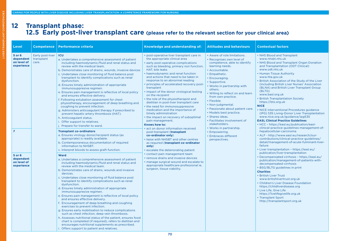# **12 Transplant phase: 12.5 Early post-liver transplant care (please refer to the relevant section for your clinical area)**

| Level                                                              | <b>Competence</b>                       | <b>Performance criteria</b>                                                                                                                                                                                                                                                                                                                                                                                                                                                                                                                                                                                                                                                                                                                                                                                                                                                                                                                                                                                                                                | <b>Knowledge and understanding of:</b>                                                                                                                                                                                                                                                                                                                                                                                                                                                                                                                                                                                                                                                                                                                                                                                                                                                | <b>Attitudes and behaviours</b>                                                                                                                                                                                                                                                                                                                                                                                                                                                                                                                     | <b>Contextual factors</b>                                                                                                                                                                                                                                                                                                                                                                                                                                                                                                                                                                                                                                                                                                                                                                                                                                                                              |
|--------------------------------------------------------------------|-----------------------------------------|------------------------------------------------------------------------------------------------------------------------------------------------------------------------------------------------------------------------------------------------------------------------------------------------------------------------------------------------------------------------------------------------------------------------------------------------------------------------------------------------------------------------------------------------------------------------------------------------------------------------------------------------------------------------------------------------------------------------------------------------------------------------------------------------------------------------------------------------------------------------------------------------------------------------------------------------------------------------------------------------------------------------------------------------------------|---------------------------------------------------------------------------------------------------------------------------------------------------------------------------------------------------------------------------------------------------------------------------------------------------------------------------------------------------------------------------------------------------------------------------------------------------------------------------------------------------------------------------------------------------------------------------------------------------------------------------------------------------------------------------------------------------------------------------------------------------------------------------------------------------------------------------------------------------------------------------------------|-----------------------------------------------------------------------------------------------------------------------------------------------------------------------------------------------------------------------------------------------------------------------------------------------------------------------------------------------------------------------------------------------------------------------------------------------------------------------------------------------------------------------------------------------------|--------------------------------------------------------------------------------------------------------------------------------------------------------------------------------------------------------------------------------------------------------------------------------------------------------------------------------------------------------------------------------------------------------------------------------------------------------------------------------------------------------------------------------------------------------------------------------------------------------------------------------------------------------------------------------------------------------------------------------------------------------------------------------------------------------------------------------------------------------------------------------------------------------|
| 5 or 6<br>dependent<br>on level of<br>experience<br>$\overline{7}$ | Early post-liver<br>transplant<br>care. | <b>ICU</b><br>a. Undertakes a comprehensive assessment of patient<br>including haemodynamic/fluid and renal status and<br>review with the medical team.<br>b. Demonstrates care of drains, wounds, invasive devices<br>c. Undertakes close monitoring of fluid balance post<br>transplant to identify complications such as renal<br>dysfunction.<br>d. Ensures timely administration of appropriate<br>immunosuppresive regimen.<br>e. Ensures pain management is reflective of local policy<br>and ensures effective delivery.<br>f. Following extubation assessment for chest<br>physiotherapy, encouragement of deep breathing and<br>coughing to prevent infection.<br>g. Administers anticoagulant therapy if prescribed to<br>prevent hepatic artery thrombosis (HAT).<br>h. Anticoagulant status.<br>i. Offer support to relatives.<br>j. Prepare for transfer to ward.<br><b>Transplant co-ordinators</b><br>a. Ensures virology donor/recipient status (as<br>appropriate) is readily available.<br>b. Contemporaneous documentation of required | • post-operative liver transplant care in<br>the appropriate clinical area<br>• early post-operative complications<br>such as bleeding, primary non function,<br><b>HAT, bile leaks</b><br>• haemodynamic and renal function<br>and actions that need to be taken in<br>response to an abnormal reading<br>• principles of accelerated recovery post-<br>transplant<br>• impact of the donor virological testing<br>on the recipient<br>• the role of the physiotherapist and<br>dietitian in post-liver transplant care<br>• the need for immunosuppressive<br>medication and the importance of<br>timely administration<br>• the impact on recovery of suboptimal<br>pain management.<br>Knows how to:<br>• act on donor information received<br>post-transplant (transplant<br>co-ordinator only)<br>. liaise with NHSBT and other centres<br>as required (transplant co-ordinator | • Aware of role limitations.<br>· Recognises own level of<br>competence, able to identify<br>learning needs.<br>· Accountable.<br>• Empathetic.<br>• Encouraging.<br>· Supportive.<br>. Works in partnership with<br>others.<br>. Willing to reflect on and learn<br>from own practice.<br>· Flexible.<br>• Non-judgmental.<br>• Passionate about patient care.<br>• Models best practice.<br>· Shares ideas.<br>• Facilitates involvement of<br>stakeholders.<br>• Works in partnership.<br>• Empowering.<br>• Embraces different<br>perspectives. | • NHS Blood and Transplant<br>www.nhsbt.nhs.uk<br>• NHS Blood and Transplant Organ Donation<br>and Transplantation (ODT Clinical)<br>www.odt.nhs.uk<br>• Human Tissue Authority<br>www.hta.gov.uk<br>• British Association of the Study of the Liver<br>(including British Liver Nurses' Association<br>(BLNA) and British Liver Transplant Group<br>(BLTG)<br>www.basl.org.uk<br>• British Transplantation Society<br>https://bts.org.uk<br><b>NICE</b><br>• NICE Interventional Procedures guidance<br>(IPG) 535 Living-Donor Liver Transplantation<br>www.nice.org.uk/guidance/ipg535<br><b>EASL Clinical Practice Guidelines</b><br>• HCC - https://easl.eu/publication/easl-<br>clinical-practice-guidelines-management-of-<br>hepatocellular-carcinoma<br>• ALF - http://www.easl.eu/research/our-<br>contributions/clinical-practice-guidelines/<br>detail/management-of-acute-fulminant-liver- |
| $5$ or $6$<br>dependent<br>on level of<br>experience               |                                         | information to NHSBT.<br>c. Interpret bloods to assess graft function.<br>Ward<br>a. Undertakes a comprehensive assessment of patient<br>including haemodynamic/fluid and renal status and<br>review with the medical team.<br>b. Demonstrates care of drains, wounds and invasive<br>devices.<br>c. Undertakes close monitoring of fluid balance post<br>transplant to identify complications such as renal<br>dysfunction.<br>d. Ensures timely administration of appropriate<br>immunosuppresive regimen.<br>e. Ensures pain management is reflective of local policy<br>and ensures effective delivery.<br>f. Encouragement of deep breathing and coughing<br>exercises to prevent infection.<br>g. Ensures early mobilisation to reduce complications<br>such as chest infection, deep vein thrombosis.<br>h. Assesses nutritional status of the patient, ensures food<br>chart is completed (if required), refers to dietitian and<br>encourages nutritional supplements as prescribed.<br>i. Offers support to patient and relatives.               | only)<br>• escalate the deteriorating patient<br>• contact pain management team<br>• remove drains and invasive devices<br>. manage surgical wound and escalate to<br>appropriate healthcare professional ie,<br>surgeon, tissue viability.                                                                                                                                                                                                                                                                                                                                                                                                                                                                                                                                                                                                                                           |                                                                                                                                                                                                                                                                                                                                                                                                                                                                                                                                                     | failure<br>• Liver transplantation - https://easl.eu/<br>publication/liver-transplantation<br>• Decompensated cirrhosis - https://easl.eu/<br>publication/management-of-patients-with-<br>decompensated-cirrhosis<br>• BSG/BLTG guidelines in print<br><b>Charities</b><br>• British Liver Trust<br>www.britishlivertrust.org.uk<br>• Children's Liver Disease Foundation<br>https://childliverdisease.org<br>• Live Life, Give Life<br>https://livelifegivelife.org.uk<br>• Transplant Sport<br>http://transplantsport.org.uk                                                                                                                                                                                                                                                                                                                                                                         |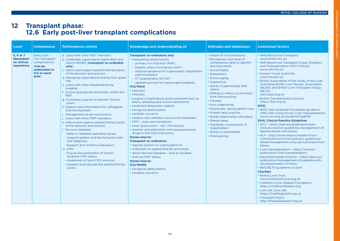# LIVER TRANSPLANT COMPETENCIES IVER TRANSPLANT COMPETENCIES

# **12 Transplant phase: 12.6 Early post-liver transplant complications**

| Level                                              | <b>Competence</b>                                                                                            | <b>Performance criteria</b>                                                                                                                                                                                                                                                                                                                                                                                                                                                                                                                                                                                                                                                                                                                                                                                                                                                                                                                                                                                  | Knowledge and understanding of:                                                                                                                                                                                                                                                                                                                                                                                                                                                                                                                                                                                                                                                                                                                                                                                                                                                                                                                                                                                                                        | <b>Attitudes and behaviours</b>                                                                                                                                                                                                                                                                                                                                                                                                                                                                                                                 | <b>Contextual factors</b>                                                                                                                                                                                                                                                                                                                                                                                                                                                                                                                                                                                                                                                                                                                                                                                                                                                                                                                                                                                                                                                                                                                                                                                                                                                                                                                                                                                                                |
|----------------------------------------------------|--------------------------------------------------------------------------------------------------------------|--------------------------------------------------------------------------------------------------------------------------------------------------------------------------------------------------------------------------------------------------------------------------------------------------------------------------------------------------------------------------------------------------------------------------------------------------------------------------------------------------------------------------------------------------------------------------------------------------------------------------------------------------------------------------------------------------------------------------------------------------------------------------------------------------------------------------------------------------------------------------------------------------------------------------------------------------------------------------------------------------------------|--------------------------------------------------------------------------------------------------------------------------------------------------------------------------------------------------------------------------------------------------------------------------------------------------------------------------------------------------------------------------------------------------------------------------------------------------------------------------------------------------------------------------------------------------------------------------------------------------------------------------------------------------------------------------------------------------------------------------------------------------------------------------------------------------------------------------------------------------------------------------------------------------------------------------------------------------------------------------------------------------------------------------------------------------------|-------------------------------------------------------------------------------------------------------------------------------------------------------------------------------------------------------------------------------------------------------------------------------------------------------------------------------------------------------------------------------------------------------------------------------------------------------------------------------------------------------------------------------------------------|------------------------------------------------------------------------------------------------------------------------------------------------------------------------------------------------------------------------------------------------------------------------------------------------------------------------------------------------------------------------------------------------------------------------------------------------------------------------------------------------------------------------------------------------------------------------------------------------------------------------------------------------------------------------------------------------------------------------------------------------------------------------------------------------------------------------------------------------------------------------------------------------------------------------------------------------------------------------------------------------------------------------------------------------------------------------------------------------------------------------------------------------------------------------------------------------------------------------------------------------------------------------------------------------------------------------------------------------------------------------------------------------------------------------------------------|
| 5.6 or 7<br>dependent<br>on clinical<br>experience | Early post-<br>liver transplant<br>complications.<br>(Can be<br>undertaken in<br><b>ICU or ward</b><br>area) | a. Liaise with other MDT members<br>b. Undertake superurgent registration and<br>inform NHSBT (transplant co-ordinator<br>only).<br>c. Inform and support patient/family/carers<br>of the decision and process.<br>d. Managing expectations arising from great<br>risk.<br>e. Liaise with other departments eg,<br>imaging.<br>f. Ensure appropriate discussion within the<br>MDT.<br>g. Continued support of patient/family/<br>carers.<br>h. Support and information for colleagues<br>and nursing team.<br>i. Management as per local policy.<br>j. Liaise with other MDT members.<br>k. Inform and support patient/family/carers<br>of the decision and process.<br>I. De novo diabetes:<br>- Refer to diabetes specialist nurses<br>- Support patient and family/carers with<br>new diagnosis.<br>- Support and reinforce education.<br>m. CMV<br>- Ensure documentation of donor/<br>recipient CMV status<br>- Awareness of local CMV protocol<br>- Support and educate the patient/family/<br>carers. | <b>Transplant co-ordinators only</b><br>· interpreting blood results<br>- primary non function (PNF)<br>- hepatic artery thrombosis (HAT)<br>- national guidance for superurgent registration<br>post-transplant<br>- CT angiography for HAT<br>- appeals process for superurgent patients.<br><b>ICU/Ward</b><br>• rejection<br>• infection<br>· surgical complications post-transplant such as<br>biliary, bleeding and wound dehiscence<br>• treatment/diagnostic options<br>• recognise deterioration<br>· escalate concerns<br>• reasons why diabetes occurs post transplant<br>• CMV - signs and symptoms<br>• renal dysfunction - AKI, CNI toxicity<br>• monitor and administer immunosuppressive<br>drugs in line with local policy.<br>Knows how to:<br><b>Transplant co-ordinators</b><br>• register patient on superurgent list<br>• undertake an appeal and the processes<br>• donor derived diseases - how to escalate<br>. find out CMV status.<br>Knows how to:<br><b>ICU/WARD</b><br>• recognise deterioration<br>· escalate concerns. | • Aware of role limitations.<br>· Recognises own level of<br>competence, able to identify<br>learning needs.<br>· Accountable.<br>• Empathetic.<br>• Encouraging.<br>• Supportive.<br>• Works in partnership with<br>others.<br>• Willing to reflect on and learn<br>from own practice.<br>• Flexible.<br>• Non-judgmental.<br>• Passionate about patient care.<br>• Models best practice.<br>• Builds relationship with peers.<br>· Shares ideas.<br>• Facilitates involvement of<br>stakeholders.<br>• Works in partnership.<br>• Empowering. | • NHS Blood and Transplant<br>www.nhsbt.nhs.uk<br>• NHS Blood and Transplant Organ Donation<br>and Transplantation (ODT Clinical)<br>www.odt.nhs.uk<br>• Human Tissue Authority<br>www.hta.gov.uk<br>. British Association of the Study of the Liver<br>(including British Liver Nurses' Association<br>(BLNA) and British Liver Transplant Group<br>(BLTG)<br>www.basl.org.uk<br>· British Transplantation Society<br>https://bts.org.uk<br><b>NICE</b><br>• NICE Interventional Procedures guidance<br>(IPG) 535 Living-Donor Liver Transplantation<br>www.nice.org.uk/guidance/ipg535<br><b>EASL Clinical Practice Guidelines</b><br>• HCC - https://easl.eu/publication/easl-<br>clinical-practice-guidelines-management-of-<br>hepatocellular-carcinoma<br>• ALF - http://www.easl.eu/research/our-<br>contributions/clinical-practice-guidelines/<br>detail/management-of-acute-fulminant-liver-<br>failure<br>• Liver transplantation - https://easl.eu/<br>publication/liver-transplantation<br>• Decompensated cirrhosis - https://easl.eu/<br>publication/management-of-patients-with-<br>decompensated-cirrhosis<br>• BSG/BLTG guidelines in print<br><b>Charities</b><br>• British Liver Trust<br>www.britishlivertrust.org.uk<br>• Children's Liver Disease Foundation<br>https://childliverdisease.org<br>• Live Life, Give Life<br>https://livelifegivelife.org.uk<br>• Transplant Sport<br>http://transplantsport.org.uk |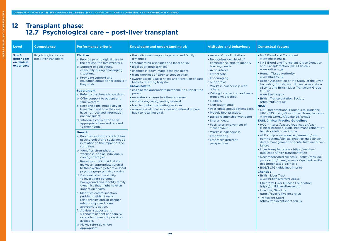# **12 Transplant phase: 12.7 Psychological care – post-liver transplant**

| Level                                            | <b>Competence</b>                              | <b>Performance criteria</b>                                                                                                                                                                                                                                                                                                                                                                                                                                                                                                                                                                                                                                                                                                                                                                                                                                                                                                                                                                                                                                                                                                                                                                                                                                                                                                                                                                              | Knowledge and understanding of:                                                                                                                                                                                                                                                                                                                                                                                                                                                                                                                                                                                   | <b>Attitudes and behaviours</b>                                                                                                                                                                                                                                                                                                                                                                                                                                                                                                                                                               | <b>Contextual factors</b>                                                                                                                                                                                                                                                                                                                                                                                                                                                                                                                                                                                                                                                                                                                                                                                                                                                                                                                                                                                                                                                                                                                                                                                                                                                                                                                                                                                                                |
|--------------------------------------------------|------------------------------------------------|----------------------------------------------------------------------------------------------------------------------------------------------------------------------------------------------------------------------------------------------------------------------------------------------------------------------------------------------------------------------------------------------------------------------------------------------------------------------------------------------------------------------------------------------------------------------------------------------------------------------------------------------------------------------------------------------------------------------------------------------------------------------------------------------------------------------------------------------------------------------------------------------------------------------------------------------------------------------------------------------------------------------------------------------------------------------------------------------------------------------------------------------------------------------------------------------------------------------------------------------------------------------------------------------------------------------------------------------------------------------------------------------------------|-------------------------------------------------------------------------------------------------------------------------------------------------------------------------------------------------------------------------------------------------------------------------------------------------------------------------------------------------------------------------------------------------------------------------------------------------------------------------------------------------------------------------------------------------------------------------------------------------------------------|-----------------------------------------------------------------------------------------------------------------------------------------------------------------------------------------------------------------------------------------------------------------------------------------------------------------------------------------------------------------------------------------------------------------------------------------------------------------------------------------------------------------------------------------------------------------------------------------------|------------------------------------------------------------------------------------------------------------------------------------------------------------------------------------------------------------------------------------------------------------------------------------------------------------------------------------------------------------------------------------------------------------------------------------------------------------------------------------------------------------------------------------------------------------------------------------------------------------------------------------------------------------------------------------------------------------------------------------------------------------------------------------------------------------------------------------------------------------------------------------------------------------------------------------------------------------------------------------------------------------------------------------------------------------------------------------------------------------------------------------------------------------------------------------------------------------------------------------------------------------------------------------------------------------------------------------------------------------------------------------------------------------------------------------------|
| 5 or 6<br>dependent<br>on clinical<br>experience | Psychological care -<br>post-liver transplant. | <b>Elective</b><br>a. Provide psychological care to<br>the patient, the family/carers.<br>b. Support of colleagues,<br>especially during challenging<br>situations.<br>c. Providing support and<br>education about donor details if<br>they wish.<br><b>Superurgent</b><br>a. Refer to psychosocial services.<br>b. Offer support to patient and<br>family/carers.<br>c. Recognise the immediacy of<br>transplant and how they may<br>have not received information<br>pre transplant.<br>d. Introduces education at an<br>appropriate time and tailored<br>to their needs.<br><b>Generic</b><br>a. Provides support and identifies<br>psychological and social needs<br>in relation to the impact of the<br>condition.<br>b. Identifies strengths and<br>weakness, and an individual's<br>coping strategies.<br>c. Reassures the individual and<br>makes an appropriate referral<br>to the psychology team or local<br>psychology/psychiatry service.<br>d. Demonstrates the ability<br>to investigate personal<br>background and identify family<br>dynamics that might have an<br>impact on health.<br>e. Identifies communication<br>problems within family<br>relationships and/or partner<br>relationships and takes<br>appropriate action.<br>f. Advises, supports and<br>signposts patient and family/<br>carers to community services<br>available.<br>g. Makes referrals where<br>appropriate. | • the individual's support systems and family<br>dynamics<br>• safeguarding principles and local policy<br>· local debriefing services<br>• changes in body image post transplant<br>• transition/loss of carer to spouse again<br>• awareness of local services and transition of care<br>back to referring hospital.<br>Knows how to:<br>• engage the appropriate personnel to support the<br>person<br>· escalates concerns in a timely manner<br>• undertaking safeguarding referral<br>• how to contact debriefing services<br>· awareness of local services and referral of care<br>back to local hospital. | • Aware of role limitations.<br>• Recognises own level of<br>competence, able to identify<br>learning needs.<br>· Accountable.<br>• Empathetic.<br>• Encouraging.<br>• Supportive.<br>• Works in partnership with<br>others.<br>. Willing to reflect on and learn<br>from own practice.<br>• Flexible.<br>• Non-judgmental.<br>• Passionate about patient care.<br>• Models best practice.<br>• Builds relationship with peers.<br>· Shares ideas.<br>• Facilitates involvement of<br>stakeholders.<br>• Works in partnership.<br>• Empowering.<br><b>Embraces different</b><br>perspectives. | • NHS Blood and Transplant<br>www.nhsbt.nhs.uk<br>• NHS Blood and Transplant Organ Donation<br>and Transplantation (ODT Clinical)<br>www.odt.nhs.uk<br>• Human Tissue Authority<br>www.hta.gov.uk<br>• British Association of the Study of the Liver<br>(including British Liver Nurses' Association<br>(BLNA) and British Liver Transplant Group<br>(BLTG)<br>www.basl.org.uk<br>• British Transplantation Society<br>https://bts.org.uk<br><b>NICE</b><br>• NICE Interventional Procedures guidance<br>(IPG) 535 Living-Donor Liver Transplantation<br>www.nice.org.uk/guidance/ipg535<br><b>EASL Clinical Practice Guidelines</b><br>• HCC - https://easl.eu/publication/easl-<br>clinical-practice-guidelines-management-of-<br>hepatocellular-carcinoma<br>• ALF - http://www.easl.eu/research/our-<br>contributions/clinical-practice-guidelines/<br>detail/management-of-acute-fulminant-liver-<br>failure<br>• Liver transplantation - https://easl.eu/<br>publication/liver-transplantation<br>• Decompensated cirrhosis - https://easl.eu/<br>publication/management-of-patients-with-<br>decompensated-cirrhosis<br>• BSG/BLTG guidelines in print<br><b>Charities</b><br>• British Liver Trust<br>www.britishlivertrust.org.uk<br>• Children's Liver Disease Foundation<br>https://childliverdisease.org<br>• Live Life, Give Life<br>https://livelifegivelife.org.uk<br>• Transplant Sport<br>http://transplantsport.org.uk |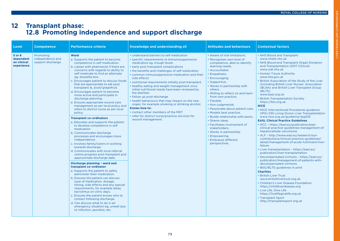LIVER TRANSPLANT COMPETENCIES

IVER TRANSPLANT COMPETENCIES

#### **12 Transplant phase: 12.8 Promoting independence and support discharge**

| Level                                            | <b>Competence</b>                                   | <b>Performance criteria</b>                                                                                                                                                                                                                                                                                                                                                                                                                                                                                                                                                                                                                                                                                                                                                                                                                                                                                                                                                                                                                                                                                                                                                                                                                                                                                                                                                                                                                                      | Knowledge and understanding of:                                                                                                                                                                                                                                                                                                                                                                                                                                                                                                                                                                                                                                                                                                       | <b>Attitudes and behaviours</b>                                                                                                                                                                                                                                                                                                                                                                                                                                                                                                                                                          | <b>Contextual factors</b>                                                                                                                                                                                                                                                                                                                                                                                                                                                                                                                                                                                                                                                                                                                                                                                                                                                                                                                                                                                                                                                                                                                                                                                                                                                                                                                                                                                                                     |
|--------------------------------------------------|-----------------------------------------------------|------------------------------------------------------------------------------------------------------------------------------------------------------------------------------------------------------------------------------------------------------------------------------------------------------------------------------------------------------------------------------------------------------------------------------------------------------------------------------------------------------------------------------------------------------------------------------------------------------------------------------------------------------------------------------------------------------------------------------------------------------------------------------------------------------------------------------------------------------------------------------------------------------------------------------------------------------------------------------------------------------------------------------------------------------------------------------------------------------------------------------------------------------------------------------------------------------------------------------------------------------------------------------------------------------------------------------------------------------------------------------------------------------------------------------------------------------------------|---------------------------------------------------------------------------------------------------------------------------------------------------------------------------------------------------------------------------------------------------------------------------------------------------------------------------------------------------------------------------------------------------------------------------------------------------------------------------------------------------------------------------------------------------------------------------------------------------------------------------------------------------------------------------------------------------------------------------------------|------------------------------------------------------------------------------------------------------------------------------------------------------------------------------------------------------------------------------------------------------------------------------------------------------------------------------------------------------------------------------------------------------------------------------------------------------------------------------------------------------------------------------------------------------------------------------------------|-----------------------------------------------------------------------------------------------------------------------------------------------------------------------------------------------------------------------------------------------------------------------------------------------------------------------------------------------------------------------------------------------------------------------------------------------------------------------------------------------------------------------------------------------------------------------------------------------------------------------------------------------------------------------------------------------------------------------------------------------------------------------------------------------------------------------------------------------------------------------------------------------------------------------------------------------------------------------------------------------------------------------------------------------------------------------------------------------------------------------------------------------------------------------------------------------------------------------------------------------------------------------------------------------------------------------------------------------------------------------------------------------------------------------------------------------|
| 5 or 6<br>dependent<br>on clinical<br>experience | Promoting<br>independence and<br>support discharge. | <b>Ward</b><br>a. Supports the patient to become<br>competence in self medication.<br>b. Liaises with pharmacist if there are<br>concerns with regards to ability to<br>self medicate to find an alternate<br>eg, dossette box.<br>c. Encourages patient to discuss foods<br>that are appropriate to eat post<br>transplant ie, avoid grapefruit.<br>d. Encourages patient to become<br>more active and participate in<br>discharge planning.<br>e. Ensures appropriate wound care<br>management as per local policy and<br>refers to district nurse as per local<br>policy.<br><b>Transplant co-ordinators</b><br>a. Educates and supports the patient<br>to develop competence in self<br>medication.<br>b. Communicates discharge<br>processes and encourages more<br>independence.<br>c. Involves family/carers in working<br>towards discharge.<br>d. Communicates with local referral<br>centre progress post transplant and<br>approximate discharge date.<br>Discharge planning - ward and<br>transplant co-ordinator<br>a. Supports the patient to safely<br>administer their medication.<br>b. Ensures the patient can discuss<br>type of medication, dosage,<br>timing, side effects and any special<br>requirements, for example delay<br>tacrolimus on clinic days.<br>c. Ensures the patient knows who to<br>contact following discharge.<br>d. Can discuss what to do in an<br>emergency situation eg, unwell due<br>to infection, jaundice, etc. | • understand barriers to self medication<br>• specific requirements re immunosuppressive<br>medication eg, trough levels<br>• early post transplant complications<br>• the benefits and challenges of self medication<br>• common immunsuppressive medication and their<br>side effects<br>• nutritional requirements initially post-transplant<br>• healthy eating and weight management once<br>initial nutritional needs have been reviewed by<br>the dietitian<br>• follow up post-discharge<br>• health behaviours that may impact on the new<br>organ, for example smoking or drinking alcohol.<br>Knows how to:<br>• contact other members of the MDT<br>• refer for district nurse/practice services for<br>wound management. | • Aware of role limitations.<br>• Recognises own level of<br>competence, able to identify<br>learning needs.<br>• Accountable.<br>• Empathetic.<br>• Encouraging.<br>• Supportive.<br>• Works in partnership with<br>others.<br>• Willing to reflect on and learn<br>from own practice.<br>• Flexible.<br>• Non-judgmental.<br>• Passionate about patient care.<br>• Models best practice.<br>• Builds relationship with peers.<br>· Shares ideas.<br>• Facilitates involvement of<br>stakeholders.<br>• Works in partnership.<br>• Empowering.<br>• Embraces different<br>perspectives. | • NHS Blood and Transplant<br>www.nhsbt.nhs.uk<br>• NHS Blood and Transplant Organ Donation<br>and Transplantation (ODT Clinical)<br>www.odt.nhs.uk<br>• Human Tissue Authority<br>www.hta.gov.uk<br>• British Association of the Study of the Liver<br>(including British Liver Nurses' Association<br>(BLNA) and British Liver Transplant Group<br>(BLTG)<br>www.basl.org.uk<br><b>British Transplantation Society</b><br>https://bts.org.uk<br><b>NICE</b><br>· NICE Interventional Procedures guidance<br>(IPG) 535 Living-Donor Liver Transplantation<br>www.nice.org.uk/guidance/ipg535<br><b>EASL Clinical Practice Guidelines</b><br>• HCC - https://easl.eu/publication/easl-<br>clinical-practice-guidelines-management-of-<br>hepatocellular-carcinoma<br>• ALF - http://www.easl.eu/research/our-<br>contributions/clinical-practice-guidelines/<br>detail/management-of-acute-fulminant-liver-<br>failure<br>• Liver transplantation - https://easl.eu/<br>publication/liver-transplantation<br>• Decompensated cirrhosis - https://easl.eu/<br>publication/management-of-patients-with-<br>decompensated-cirrhosis<br>• BSG/BLTG guidelines in print<br><b>Charities</b><br>• British Liver Trust<br>www.britishlivertrust.org.uk<br>• Children's Liver Disease Foundation<br>https://childliverdisease.org<br>• Live Life, Give Life<br>https://livelifegivelife.org.uk<br>• Transplant Sport<br>http://transplantsport.org.uk |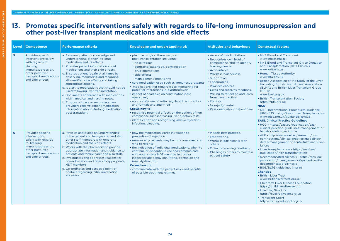#### **13. Promotes specific interventions safely with regards to life-long immunosuppression and other post-liver transplant medications and side effects**

| Level | <b>Competence</b>                                                                                                                                                         | <b>Performance criteria</b>                                                                                                                                                                                                                                                                                                                                                                                                                                                                                                                                                                                                                                           | Knowledge and understanding of:                                                                                                                                                                                                                                                                                                                                                                                                                                                                                                                                                                                                                                                                                         | <b>Attitudes and behaviours</b>                                                                                                                                                                                                                                                                                                                                                          | <b>Contextual factors</b>                                                                                                                                                                                                                                                                                                                                                                                                                                                                                                                                                                                                                                                                                                        |
|-------|---------------------------------------------------------------------------------------------------------------------------------------------------------------------------|-----------------------------------------------------------------------------------------------------------------------------------------------------------------------------------------------------------------------------------------------------------------------------------------------------------------------------------------------------------------------------------------------------------------------------------------------------------------------------------------------------------------------------------------------------------------------------------------------------------------------------------------------------------------------|-------------------------------------------------------------------------------------------------------------------------------------------------------------------------------------------------------------------------------------------------------------------------------------------------------------------------------------------------------------------------------------------------------------------------------------------------------------------------------------------------------------------------------------------------------------------------------------------------------------------------------------------------------------------------------------------------------------------------|------------------------------------------------------------------------------------------------------------------------------------------------------------------------------------------------------------------------------------------------------------------------------------------------------------------------------------------------------------------------------------------|----------------------------------------------------------------------------------------------------------------------------------------------------------------------------------------------------------------------------------------------------------------------------------------------------------------------------------------------------------------------------------------------------------------------------------------------------------------------------------------------------------------------------------------------------------------------------------------------------------------------------------------------------------------------------------------------------------------------------------|
| 5     | Provides specific<br>interventions safely<br>with regards to:<br>life long<br>immunosupreesion.<br>other post-liver<br>transplant medications<br>and side effects.        | a. Assesses patient's knowledge and<br>understanding of their life-long<br>medication and its effects.<br>b. Provides patient information about<br>medications and their side effects.<br>c. Ensures patient is safe at all times by<br>observing, monitoring and recording<br>all identified side effects and taking<br>appropriate actions.<br>d. Is alert to medications that should not be<br>used following liver transplantation.<br>e. Documents adherence with medications<br>within medical and nursing notes.<br>f. Ensures primary or secondary care<br>providers receive patient medication<br>information about life-long medication<br>post transplant. | • pharmacological therapies used<br>post-transplantation including:<br>- dose regime<br>- contraindications eg. contraception<br>- drug interactions<br>- side effects<br>- management/monitoring<br>• core medication used such as immunosupressants<br>• medications that require close monitoring for<br>potential interactions ie, clarithromycin<br>• impact of analgesia on constipation post<br>operatively<br>• appropriate use of anti-coagulatant, anti-biotics,<br>anti-fungals and anti-virals.<br>Knows how to:<br>• recognise potential effects on the patient of non<br>compliance such increasing liver function tests.<br>• identification and recognising risks ie rejection,<br>infection, bleeding. | • Aware of role limitations.<br>• Recognises own level of<br>competence, able to identify<br>learning needs.<br>• Accountable.<br>• Works in partnership.<br>• Supportive.<br>• Encouraging.<br>• Provides choices.<br>• Gives and receives feedback.<br>. Willing to reflect on and learn<br>from own practice.<br>• Flexible.<br>• Non-judgmental.<br>• Passionate about patient care. | • NHS Blood and Transplant<br>www.nhsbt.nhs.uk<br>• NHS Blood and Transplant Organ Donation<br>and Transplantation (ODT Clinical)<br>www.odt.nhs.uk<br>• Human Tissue Authority<br>www.hta.gov.uk<br>. British Association of the Study of the Liver<br>(including British Liver Nurses' Association<br>(BLNA) and British Liver Transplant Group<br>(BLTG)<br>www.basl.org.uk<br>• British Transplantation Society<br>https://bts.org.uk<br><b>NICE</b><br>• NICE Interventional Procedures guidance<br>(IPG) 535 Living-Donor Liver Transplantation<br>www.nice.org.uk/guidance/ipg535<br><b>EASL Clinical Practice Guidelines</b><br>• HCC - https://easl.eu/publication/easl-<br>clinical-practice-guidelines-management-of- |
| 6     | Provides specific<br><i>interventions</i><br>safely with regards<br>to: life long<br>immunosupreesion.<br>other post-liver<br>transplant medications<br>and side effects. | a. Reviews and builds on understanding<br>of the patient and family/carer and also<br>other staff members with regard to<br>medication and the side effects.<br>b. Works with the pharmacist to provide<br>appropriate information and guidance to<br>patients and family/carer and also staff.<br>c. Investigates and addresses reasons for<br>non-adherence and refers to appropriate<br>MDT members.<br>d. Co-ordinates and acts as a point of<br>contact regarding initial medication<br>enquiries.                                                                                                                                                               | • how the medication works in relation to<br>prevention of rejection.<br>• reasons why patients may be non-compliant and<br>who to refer to<br>• the indication of individual medications, when to<br>continue or discontinue use and communicate<br>with appropriate MDT member ie, tremor<br>inappropriate behaviour, fitting, confusion and<br>renal dysfunction.<br>Knows how to:<br>• communicate with the patient risks and benefits<br>of possible treatment regimes.                                                                                                                                                                                                                                            | • Models best practice.<br>• Empowering.<br>• Works in partnership with<br>others.<br>• Open to receiving feedback.<br>• Challenges others to maintain<br>patient safety.                                                                                                                                                                                                                | hepatocellular-carcinoma<br>• ALF - http://www.easl.eu/research/our-<br>contributions/clinical-practice-guidelines/<br>detail/management-of-acute-fulminant-liver-<br>failure<br>• Liver transplantation - https://easl.eu/<br>publication/liver-transplantation<br>• Decompensated cirrhosis - https://easl.eu/<br>publication/management-of-patients-with-<br>decompensated-cirrhosis<br>• BSG/BLTG guidelines in print<br><b>Charities</b><br>• British Liver Trust<br>www.britishlivertrust.org.uk<br>• Children's Liver Disease Foundation<br>https://childliverdisease.org<br>• Live Life, Give Life<br>https://livelifegivelife.org.uk<br>• Transplant Sport<br>http://transplantsport.org.uk                             |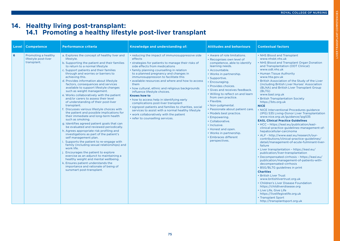LIVER TRANSPLANT COMPETENCIES

**IVER TRANSPLANT** 

COMPETENCIES

#### **14. Healthy living post-transplant: 14.1 Promoting a healthy lifestyle post-liver transplant**

| Level | <b>Competence</b>                                          | <b>Performance criteria</b>                                                                                                                                                                                                                                                                                                                                                                                                                                                                                                                                                                                                                                                                                                                                                                                                                                                                                                                                                                                                                                                                                                                                                                                                                                         | Knowledge and understanding of:                                                                                                                                                                                                                                                                                                                                                                                                                                                                                                                                                                                                                                                                                                         | <b>Attitudes and behaviours</b>                                                                                                                                                                                                                                                                                                                                                                                                                                                                                                                                    | <b>Contextual factors</b>                                                                                                                                                                                                                                                                                                                                                                                                                                                                                                                                                                                                                                                                                                                                                                                                                                                                                                                                                                                                                                                                                                                                                                                                                                                                                                                                                                                                                |
|-------|------------------------------------------------------------|---------------------------------------------------------------------------------------------------------------------------------------------------------------------------------------------------------------------------------------------------------------------------------------------------------------------------------------------------------------------------------------------------------------------------------------------------------------------------------------------------------------------------------------------------------------------------------------------------------------------------------------------------------------------------------------------------------------------------------------------------------------------------------------------------------------------------------------------------------------------------------------------------------------------------------------------------------------------------------------------------------------------------------------------------------------------------------------------------------------------------------------------------------------------------------------------------------------------------------------------------------------------|-----------------------------------------------------------------------------------------------------------------------------------------------------------------------------------------------------------------------------------------------------------------------------------------------------------------------------------------------------------------------------------------------------------------------------------------------------------------------------------------------------------------------------------------------------------------------------------------------------------------------------------------------------------------------------------------------------------------------------------------|--------------------------------------------------------------------------------------------------------------------------------------------------------------------------------------------------------------------------------------------------------------------------------------------------------------------------------------------------------------------------------------------------------------------------------------------------------------------------------------------------------------------------------------------------------------------|------------------------------------------------------------------------------------------------------------------------------------------------------------------------------------------------------------------------------------------------------------------------------------------------------------------------------------------------------------------------------------------------------------------------------------------------------------------------------------------------------------------------------------------------------------------------------------------------------------------------------------------------------------------------------------------------------------------------------------------------------------------------------------------------------------------------------------------------------------------------------------------------------------------------------------------------------------------------------------------------------------------------------------------------------------------------------------------------------------------------------------------------------------------------------------------------------------------------------------------------------------------------------------------------------------------------------------------------------------------------------------------------------------------------------------------|
| 6     | Promoting a healthy<br>lifestyle post-liver<br>transplant. | a. Explores the concept of healthy liver and<br>lifestyle.<br>b. Supporting the patient and their families<br>to return to a normal lifestyle<br>c. Support patients and their families<br>through and worries or barriers to<br>achieving this.<br>d. Provides information about lifestyle<br>factors, consequences and services<br>available to support lifestyle changes<br>such as weight management.<br>e. Works collaboratively with the patient<br>and/or carers to assess their level<br>of understanding of their post-liver<br>transplant.<br>f. Discusses various lifestyle choices with<br>the patient and possible implications for<br>their immediate and long-term health<br>such as smoking.<br>g. Identifies agreed patient goals that can<br>be evaluated and reviewed periodically.<br>h. Agrees appropriate risk profiling and<br>investigations as part of the patient's<br>self management plan.<br>i. Supports the patient to re-engage with<br>family (including sexual relationships) and<br>work life.<br>Encourages the patient to explore<br>exercise as an adjunct to maintaining a<br>healthy weight and mental wellbeing.<br>k. Ensures patient understands the<br>importance and rationale of being of<br>sunsmart post-transplant. | • reducing the impact of immunosuppressive side<br>effects<br>· strategies for patients to manage their risks of<br>side effects from medications<br>• family planning counselling in relation<br>to a planned pregnancy and changes in<br>immunosuppression to facilitate this<br>available resources and where and how to access<br>them<br>• how cultural, ethnic and religious backgrounds<br>influence lifestyle choices.<br><b>Knows how to</b><br>• how to access help in identifying early<br>complications post-liver transplant<br>· signpost patients and families to charities, social<br>services to assist with a normal healthy lifestyle<br>• work collaboratively with the patient<br>• refer to counselling services. | • Aware of role limitations.<br>• Recognises own level of<br>competence, able to identify<br>learning needs.<br>• Accountable.<br>• Works in partnership.<br>• Supportive.<br>• Encouraging.<br>• Provides choices.<br>• Gives and receives feedback.<br>• Willing to reflect on and learn<br>from own practice.<br>• Flexible.<br>• Non-judgmental.<br>• Passionate about patient care.<br>• Models best practice.<br>• Empowering.<br>• Collaborative.<br>• Inclusive.<br>• Honest and open.<br>• Works in partnership.<br>• Embraces different<br>perspectives. | • NHS Blood and Transplant<br>www.nhsbt.nhs.uk<br>• NHS Blood and Transplant Organ Donation<br>and Transplantation (ODT Clinical)<br>www.odt.nhs.uk<br>• Human Tissue Authority<br>www.hta.gov.uk<br>. British Association of the Study of the Liver<br>(including British Liver Nurses' Association<br>(BLNA) and British Liver Transplant Group<br>(BLTG)<br>www.basl.org.uk<br>• British Transplantation Society<br>https://bts.org.uk<br><b>NICE</b><br>• NICE Interventional Procedures guidance<br>(IPG) 535 Living-Donor Liver Transplantation<br>www.nice.org.uk/guidance/ipg535<br><b>EASL Clinical Practice Guidelines</b><br>• HCC - https://easl.eu/publication/easl-<br>clinical-practice-guidelines-management-of-<br>hepatocellular-carcinoma<br>• ALF - http://www.easl.eu/research/our-<br>contributions/clinical-practice-guidelines/<br>detail/management-of-acute-fulminant-liver-<br>failure<br>• Liver transplantation - https://easl.eu/<br>publication/liver-transplantation<br>• Decompensated cirrhosis - https://easl.eu/<br>publication/management-of-patients-with-<br>decompensated-cirrhosis<br>• BSG/BLTG guidelines in print<br><b>Charities</b><br>• British Liver Trust<br>www.britishlivertrust.org.uk<br>• Children's Liver Disease Foundation<br>https://childliverdisease.org<br>• Live Life, Give Life<br>https://livelifegivelife.org.uk<br>• Transplant Sport<br>http://transplantsport.org.uk |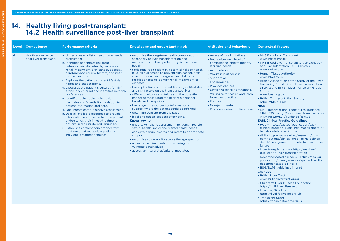#### **14. Healthy living post-transplant: 14.2 Health surveillance post-liver transplant**

| Level | <b>Competence</b>                                    | <b>Performance criteria</b>                                                                                                                                                                                                                                                                                                                                                                                                                                                                                                                                                                                                                                                                                                                                                                                                                                                                                 | Knowledge and understanding of:                                                                                                                                                                                                                                                                                                                                                                                                                                                                                                                                                                                                                                                                                                                                                                                                                                                                                                                                                                                                                                                                                                                                                       | <b>Attitudes and behaviours</b>                                                                                                                                                                                                                                                                                                                                                          | <b>Contextual factors</b>                                                                                                                                                                                                                                                                                                                                                                                                                                                                                                                                                                                                                                                                                                                                                                                                                                                                                                                                                                                                                                                                                                                                                                                                                                                                                                                                                                                                                |
|-------|------------------------------------------------------|-------------------------------------------------------------------------------------------------------------------------------------------------------------------------------------------------------------------------------------------------------------------------------------------------------------------------------------------------------------------------------------------------------------------------------------------------------------------------------------------------------------------------------------------------------------------------------------------------------------------------------------------------------------------------------------------------------------------------------------------------------------------------------------------------------------------------------------------------------------------------------------------------------------|---------------------------------------------------------------------------------------------------------------------------------------------------------------------------------------------------------------------------------------------------------------------------------------------------------------------------------------------------------------------------------------------------------------------------------------------------------------------------------------------------------------------------------------------------------------------------------------------------------------------------------------------------------------------------------------------------------------------------------------------------------------------------------------------------------------------------------------------------------------------------------------------------------------------------------------------------------------------------------------------------------------------------------------------------------------------------------------------------------------------------------------------------------------------------------------|------------------------------------------------------------------------------------------------------------------------------------------------------------------------------------------------------------------------------------------------------------------------------------------------------------------------------------------------------------------------------------------|------------------------------------------------------------------------------------------------------------------------------------------------------------------------------------------------------------------------------------------------------------------------------------------------------------------------------------------------------------------------------------------------------------------------------------------------------------------------------------------------------------------------------------------------------------------------------------------------------------------------------------------------------------------------------------------------------------------------------------------------------------------------------------------------------------------------------------------------------------------------------------------------------------------------------------------------------------------------------------------------------------------------------------------------------------------------------------------------------------------------------------------------------------------------------------------------------------------------------------------------------------------------------------------------------------------------------------------------------------------------------------------------------------------------------------------|
| 6     | <b>Health surveillance</b><br>post-liver transplant. | a. Undertakes a holistic health care needs<br>assessment.<br>b. Identifies patients at risk from<br>osteoporosis, diabetes, hypertension,<br>renal impairment, skin cancer, obestity,<br>cerebral vascular risk factors, and need<br>for vaccinations.<br>c. Explores the patient's current lifestyle,<br>hopes and expectations.<br>d. Discusses the patient's cultural/family/<br>ethnic background and identifies personal<br>preferences.<br>e. Identifies vulnerable individuals.<br>f. Maintains confidentiality in relation to<br>patient information and data.<br>g. Documents comprehensive assessment.<br>h. Uses all available resources to provide<br>information and to ascertain the patient<br>understands their illness/treatment<br>options in their preferred language.<br>i. Establishes patient concordance with<br>treatment and recognises patient's<br>individual treatment choices. | • recognise the long-term health complications<br>secondary to liver transplantation and<br>medications that may affect physical and mental<br>health<br>• tools required to identify potential risks to health<br>ie using sun screen to prevent skin cancer, dexa<br>scan for bone health, regular hospital visits<br>for blood tests to identify renal impairment or<br>diabetes.<br>• the implications of different life stages, lifestyles<br>and risk factors on the transplanted liver<br>· different cultures and faiths and the potential<br>impact of these upon the patient's personal<br>beliefs and viewpoints<br>• the range of resources for information and<br>support where the patient could be referred<br>• obtaining consent from the patient<br>. legal and ethical aspects of consent.<br>Knows how to:<br>• undertake holistic assessment including lifestyle,<br>sexual health, social and mental health needs<br>• consults, communicates and refers to appropriate<br>support<br>• recognise vulnerability across the age spectrum<br>• access expertise in relation to caring for<br>vulnerable individuals<br>· access an interpreter/cultural mediator. | • Aware of role limitations.<br>• Recognises own level of<br>competence, able to identify<br>learning needs.<br>• Accountable.<br>• Works in partnership.<br>• Supportive.<br>• Encouraging.<br>• Provides choices.<br>• Gives and receives feedback.<br>. Willing to reflect on and learn<br>from own practice.<br>• Flexible.<br>• Non-judgmental.<br>• Passionate about patient care. | • NHS Blood and Transplant<br>www.nhsbt.nhs.uk<br>• NHS Blood and Transplant Organ Donation<br>and Transplantation (ODT Clinical)<br>www.odt.nhs.uk<br>• Human Tissue Authority<br>www.hta.gov.uk<br>. British Association of the Study of the Liver<br>(including British Liver Nurses' Association<br>(BLNA) and British Liver Transplant Group<br>(BLTG)<br>www.basl.org.uk<br>• British Transplantation Society<br>https://bts.org.uk<br><b>NICE</b><br>• NICE Interventional Procedures guidance<br>(IPG) 535 Living-Donor Liver Transplantation<br>www.nice.org.uk/guidance/ipg535<br><b>EASL Clinical Practice Guidelines</b><br>• HCC - https://easl.eu/publication/easl-<br>clinical-practice-guidelines-management-of-<br>hepatocellular-carcinoma<br>• ALF - http://www.easl.eu/research/our-<br>contributions/clinical-practice-guidelines/<br>detail/management-of-acute-fulminant-liver-<br>failure<br>• Liver transplantation - https://easl.eu/<br>publication/liver-transplantation<br>• Decompensated cirrhosis - https://easl.eu/<br>publication/management-of-patients-with-<br>decompensated-cirrhosis<br>• BSG/BLTG guidelines in print<br><b>Charities</b><br>• British Liver Trust<br>www.britishlivertrust.org.uk<br>• Children's Liver Disease Foundation<br>https://childliverdisease.org<br>• Live Life, Give Life<br>https://livelifegivelife.org.uk<br>• Transplant Sport<br>http://transplantsport.org.uk |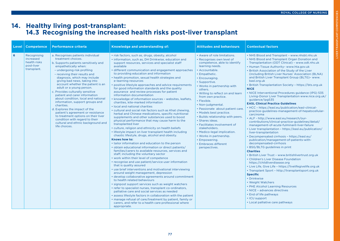#### **14. Healthy living post-transplant: 14.3 Recognising the increased health risks post-liver transplant**

| Level | <b>Competence</b>                                                     | <b>Performance criteria</b>                                                                                                                                                                                                                                                                                                                                                                                                                                                                                                                                                                                                                                                                 | Knowledge and understanding of:                                                                                                                                                                                                                                                                                                                                                                                                                                                                                                                                                                                                                                                                                                                                                                                                                                                                                                                                                                                                                                                                                                                                                                                                                                                                                                                                                                                                                                                                                                                                                                                                                                                                                                                                                                                                                                                                                                                                                                                                            | <b>Attitudes and behaviours</b>                                                                                                                                                                                                                                                                                                                                                                                                                                                                                                                                                                                         | <b>Contextual factors</b>                                                                                                                                                                                                                                                                                                                                                                                                                                                                                                                                                                                                                                                                                                                                                                                                                                                                                                                                                                                                                                                                                                                                                                                                                                                                                                                                                                                                                                                                                                                                                                                                             |
|-------|-----------------------------------------------------------------------|---------------------------------------------------------------------------------------------------------------------------------------------------------------------------------------------------------------------------------------------------------------------------------------------------------------------------------------------------------------------------------------------------------------------------------------------------------------------------------------------------------------------------------------------------------------------------------------------------------------------------------------------------------------------------------------------|--------------------------------------------------------------------------------------------------------------------------------------------------------------------------------------------------------------------------------------------------------------------------------------------------------------------------------------------------------------------------------------------------------------------------------------------------------------------------------------------------------------------------------------------------------------------------------------------------------------------------------------------------------------------------------------------------------------------------------------------------------------------------------------------------------------------------------------------------------------------------------------------------------------------------------------------------------------------------------------------------------------------------------------------------------------------------------------------------------------------------------------------------------------------------------------------------------------------------------------------------------------------------------------------------------------------------------------------------------------------------------------------------------------------------------------------------------------------------------------------------------------------------------------------------------------------------------------------------------------------------------------------------------------------------------------------------------------------------------------------------------------------------------------------------------------------------------------------------------------------------------------------------------------------------------------------------------------------------------------------------------------------------------------------|-------------------------------------------------------------------------------------------------------------------------------------------------------------------------------------------------------------------------------------------------------------------------------------------------------------------------------------------------------------------------------------------------------------------------------------------------------------------------------------------------------------------------------------------------------------------------------------------------------------------------|---------------------------------------------------------------------------------------------------------------------------------------------------------------------------------------------------------------------------------------------------------------------------------------------------------------------------------------------------------------------------------------------------------------------------------------------------------------------------------------------------------------------------------------------------------------------------------------------------------------------------------------------------------------------------------------------------------------------------------------------------------------------------------------------------------------------------------------------------------------------------------------------------------------------------------------------------------------------------------------------------------------------------------------------------------------------------------------------------------------------------------------------------------------------------------------------------------------------------------------------------------------------------------------------------------------------------------------------------------------------------------------------------------------------------------------------------------------------------------------------------------------------------------------------------------------------------------------------------------------------------------------|
| 6     | Recognising<br>increased<br>health risks<br>post-liver<br>transplant. | a. Recognises patients individual<br>treatment choices.<br>b. Supports patients sensitively and<br>empathetically when:<br>- undergoing risk profiling<br>- receiving their results and<br>diagnosis, which may include<br>giving bad news, taking into<br>account whether the patient is an<br>adult or a young person.<br>c. Provides culturally sensitive<br>patient and carer information<br>about condition, local and national<br>information, support groups and<br>charities.<br>d. Explores the impact of the<br>patient's agreement or resistance<br>to treatment options on their liver<br>condition with regard to their<br>cultural and ethnic background and<br>life choices. | • risk factors, such as, drugs, obesity, alcohol<br>• information, such as, DH Drinkwise, education and<br>support resources, services and specialist staff<br>available<br>• different communication and engagement approaches<br>to providing education and information<br>• health promotion, sexual health strategies and<br>e-learning resources<br>• positive lifestyle approaches and advice requirements<br>for good information standards and the quality<br>assurance and review processes for patient<br>information documentation<br>• knowledge of information sources - websites, leaflets,<br>charities, kite-marked information<br>• local and national charities<br>• cultural and social risk factors such as Khat chewing,<br>herbal and Chinese medications, specific nutritional<br>supplements and other substances used to boost<br>physical performance that may cause harm to the<br>transplanted liver<br>• culture, religion and ethnicity on health beliefs<br>• lifestyle impact on liver transplant health including<br>chaotic lifestyle, drugs, alcohol and obesity.<br><b>Knows how to:</b><br>• tailor information and education to the person<br>• obtain educational information or direct patients/<br>families/carers to available resources, services and<br>staff, including the voluntary sector<br>• work within their level of competence<br>• recognise and use patient/service user information<br>that is quality assured<br>• use brief interventions and motivational interviewing<br>around weight management, depression<br>• develop collaborative agreements around commitment<br>to health related behaviours<br>· signpost support services such as weight watchers<br>• refer to specialist nurses, transplant co-ordinators,<br>palliative care and social services as needed<br>• assess lifestyle factors in collaboration with the patient<br>. manage refusal of care/treatment by patient, family or<br>carers, and refer to a health care professional where<br>appropriate. | • Aware of role limitations.<br>• Recognises own level of<br>competence, able to identify<br>learning needs.<br>• Accountable.<br>• Empathetic.<br>• Encouraging.<br>• Supportive.<br>• Works in partnership with<br>others.<br>. Willing to reflect on and learn<br>from own practice.<br>• Flexible.<br>• Non-judgmental.<br>• Passionate about patient care.<br>• Models best practice.<br>• Builds relationship with peers.<br>· Shares ideas.<br>• Facilitates involvement of<br>stakeholders.<br>• Medico-legal implication.<br>• Works in partnership.<br>• Empowering.<br>• Embraces different<br>perspectives. | • NHS Blood and Transplant - www.nhsbt.nhs.uk<br>• NHS Blood and Transplant Organ Donation and<br>Transplantation (ODT Clinical) - www.odt.nhs.uk<br>• Human Tissue Authority- www.hta.gov.uk<br>. British Association of the Study of the Liver<br>(including British Liver Nurses' Association (BLNA)<br>and British Liver Transplant Group (BLTG) - www.<br>basl.org.uk<br>• British Transplantation Society - https://bts.org.uk<br><b>NICE</b><br>• NICE Interventional Procedures guidance (IPG) 535<br>Living-Donor Liver Transplantation www.nice.org.uk/<br>guidance/ipg535<br><b>EASL Clinical Practice Guidelines</b><br>• HCC - https://easl.eu/publication/easl-clinical-<br>practice-guidelines-management-of-hepatocellular-<br>carcinoma<br>• ALF - http://www.easl.eu/research/our-<br>contributions/clinical-practice-guidelines/detail/<br>management-of-acute-fulminant-liver-failure<br>• Liver transplantation - https://easl.eu/publication/<br>liver-transplantation<br>Decompensated cirrhosis - https://easl.eu/<br>publication/management-of-patients-with-<br>decompensated-cirrhosis<br>• BSG/BLTG guidelines in print<br><b>Charities</b><br>• British Liver Trust - www.britishlivertrust.org.uk<br>• Children's Liver Disease Foundation<br>https://childliverdisease.org<br>• Live Life, Give Life - https://livelifegivelife.org.uk<br>• Transplant Sport - http://transplantsport.org.uk<br><b>Specific</b><br>• Drinkwise<br>• Weight Watchers<br>• PHE Alcohol Learning Resources<br>• NICE - advances directives<br>• End of life pathways<br>• ICU support<br>• Local palliative care pathways |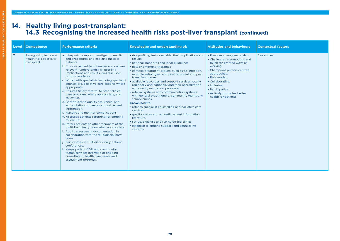#### **14. Healthy living post-transplant: 14.3 Recognising the increased health risks post-liver transplant (continued)**

| Level          | <b>Competence</b>                                               | <b>Performance criteria</b>                                                                                                                                                                                                                                                                                                                                                                                                                                                                                                                                                                                                                                                                                                                                                                                                                                                                                                                                                                                                                                                             | Knowledge and understanding of:                                                                                                                                                                                                                                                                                                                                                                                                                                                                                                                                                                                                                                                                                                                                                                                           | <b>Attitudes and behaviours</b>                                                                                                                                                                                                                                                    | <b>Contextual factors</b> |
|----------------|-----------------------------------------------------------------|-----------------------------------------------------------------------------------------------------------------------------------------------------------------------------------------------------------------------------------------------------------------------------------------------------------------------------------------------------------------------------------------------------------------------------------------------------------------------------------------------------------------------------------------------------------------------------------------------------------------------------------------------------------------------------------------------------------------------------------------------------------------------------------------------------------------------------------------------------------------------------------------------------------------------------------------------------------------------------------------------------------------------------------------------------------------------------------------|---------------------------------------------------------------------------------------------------------------------------------------------------------------------------------------------------------------------------------------------------------------------------------------------------------------------------------------------------------------------------------------------------------------------------------------------------------------------------------------------------------------------------------------------------------------------------------------------------------------------------------------------------------------------------------------------------------------------------------------------------------------------------------------------------------------------------|------------------------------------------------------------------------------------------------------------------------------------------------------------------------------------------------------------------------------------------------------------------------------------|---------------------------|
| $\overline{7}$ | Recognising increased<br>health risks post-liver<br>transplant. | a. Interprets complex investigation results<br>and procedures and explains these to<br>patients.<br>b. Ensures patient (and family/carers where<br>relevant) understands risk profiling<br>implications and results, and discusses<br>options available.<br>c. Works with specialists including specialist<br>counsellors, palliative care experts where<br>appropriate.<br>d. Ensures timely referral to other clinical<br>care providers where appropriate, and<br>follow up.<br>e. Contributes to quality assurance and<br>accreditation processes around patient<br>information.<br>f. Manage and monitor complications.<br>g. Assesses patients returning for ongoing<br>follow-up.<br>h. Refers patients to other members of the<br>multidisciplinary team when appropriate.<br>Audits assessment documentation in<br>collaboration with the multidisciplinary<br>team.<br>Participates in multidisciplinary patient<br>conferences.<br>k. Keeps patients' GP, and community<br>teams/services informed of ongoing<br>consultation, health care needs and<br>assessment progress. | • risk profiling tests available, their implications and<br>results<br>• national standards and local guidelines<br>• new or emerging therapies<br>• complex treatment groups, such as co-infection,<br>multiple aetiologies, and pre-transplant and post<br>transplant issues<br>· available resources and support services locally,<br>regionally and nationally and their accreditation<br>and quality assurance processes<br>• referral systems and communication systems<br>with general practitioners, community teams and<br>school nurses.<br>Knows how to:<br>• refer to specialist counselling and palliative care<br>services<br>• quality assure and accredit patient information<br>literature.<br>• set-up, organise and run nurse-led clinics<br>• establish telephone support and counselling<br>systems. | • Provides strong leadership.<br>• Challenges assumptions and<br>taken for granted ways of<br>working.<br>• Champions person-centred<br>approaches.<br>· Role model.<br>• Collaborative.<br>· Inclusive.<br>• Participative.<br>• Actively promotes better<br>health for patients. | See above.                |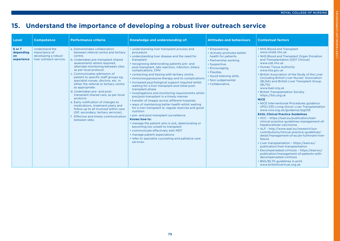## **15. Understand the importance of developing a robust liver outreach service**

| Level                                          | <b>Competence</b>                                                                 | <b>Performance criteria</b>                                                                                                                                                                                                                                                                                                                                                                                                                                                                                                                                                                                                                                                                                | Knowledge and understanding of:                                                                                                                                                                                                                                                                                                                                                                                                                                                                                                                                                                                                                                                                                                                                                                                                                                                                                                                                                                                                                                                 | <b>Attitudes and behaviours</b>                                                                                                                                                                                       | <b>Contextual factors</b>                                                                                                                                                                                                                                                                                                                                                                                                                                                                                                                                                                                                                                                                                                                                                                                                                                                                                                                                                                                                                                                                                                                                                                     |
|------------------------------------------------|-----------------------------------------------------------------------------------|------------------------------------------------------------------------------------------------------------------------------------------------------------------------------------------------------------------------------------------------------------------------------------------------------------------------------------------------------------------------------------------------------------------------------------------------------------------------------------------------------------------------------------------------------------------------------------------------------------------------------------------------------------------------------------------------------------|---------------------------------------------------------------------------------------------------------------------------------------------------------------------------------------------------------------------------------------------------------------------------------------------------------------------------------------------------------------------------------------------------------------------------------------------------------------------------------------------------------------------------------------------------------------------------------------------------------------------------------------------------------------------------------------------------------------------------------------------------------------------------------------------------------------------------------------------------------------------------------------------------------------------------------------------------------------------------------------------------------------------------------------------------------------------------------|-----------------------------------------------------------------------------------------------------------------------------------------------------------------------------------------------------------------------|-----------------------------------------------------------------------------------------------------------------------------------------------------------------------------------------------------------------------------------------------------------------------------------------------------------------------------------------------------------------------------------------------------------------------------------------------------------------------------------------------------------------------------------------------------------------------------------------------------------------------------------------------------------------------------------------------------------------------------------------------------------------------------------------------------------------------------------------------------------------------------------------------------------------------------------------------------------------------------------------------------------------------------------------------------------------------------------------------------------------------------------------------------------------------------------------------|
| 6 or 7<br>depending<br><b>on</b><br>experience | Understand the<br>importance of<br>developing a robust<br>liver outreach service. | a. Demonstrates collaboration<br>between referral centre and tertiary<br>centre.<br>b. Undertakes pre-transplant shared<br>assessments where required,<br>alternate monitoring between sites<br>as per local protocol.<br>c. Communicates admission of<br>patient to specific staff groups eg,<br>specialist nurses, doctors, etc. in<br>either the referral or tertiary centre<br>as appropriate.<br>d. Undertakes pre- and post-<br>transplant shared care, as per local<br>protocol.<br>e. Early notification of changes to<br>medications, treatment plans and<br>follow up to all involved within care<br>(GP, secondary, tertiary services).<br>Effective and timely communication<br>between sites. | • understanding liver transplant process and<br>procedure<br>• understanding liver disease and the need for<br>transplant<br>• recognising deteriorating patients pre- and<br>post-transplant, late rejection, infection, biliary<br>complications, CMV<br>• contacting and liaising with tertiary centre.<br>• immunosuppressive therapy and its complications<br>• increased psychological support required whilst<br>waiting for a liver transplant and initial post-<br>transplant phase<br>• investigations and monitoring requirements whilst<br>pre/post-transplant in a timely manner<br>• transfer of images across different hospitals<br>• ways of maintaining better health whilst waiting<br>for a liver transplant ie, regular exercise and good<br>nutrition<br>• pre- and post-transplant surveillance.<br>Knows how to:<br>• manage the patient who is sick, deteriorating or<br>becoming too unwell to transplant<br>• communicate effectively with MDT<br>• manage patient expectations<br>• refer to specialist counseling and palliative care<br>services. | • Empowering.<br>• Actively promotes better<br>health for patients.<br>• Partnership working.<br>· Supportive.<br>• Encouraging.<br>• Flexible.<br>· Good listening skills.<br>· Non-judgemental.<br>• Collaborative. | • NHS Blood and Transplant<br>www.nhsbt.nhs.uk<br>• NHS Blood and Transplant Organ Donation<br>and Transplantation (ODT Clinical)<br>www.odt.nhs.uk<br>• Human Tissue Authority<br>www.hta.gov.uk<br>. British Association of the Study of the Liver<br>(including British Liver Nurses' Association<br>(BLNA) and British Liver Transplant Group<br>(BLTG)<br>www.basl.org.uk<br>• British Transplantation Society<br>https://bts.org.uk<br><b>NICE</b><br>• NICE Interventional Procedures guidance<br>(IPG) 535 Living-Donor Liver Transplantation<br>www.nice.org.uk/guidance/ipg535<br><b>EASL Clinical Practice Guidelines</b><br>• HCC - https://easl.eu/publication/easl-<br>clinical-practice-guidelines-management-of-<br>hepatocellular-carcinoma<br>• ALF - http://www.easl.eu/research/our-<br>contributions/clinical-practice-guidelines/<br>detail/management-of-acute-fulminant-liver-<br>failure<br>• Liver transplantation - https://easl.eu/<br>publication/liver-transplantation<br>• Decompensated cirrhosis - https://easl.eu/<br>publication/management-of-patients-with-<br>decompensated-cirrhosis<br>• BSG/BLTG guidelines in print<br>www.britishlivertrust.org.uk |

Ě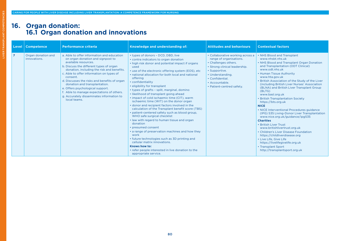#### **16. Organ donation: 16.1 Organ donation and innovations**

| Level          | <b>Competence</b>                  | <b>Performance criteria</b>                                                                                                                                                                                                                                                                                                                                                                                                                                                             | Knowledge and understanding of:                                                                                                                                                                                                                                                                                                                                                                                                                                                                                                                                                                                                                                                                                                                                                                                                                                                                                                                                                                                          | <b>Attitudes and behaviours</b>                                                                                                                                                                                             | <b>Contextual factors</b>                                                                                                                                                                                                                                                                                                                                                                                                                                                                                                                                                                                                                                                                                                                                                                                                                                           |
|----------------|------------------------------------|-----------------------------------------------------------------------------------------------------------------------------------------------------------------------------------------------------------------------------------------------------------------------------------------------------------------------------------------------------------------------------------------------------------------------------------------------------------------------------------------|--------------------------------------------------------------------------------------------------------------------------------------------------------------------------------------------------------------------------------------------------------------------------------------------------------------------------------------------------------------------------------------------------------------------------------------------------------------------------------------------------------------------------------------------------------------------------------------------------------------------------------------------------------------------------------------------------------------------------------------------------------------------------------------------------------------------------------------------------------------------------------------------------------------------------------------------------------------------------------------------------------------------------|-----------------------------------------------------------------------------------------------------------------------------------------------------------------------------------------------------------------------------|---------------------------------------------------------------------------------------------------------------------------------------------------------------------------------------------------------------------------------------------------------------------------------------------------------------------------------------------------------------------------------------------------------------------------------------------------------------------------------------------------------------------------------------------------------------------------------------------------------------------------------------------------------------------------------------------------------------------------------------------------------------------------------------------------------------------------------------------------------------------|
| $\overline{7}$ | Organ donation and<br>innovations. | a. Able to offer information and education<br>on organ donation and signpost to<br>available resources.<br>b. Discuss the different types of organ<br>donation, including the risk and benefits.<br>c. Able to offer information on types of<br>consent.<br>d. Discusses the risks and benefits of organ<br>donation and transplantation.<br>e. Offers psychological support.<br>f. Able to manage expectations of others.<br>g. Accurately disseminates information to<br>local teams. | • types of donors - DCD, DBD, live<br>• contra indicators to organ donation<br>• high risk donor and potential impact if organs<br>used<br>• use of the electronic offering system (EOS), etc<br>• national allocation for both local and national<br>offering<br>• confidentiality<br>• eligibility for transplant<br>• types of grafts - split, marginal, domino<br>• likelihood of transplant going ahead<br>• impact of cold ischaemic time (CIT), warm<br>ischaemic time (WIT) on the donor organ<br>• donor and recipient factors involved in the<br>calculation of the Transplant benefit score (TBS)<br>• patient-centered safety such as blood group,<br>WHO safe surgical checklist<br>• law with regard to human tissue and organ<br>donation<br>• presumed consent<br>• a range of preservation machines and how they<br>work<br>• future technologies such as 3D printing and<br>cellular matrix innovations.<br>Knows how to:<br>• refer people interested in live donation to the<br>appropriate service. | • Collaborative working across a<br>range of organisations.<br>• Challenges others.<br>• Strong clinical leadership.<br>• Supportive.<br>• Understanding.<br>• Confidential.<br>· Accountable.<br>• Patient-centred safety. | • NHS Blood and Transplant<br>www.nhsbt.nhs.uk<br>• NHS Blood and Transplant Organ Donation<br>and Transplantation (ODT Clinical)<br>www.odt.nhs.uk<br>• Human Tissue Authority<br>www.hta.gov.uk<br>. British Association of the Study of the Liver<br>(including British Liver Nurses' Association<br>(BLNA) and British Liver Transplant Group<br>(BLTG)<br>www.basl.org.uk<br>• British Transplantation Society<br>https://bts.org.uk<br><b>NICE</b><br>• NICE Interventional Procedures guidance<br>(IPG) 535 Living-Donor Liver Transplantation<br>www.nice.org.uk/guidance/ipg535<br><b>Charities</b><br>• British Liver Trust<br>www.britishlivertrust.org.uk<br>• Children's Liver Disease Foundation<br>https://childliverdisease.org<br>• Live Life, Give Life<br>https://livelifegivelife.org.uk<br>• Transplant Sport<br>http://transplantsport.org.uk |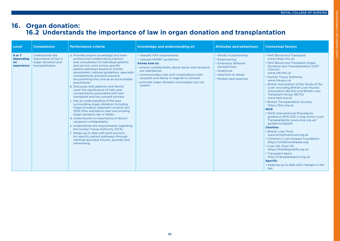# LIVER TRANSPLANT COMPETENCIES COMPETENCIES **IVER TRANSPLANT**

#### **16. Organ donation: 16.2 Understands the importance of law in organ donation and transplantation**

| Level                                    | <b>Competence</b>                                                                 | <b>Performance criteria</b>                                                                                                                                                                                                                                                                                                                                                                                                                                                                                                                                                                                                                                                                                                                                                                                                                                                                                                                                                                                               | Knowledge and understanding of:                                                                                                                                                                                                                                                                              | <b>Attitudes and behaviours</b>                                                                                                                         | <b>Contextual factors</b>                                                                                                                                                                                                                                                                                                                                                                                                                                                                                                                                                                                                                                                                                                                                                                                                                                                                                                                                |
|------------------------------------------|-----------------------------------------------------------------------------------|---------------------------------------------------------------------------------------------------------------------------------------------------------------------------------------------------------------------------------------------------------------------------------------------------------------------------------------------------------------------------------------------------------------------------------------------------------------------------------------------------------------------------------------------------------------------------------------------------------------------------------------------------------------------------------------------------------------------------------------------------------------------------------------------------------------------------------------------------------------------------------------------------------------------------------------------------------------------------------------------------------------------------|--------------------------------------------------------------------------------------------------------------------------------------------------------------------------------------------------------------------------------------------------------------------------------------------------------------|---------------------------------------------------------------------------------------------------------------------------------------------------------|----------------------------------------------------------------------------------------------------------------------------------------------------------------------------------------------------------------------------------------------------------------------------------------------------------------------------------------------------------------------------------------------------------------------------------------------------------------------------------------------------------------------------------------------------------------------------------------------------------------------------------------------------------------------------------------------------------------------------------------------------------------------------------------------------------------------------------------------------------------------------------------------------------------------------------------------------------|
| 6 or 7<br>depending<br>on.<br>experience | Understands the<br>importance of law in<br>organ donation and<br>transplantation. | a. Provides expert knowledge and inter-<br>professional collaborative practice<br>and consultation to individual patients<br>and service users across specific<br>patient pathways based on holistic<br>assessment, national guidelines, specialist<br>competencies and best practice.<br>documenting this care as an accountable<br>practitioner.<br>b. Discusses with patients and family/<br>carer the significance of risks and<br>complications associated with liver<br>transplant and the consent process.<br>c. Has an understanding of the laws<br>surrounding organ donation including<br>Organ Donation (deemed consent) Act<br>2019 (Max and Keira's law) and existing<br>organ donation law in Wales.<br>d. Understands to importance of donor/<br>recipient confidentiality.<br>e. Understands the requirements regarding<br>the Human Tissue Authority (HTA)<br>f. Keeps up to date with best practice<br>for specific patient pathways through<br>national specialist forums, journals and<br>networking. | • relevant HTA requirements<br>• relevant NHSBT guidelines.<br>Knows how to:<br>• ensure confidentiality about donor and recipient<br>are maintained<br>• communicates risks and complications with<br>recipient and family in regards to consent<br>• promote organ donation and explain opt out<br>system. | • Works in partnership.<br>• Empowering.<br>• Embraces different<br>perspectives.<br>• Analytical.<br>• Attention to detail.<br>• Models best practice. | • NHS Blood and Transplant<br>www.nhsbt.nhs.uk<br>• NHS Blood and Transplant Organ<br>Donation and Transplantation (ODT<br>Clinical)<br>www.odt.nhs.uk<br>• Human Tissue Authority<br>www.hta.gov.uk<br>• British Association of the Study of the<br>Liver (including British Liver Nurses'<br>Association (BLNA) and British Liver<br><b>Transplant Group (BLTG)</b><br>www.basl.org.uk<br>• British Transplantation Society<br>https://bts.org.uk<br><b>NICE</b><br>• NICE Interventional Procedures<br>guidance (IPG) 535 Living-Donor Liver<br>Transplantation www.nice.org.uk/<br>guidance/ipg535<br><b>Charities</b><br>• British Liver Trust<br>www.britishlivertrust.org.uk<br>• Children's Liver Disease Foundation<br>https://childliverdisease.org<br>• Live Life, Give Life<br>https://livelifegivelife.org.uk<br>• Transplant Sport<br>http://transplantsport.org.uk<br><b>Specific</b><br>• Keeping up to date with changes in the<br>law. |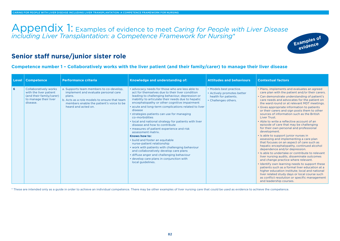Appendix 1: Examples of evidence to meet *Caring for People with Liver Disease including Liver Transplantation: a Competence Framework for Nursing*\*



#### **Senior staff nurse/junior sister role**

#### **Competence number 1 – Collaboratively works with the liver patient (and their family/carer) to manage their liver disease**

| Level | <b>Competence</b>                                                                                                | <b>Performance criteria</b>                                                                                                                                                                                  | Knowledge and understanding of:                                                                                                                                                                                                                                                                                                                                                                                                                                                                                                                                                                                                                                                                                                                                                                                                                          | <b>Attitudes and behaviours</b>                                                                       | <b>Contextual factors</b>                                                                                                                                                                                                                                                                                                                                                                                                                                                                                                                                                                                                                                                                                                                                                                                                                                                                                                                                                                                                                                                                                                                                                                               |
|-------|------------------------------------------------------------------------------------------------------------------|--------------------------------------------------------------------------------------------------------------------------------------------------------------------------------------------------------------|----------------------------------------------------------------------------------------------------------------------------------------------------------------------------------------------------------------------------------------------------------------------------------------------------------------------------------------------------------------------------------------------------------------------------------------------------------------------------------------------------------------------------------------------------------------------------------------------------------------------------------------------------------------------------------------------------------------------------------------------------------------------------------------------------------------------------------------------------------|-------------------------------------------------------------------------------------------------------|---------------------------------------------------------------------------------------------------------------------------------------------------------------------------------------------------------------------------------------------------------------------------------------------------------------------------------------------------------------------------------------------------------------------------------------------------------------------------------------------------------------------------------------------------------------------------------------------------------------------------------------------------------------------------------------------------------------------------------------------------------------------------------------------------------------------------------------------------------------------------------------------------------------------------------------------------------------------------------------------------------------------------------------------------------------------------------------------------------------------------------------------------------------------------------------------------------|
| 6     | Collaboratively works<br>with the liver patient<br>(and their family/carer)<br>to manage their liver<br>disease. | a. Supports team members to co-develop,<br>implement and evaluate personal care<br>plans.<br>b. Acts as a role models to ensure that team<br>members enable the patient's voice to be<br>heard and acted on. | • advocacy needs for those who are less able to<br>act for themselves due to their liver condition<br>leading to challenging behaviour, depression or<br>inability to articulate their needs due to hepatic<br>encephalopathy or other cognitive impairment<br>. acute and long-term complications related to liver<br>disease<br>• strategies patients can use for managing<br>co-morbidities<br>. local and national strategy for patients with liver<br>disease and how to contribute<br>• measures of patient experience and risk<br>assessment matrix.<br>Knows how to:<br>• build and foster an equitable<br>nurse-patient relationship<br>• work with patients with challenging behaviour<br>and collaboratively develop care plans<br>• diffuse anger and challenging behaviour<br>• develop care plans in conjunction with<br>local guidelines. | • Models best practice.<br>• Actively promotes better<br>health for patients.<br>• Challenges others. | • Plans, implements and evaluates an agreed<br>care plan with the patient and/or their carers.<br>• Can demonstrate understanding of patient's<br>care needs and advocates for the patient on<br>the ward round or at relevant MDT meetings.<br>• Gives appropriate information to patients<br>or their carers and sign posts them to other<br>sources of information such as the British<br>Liver Trust.<br>• Able to write a reflective account of an<br>episode of care that may be challenging<br>for their own personal and professional<br>development.<br>• Is able to support junior nurses in<br>assessing and implementing a care plan<br>that focuses on an aspect of care such as<br>hepatic encephalopathy, continued alcohol<br>dependence and/or depression.<br>. Is able to undertake or contribute to relevant<br>liver nursing audits, disseminate outcomes<br>and change practice where relevant.<br>• Identify own learning needs to support these<br>patients such as a formal liver education at a<br>higher education institute; local and national<br>liver related study days or local course such<br>as conflict resolution or specific management<br>and leadership courses. |

\* These are intended only as a guide in order to achieve an individual competence. There may be other examples of liver nursing care that could be used as evidence to achieve the competence.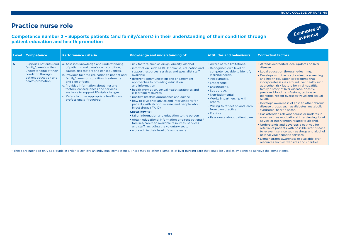**Examples of evidence**

#### **Practice nurse role**

#### **Competence number 2 – Supports patients (and family/carers) in their understanding of their condition through patient education and health promotion**



\* These are intended only as a guide in order to achieve an individual competence. There may be other examples of liver nursing care that could be used as evidence to achieve the competence.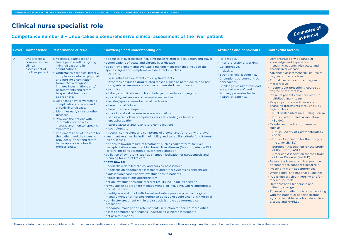### **Clinical nurse specialist role**

#### **Competence number 3 – Undertakes a comprehensive clinical assessment of the liver patient**

**Examples of evidence**

| <b>Level</b>   | <b>Performance criteria</b><br><b>Competence</b>                                                                                                                                                                                                                                                                                                                                                                                                                                                                                                                                                                                                                                                                                                                                                                                   | Knowledge and understanding of:                                                                                                                                                                                                                                                                                                                                                                                                                                                                                                                                                                                                                                                                                                                                                                                                                                                                                                                                                                                                                                                                                                                                                                                                                                                                                                                                                                                                                                                                                                                                                                                                                                                                                                                                                                                                                                                                                                                                                                                                                                                                                                                                                                                                                                                                        | <b>Attitudes and behaviours</b>                                                                                                                                                                                                                                                     | <b>Contextual factors</b>                                                                                                                                                                                                                                                                                                                                                                                                                                                                                                                                                                                                                                                                                                                                                                                                                                                                                                                                                                                                                                                                                                                                                                                                                                                                                                                 |
|----------------|------------------------------------------------------------------------------------------------------------------------------------------------------------------------------------------------------------------------------------------------------------------------------------------------------------------------------------------------------------------------------------------------------------------------------------------------------------------------------------------------------------------------------------------------------------------------------------------------------------------------------------------------------------------------------------------------------------------------------------------------------------------------------------------------------------------------------------|--------------------------------------------------------------------------------------------------------------------------------------------------------------------------------------------------------------------------------------------------------------------------------------------------------------------------------------------------------------------------------------------------------------------------------------------------------------------------------------------------------------------------------------------------------------------------------------------------------------------------------------------------------------------------------------------------------------------------------------------------------------------------------------------------------------------------------------------------------------------------------------------------------------------------------------------------------------------------------------------------------------------------------------------------------------------------------------------------------------------------------------------------------------------------------------------------------------------------------------------------------------------------------------------------------------------------------------------------------------------------------------------------------------------------------------------------------------------------------------------------------------------------------------------------------------------------------------------------------------------------------------------------------------------------------------------------------------------------------------------------------------------------------------------------------------------------------------------------------------------------------------------------------------------------------------------------------------------------------------------------------------------------------------------------------------------------------------------------------------------------------------------------------------------------------------------------------------------------------------------------------------------------------------------------------|-------------------------------------------------------------------------------------------------------------------------------------------------------------------------------------------------------------------------------------------------------------------------------------|-------------------------------------------------------------------------------------------------------------------------------------------------------------------------------------------------------------------------------------------------------------------------------------------------------------------------------------------------------------------------------------------------------------------------------------------------------------------------------------------------------------------------------------------------------------------------------------------------------------------------------------------------------------------------------------------------------------------------------------------------------------------------------------------------------------------------------------------------------------------------------------------------------------------------------------------------------------------------------------------------------------------------------------------------------------------------------------------------------------------------------------------------------------------------------------------------------------------------------------------------------------------------------------------------------------------------------------------|
| $\overline{7}$ | a. Assesses, diagnoses and<br>Undertakes a<br>treats people with on-going<br>comprehensive<br>living disease and its<br>clinical<br>complications.<br>assessment of<br>the liver patient.<br>b. Undertakes a medical history,<br>completes a detailed physical<br>and nursing examination,<br>formulates a diagnosis,<br>initiates investigations and/<br>or treatments and refers<br>to specialist teams as<br>appropriate.<br>c. Diagnoses new or worsening<br>complications of acute and<br>chronic liver disease.<br>d. Identifies early signs of other<br>diseases.<br>e. Provides the patient with<br>information on how to<br>manage and monitor specific<br>symptoms.<br>f. Implements end of life care for<br>the patient and their family,<br>provides support and refers<br>to the appropriate health<br>professionals. | • all causes of liver disease including those related to occupation and travel<br>• complications of acute and chronic liver disease<br>• design, implement and evaluate a management plan that included the<br>specific signs and symptoms or side effects: such as:<br>- pruritus<br>- skin rashes as side effects of drug treatments<br>- hypotension due to drug related reasons, such as betablocker, and non-<br>drug related reasons such as decompensated liver disease<br>- jaundice<br>- biliary complications such as cholecystitis and/or cholangitis<br>- portal hypertension and oesophageal varices<br>- ascites/spontaneous bacterial peritonitis<br>- hepatorenal failure<br>- hepatic encephalopathy<br>- risk of cerebral oedema in acute liver failure<br>- sepsis which often precipitates variceal bleeding or hepatic<br>encephalopathy<br>- cardiovascular and respiratory complications<br>- coagulopathy<br>- recognise the signs and symptoms of alcohol and /or drug withdrawal<br>• treatment regimes, including eligibility and suitability criteria for different<br>liver diseases<br>. options following failure of treatment, such as early referral for liver<br>transplantation assessment in chronic liver disease (See competence 10.1)<br>Referral for consideration of liver transplantation)<br>• palliation of symptoms such as chemoembolisation or paracentesis and<br>planning for end of life care.<br>Knows how to:<br>• undertake a detailed clinical and nursing assessment<br>• undertake an abdominal assessment and other systems as appropriate.<br>• explain significance of any investigations to patients<br>• initiate investigations appropriately<br>• act on investigations and interpret results including liver screen<br>• formulate an appropriate management plan including, where appropriate,<br>end of life care<br>• identify acute alcohol withdrawal and safely provide pharmacological<br>management of symptoms during an episode of acute alcohol withdrawal<br>• administer treatment within their specialist role as a non-medical<br>prescriber<br>• recognise, manage and refer patients in relation to their co-morbidities<br>• assess competence of nurses undertaking clinical assessments<br>· act as a role model. | • Role model.<br>· Inter-professional working.<br>• Collaborative.<br>· Inclusive.<br>• Strong clinical leadership.<br>• Champions person-centred<br>approaches.<br>• Challenges assumptions and<br>accepted ways of working.<br>• Actively promotes better<br>health for patients. | • Demonstrates a wide range of<br>knowledge and experience of<br>managing patients with acute and<br>chronic liver disease.<br>• Advanced assessment skill course at<br>degree or masters level.<br>• Formal liver education at degree or<br>masters level.<br>• Independent prescribing course at<br>degree or masters level.<br>• Presents patients and care plans to<br>multidisciplinary team.<br>• Keeps up-to-date with new and<br>changing treatments through study<br>days such as:<br>- RCN Gastrointestinal Nursing Forum<br>- British Liver Nurses' Association<br>(BLNA).<br>• Or relevant medical conferences<br>such as:<br>- British Society of Gastroenterology<br>(BSG)<br>- British Association for the Study of<br>the Liver (BASL)<br>- European Association for the Study<br>of the Liver (EASL)<br>- American Association for the Study<br>of Liver Diseases (AASLD).<br>• Relevant advanced clinical practice<br>documents to support clinical role.<br>• Presenting work at conferences.<br>• Writing local and national guidelines.<br>• Publishing articles in nursing and/or<br>medical journals.<br>• Demonstrating leadership and<br>initiating change.<br>• Focused on patient outcomes, working<br>with the patient or specific groups<br>eg, viral hepatitis, alcohol related liver<br>disease and NAFLD. |

\* These are intended only as a guide in order to achieve an individual competence. There may be other examples of liver nursing care that could be used as evidence to achieve the competence.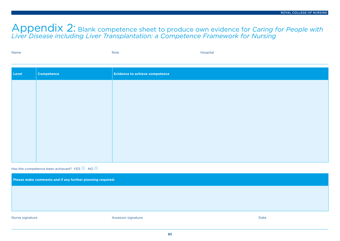### Appendix 2: Blank competence sheet to produce own evidence for *Caring for People with Liver Disease including Liver Transplantation: a Competence Framework for Nursing*

| Name | Role | Hospital |
|------|------|----------|
|      |      |          |

| Level | Competence | Evidence to achieve competence |
|-------|------------|--------------------------------|
|       |            |                                |
|       |            |                                |
|       |            |                                |
|       |            |                                |
|       |            |                                |
|       |            |                                |
|       |            |                                |

Has the competence been achieved? YES NO

**Please make comments and if any further planning required:**

Nurse signature **Assessor signature** Assessor signature Assessor signature **Date**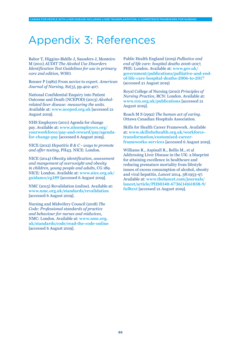# Appendix 3: References

Babor T, Higgins-Biddle J, Saunders J, Monteiro M (2011) *AUDIT The Alcohol Use Disorders Identification Test Guidelines for use in primary care 2nd edition*, WHO.

Benner P (1982) From novice to expert. *American Journal of Nursing*, 82(3), pp.402-407.

National Confidential Enquiry into Patient Outcome and Death (NCEPOD) (2013) *Alcoholrelated liver disease: measuring the units*. Available at: **[www.ncepod.org.uk](http://www.ncepod.org.uk)** [accessed 21 August 2019].

NHS Employers (2011) Agenda for change pay. Available at: **[www.nhsemployers.org/](http://www.nhsemployers.org/yourworkforce/pay-and-reward/pay/agenda-for-change-pay) [yourworkforce/pay-and-reward/pay/agenda](http://www.nhsemployers.org/yourworkforce/pay-and-reward/pay/agenda-for-change-pay)[for-change-pay](http://www.nhsemployers.org/yourworkforce/pay-and-reward/pay/agenda-for-change-pay)** [accessed 6 August 2019].

NICE (2012) *Hepatitis B & C - ways to promote and offer testing*, PH43. NICE: London.

NICE (2014) *Obesity identification, assessment and mangement of overweight and obesity in children, young people and adults*, CG 189. NICE: London. Available at: **[www.nice.org.uk/](http://www.nice.org.uk/guidance/cg189) [guidance/cg189](http://www.nice.org.uk/guidance/cg189)** [accessed 6 August 2019].

NMC (2015) Revalidation (online). Available at: **[www.nmc.org.uk/standards/revalidation](http://www.nmc.org.uk/standards/revalidation)** [accessed 6 August 2019].

Nursing and Midwifery Council (2018) *The Code: Professional standards of practice and behaviour for nurses and midwives*, NMC: London. Available at: **[www.nmc.org.](http://www.nmc.org.uk/standards/code/read-the-code-online) [uk/standards/code/read-the-code-online](http://www.nmc.org.uk/standards/code/read-the-code-online)** [accessed 6 August 2019].

Public Health England (2019) *Palliative and end of life care: hospital deaths 2006-2017*, PHE: London. Available at: **[www.gov.uk/](http://www.gov.uk/government/publications/palliative-and-end-of-life-care-hospital-deaths-2006-to-2017) [government/publications/palliative-and-end](http://www.gov.uk/government/publications/palliative-and-end-of-life-care-hospital-deaths-2006-to-2017)[of-life-care-hospital-deaths-2006-to-2017](http://www.gov.uk/government/publications/palliative-and-end-of-life-care-hospital-deaths-2006-to-2017)** (accessed 21 August 2019)

Royal College of Nursing (2010) *Principles of Nursing Practice*, RCN: London. Available at: **[www.rcn.org.uk/publications](http://www.rcn.org.uk/publications)**[accessed 21 August 2019].

Roach M S (1992) *The human act of caring*. Ottawa Canadian Hospitals Association.

Skills for Health Career Framework. Available at: **[www.skillsforhealth.org.uk/workforce](http://www.skillsforhealth.org.uk/workforce-transformation/customised-career-frameworks-services)[transformation/customised-career](http://www.skillsforhealth.org.uk/workforce-transformation/customised-career-frameworks-services)[frameworks-services](http://www.skillsforhealth.org.uk/workforce-transformation/customised-career-frameworks-services)** [accessed 6 August 2019].

Williams R., Aspinall R., Bellis M., et al Addressing Liver Disease in the UK: a blueprint for attaining excellence in healthcare and reducing premature mortality from lifestyle issues of excess consumption of alcohol, obesity and viral hepatitis, *Lancet* 2014, 38:1953-97. Available at: **[www.thelancet.com/journals/](http://www.thelancet.com/journals/lancet/article/PIIS0140-6736(14)61838-9/fulltext) [lancet/article/PIIS0140-6736\(14\)61838-9/](http://www.thelancet.com/journals/lancet/article/PIIS0140-6736(14)61838-9/fulltext) [fulltext](http://www.thelancet.com/journals/lancet/article/PIIS0140-6736(14)61838-9/fulltext)** [accessed 21 August 2019].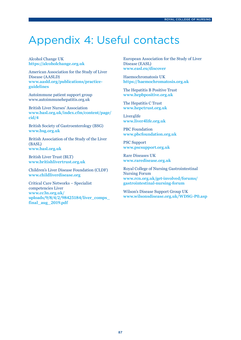# Appendix 4: Useful contacts

Alcohol Change UK **<https://alcoholchange.org.uk>**

American Association for the Study of Liver Disease (AASLD) **[www.aasld.org/publications/practice](http://www.aasld.org/publications/practice-guidelines)[guidelines](http://www.aasld.org/publications/practice-guidelines)**

Autoimmune patient support group www.autoimmunehepatitis.org.uk

British Liver Nurses' Association **[www.basl.org.uk/index.cfm/content/page/](http://www.basl.org.uk/index.cfm/content/page/cid/4) [cid/4](http://www.basl.org.uk/index.cfm/content/page/cid/4)**

British Society of Gastroenterology (BSG) **[www.bsg.org.uk](http://www.bsg.org.uk)**

British Association of the Study of the Liver (BASL) **[www.basl.org.uk](http://www.basl.org.uk)**

British Liver Trust (BLT) **[www.britishlivertrust.org.uk](http://www.britishlivertrust.org.uk)**

Children's Liver Disease Foundation (CLDF) **[www.childliverdisease.org](http://www.childliverdisease.org)**

Critical Care Networks – Specialist competencies Liver **[www.cc3n.org.uk/](http://www.cc3n.org.uk/uploads/9/8/4/2/98425184/liver_comps_final_aug_2019.pdf) [uploads/9/8/4/2/98425184/liver\\_comps\\_](http://www.cc3n.org.uk/uploads/9/8/4/2/98425184/liver_comps_final_aug_2019.pdf) [final\\_aug\\_2019.pdf](http://www.cc3n.org.uk/uploads/9/8/4/2/98425184/liver_comps_final_aug_2019.pdf)**

European Association for the Study of Liver Disease (EASL) **[www.easl.eu/discover](http://www.easl.eu/discover)**

Haemochromatosis UK **<https://haemochromatosis.org.uk>**

The Hepatitis B Positive Trust **[www.hepbpositive.org.uk](http://www.hepbpositive.org.uk)**

The Hepatitis C Trust **[www.hepctrust.org.uk](http://www.hepctrust.org.uk)**

Liver4life **[www.liver4life.org.uk](http://www.liver4life.org.uk)**

PBC Foundation **[www.pbcfoundation.org.uk](http://www.pbcfoundation.org.uk)**

PSC Support **[www.pscsupport.org.uk](http://www.pscsupport.org.uk)**

Rare Diseases UK **[www.raredisease.org.uk](http://www.raredisease.org.uk)**

Royal College of Nursing Gastrointestinal Nursing Forum **[www.rcn.org.uk/get-involved/forums/](http://www.rcn.org.uk/get-involved/forums/gastrointestinal-nursing-forum) [gastrointestinal-nursing-forum](http://www.rcn.org.uk/get-involved/forums/gastrointestinal-nursing-forum)**

Wilson's Disease Support Group UK **[www.wilsonsdisease.org.uk/WDSG-P0.asp](http://www.wilsonsdisease.org.uk/WDSG-P0.asp)**